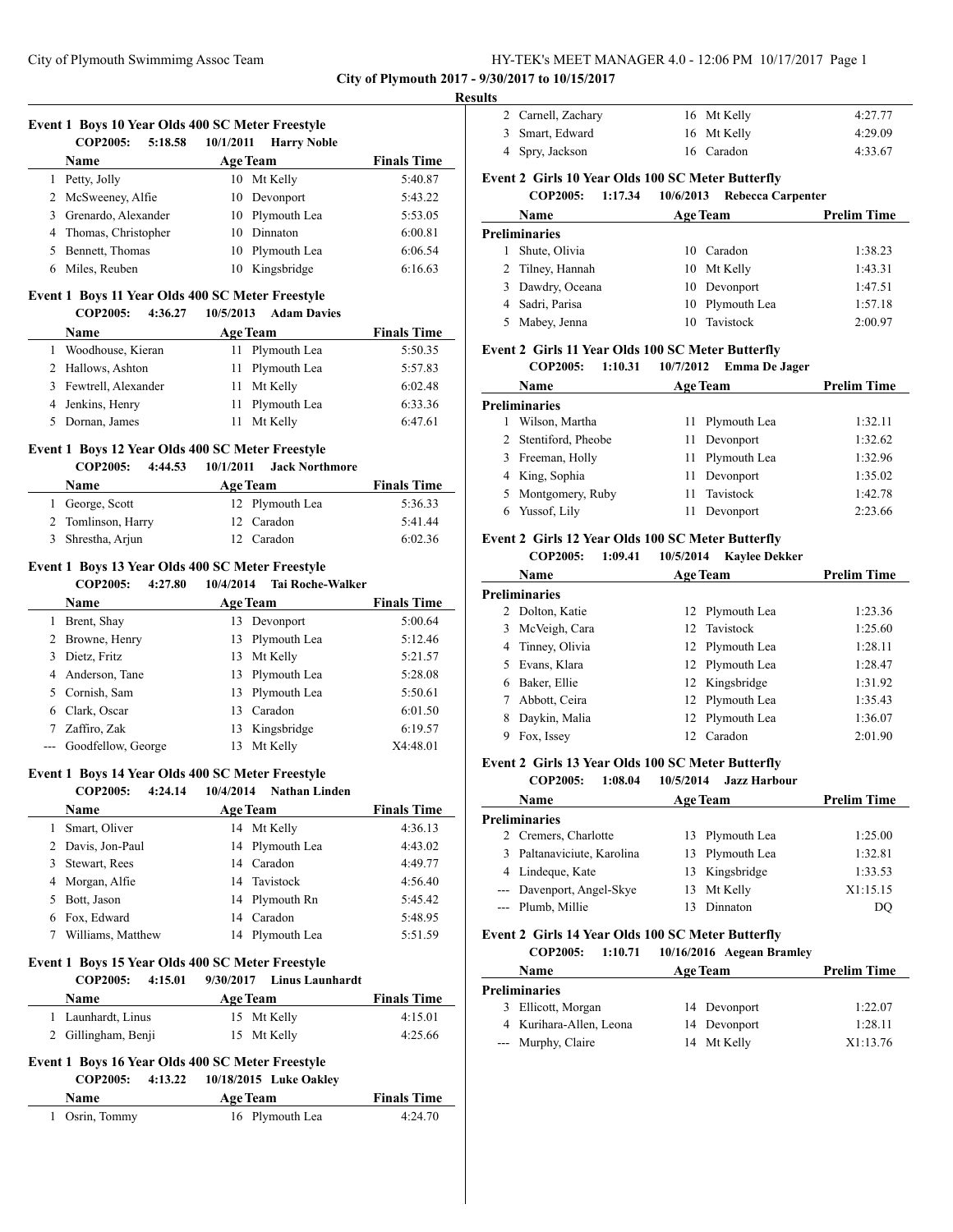**City of Plymouth 2017 - 9/30/2017 to 10/15/2017**

#### **Results**

# **Event 1 Boys 10 Year Olds 400 SC Meter Freestyle COP2005: 5:18.58 10/1/2011 Harry Noble Name Age Team Finals Time** 1 Petty, Jolly 10 Mt Kelly 5:40.87

| 2 McSweeney, Alfie    | 10 Devonport    | 5:43.22 |
|-----------------------|-----------------|---------|
| 3 Grenardo, Alexander | 10 Plymouth Lea | 5:53.05 |
| 4 Thomas, Christopher | 10 Dinnaton     | 6:00.81 |
| 5 Bennett, Thomas     | 10 Plymouth Lea | 6:06.54 |
| 6 Miles, Reuben       | 10 Kingsbridge  | 6:16.63 |

#### **Event 1 Boys 11 Year Olds 400 SC Meter Freestyle**

| <b>COP2005:</b><br>4:36.27 | 10/5/2013<br><b>Adam Davies</b> |                    |
|----------------------------|---------------------------------|--------------------|
| Name                       | <b>Age Team</b>                 | <b>Finals Time</b> |
| Woodhouse, Kieran          | 11 Plymouth Lea                 | 5:50.35            |
| 2 Hallows, Ashton          | 11 Plymouth Lea                 | 5:57.83            |
| 3 Fewtrell, Alexander      | 11 Mt Kelly                     | 6:02.48            |
| 4 Jenkins, Henry           | 11 Plymouth Lea                 | 6:33.36            |
| Dornan, James              | Mt Kelly                        | 6:47.61            |

#### **Event 1 Boys 12 Year Olds 400 SC Meter Freestyle**

#### **COP2005: 4:44.53 10/1/2011 Jack Northmore**

| <b>Name</b>        | <b>Age Team</b> | <b>Finals Time</b> |
|--------------------|-----------------|--------------------|
| 1 George, Scott    | 12 Plymouth Lea | 5:36.33            |
| 2 Tomlinson, Harry | 12 Caradon      | 5:41.44            |
| 3 Shrestha, Arjun  | 12 Caradon      | 6:02.36            |

#### **Event 1 Boys 13 Year Olds 400 SC Meter Freestyle COP2005: 4:27.80 10/4/2014 Tai Roche-Walker**

|   | COP2005:<br>4:27.80    | 10/4/2014<br>Tal Roche-Walker |                    |
|---|------------------------|-------------------------------|--------------------|
|   | <b>Name</b>            | <b>Age Team</b>               | <b>Finals Time</b> |
|   | Brent, Shay            | 13 Devonport                  | 5:00.64            |
|   | 2 Browne, Henry        | 13 Plymouth Lea               | 5:12.46            |
| 3 | Dietz, Fritz           | Mt Kelly<br>13                | 5:21.57            |
|   | 4 Anderson, Tane       | 13 Plymouth Lea               | 5:28.08            |
|   | 5 Cornish, Sam         | 13 Plymouth Lea               | 5:50.61            |
|   | 6 Clark, Oscar         | Caradon<br>13                 | 6:01.50            |
|   | Zaffiro, Zak           | Kingsbridge<br>13             | 6:19.57            |
|   | --- Goodfellow, George | Mt Kelly<br>13                | X4:48.01           |

# **Event 1 Boys 14 Year Olds 400 SC Meter Freestyle**

# **COP2005: 4:24.14 10/4/2014 Nathan Linden**

| <b>Name</b>       | <b>Age Team</b> | <b>Finals Time</b> |
|-------------------|-----------------|--------------------|
| 1 Smart, Oliver   | 14 Mt Kelly     | 4:36.13            |
| 2 Davis, Jon-Paul | 14 Plymouth Lea | 4:43.02            |
| 3 Stewart, Rees   | 14 Caradon      | 4:49.77            |
| 4 Morgan, Alfie   | 14 Tavistock    | 4:56.40            |
| 5 Bott, Jason     | 14 Plymouth Rn  | 5:45.42            |
| 6 Fox, Edward     | 14 Caradon      | 5:48.95            |
| Williams, Matthew | 14 Plymouth Lea | 5:51.59            |

#### **Event 1 Boys 15 Year Olds 400 SC Meter Freestyle**

|  | <b>COP2005:</b>     | 4:15.01 |                 | 9/30/2017 Linus Launhardt |                    |
|--|---------------------|---------|-----------------|---------------------------|--------------------|
|  | <b>Name</b>         |         | <b>Age Team</b> |                           | <b>Finals Time</b> |
|  | 1 Launhardt, Linus  |         |                 | 15 Mt Kelly               | 4:15.01            |
|  | 2 Gillingham, Benji |         |                 | 15 Mt Kelly               | 4:25.66            |

# **Event 1 Boys 16 Year Olds 400 SC Meter Freestyle**

#### **COP2005: 4:13.22 10/18/2015 Luke Oakley**

| <b>Name</b>    | <b>Age Team</b> | <b>Finals Time</b> |
|----------------|-----------------|--------------------|
| 1 Osrin, Tommy | 16 Plymouth Lea | 4:24.70            |

| 2 Carnell, Zachary | 16 Mt Kelly | 4:27.77 |
|--------------------|-------------|---------|
| 3 Smart, Edward    | 16 Mt Kelly | 4:29.09 |
| 4 Spry, Jackson    | 16 Caradon  | 4:33.67 |

# **Event 2 Girls 10 Year Olds 100 SC Meter Butterfly**

# **COP2005: 1:17.34 10/6/2013 Rebecca Carpenter**

| Name             | <b>Age Team</b> |                 | <b>Prelim Time</b> |
|------------------|-----------------|-----------------|--------------------|
| Preliminaries    |                 |                 |                    |
| Shute, Olivia    |                 | 10 Caradon      | 1:38.23            |
| 2 Tilney, Hannah |                 | 10 Mt Kelly     | 1:43.31            |
| 3 Dawdry, Oceana |                 | 10 Devonport    | 1:47.51            |
| 4 Sadri, Parisa  |                 | 10 Plymouth Lea | 1:57.18            |
| Mabey, Jenna     |                 | 10 Tavistock    | 2:00.97            |

#### **Event 2 Girls 11 Year Olds 100 SC Meter Butterfly**

```
COP2005: 1:10.31 10/7/2012 Emma De Jager
```

|    | Name                 | <b>Age Team</b> |                 | <b>Prelim Time</b> |
|----|----------------------|-----------------|-----------------|--------------------|
|    | Preliminaries        |                 |                 |                    |
|    | Wilson, Martha       |                 | 11 Plymouth Lea | 1:32.11            |
|    | 2 Stentiford, Pheobe |                 | 11 Devonport    | 1:32.62            |
| 3. | Freeman, Holly       | 11              | Plymouth Lea    | 1:32.96            |
|    | 4 King, Sophia       | 11              | Devonport       | 1:35.02            |
|    | 5 Montgomery, Ruby   | 11              | Tavistock       | 1:42.78            |
|    | Yussof, Lily         |                 | Devonport       | 2:23.66            |
|    |                      |                 |                 |                    |

# **Event 2 Girls 12 Year Olds 100 SC Meter Butterfly**

### **COP2005: 1:09.41 10/5/2014 Kaylee Dekker**

|    | Name            | <b>Age Team</b> |                 | <b>Prelim Time</b> |
|----|-----------------|-----------------|-----------------|--------------------|
|    | Preliminaries   |                 |                 |                    |
|    | 2 Dolton, Katie |                 | 12 Plymouth Lea | 1:23.36            |
| 3  | McVeigh, Cara   |                 | 12 Tavistock    | 1:25.60            |
| 4  | Tinney, Olivia  |                 | 12 Plymouth Lea | 1:28.11            |
| 5. | Evans, Klara    |                 | 12 Plymouth Lea | 1:28.47            |
| 6  | Baker, Ellie    |                 | 12 Kingsbridge  | 1:31.92            |
|    | Abbott, Ceira   |                 | 12 Plymouth Lea | 1:35.43            |
| 8  | Daykin, Malia   |                 | 12 Plymouth Lea | 1:36.07            |
| 9  | Fox, Issey      | 12              | Caradon         | 2:01.90            |

#### **Event 2 Girls 13 Year Olds 100 SC Meter Butterfly**

#### **COP2005: 1:08.04 10/5/2014 Jazz Harbour**

| <b>Name</b>                | <b>Age Team</b> |                 | <b>Prelim Time</b> |
|----------------------------|-----------------|-----------------|--------------------|
| Preliminaries              |                 |                 |                    |
| 2 Cremers, Charlotte       |                 | 13 Plymouth Lea | 1:25.00            |
| 3 Paltanaviciute, Karolina |                 | 13 Plymouth Lea | 1:32.81            |
| 4 Lindeque, Kate           |                 | 13 Kingsbridge  | 1:33.53            |
| --- Davenport, Angel-Skye  |                 | 13 Mt Kelly     | X1:15.15           |
| --- Plumb, Millie          |                 | Dinnaton        | DO                 |

#### **Event 2 Girls 14 Year Olds 100 SC Meter Butterfly**

|    | <b>COP2005:</b>         | 1:10.71 | 10/16/2016 Aegean Bramley |                    |
|----|-------------------------|---------|---------------------------|--------------------|
|    | <b>Name</b>             |         | <b>Age Team</b>           | <b>Prelim Time</b> |
|    | <b>Preliminaries</b>    |         |                           |                    |
| 3. | Ellicott, Morgan        |         | 14 Devonport              | 1:22.07            |
|    | 4 Kurihara-Allen, Leona |         | 14 Devonport              | 1:28.11            |
|    | --- Murphy, Claire      |         | 14 Mt Kelly               | X1:13.76           |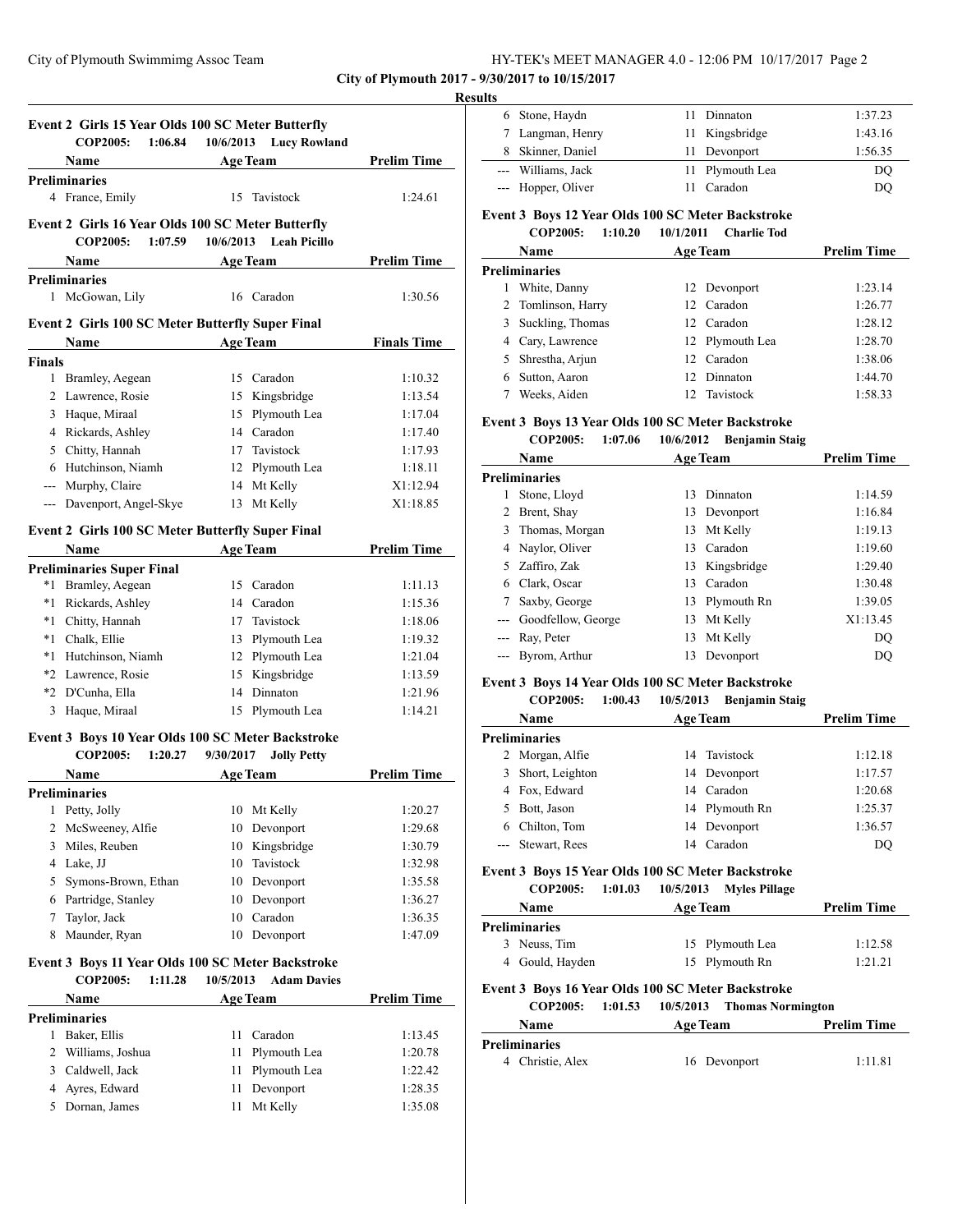**City of Plymouth 2017 - 9/30/2017 to 10/15/2017**

#### **Results**

|               | Event 2 Girls 15 Year Olds 100 SC Meter Butterfly       |                        |                    |
|---------------|---------------------------------------------------------|------------------------|--------------------|
|               | <b>COP2005:</b><br>1:06.84                              | 10/6/2013 Lucy Rowland |                    |
|               | <b>Name</b>                                             | <b>Age Team</b>        | <b>Prelim Time</b> |
|               | <b>Preliminaries</b>                                    |                        |                    |
|               | 4 France, Emily                                         | Tavistock<br>15        | 1:24.61            |
|               | Event 2 Girls 16 Year Olds 100 SC Meter Butterfly       |                        |                    |
|               | <b>COP2005:</b><br>1:07.59                              | 10/6/2013 Leah Picillo |                    |
|               | Name                                                    | <b>Age Team</b>        | <b>Prelim Time</b> |
|               | <b>Preliminaries</b>                                    |                        |                    |
| $\mathbf{1}$  | McGowan, Lily                                           | 16 Caradon             | 1:30.56            |
|               | <b>Event 2 Girls 100 SC Meter Butterfly Super Final</b> |                        |                    |
|               | <b>Name</b>                                             | <b>Age Team</b>        | <b>Finals Time</b> |
| <b>Finals</b> |                                                         |                        |                    |
| 1             | Bramley, Aegean                                         | 15 Caradon             | 1:10.32            |
| 2             | Lawrence, Rosie                                         | Kingsbridge<br>15      | 1:13.54            |
| 3             | Haque, Miraal                                           | Plymouth Lea<br>15     | 1:17.04            |
| 4             | Rickards, Ashley                                        | Caradon<br>14          | 1:17.40            |
| 5             | Chitty, Hannah                                          | Tavistock<br>17        | 1:17.93            |
| 6             | Hutchinson, Niamh                                       | Plymouth Lea<br>12     | 1:18.11            |
| $---$         | Murphy, Claire                                          | Mt Kelly<br>14         | X1:12.94           |
|               | --- Davenport, Angel-Skye                               | 13 Mt Kelly            | X1:18.85           |
|               | <b>Event 2 Girls 100 SC Meter Butterfly Super Final</b> |                        |                    |
|               | Name                                                    | <b>Age Team</b>        | <b>Prelim Time</b> |
|               | <b>Preliminaries Super Final</b>                        |                        |                    |
| $*1$          | Bramley, Aegean                                         | Caradon<br>15.         | 1:11.13            |
| $*1$          | Rickards, Ashley                                        | 14 Caradon             | 1:15.36            |

| <sup>*</sup> I Rickards, Ashley | 14 Caradon      | 1:15.36 |
|---------------------------------|-----------------|---------|
| *1 Chitty, Hannah               | 17 Tavistock    | 1:18.06 |
| *1 Chalk, Ellie                 | 13 Plymouth Lea | 1:19.32 |
| *1 Hutchinson, Niamh            | 12 Plymouth Lea | 1:21.04 |
| *2 Lawrence, Rosie              | 15 Kingsbridge  | 1:13.59 |
| *2 D'Cunha, Ella                | 14 Dinnaton     | 1:21.96 |
| 3 Haque, Miraal                 | 15 Plymouth Lea | 1:14.21 |
|                                 |                 |         |

# **Event 3 Boys 10 Year Olds 100 SC Meter Backstroke**

|   | <b>COP2005:</b><br>1:20.27 | 9/30/2017<br><b>Jolly Petty</b> |                    |
|---|----------------------------|---------------------------------|--------------------|
|   | Name                       | <b>Age Team</b>                 | <b>Prelim Time</b> |
|   | <b>Preliminaries</b>       |                                 |                    |
| 1 | Petty, Jolly               | Mt Kelly<br>10                  | 1:20.27            |
|   | 2 McSweeney, Alfie         | Devonport<br>10                 | 1:29.68            |
| 3 | Miles, Reuben              | 10 Kingsbridge                  | 1:30.79            |
| 4 | Lake, JJ                   | Tavistock<br>10                 | 1:32.98            |
|   | 5 Symons-Brown, Ethan      | Devonport<br>10                 | 1:35.58            |
| 6 | Partridge, Stanley         | Devonport<br>10                 | 1:36.27            |
|   | Taylor, Jack               | Caradon<br>10                   | 1:36.35            |
| 8 | Maunder, Ryan              | Devonport<br>10                 | 1:47.09            |

#### **Event 3 Boys 11 Year Olds 100 SC Meter Backstroke**

|   | <b>COP2005:</b><br>1:11.28 | 10/5/2013<br><b>Adam Davies</b> |                    |
|---|----------------------------|---------------------------------|--------------------|
|   | <b>Name</b>                | <b>Age Team</b>                 | <b>Prelim Time</b> |
|   | Preliminaries              |                                 |                    |
|   | Baker, Ellis               | Caradon<br>11                   | 1:13.45            |
|   | 2 Williams, Joshua         | 11 Plymouth Lea                 | 1:20.78            |
| 3 | Caldwell, Jack             | 11 Plymouth Lea                 | 1:22.42            |
|   | 4 Ayres, Edward            | 11 Devonport                    | 1:28.35            |
|   | Dornan, James              | Mt Kelly<br>11                  | 1:35.08            |

| 6 Stone, Haydn     | 11 Dinnaton     | 1:37.23 |
|--------------------|-----------------|---------|
| 7 Langman, Henry   | 11 Kingsbridge  | 1:43.16 |
| 8 Skinner, Daniel  | 11 Devonport    | 1:56.35 |
| --- Williams, Jack | 11 Plymouth Lea | DO      |
| --- Hopper, Oliver | 11 Caradon      | DO      |

# **Event 3 Boys 12 Year Olds 100 SC Meter Backstroke**

|    | <b>COP2005:</b><br>1:10.20 | 10/1/2011 | <b>Charlie Tod</b> |                    |
|----|----------------------------|-----------|--------------------|--------------------|
|    | <b>Name</b>                |           | <b>Age Team</b>    | <b>Prelim Time</b> |
|    | Preliminaries              |           |                    |                    |
|    | White, Danny               |           | 12 Devonport       | 1:23.14            |
|    | 2 Tomlinson, Harry         |           | 12 Caradon         | 1:26.77            |
| 3  | Suckling, Thomas           |           | 12 Caradon         | 1:28.12            |
|    | 4 Cary, Lawrence           |           | 12 Plymouth Lea    | 1:28.70            |
| 5. | Shrestha, Arjun            |           | 12 Caradon         | 1:38.06            |
| 6  | Sutton, Aaron              |           | 12 Dinnaton        | 1:44.70            |
|    | Weeks, Aiden               |           | 12 Tavistock       | 1:58.33            |

# **Event 3 Boys 13 Year Olds 100 SC Meter Backstroke**

# **COP2005: 1:07.06 10/6/2012 Benjamin Staig**

| <b>Name</b> |                      |    | <b>Age Team</b> | <b>Prelim Time</b> |  |
|-------------|----------------------|----|-----------------|--------------------|--|
|             | <b>Preliminaries</b> |    |                 |                    |  |
|             | Stone, Lloyd         | 13 | Dinnaton        | 1:14.59            |  |
|             | 2 Brent, Shay        | 13 | Devonport       | 1:16.84            |  |
|             | 3 Thomas, Morgan     | 13 | Mt Kelly        | 1:19.13            |  |
| 4           | Naylor, Oliver       | 13 | Caradon         | 1:19.60            |  |
|             | 5 Zaffiro, Zak       | 13 | Kingsbridge     | 1:29.40            |  |
| 6           | Clark, Oscar         | 13 | Caradon         | 1:30.48            |  |
|             | Saxby, George        | 13 | Plymouth Rn     | 1:39.05            |  |
|             | Goodfellow, George   | 13 | Mt Kelly        | X1:13.45           |  |
|             | Ray, Peter           | 13 | Mt Kelly        | DO                 |  |
|             | Byrom, Arthur        | 13 | Devonport       | DO                 |  |

## **Event 3 Boys 14 Year Olds 100 SC Meter Backstroke**

# **COP2005: 1:00.43 10/5/2013 Benjamin Staig Name Age Team Prelim Time Preliminaries** 2 Morgan, Alfie 14 Tavistock 1:12.18 3 Short, Leighton 14 Devonport 1:17.57 4 Fox, Edward 14 Caradon 1:20.68 5 Bott, Jason 14 Plymouth Rn 1:25.37 6 Chilton, Tom 14 Devonport 1:36.57

# --- Stewart, Rees 14 Caradon DQ **Event 3 Boys 15 Year Olds 100 SC Meter Backstroke**

# **COP2005: 1:01.03 10/5/2013 Myles Pillage**

# **Name Age Team Prelim Time Preliminaries** 3 Neuss, Tim 15 Plymouth Lea 1:12.58

| 3 Neuss, 1 m    | 15 Plymouth Lea | 1:12.58 |
|-----------------|-----------------|---------|
| 4 Gould, Hayden | 15 Plymouth Rn  | 1:21.21 |

# **Event 3 Boys 16 Year Olds 100 SC Meter Backstroke**

| <b>COP2005:</b>  | 1:01.53 |                 | 10/5/2013 Thomas Normington |                    |
|------------------|---------|-----------------|-----------------------------|--------------------|
| <b>Name</b>      |         | <b>Age Team</b> |                             | <b>Prelim Time</b> |
| Preliminaries    |         |                 |                             |                    |
| 4 Christie, Alex |         |                 | 16 Devonport                | 1:11.81            |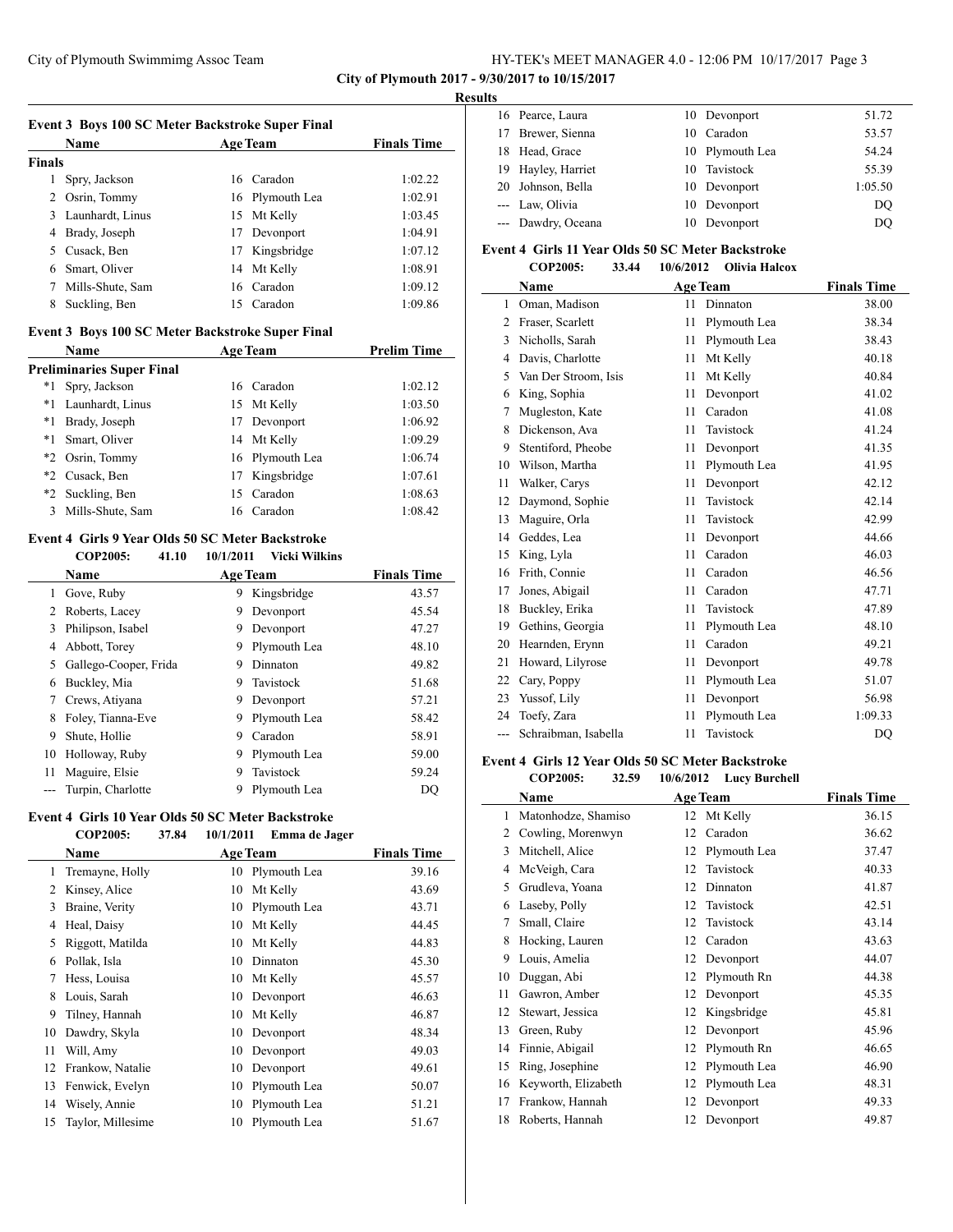**City of Plymouth 2017 - 9/30/2017 to 10/15/2017**

#### **Results**

|               | Event 3 Boys 100 SC Meter Backstroke Super Final        |    |                 |                    |
|---------------|---------------------------------------------------------|----|-----------------|--------------------|
|               | <b>Name</b>                                             |    | <b>Age Team</b> | <b>Finals Time</b> |
| <b>Finals</b> |                                                         |    |                 |                    |
| 1             | Spry, Jackson                                           |    | 16 Caradon      | 1:02.22            |
| 2             | Osrin, Tommy                                            |    | 16 Plymouth Lea | 1:02.91            |
| 3             | Launhardt, Linus                                        | 15 | Mt Kelly        | 1:03.45            |
| 4             | Brady, Joseph                                           | 17 | Devonport       | 1:04.91            |
| 5             | Cusack, Ben                                             | 17 | Kingsbridge     | 1:07.12            |
| 6             | Smart, Oliver                                           | 14 | Mt Kelly        | 1:08.91            |
| 7             | Mills-Shute, Sam                                        | 16 | Caradon         | 1:09.12            |
| 8             | Suckling, Ben                                           | 15 | Caradon         | 1:09.86            |
|               | <b>Event 3 Boys 100 SC Meter Backstroke Super Final</b> |    |                 |                    |
|               | <b>Name</b>                                             |    | <b>Age Team</b> | <b>Prelim Time</b> |
|               | <b>Preliminaries Super Final</b>                        |    |                 |                    |
| *1            | Spry, Jackson                                           |    | 16 Caradon      | 1:02.12            |
| $*_{1}$       | Launhardt, Linus                                        | 15 | Mt Kelly        | 1:03.50            |
| *1            | Brady, Joseph                                           | 17 | Devonport       | 1:06.92            |
|               |                                                         |    |                 | .                  |

\*1 Smart, Oliver 14 Mt Kelly 1:09.29 \*2 Osrin, Tommy 16 Plymouth Lea 1:06.74 \*2 Cusack, Ben 17 Kingsbridge 1:07.61 \*2 Suckling, Ben 15 Caradon 1:08.63 Mills-Shute, Sam 16 Caradon 1:08.42

#### **Event 4 Girls 9 Year Olds 50 SC Meter Backstroke COP2005: 41.10 10/1/2011 Vicki Wilkins**

 $\overline{\phantom{a}}$ 

|    | Name                  |   | <b>Age Team</b> | <b>Finals Time</b> |
|----|-----------------------|---|-----------------|--------------------|
|    | Gove, Ruby            | 9 | Kingsbridge     | 43.57              |
|    | Roberts, Lacey        | 9 | Devonport       | 45.54              |
| 3  | Philipson, Isabel     | 9 | Devonport       | 47.27              |
| 4  | Abbott, Torey         | 9 | Plymouth Lea    | 48.10              |
| 5. | Gallego-Cooper, Frida | 9 | Dinnaton        | 49.82              |
| 6  | Buckley, Mia          | 9 | Tavistock       | 51.68              |
|    | Crews, Atiyana        | 9 | Devonport       | 57.21              |
| 8  | Foley, Tianna-Eve     | 9 | Plymouth Lea    | 58.42              |
| 9  | Shute, Hollie         | 9 | Caradon         | 58.91              |
| 10 | Holloway, Ruby        | 9 | Plymouth Lea    | 59.00              |
| 11 | Maguire, Elsie        | 9 | Tavistock       | 59.24              |
|    | Turpin, Charlotte     | 9 | Plymouth Lea    | DO                 |

#### **Event 4 Girls 10 Year Olds 50 SC Meter Backstroke**

|                | <b>COP2005:</b>   | 37.84 | 10/1/2011 | Emma de Jager   |                    |
|----------------|-------------------|-------|-----------|-----------------|--------------------|
|                | Name              |       |           | <b>Age Team</b> | <b>Finals Time</b> |
| 1              | Tremayne, Holly   |       | 10        | Plymouth Lea    | 39.16              |
| $\mathfrak{D}$ | Kinsey, Alice     |       | 10        | Mt Kelly        | 43.69              |
| 3              | Braine, Verity    |       | 10        | Plymouth Lea    | 43.71              |
| 4              | Heal, Daisy       |       | 10        | Mt Kelly        | 44.45              |
| 5              | Riggott, Matilda  |       | 10        | Mt Kelly        | 44.83              |
| 6              | Pollak, Isla      |       | 10        | Dinnaton        | 45.30              |
| 7              | Hess, Louisa      |       | 10        | Mt Kelly        | 45.57              |
| 8              | Louis, Sarah      |       | 10        | Devonport       | 46.63              |
| 9              | Tilney, Hannah    |       | 10        | Mt Kelly        | 46.87              |
| 10             | Dawdry, Skyla     |       | 10        | Devonport       | 48.34              |
| 11             | Will, Amy         |       | 10        | Devonport       | 49.03              |
| 12             | Frankow, Natalie  |       | 10        | Devonport       | 49.61              |
| 13             | Fenwick, Evelyn   |       | 10        | Plymouth Lea    | 50.07              |
| 14             | Wisely, Annie     |       | 10        | Plymouth Lea    | 51.21              |
| 15             | Taylor, Millesime |       | 10        | Plymouth Lea    | 51.67              |

|  | 16 Pearce, Laura   | 10 Devonport    | 51.72   |
|--|--------------------|-----------------|---------|
|  | 17 Brewer, Sienna  | 10 Caradon      | 53.57   |
|  | 18 Head, Grace     | 10 Plymouth Lea | 54.24   |
|  | 19 Hayley, Harriet | 10 Tavistock    | 55.39   |
|  | 20 Johnson, Bella  | 10 Devonport    | 1:05.50 |
|  | --- Law, Olivia    | 10 Devonport    | DO      |
|  | --- Dawdry, Oceana | 10 Devonport    | DO      |

# **Event 4 Girls 11 Year Olds 50 SC Meter Backstroke**<br>COD2005: 23.44 10/6/2012 Olivia Hale

|                | COP2005:<br>33.44    | <b>Olivia Halcox</b><br>10/6/2012 |                    |
|----------------|----------------------|-----------------------------------|--------------------|
|                | Name                 | <b>Age Team</b>                   | <b>Finals Time</b> |
| 1              | Oman, Madison        | Dinnaton<br>11                    | 38.00              |
| $\mathfrak{D}$ | Fraser, Scarlett     | Plymouth Lea<br>11                | 38.34              |
| 3              | Nicholls, Sarah      | Plymouth Lea<br>11                | 38.43              |
| 4              | Davis, Charlotte     | 11<br>Mt Kelly                    | 40.18              |
| 5              | Van Der Stroom, Isis | Mt Kelly<br>11                    | 40.84              |
| 6              | King, Sophia         | Devonport<br>11                   | 41.02              |
| 7              | Mugleston, Kate      | Caradon<br>11                     | 41.08              |
| 8              | Dickenson, Ava       | Tavistock<br>11                   | 41.24              |
| 9              | Stentiford, Pheobe   | 11<br>Devonport                   | 41.35              |
| 10             | Wilson, Martha       | 11<br>Plymouth Lea                | 41.95              |
| 11             | Walker, Carys        | 11<br>Devonport                   | 42.12              |
| 12             | Daymond, Sophie      | Tavistock<br>11                   | 42.14              |
| 13             | Maguire, Orla        | Tavistock<br>11                   | 42.99              |
| 14             | Geddes, Lea          | 11<br>Devonport                   | 44.66              |
| 15             | King, Lyla           | Caradon<br>11                     | 46.03              |
| 16             | Frith, Connie        | 11<br>Caradon                     | 46.56              |
| 17             | Jones, Abigail       | 11<br>Caradon                     | 47.71              |
| 18             | Buckley, Erika       | Tavistock<br>11                   | 47.89              |
| 19             | Gethins, Georgia     | 11<br>Plymouth Lea                | 48.10              |
| 20             | Hearnden, Erynn      | Caradon<br>11                     | 49.21              |
| 21             | Howard, Lilyrose     | 11<br>Devonport                   | 49.78              |
| 22             | Cary, Poppy          | Plymouth Lea<br>11                | 51.07              |
| 23             | Yussof, Lily         | 11<br>Devonport                   | 56.98              |
| 24             | Toefy, Zara          | Plymouth Lea<br>11                | 1:09.33            |
| ---            | Schraibman, Isabella | 11<br>Tavistock                   | DO                 |

#### **Event 4 Girls 12 Year Olds 50 SC Meter Backstroke**

**COP2005: 32.59 10/6/2012 Lucy Burchell**

|    | Name                |    | <b>Age Team</b> | <b>Finals Time</b> |
|----|---------------------|----|-----------------|--------------------|
| 1  | Matonhodze, Shamiso | 12 | Mt Kelly        | 36.15              |
| 2  | Cowling, Morenwyn   | 12 | Caradon         | 36.62              |
| 3  | Mitchell, Alice     | 12 | Plymouth Lea    | 37.47              |
| 4  | McVeigh, Cara       | 12 | Tavistock       | 40.33              |
| 5  | Grudleva, Yoana     | 12 | Dinnaton        | 41.87              |
| 6  | Laseby, Polly       | 12 | Tavistock       | 42.51              |
| 7  | Small, Claire       | 12 | Tavistock       | 43.14              |
| 8  | Hocking, Lauren     | 12 | Caradon         | 43.63              |
| 9  | Louis, Amelia       | 12 | Devonport       | 44.07              |
| 10 | Duggan, Abi         | 12 | Plymouth Rn     | 44.38              |
| 11 | Gawron, Amber       | 12 | Devonport       | 45.35              |
| 12 | Stewart, Jessica    | 12 | Kingsbridge     | 45.81              |
| 13 | Green, Ruby         | 12 | Devonport       | 45.96              |
| 14 | Finnie, Abigail     | 12 | Plymouth Rn     | 46.65              |
| 15 | Ring, Josephine     | 12 | Plymouth Lea    | 46.90              |
| 16 | Keyworth, Elizabeth | 12 | Plymouth Lea    | 48.31              |
| 17 | Frankow, Hannah     | 12 | Devonport       | 49.33              |
| 18 | Roberts, Hannah     | 12 | Devonport       | 49.87              |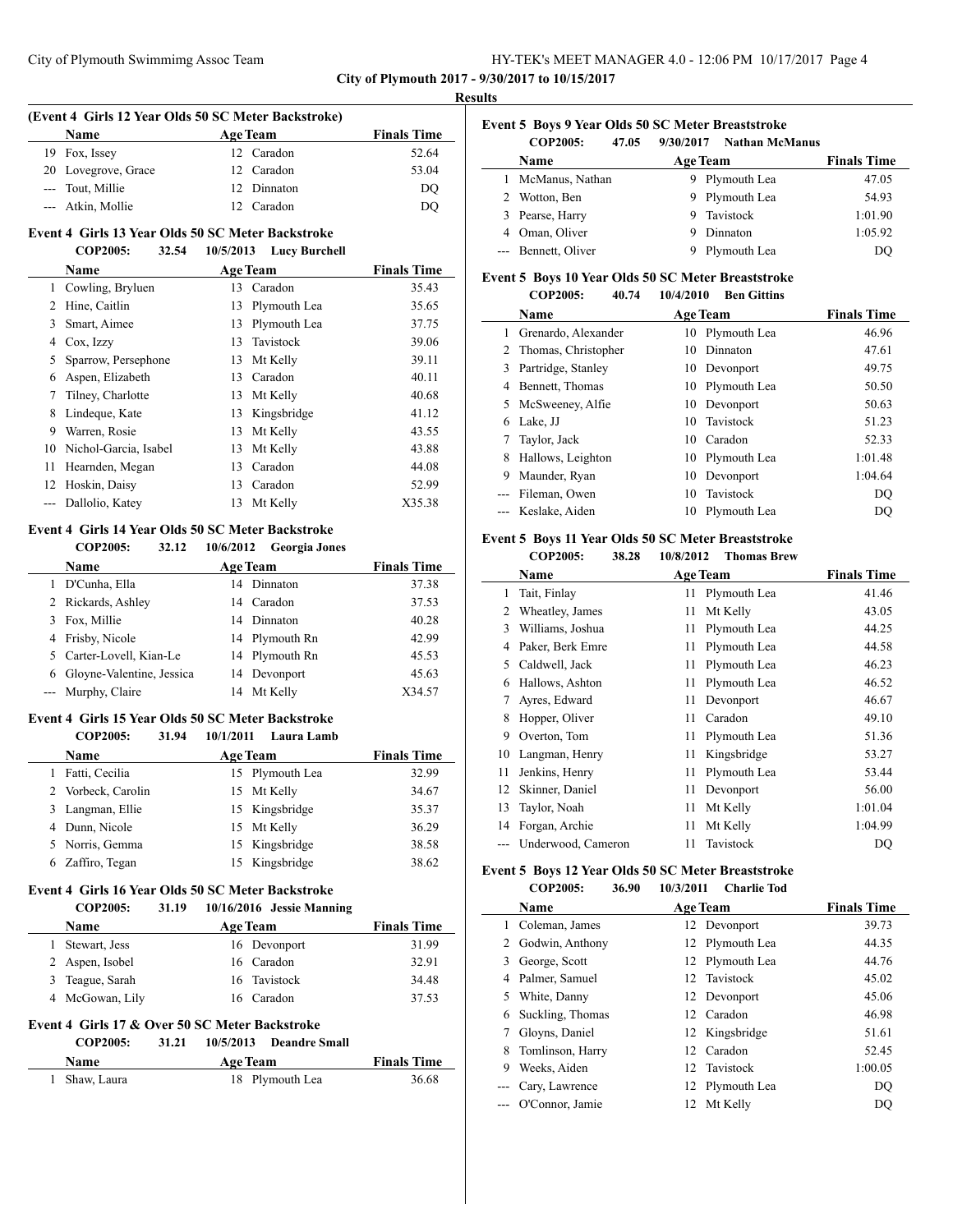#### **Results**

# **(Event 4 Girls 12 Year Olds 50 SC Meter Backstroke) Name Age Team Finals Time**  Fox, Issey 12 Caradon 52.64 20 Lovegrove, Grace 12 Caradon 53.04 --- Tout, Millie 12 Dinnaton DQ --- Atkin, Mollie 12 Caradon DQ

#### **Event 4 Girls 13 Year Olds 50 SC Meter Backstroke COP2005: 32.54 10/5/2013 Lucy Burchell**

|    | COL 2000.<br>----     | $10/3/2013$ Lucy Durchen |                    |
|----|-----------------------|--------------------------|--------------------|
|    | Name                  | <b>Age Team</b>          | <b>Finals Time</b> |
| 1  | Cowling, Bryluen      | Caradon<br>13            | 35.43              |
| 2  | Hine, Caitlin         | Plymouth Lea<br>13       | 35.65              |
| 3  | Smart, Aimee          | Plymouth Lea<br>13       | 37.75              |
| 4  | Cox, Izzy             | Tavistock<br>13          | 39.06              |
| 5  | Sparrow, Persephone   | Mt Kelly<br>13           | 39.11              |
| 6  | Aspen, Elizabeth      | Caradon<br>13            | 40.11              |
| 7  | Tilney, Charlotte     | Mt Kelly<br>13           | 40.68              |
| 8  | Lindeque, Kate        | Kingsbridge<br>13        | 41.12              |
| 9  | Warren, Rosie         | Mt Kelly<br>13           | 43.55              |
| 10 | Nichol-Garcia, Isabel | Mt Kelly<br>13           | 43.88              |
| 11 | Hearnden, Megan       | Caradon<br>13            | 44.08              |
| 12 | Hoskin, Daisy         | 13<br>Caradon            | 52.99              |
|    | Dallolio, Katey       | Mt Kelly<br>13           | X35.38             |
|    |                       |                          |                    |

# **Event 4 Girls 14 Year Olds 50 SC Meter Backstroke**

**COP2005: 32.12 10/6/2012 Georgia Jones**

| <b>Name</b>               | <b>Age Team</b> | <b>Finals Time</b> |
|---------------------------|-----------------|--------------------|
| D'Cunha, Ella             | 14 Dinnaton     | 37.38              |
| 2 Rickards, Ashley        | 14 Caradon      | 37.53              |
| 3 Fox, Millie             | 14 Dinnaton     | 40.28              |
| 4 Frisby, Nicole          | 14 Plymouth Rn  | 42.99              |
| 5 Carter-Lovell, Kian-Le  | 14 Plymouth Rn  | 45.53              |
| Gloyne-Valentine, Jessica | 14 Devonport    | 45.63              |
| --- Murphy, Claire        | 14 Mt Kelly     | X34.57             |

#### **Event 4 Girls 15 Year Olds 50 SC Meter Backstroke COP2005: 31.94 10/1/2011 Laura Lamb**

|    | COP2005:           | 31.94 | 10/1/2011 | Laura Lamb      |                    |
|----|--------------------|-------|-----------|-----------------|--------------------|
|    | <b>Name</b>        |       |           | <b>Age Team</b> | <b>Finals Time</b> |
|    | Fatti, Cecilia     |       |           | 15 Plymouth Lea | 32.99              |
|    | 2 Vorbeck, Carolin |       |           | 15 Mt Kelly     | 34.67              |
| 3. | Langman, Ellie     |       |           | 15 Kingsbridge  | 35.37              |
|    | 4 Dunn, Nicole     |       |           | 15 Mt Kelly     | 36.29              |
|    | 5 Norris, Gemma    |       |           | 15 Kingsbridge  | 38.58              |
|    | 6 Zaffiro, Tegan   |       |           | 15 Kingsbridge  | 38.62              |

#### **Event 4 Girls 16 Year Olds 50 SC Meter Backstroke COP2005: 31.19 10/16/2016 Jessie Manning**

| <b>Name</b>     | <b>Age Team</b> | <b>Finals Time</b> |
|-----------------|-----------------|--------------------|
| Stewart, Jess   | 16 Devonport    | 31.99              |
| 2 Aspen, Isobel | 16 Caradon      | 32.91              |
| 3 Teague, Sarah | 16 Tavistock    | 34.48              |
| 4 McGowan, Lily | 16 Caradon      | 37.53              |

## **Event 4 Girls 17 & Over 50 SC Meter Backstroke**

**COP2005: 31.21 10/5/2013 Deandre Small**

| <b>Name</b>   | <b>Age Team</b> | <b>Finals Time</b> |
|---------------|-----------------|--------------------|
| 1 Shaw, Laura | 18 Plymouth Lea | 36.68              |

| Event 5 Boys 9 Year Olds 50 SC Meter Breaststroke |       |           |                |  |
|---------------------------------------------------|-------|-----------|----------------|--|
| <b>COP2005:</b>                                   | 47.05 | 9/30/2017 | Nathan McManus |  |

|   | <u> COL 2000.</u><br>T1.11.1 | ,,,,,,,,,<br><b>Trathan Mithanus</b> |                    |
|---|------------------------------|--------------------------------------|--------------------|
|   | <b>Name</b>                  | <b>Age Team</b>                      | <b>Finals Time</b> |
|   | 1 McManus, Nathan            | 9 Plymouth Lea                       | 47.05              |
| 2 | Wotton, Ben                  | 9 Plymouth Lea                       | 54.93              |
|   | 3 Pearse, Harry              | 9 Tavistock                          | 1:01.90            |
|   | 4 Oman, Oliver               | Dinnaton<br>9                        | 1:05.92            |
|   | --- Bennett, Oliver          | Plymouth Lea<br>9                    | DO                 |

#### **Event 5 Boys 10 Year Olds 50 SC Meter Breaststroke**

|              | COP2005:            | 40.74<br>10/4/2010 | <b>Ben Gittins</b> |                    |
|--------------|---------------------|--------------------|--------------------|--------------------|
|              | <b>Name</b>         |                    | <b>Age Team</b>    | <b>Finals Time</b> |
|              | Grenardo, Alexander | 10                 | Plymouth Lea       | 46.96              |
| $\mathbf{Z}$ | Thomas, Christopher | 10                 | Dinnaton           | 47.61              |
| 3            | Partridge, Stanley  |                    | 10 Devonport       | 49.75              |
| 4            | Bennett, Thomas     | 10                 | Plymouth Lea       | 50.50              |
| 5.           | McSweeney, Alfie    | 10                 | Devonport          | 50.63              |
| 6            | Lake, JJ            | 10.                | Tavistock          | 51.23              |
| 7            | Taylor, Jack        | 10                 | Caradon            | 52.33              |
| 8            | Hallows, Leighton   | 10                 | Plymouth Lea       | 1:01.48            |
| 9            | Maunder, Ryan       | 10                 | Devonport          | 1:04.64            |
|              | Fileman, Owen       | 10                 | Tavistock          | DQ                 |
|              | Keslake, Aiden      | 10                 | Plymouth Lea       | DO                 |
|              |                     |                    |                    |                    |

#### **Event 5 Boys 11 Year Olds 50 SC Meter Breaststroke COP2005: 38.28 10/8/2012 Thomas Brew**

|    | Name               | <b>Age Team</b> |              | <b>Finals Time</b> |
|----|--------------------|-----------------|--------------|--------------------|
| 1  | Tait, Finlay       | 11              | Plymouth Lea | 41.46              |
| 2  | Wheatley, James    | 11              | Mt Kelly     | 43.05              |
| 3  | Williams, Joshua   | 11              | Plymouth Lea | 44.25              |
| 4  | Paker, Berk Emre   | 11              | Plymouth Lea | 44.58              |
| 5  | Caldwell, Jack     | 11              | Plymouth Lea | 46.23              |
| 6  | Hallows, Ashton    | 11              | Plymouth Lea | 46.52              |
| 7  | Ayres, Edward      | 11              | Devonport    | 46.67              |
| 8  | Hopper, Oliver     | 11              | Caradon      | 49.10              |
| 9  | Overton, Tom       | 11              | Plymouth Lea | 51.36              |
| 10 | Langman, Henry     | 11              | Kingsbridge  | 53.27              |
| 11 | Jenkins, Henry     | 11              | Plymouth Lea | 53.44              |
| 12 | Skinner, Daniel    | 11              | Devonport    | 56.00              |
| 13 | Taylor, Noah       | 11              | Mt Kelly     | 1:01.04            |
| 14 | Forgan, Archie     | 11              | Mt Kelly     | 1:04.99            |
|    | Underwood, Cameron | 11              | Tavistock    | DO                 |

#### **Event 5 Boys 12 Year Olds 50 SC Meter Breaststroke COP2005: 36.90 10/3/2011 Charlie Tod**

|    | Name              | <b>Age Team</b> | <b>Finals Time</b> |
|----|-------------------|-----------------|--------------------|
| 1  | Coleman, James    | 12 Devonport    | 39.73              |
|    | 2 Godwin, Anthony | 12 Plymouth Lea | 44.35              |
| 3  | George, Scott     | 12 Plymouth Lea | 44.76              |
| 4  | Palmer, Samuel    | 12 Tavistock    | 45.02              |
| 5. | White, Danny      | 12 Devonport    | 45.06              |
| 6  | Suckling, Thomas  | 12 Caradon      | 46.98              |
|    | Gloyns, Daniel    | 12 Kingsbridge  | 51.61              |
| 8  | Tomlinson, Harry  | 12 Caradon      | 52.45              |
| 9  | Weeks. Aiden      | 12 Tavistock    | 1:00.05            |
|    | Cary, Lawrence    | 12 Plymouth Lea | <b>DQ</b>          |
|    | O'Connor, Jamie   | 12 Mt Kelly     | DQ                 |
|    |                   |                 |                    |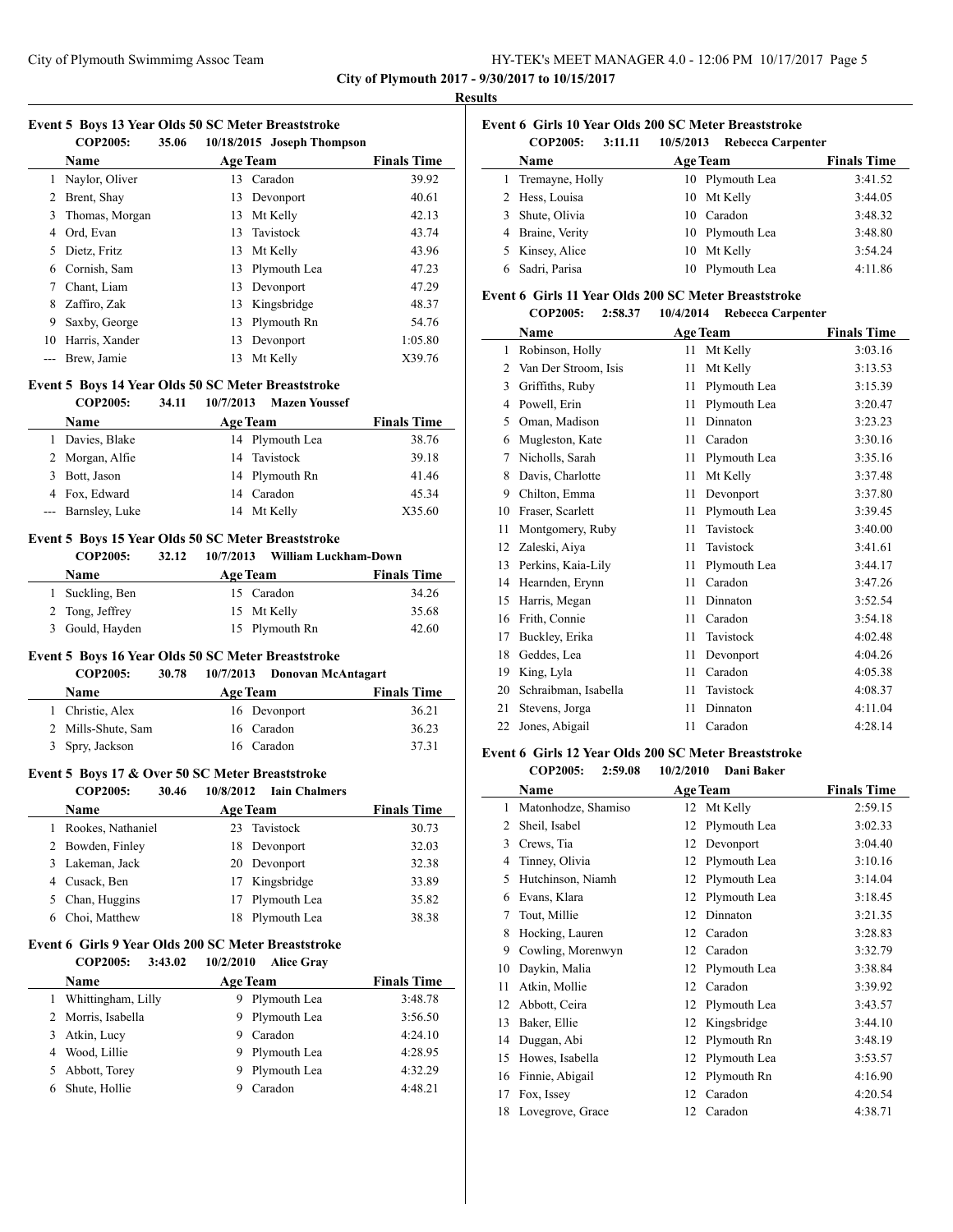| HY-TEK's MEET MANAGER 4.0 - 12:06 PM 10/17/2017 Page 5 |  |  |
|--------------------------------------------------------|--|--|
|--------------------------------------------------------|--|--|

#### **Results**

# **Event 5 Boys 13 Year Olds 50 SC Meter Breaststroke**

|    | <b>COP2005:</b> | 35.06 |                 | 10/18/2015 Joseph Thompson |                    |
|----|-----------------|-------|-----------------|----------------------------|--------------------|
|    | <b>Name</b>     |       | <b>Age Team</b> |                            | <b>Finals Time</b> |
|    | Naylor, Oliver  |       |                 | 13 Caradon                 | 39.92              |
| 2  | Brent, Shay     |       | 13              | Devonport                  | 40.61              |
| 3  | Thomas, Morgan  |       | 13              | Mt Kelly                   | 42.13              |
| 4  | Ord, Evan       |       |                 | 13 Tavistock               | 43.74              |
| 5. | Dietz, Fritz    |       |                 | 13 Mt Kelly                | 43.96              |
| 6  | Cornish, Sam    |       |                 | 13 Plymouth Lea            | 47.23              |
| 7  | Chant, Liam     |       | 13              | Devonport                  | 47.29              |
| 8  | Zaffiro, Zak    |       | 13              | Kingsbridge                | 48.37              |
| 9  | Saxby, George   |       | 13              | Plymouth Rn                | 54.76              |
| 10 | Harris, Xander  |       | 13              | Devonport                  | 1:05.80            |
|    | Brew, Jamie     |       | 13              | Mt Kelly                   | X39.76             |
|    |                 |       |                 |                            |                    |

# **Event 5 Boys 14 Year Olds 50 SC Meter Breaststroke**

|   | <b>COP2005:</b>    | 34.11 | 10/7/2013 | <b>Mazen Youssef</b> |                    |
|---|--------------------|-------|-----------|----------------------|--------------------|
|   | Name               |       |           | <b>Age Team</b>      | <b>Finals Time</b> |
|   | 1 Davies, Blake    |       |           | 14 Plymouth Lea      | 38.76              |
|   | 2 Morgan, Alfie    |       |           | 14 Tavistock         | 39.18              |
| 3 | Bott, Jason        |       |           | 14 Plymouth Rn       | 41.46              |
|   | 4 Fox, Edward      |       |           | 14 Caradon           | 45.34              |
|   | --- Barnsley, Luke |       |           | 14 Mt Kelly          | X35.60             |

# **Event 5 Boys 15 Year Olds 50 SC Meter Breaststroke**

# **COP2005: 32.12 10/7/2013 William Luckham-Down**

| <b>Name</b>     | <b>Age Team</b> | <b>Finals Time</b> |
|-----------------|-----------------|--------------------|
| 1 Suckling, Ben | 15 Caradon      | 34.26              |
| 2 Tong, Jeffrey | 15 Mt Kelly     | 35.68              |
| 3 Gould, Hayden | 15 Plymouth Rn  | 42.60              |

#### **Event 5 Boys 16 Year Olds 50 SC Meter Breaststroke**

**COP2005: 30.78 10/7/2013 Donovan McAntagart**

| <b>Name</b>        | <b>Age Team</b> | <b>Finals Time</b> |
|--------------------|-----------------|--------------------|
| 1 Christie, Alex   | 16 Devonport    | 36.21              |
| 2 Mills-Shute, Sam | 16 Caradon      | 36.23              |
| 3 Spry, Jackson    | 16 Caradon      | 37.31              |
|                    |                 |                    |

# **Event 5 Boys 17 & Over 50 SC Meter Breaststroke**

| COP2005: | 30.46 | 10/8/2012 | <b>Iain Chalmers</b> |
|----------|-------|-----------|----------------------|
| Name     |       | A ge Team |                      |

| Name              | <b>Age Team</b> | <b>Finals Time</b> |
|-------------------|-----------------|--------------------|
| Rookes, Nathaniel | 23 Tavistock    | 30.73              |
| 2 Bowden, Finley  | 18 Devonport    | 32.03              |
| 3 Lakeman, Jack   | 20 Devonport    | 32.38              |
| 4 Cusack, Ben     | 17 Kingsbridge  | 33.89              |
| 5 Chan, Huggins   | 17 Plymouth Lea | 35.82              |
| Choi, Matthew     | 18 Plymouth Lea | 38.38              |

# **Event 6 Girls 9 Year Olds 200 SC Meter Breaststroke**

**COP2005: 3:43.02 10/2/2010 Alice Gray**

| <b>Name</b>          | <b>Age Team</b>   | <b>Finals Time</b> |
|----------------------|-------------------|--------------------|
| 1 Whittingham, Lilly | Plymouth Lea<br>9 | 3:48.78            |
| 2 Morris, Isabella   | 9 Plymouth Lea    | 3:56.50            |
| 3 Atkin, Lucy        | Caradon<br>9      | 4:24.10            |
| 4 Wood, Lillie       | Plymouth Lea<br>9 | 4:28.95            |
| 5 Abbott, Torey      | Plymouth Lea<br>9 | 4:32.29            |
| 6 Shute, Hollie      | Caradon           | 4:48.21            |

|  |  | Event 6 Girls 10 Year Olds 200 SC Meter Breaststroke |  |
|--|--|------------------------------------------------------|--|
|  |  |                                                      |  |

| <b>COP2005:</b><br>3:11.11 | 10/5/2013<br><b>Rebecca Carpenter</b> |                    |
|----------------------------|---------------------------------------|--------------------|
| Name                       | <b>Age Team</b>                       | <b>Finals Time</b> |
| 1 Tremayne, Holly          | 10 Plymouth Lea                       | 3:41.52            |
| 2 Hess, Louisa             | 10 Mt Kelly                           | 3:44.05            |
| 3 Shute, Olivia            | 10 Caradon                            | 3:48.32            |
| 4 Braine, Verity           | 10 Plymouth Lea                       | 3:48.80            |
| 5 Kinsey, Alice            | 10 Mt Kelly                           | 3:54.24            |
| 6 Sadri, Parisa            | 10 Plymouth Lea                       | 4:11.86            |

#### **Event 6 Girls 11 Year Olds 200 SC Meter Breaststroke**

| <b>COP2005:</b> | 2:58.37 | 10/4/2014 Rebecca Carpenter |  |
|-----------------|---------|-----------------------------|--|
|                 |         |                             |  |

|    | Name                 |    | <b>Age Team</b> | <b>Finals Time</b> |
|----|----------------------|----|-----------------|--------------------|
| 1  | Robinson, Holly      | 11 | Mt Kelly        | 3:03.16            |
| 2  | Van Der Stroom, Isis | 11 | Mt Kelly        | 3:13.53            |
| 3  | Griffiths, Ruby      | 11 | Plymouth Lea    | 3:15.39            |
| 4  | Powell, Erin         | 11 | Plymouth Lea    | 3:20.47            |
| 5  | Oman, Madison        | 11 | Dinnaton        | 3:23.23            |
| 6  | Mugleston, Kate      | 11 | Caradon         | 3:30.16            |
| 7  | Nicholls, Sarah      | 11 | Plymouth Lea    | 3:35.16            |
| 8  | Davis, Charlotte     | 11 | Mt Kelly        | 3:37.48            |
| 9  | Chilton, Emma        | 11 | Devonport       | 3:37.80            |
| 10 | Fraser, Scarlett     | 11 | Plymouth Lea    | 3:39.45            |
| 11 | Montgomery, Ruby     | 11 | Tavistock       | 3:40.00            |
| 12 | Zaleski, Aiya        | 11 | Tavistock       | 3:41.61            |
| 13 | Perkins, Kaia-Lily   | 11 | Plymouth Lea    | 3:44.17            |
| 14 | Hearnden, Erynn      | 11 | Caradon         | 3:47.26            |
| 15 | Harris, Megan        | 11 | Dinnaton        | 3:52.54            |
| 16 | Frith, Connie        | 11 | Caradon         | 3:54.18            |
| 17 | Buckley, Erika       | 11 | Tavistock       | 4:02.48            |
| 18 | Geddes, Lea          | 11 | Devonport       | 4:04.26            |
| 19 | King, Lyla           | 11 | Caradon         | 4:05.38            |
| 20 | Schraibman, Isabella | 11 | Tavistock       | 4:08.37            |
| 21 | Stevens, Jorga       | 11 | Dinnaton        | 4:11.04            |
| 22 | Jones, Abigail       | 11 | Caradon         | 4:28.14            |

### **Event 6 Girls 12 Year Olds 200 SC Meter Breaststroke**

**COP2005: 2:59.08 10/2/2010 Dani Baker**

|    | Name<br><b>Age Team</b> |    |              | <b>Finals Time</b> |
|----|-------------------------|----|--------------|--------------------|
| 1  | Matonhodze, Shamiso     | 12 | Mt Kelly     | 2:59.15            |
| 2  | Sheil, Isabel           | 12 | Plymouth Lea | 3:02.33            |
| 3  | Crews, Tia              | 12 | Devonport    | 3:04.40            |
| 4  | Tinney, Olivia          | 12 | Plymouth Lea | 3:10.16            |
| 5  | Hutchinson, Niamh       | 12 | Plymouth Lea | 3:14.04            |
| 6  | Evans, Klara            | 12 | Plymouth Lea | 3:18.45            |
| 7  | Tout, Millie            | 12 | Dinnaton     | 3:21.35            |
| 8  | Hocking, Lauren         | 12 | Caradon      | 3:28.83            |
| 9  | Cowling, Morenwyn       | 12 | Caradon      | 3:32.79            |
| 10 | Daykin, Malia           | 12 | Plymouth Lea | 3:38.84            |
| 11 | Atkin, Mollie           | 12 | Caradon      | 3:39.92            |
| 12 | Abbott, Ceira           | 12 | Plymouth Lea | 3:43.57            |
| 13 | Baker, Ellie            | 12 | Kingsbridge  | 3:44.10            |
| 14 | Duggan, Abi             | 12 | Plymouth Rn  | 3:48.19            |
| 15 | Howes, Isabella         | 12 | Plymouth Lea | 3:53.57            |
| 16 | Finnie, Abigail         | 12 | Plymouth Rn  | 4:16.90            |
| 17 | Fox, Issey              | 12 | Caradon      | 4:20.54            |
| 18 | Lovegrove, Grace        | 12 | Caradon      | 4:38.71            |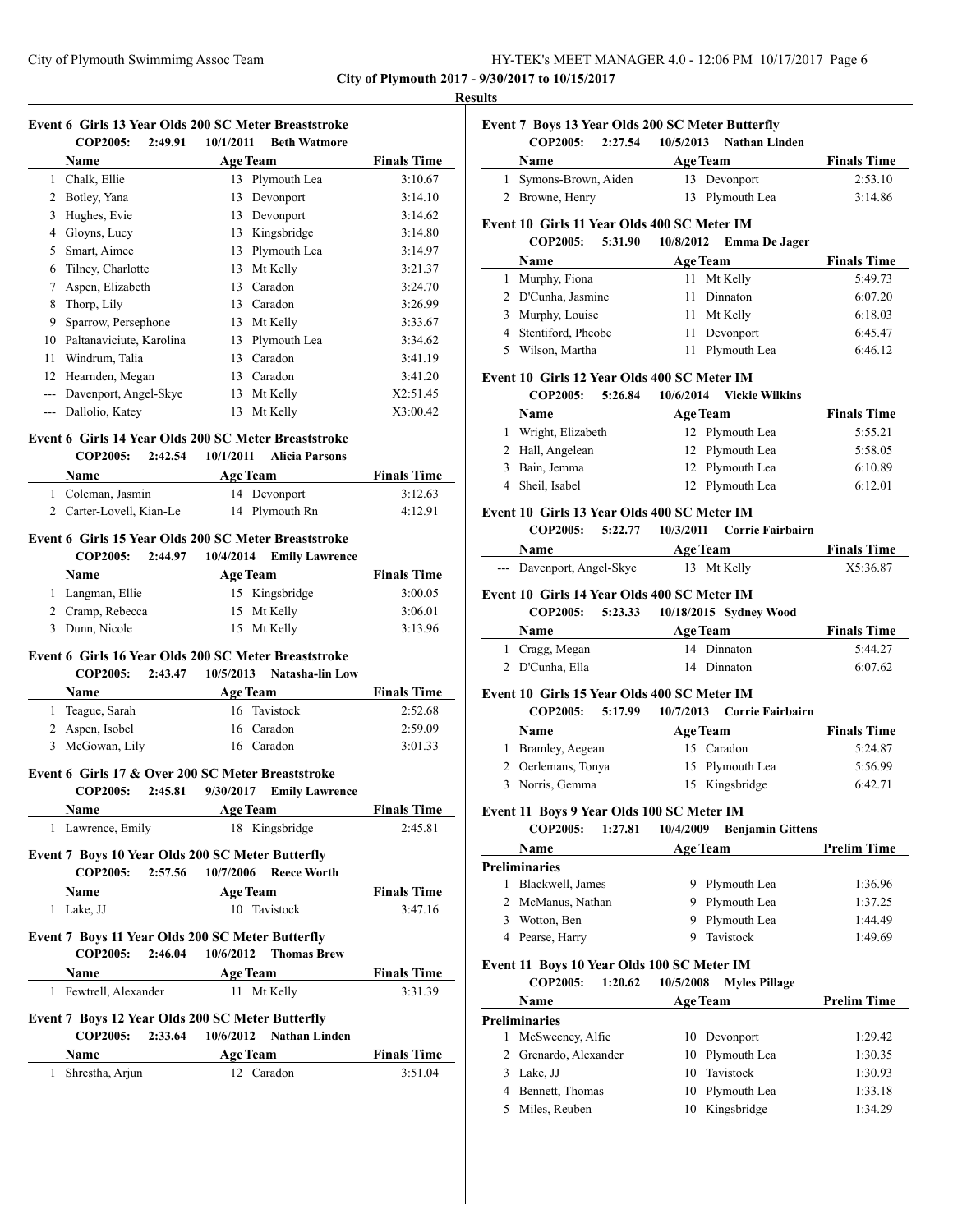**Event 7 Boys 13 Year Olds 200 SC Meter Butterfly**

**City of Plymouth 2017 - 9/30/2017 to 10/15/2017**

#### **Results**

| Event 6 Girls 13 Year Olds 200 SC Meter Breaststroke |         |           |                     |
|------------------------------------------------------|---------|-----------|---------------------|
| COP2005:                                             | 2:49.91 | 10/1/2011 | <b>Beth Watmore</b> |

|    | <b>Name</b>              |    | <b>Age Team</b> | <b>Finals Time</b> |
|----|--------------------------|----|-----------------|--------------------|
|    | 1 Chalk, Ellie           |    | 13 Plymouth Lea | 3:10.67            |
| 2  | Botley, Yana             | 13 | Devonport       | 3:14.10            |
| 3  | Hughes, Evie             | 13 | Devonport       | 3:14.62            |
| 4  | Gloyns, Lucy             | 13 | Kingsbridge     | 3:14.80            |
| 5  | Smart, Aimee             | 13 | Plymouth Lea    | 3:14.97            |
| 6  | Tilney, Charlotte        | 13 | Mt Kelly        | 3:21.37            |
| 7  | Aspen, Elizabeth         | 13 | Caradon         | 3:24.70            |
| 8  | Thorp, Lily              | 13 | Caradon         | 3:26.99            |
| 9  | Sparrow, Persephone      | 13 | Mt Kelly        | 3:33.67            |
| 10 | Paltanaviciute, Karolina | 13 | Plymouth Lea    | 3:34.62            |
| 11 | Windrum, Talia           | 13 | Caradon         | 3:41.19            |
| 12 | Hearnden, Megan          | 13 | Caradon         | 3:41.20            |
|    | Davenport, Angel-Skye    | 13 | Mt Kelly        | X2:51.45           |
|    | Dallolio, Katey          | 13 | Mt Kelly        | X3:00.42           |

# **Event 6 Girls 14 Year Olds 200 SC Meter Breaststroke**

#### **COP2005: 2:42.54 10/1/2011 Alicia Parsons**

| Name                     | <b>Age Team</b> | <b>Finals Time</b> |
|--------------------------|-----------------|--------------------|
| 1 Coleman, Jasmin        | 14 Devonport    | 3:12.63            |
| 2 Carter-Lovell, Kian-Le | 14 Plymouth Rn  | 4:12.91            |

#### **Event 6 Girls 15 Year Olds 200 SC Meter Breaststroke COP2005: 2:44.97 10/4/2014 Emily Lawrence**

| <b>Name</b>      | <b>Age Team</b> | <b>Finals Time</b> |
|------------------|-----------------|--------------------|
| 1 Langman, Ellie | 15 Kingsbridge  | 3:00.05            |
| 2 Cramp, Rebecca | 15 Mt Kelly     | 3:06.01            |
| 3 Dunn, Nicole   | 15 Mt Kelly     | 3:13.96            |

#### **Event 6 Girls 16 Year Olds 200 SC Meter Breaststroke**

**COP2005: 2:43.47 10/5/2013 Natasha-lin Low**

| Name            | <b>Age Team</b> | <b>Finals Time</b> |
|-----------------|-----------------|--------------------|
| 1 Teague, Sarah | 16 Tavistock    | 2:52.68            |
| 2 Aspen, Isobel | 16 Caradon      | 2:59.09            |
| 3 McGowan, Lily | 16 Caradon      | 3:01.33            |

# **Event 6 Girls 17 & Over 200 SC Meter Breaststroke**

**COP2005: 2:45.81 9/30/2017 Emily Lawrence**

| Name              | <b>Age Team</b> | <b>Finals Time</b> |
|-------------------|-----------------|--------------------|
| 1 Lawrence, Emily | 18 Kingsbridge  | 2:45.81            |

# **Event 7 Boys 10 Year Olds 200 SC Meter Butterfly**

| <b>COP2005:</b>                                  |                 | 2:57.56 10/7/2006 Reece Worth          |                    |
|--------------------------------------------------|-----------------|----------------------------------------|--------------------|
| Name                                             | <b>Age Team</b> |                                        | <b>Finals Time</b> |
| 1 Lake, JJ                                       |                 | 10 Tavistock                           | 3:47.16            |
| Event 7 Boys 11 Year Olds 200 SC Meter Butterfly |                 | COP2005: 2:46.04 10/6/2012 Thomas Brew |                    |

# **Name Age Team Finals Time**

| 1 Fewtrell, Alexander | 11 Mt Kelly | 3:31.39 |
|-----------------------|-------------|---------|
|                       |             |         |

# **Event 7 Boys 12 Year Olds 200 SC Meter Butterfly**

**COP2005: 2:33.64 10/6/2012 Nathan Linden**

| Name            | <b>Age Team</b> | <b>Finals Time</b> |
|-----------------|-----------------|--------------------|
| Shrestha, Arjun | 12. Caradon     | 3:51.04            |

|   | <b>COP2005:</b>                             | 2:27.54 | 10/5/2013       | <b>Nathan Linden</b>    |                    |
|---|---------------------------------------------|---------|-----------------|-------------------------|--------------------|
|   | Name                                        |         | <b>Age Team</b> |                         | <b>Finals Time</b> |
|   | Symons-Brown, Aiden                         |         |                 | 13 Devonport            | 2:53.10            |
| 2 | Browne, Henry                               |         |                 | 13 Plymouth Lea         | 3:14.86            |
|   | Event 10 Girls 11 Year Olds 400 SC Meter IM |         |                 |                         |                    |
|   | <b>COP2005:</b>                             | 5:31.90 |                 | 10/8/2012 Emma De Jager |                    |
|   |                                             |         |                 |                         |                    |
|   | Name                                        |         | <b>Age Team</b> |                         | <b>Finals Time</b> |
| 1 | Murphy, Fiona                               |         |                 | 11 Mt Kelly             | 5:49.73            |
|   | 2 D'Cunha, Jasmine                          |         |                 | 11 Dinnaton             | 6:07.20            |
| 3 | Murphy, Louise                              |         |                 | 11 Mt Kelly             | 6:18.03            |
|   | 4 Stentiford, Pheobe                        |         |                 | 11 Devonport            | 6:45.47            |

#### **Event 10 Girls 12 Year Olds 400 SC Meter IM**

**COP2005: 5:26.84 10/6/2014 Vickie Wilkins**

| <b>Name</b>       | <b>Age Team</b> | <b>Finals Time</b> |
|-------------------|-----------------|--------------------|
| Wright, Elizabeth | 12 Plymouth Lea | 5:55.21            |
| 2 Hall, Angelean  | 12 Plymouth Lea | 5:58.05            |
| 3 Bain, Jemma     | 12 Plymouth Lea | 6:10.89            |
| 4 Sheil, Isabel   | 12 Plymouth Lea | 6:12.01            |

#### **Event 10 Girls 13 Year Olds 400 SC Meter IM**

**COP2005: 5:22.77 10/3/2011 Corrie Fairbairn**

### **Name Age Team Finals Time**

--- Davenport, Angel-Skye 13 Mt Kelly X5:36.87 **Event 10 Girls 14 Year Olds 400 SC Meter IM**

# **COP2005: 5:23.33 10/18/2015 Sydney Wood**

| <b>Name</b>     | <b>Age Team</b> | <b>Finals Time</b> |  |
|-----------------|-----------------|--------------------|--|
| 1 Cragg, Megan  | 14 Dinnaton     | 5:44.27            |  |
| 2 D'Cunha, Ella | 14 Dinnaton     | 6:07.62            |  |

#### **Event 10 Girls 15 Year Olds 400 SC Meter IM**

#### **COP2005: 5:17.99 10/7/2013 Corrie Fairbairn**

| <b>Name</b>        | <b>Age Team</b> | <b>Finals Time</b> |
|--------------------|-----------------|--------------------|
| Bramley, Aegean    | 15 Caradon      | 5:24.87            |
| 2 Oerlemans, Tonya | 15 Plymouth Lea | 5:56.99            |
| 3 Norris, Gemma    | 15 Kingsbridge  | 6:42.71            |

#### **Event 11 Boys 9 Year Olds 100 SC Meter IM**

**COP2005: 1:27.81 10/4/2009 Benjamin Gittens**

|   | <b>Name</b><br><b>Age Team</b> |                | <b>Prelim Time</b> |
|---|--------------------------------|----------------|--------------------|
|   | Preliminaries                  |                |                    |
|   | Blackwell, James               | 9 Plymouth Lea | 1:36.96            |
|   | 2 McManus, Nathan              | 9 Plymouth Lea | 1:37.25            |
| 3 | Wotton, Ben                    | 9 Plymouth Lea | 1:44.49            |
|   | 4 Pearse, Harry                | Tavistock      | 1:49.69            |

#### **Event 11 Boys 10 Year Olds 100 SC Meter IM**

**COP2005: 1:20.62 10/5/2008 Myles Pillage**

| Name<br><b>Preliminaries</b> |                       | <b>Age Team</b> |                 | <b>Prelim Time</b> |
|------------------------------|-----------------------|-----------------|-----------------|--------------------|
|                              |                       |                 |                 |                    |
|                              | 1 McSweeney, Alfie    |                 | 10 Devonport    | 1:29.42            |
|                              | 2 Grenardo, Alexander |                 | 10 Plymouth Lea | 1:30.35            |
| 3                            | Lake, JJ              |                 | 10 Tavistock    | 1:30.93            |
|                              | 4 Bennett, Thomas     |                 | 10 Plymouth Lea | 1:33.18            |
|                              | Miles, Reuben         |                 | Kingsbridge     | 1:34.29            |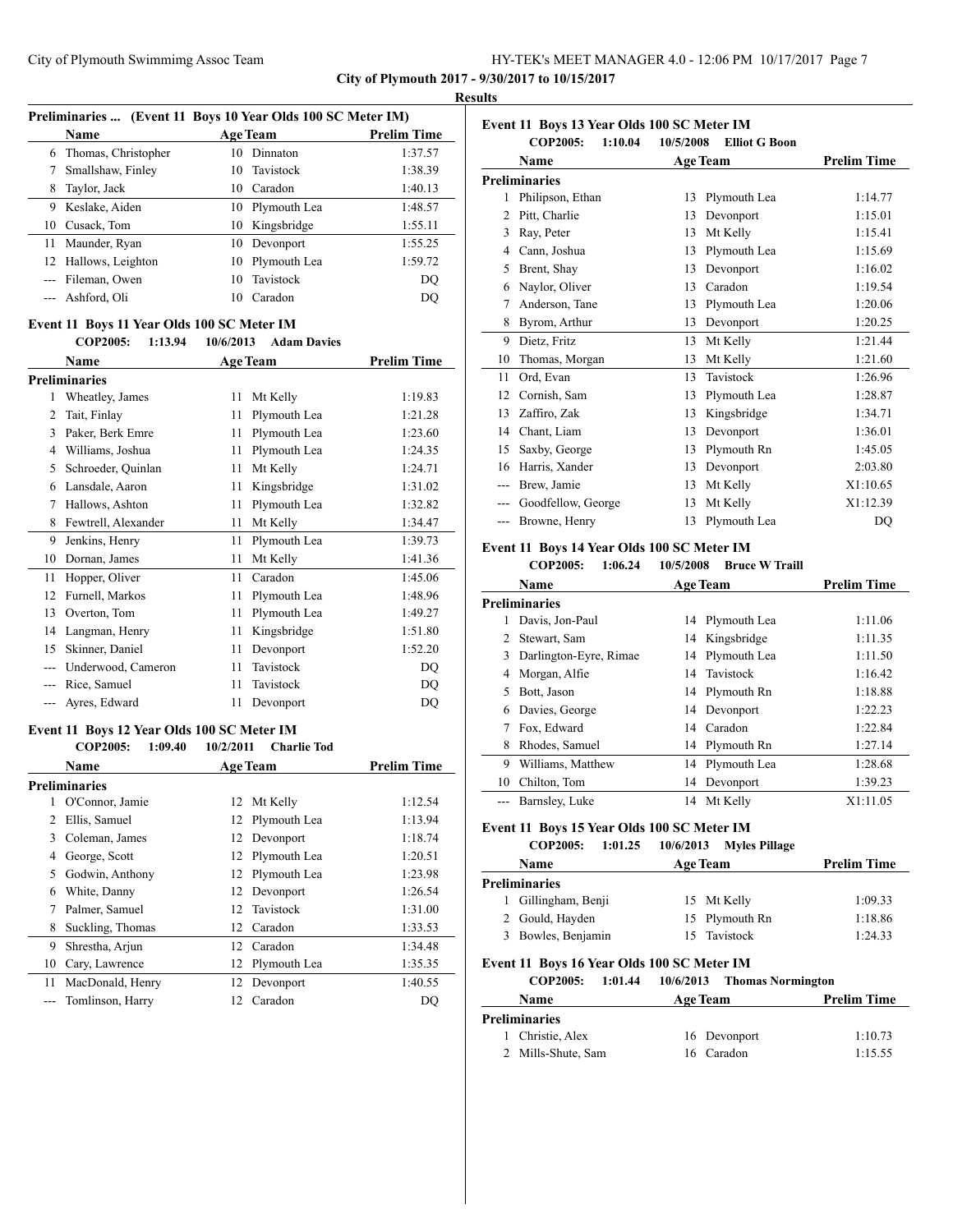#### **Results Preliminaries ... (Event 11 Boys 10 Year Olds 100 SC Meter IM)**

|      |                      | Preliminaries  (Event II Boys 10 Year Olds 100 SC Meter IM) |                 |                    |  |
|------|----------------------|-------------------------------------------------------------|-----------------|--------------------|--|
| Name |                      | Age Team                                                    |                 | <b>Prelim Time</b> |  |
| 6    | Thomas, Christopher  | 10                                                          | Dinnaton        | 1:37.57            |  |
|      | Smallshaw, Finley    |                                                             | 10 Tavistock    | 1:38.39            |  |
| 8    | Taylor, Jack         | 10                                                          | Caradon         | 1:40.13            |  |
| 9    | Keslake, Aiden       |                                                             | 10 Plymouth Lea | 1:48.57            |  |
|      | 10 Cusack, Tom       |                                                             | 10 Kingsbridge  | 1:55.11            |  |
|      | 11 Maunder, Ryan     | 10                                                          | Devonport       | 1:55.25            |  |
|      | 12 Hallows, Leighton | 10                                                          | Plymouth Lea    | 1:59.72            |  |
|      | --- Fileman, Owen    | 10                                                          | Tavistock       | DO                 |  |
|      | --- Ashford, Oli     | 10                                                          | Caradon         | DO                 |  |

### **Event 11 Boys 11 Year Olds 100 SC Meter IM**

|    | <b>COP2005:</b><br>1:13.94 | 10/6/2013       | <b>Adam Davies</b> |                    |
|----|----------------------------|-----------------|--------------------|--------------------|
|    | Name                       | <b>Age Team</b> |                    | <b>Prelim Time</b> |
|    | <b>Preliminaries</b>       |                 |                    |                    |
| 1  | Wheatley, James            | 11              | Mt Kelly           | 1:19.83            |
| 2  | Tait, Finlay               | 11              | Plymouth Lea       | 1:21.28            |
| 3  | Paker, Berk Emre           | 11              | Plymouth Lea       | 1:23.60            |
| 4  | Williams, Joshua           | 11              | Plymouth Lea       | 1:24.35            |
| 5  | Schroeder, Quinlan         | 11              | Mt Kelly           | 1:24.71            |
| 6  | Lansdale, Aaron            | 11              | Kingsbridge        | 1:31.02            |
| 7  | Hallows, Ashton            | 11              | Plymouth Lea       | 1:32.82            |
| 8  | Fewtrell, Alexander        | 11              | Mt Kelly           | 1:34.47            |
| 9  | Jenkins, Henry             | 11              | Plymouth Lea       | 1:39.73            |
| 10 | Dornan, James              | 11              | Mt Kelly           | 1:41.36            |
| 11 | Hopper, Oliver             | 11              | Caradon            | 1:45.06            |
| 12 | Furnell, Markos            | 11              | Plymouth Lea       | 1:48.96            |
| 13 | Overton, Tom               | 11              | Plymouth Lea       | 1:49.27            |
| 14 | Langman, Henry             | 11              | Kingsbridge        | 1:51.80            |
| 15 | Skinner, Daniel            | 11              | Devonport          | 1:52.20            |
|    | Underwood, Cameron         | 11              | Tavistock          | DQ                 |
|    | Rice, Samuel               | 11              | Tavistock          | DQ                 |
|    | Ayres, Edward              | 11              | Devonport          | DQ                 |

#### **Event 11 Boys 12 Year Olds 100 SC Meter IM**

|    | <b>COP2005:</b><br>1:09.40 | 10/2/2011<br><b>Charlie Tod</b> |                    |
|----|----------------------------|---------------------------------|--------------------|
|    | Name                       | <b>Age Team</b>                 | <b>Prelim Time</b> |
|    | <b>Preliminaries</b>       |                                 |                    |
|    | O'Connor, Jamie            | Mt Kelly<br>12                  | 1:12.54            |
| 2  | Ellis, Samuel              | Plymouth Lea<br>12              | 1:13.94            |
| 3  | Coleman, James             | Devonport<br>12                 | 1:18.74            |
| 4  | George, Scott              | Plymouth Lea<br>12              | 1:20.51            |
| 5. | Godwin, Anthony            | Plymouth Lea<br>12              | 1:23.98            |
| 6  | White, Danny               | Devonport<br>12                 | 1:26.54            |
|    | Palmer, Samuel             | Tavistock<br>12                 | 1:31.00            |
| 8  | Suckling, Thomas           | Caradon<br>12                   | 1:33.53            |
| 9  | Shrestha, Arjun            | Caradon<br>12                   | 1:34.48            |
| 10 | Cary, Lawrence             | Plymouth Lea<br>12              | 1:35.35            |
| 11 | MacDonald, Henry           | Devonport<br>12                 | 1:40.55            |
|    | Tomlinson, Harry           | Caradon<br>12                   | DO                 |

| Event 11 Boys 13 Year Olds 100 SC Meter IM |                            |           |                      |                    |  |
|--------------------------------------------|----------------------------|-----------|----------------------|--------------------|--|
|                                            | 1:10.04<br><b>COP2005:</b> | 10/5/2008 | <b>Elliot G Boon</b> |                    |  |
|                                            | Name                       |           | <b>Age Team</b>      | <b>Prelim Time</b> |  |
|                                            | <b>Preliminaries</b>       |           |                      |                    |  |
| 1                                          | Philipson, Ethan           | 13        | Plymouth Lea         | 1:14.77            |  |
| 2                                          | Pitt. Charlie              | 13        | Devonport            | 1:15.01            |  |
| 3                                          | Ray, Peter                 | 13        | Mt Kelly             | 1:15.41            |  |
| 4                                          | Cann, Joshua               | 13        | Plymouth Lea         | 1:15.69            |  |
| 5                                          | Brent, Shay                | 13        | Devonport            | 1:16.02            |  |
| 6                                          | Naylor, Oliver             | 13        | Caradon              | 1:19.54            |  |
| 7                                          | Anderson, Tane             | 13        | Plymouth Lea         | 1:20.06            |  |
| 8                                          | Byrom, Arthur              | 13        | Devonport            | 1:20.25            |  |
| 9                                          | Dietz, Fritz               | 13        | Mt Kelly             | 1:21.44            |  |
| 10                                         | Thomas, Morgan             | 13        | Mt Kelly             | 1:21.60            |  |
| 11                                         | Ord, Evan                  | 13        | Tavistock            | 1:26.96            |  |
| 12                                         | Cornish, Sam               | 13        | Plymouth Lea         | 1:28.87            |  |
| 13                                         | Zaffiro, Zak               | 13        | Kingsbridge          | 1:34.71            |  |
| 14                                         | Chant, Liam                | 13        | Devonport            | 1:36.01            |  |
| 15                                         | Saxby, George              | 13        | Plymouth Rn          | 1:45.05            |  |
| 16                                         | Harris, Xander             | 13        | Devonport            | 2:03.80            |  |
| ---                                        | Brew, Jamie                | 13        | Mt Kelly             | X1:10.65           |  |
| $---$                                      | Goodfellow, George         | 13        | Mt Kelly             | X1:12.39           |  |
| $---$                                      | Browne, Henry              | 13        | Plymouth Lea         | DQ                 |  |

# **Event 11 Boys 14 Year Olds 100 SC Meter IM**

# **COP2005: 1:06.24 10/5/2008 Bruce W Traill**

|     | Name<br><b>Age Team</b> |    |                 | <b>Prelim Time</b> |
|-----|-------------------------|----|-----------------|--------------------|
|     | <b>Preliminaries</b>    |    |                 |                    |
|     | Davis, Jon-Paul         | 14 | Plymouth Lea    | 1:11.06            |
|     | Stewart, Sam            |    | 14 Kingsbridge  | 1:11.35            |
| 3   | Darlington-Eyre, Rimae  |    | 14 Plymouth Lea | 1:11.50            |
| 4   | Morgan, Alfie           | 14 | Tavistock       | 1:16.42            |
| 5.  | Bott, Jason             |    | 14 Plymouth Rn  | 1:18.88            |
|     | Davies, George          |    | 14 Devonport    | 1:22.23            |
|     | Fox, Edward             | 14 | Caradon         | 1:22.84            |
| 8   | Rhodes, Samuel          | 14 | Plymouth Rn     | 1:27.14            |
| 9   | Williams, Matthew       | 14 | Plymouth Lea    | 1:28.68            |
| 10  | Chilton, Tom            |    | 14 Devonport    | 1:39.23            |
| --- | Barnsley, Luke          | 14 | Mt Kelly        | X1:11.05           |

### **Event 11 Boys 15 Year Olds 100 SC Meter IM**

| <b>COP2005:</b>      | 1:01.25 | 10/6/2013       | <b>Myles Pillage</b> |                    |
|----------------------|---------|-----------------|----------------------|--------------------|
| <b>Name</b>          |         | <b>Age Team</b> |                      | <b>Prelim Time</b> |
| <b>Preliminaries</b> |         |                 |                      |                    |
| 1 Gillingham, Benji  |         |                 | 15 Mt Kelly          | 1:09.33            |
| 2 Gould, Hayden      |         |                 | 15 Plymouth Rn       | 1:18.86            |
| 3 Bowles, Benjamin   |         |                 | 15 Tavistock         | 1:24.33            |

# **Event 11 Boys 16 Year Olds 100 SC Meter IM**

**COP2005: 1:01.44 10/6/2013 Thomas Normington**

| <b>Name</b>          | <b>Age Team</b> | <b>Prelim Time</b> |  |
|----------------------|-----------------|--------------------|--|
| <b>Preliminaries</b> |                 |                    |  |
| 1 Christie, Alex     | 16 Devonport    | 1:10.73            |  |
| 2 Mills-Shute, Sam   | 16 Caradon      | 1:15.55            |  |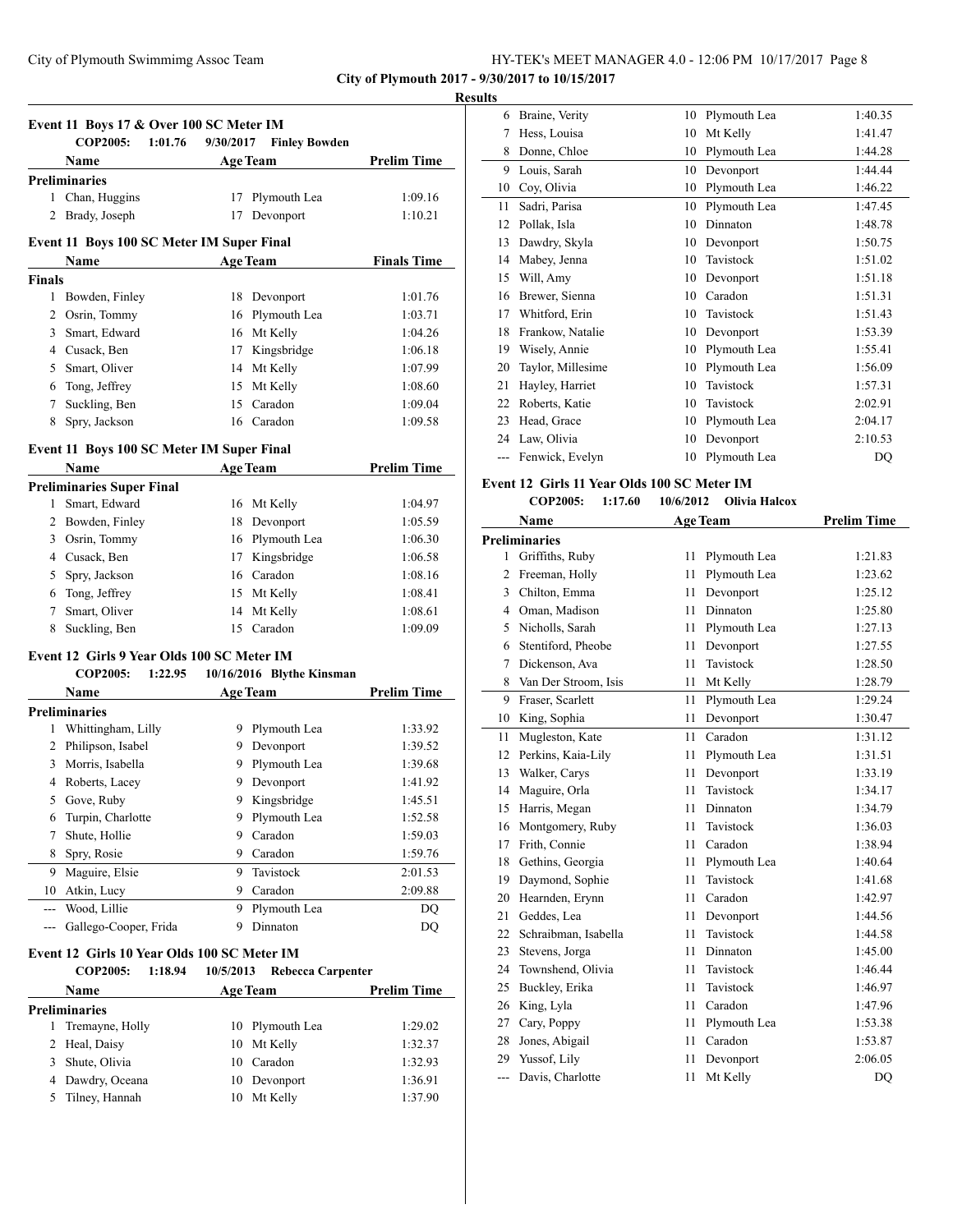**City of Plymouth 2017 - 9/30/2017 to 10/15/2017**

#### **Results**

| Event 11 Boys 17 & Over 100 SC Meter IM<br><b>COP2005:</b><br>1:01.76<br>9/30/2017<br><b>Finley Bowden</b> |                                             |                      |                           |                    |  |
|------------------------------------------------------------------------------------------------------------|---------------------------------------------|----------------------|---------------------------|--------------------|--|
|                                                                                                            | Name                                        |                      | <b>Age Team</b>           | <b>Prelim Time</b> |  |
|                                                                                                            | <b>Preliminaries</b>                        |                      |                           |                    |  |
|                                                                                                            | 1 Chan, Huggins                             | 17                   | Plymouth Lea              | 1:09.16            |  |
| 2                                                                                                          | Brady, Joseph                               | 17                   | Devonport                 | 1:10.21            |  |
|                                                                                                            |                                             |                      |                           |                    |  |
| Event 11 Boys 100 SC Meter IM Super Final                                                                  | <b>Finals Time</b>                          |                      |                           |                    |  |
| <b>Finals</b>                                                                                              | Name                                        |                      | <b>Age Team</b>           |                    |  |
|                                                                                                            | 1 Bowden, Finley                            | 18                   | Devonport                 | 1:01.76            |  |
|                                                                                                            | 2 Osrin, Tommy                              |                      | 16 Plymouth Lea           | 1:03.71            |  |
|                                                                                                            | 3 Smart, Edward                             |                      | 16 Mt Kelly               | 1:04.26            |  |
|                                                                                                            | 4 Cusack, Ben                               | 17                   | Kingsbridge               | 1:06.18            |  |
|                                                                                                            | 5 Smart, Oliver                             |                      | 14 Mt Kelly               | 1:07.99            |  |
|                                                                                                            | 6 Tong, Jeffrey                             | 15                   | Mt Kelly                  | 1:08.60            |  |
|                                                                                                            | 7 Suckling, Ben                             |                      | 15 Caradon                | 1:09.04            |  |
| 8                                                                                                          | Spry, Jackson                               | 16                   | Caradon                   | 1:09.58            |  |
|                                                                                                            |                                             |                      |                           |                    |  |
|                                                                                                            | Event 11 Boys 100 SC Meter IM Super Final   |                      |                           |                    |  |
|                                                                                                            | Name                                        |                      | <b>Age Team</b>           | <b>Prelim Time</b> |  |
|                                                                                                            | <b>Preliminaries Super Final</b>            |                      |                           |                    |  |
|                                                                                                            | 1 Smart, Edward                             |                      | 16 Mt Kelly               | 1:04.97            |  |
|                                                                                                            | 2 Bowden, Finley                            |                      | 18 Devonport              | 1:05.59            |  |
|                                                                                                            | 3 Osrin, Tommy                              |                      | 16 Plymouth Lea           | 1:06.30            |  |
|                                                                                                            | 4 Cusack, Ben                               |                      | 17 Kingsbridge            | 1:06.58            |  |
|                                                                                                            | 5 Spry, Jackson                             |                      | 16 Caradon                | 1:08.16            |  |
|                                                                                                            | 6 Tong, Jeffrey                             |                      | 15 Mt Kelly               | 1:08.41            |  |
| 7                                                                                                          | Smart, Oliver                               | 14                   | Mt Kelly                  | 1:08.61            |  |
| 8                                                                                                          | Suckling, Ben                               | 15                   | Caradon                   | 1:09.09            |  |
|                                                                                                            | Event 12 Girls 9 Year Olds 100 SC Meter IM  |                      |                           |                    |  |
|                                                                                                            | <b>COP2005:</b>                             | 1:22.95              | 10/16/2016 Blythe Kinsman |                    |  |
|                                                                                                            | Name                                        |                      | <b>Age Team</b>           | <b>Prelim Time</b> |  |
|                                                                                                            | <b>Preliminaries</b>                        |                      |                           |                    |  |
|                                                                                                            | 1 Whittingham, Lilly                        |                      | 9 Plymouth Lea            | 1:33.92            |  |
|                                                                                                            | 2 Philipson, Isabel                         |                      | 9 Devonport               | 1:39.52            |  |
|                                                                                                            | 3 Morris, Isabella                          | 9.                   | Plymouth Lea              | 1:39.68            |  |
|                                                                                                            | 4 Roberts, Lacey                            | 9                    | Devonport                 | 1:41.92            |  |
|                                                                                                            | 5 Gove, Ruby                                |                      | 9 Kingsbridge             | 1:45.51            |  |
| 6                                                                                                          | Turpin, Charlotte                           |                      | 9 Plymouth Lea            | 1:52.58            |  |
| 7                                                                                                          | Shute, Hollie                               | 9.                   | Caradon                   | 1:59.03            |  |
| 8                                                                                                          | Spry, Rosie                                 | 9                    | Caradon                   | 1:59.76            |  |
| 9                                                                                                          | Maguire, Elsie                              | 9                    | Tavistock                 | 2:01.53            |  |
|                                                                                                            | 10 Atkin, Lucy                              |                      | 9 Caradon                 | 2:09.88            |  |
| $\overline{a}$                                                                                             | Wood, Lillie                                | 9.                   | Plymouth Lea              | DQ                 |  |
| $--$                                                                                                       | Gallego-Cooper, Frida                       |                      | 9 Dinnaton                | DQ                 |  |
|                                                                                                            |                                             |                      |                           |                    |  |
|                                                                                                            | Event 12 Girls 10 Year Olds 100 SC Meter IM |                      |                           |                    |  |
|                                                                                                            | <b>COP2005:</b>                             | 1:18.94<br>10/5/2013 | <b>Rebecca Carpenter</b>  |                    |  |
|                                                                                                            | Name                                        |                      | Age Team                  | <b>Prelim Time</b> |  |

| <b>Preliminaries</b> |                 |         |  |  |  |  |
|----------------------|-----------------|---------|--|--|--|--|
| 1 Tremayne, Holly    | 10 Plymouth Lea | 1:29.02 |  |  |  |  |
| 2 Heal, Daisy        | 10 Mt Kelly     | 1:32.37 |  |  |  |  |
| 3 Shute, Olivia      | 10 Caradon      | 1:32.93 |  |  |  |  |
| 4 Dawdry, Oceana     | 10 Devonport    | 1:36.91 |  |  |  |  |
| 5 Tilney, Hannah     | 10 Mt Kelly     | 1:37.90 |  |  |  |  |
|                      |                 |         |  |  |  |  |

| 6  | Braine, Verity    | 10 | Plymouth Lea | 1:40.35 |
|----|-------------------|----|--------------|---------|
| 7  | Hess, Louisa      | 10 | Mt Kelly     | 1:41.47 |
| 8  | Donne, Chloe      | 10 | Plymouth Lea | 1:44.28 |
| 9  | Louis, Sarah      | 10 | Devonport    | 1:44.44 |
| 10 | Coy, Olivia       | 10 | Plymouth Lea | 1:46.22 |
| 11 | Sadri, Parisa     | 10 | Plymouth Lea | 1:47.45 |
| 12 | Pollak, Isla      | 10 | Dinnaton     | 1:48.78 |
| 13 | Dawdry, Skyla     | 10 | Devonport    | 1:50.75 |
| 14 | Mabey, Jenna      | 10 | Tavistock    | 1:51.02 |
| 15 | Will, Amy         | 10 | Devonport    | 1:51.18 |
| 16 | Brewer, Sienna    | 10 | Caradon      | 1:51.31 |
| 17 | Whitford, Erin    | 10 | Tavistock    | 1:51.43 |
| 18 | Frankow, Natalie  | 10 | Devonport    | 1:53.39 |
| 19 | Wisely, Annie     | 10 | Plymouth Lea | 1:55.41 |
| 20 | Taylor, Millesime | 10 | Plymouth Lea | 1:56.09 |
| 21 | Hayley, Harriet   | 10 | Tavistock    | 1:57.31 |
| 22 | Roberts, Katie    | 10 | Tavistock    | 2:02.91 |
| 23 | Head, Grace       | 10 | Plymouth Lea | 2:04.17 |
| 24 | Law, Olivia       | 10 | Devonport    | 2:10.53 |
|    | Fenwick, Evelyn   | 10 | Plymouth Lea | DQ      |
|    |                   |    |              |         |

#### **Event 12 Girls 11 Year Olds 100 SC Meter IM**

|                | COP2005:<br>1:17.60  | 10/6/2012<br><b>Olivia Halcox</b> |                    |
|----------------|----------------------|-----------------------------------|--------------------|
|                | Name                 | <b>Age Team</b>                   | <b>Prelim Time</b> |
|                | <b>Preliminaries</b> |                                   |                    |
| $\mathbf{1}$   | Griffiths, Ruby      | 11<br>Plymouth Lea                | 1:21.83            |
| 2              | Freeman, Holly       | Plymouth Lea<br>11                | 1:23.62            |
| 3              | Chilton, Emma        | 11<br>Devonport                   | 1:25.12            |
| $\overline{4}$ | Oman, Madison        | Dinnaton<br>11                    | 1:25.80            |
| 5              | Nicholls, Sarah      | Plymouth Lea<br>11                | 1:27.13            |
| 6              | Stentiford, Pheobe   | 11<br>Devonport                   | 1:27.55            |
| 7              | Dickenson, Ava       | Tavistock<br>11                   | 1:28.50            |
| 8              | Van Der Stroom, Isis | 11<br>Mt Kelly                    | 1:28.79            |
| 9              | Fraser, Scarlett     | 11<br>Plymouth Lea                | 1:29.24            |
| 10             | King, Sophia         | Devonport<br>11                   | 1:30.47            |
| 11             | Mugleston, Kate      | Caradon<br>11                     | 1:31.12            |
| 12             | Perkins, Kaia-Lily   | 11<br>Plymouth Lea                | 1:31.51            |
| 13             | Walker, Carys        | Devonport<br>11                   | 1:33.19            |
| 14             | Maguire, Orla        | Tavistock<br>11                   | 1:34.17            |
| 15             | Harris, Megan        | 11<br><b>Dinnaton</b>             | 1:34.79            |
| 16             | Montgomery, Ruby     | Tavistock<br>11                   | 1:36.03            |
| 17             | Frith, Connie        | 11<br>Caradon                     | 1:38.94            |
| 18             | Gethins, Georgia     | Plymouth Lea<br>11                | 1:40.64            |
| 19             | Daymond, Sophie      | Tavistock<br>11                   | 1:41.68            |
| 20             | Hearnden, Erynn      | Caradon<br>11                     | 1:42.97            |
| 21             | Geddes, Lea          | 11<br>Devonport                   | 1:44.56            |
| 22             | Schraibman, Isabella | Tavistock<br>11                   | 1:44.58            |
| 23             | Stevens, Jorga       | 11<br>Dinnaton                    | 1:45.00            |
| 24             | Townshend, Olivia    | Tavistock<br>11                   | 1:46.44            |
| 25             | Buckley, Erika       | Tavistock<br>11                   | 1:46.97            |
| 26             | King, Lyla           | Caradon<br>11                     | 1:47.96            |
| 27             | Cary, Poppy          | Plymouth Lea<br>11                | 1:53.38            |
| 28             | Jones, Abigail       | Caradon<br>11                     | 1:53.87            |
| 29             | Yussof, Lily         | 11<br>Devonport                   | 2:06.05            |
| ---            | Davis, Charlotte     | Mt Kelly<br>11                    | DQ                 |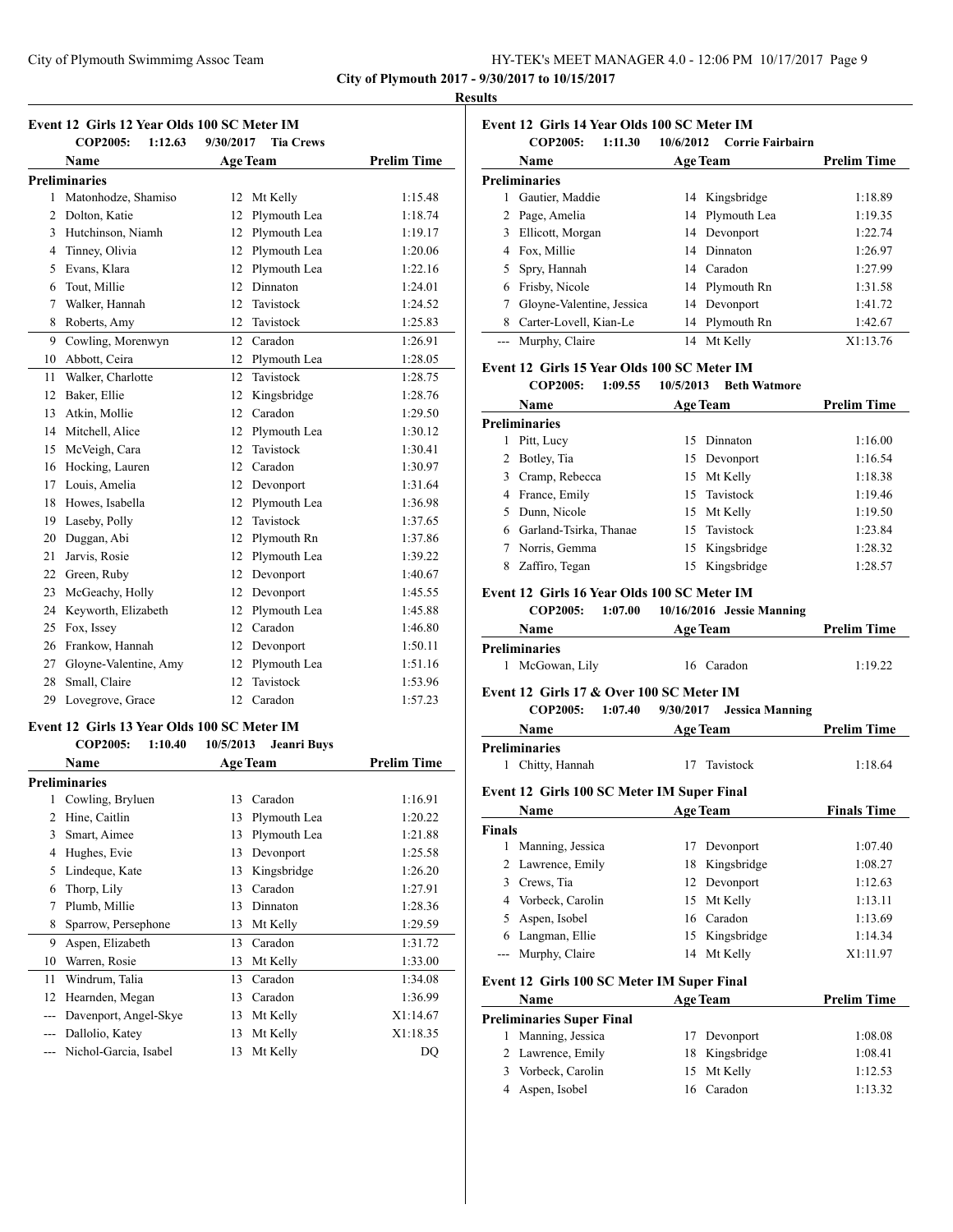| HY-TEK's MEET MANAGER 4.0 - 12:06 PM 10/17/2017 Page 9 |  |
|--------------------------------------------------------|--|
|--------------------------------------------------------|--|

**COP2005: 1:11.30 10/6/2012 Corrie Fairbairn**

**Name Age Team Prelim Time** 

 Gautier, Maddie 14 Kingsbridge 1:18.89 Page, Amelia 14 Plymouth Lea 1:19.35 Ellicott, Morgan 14 Devonport 1:22.74 Fox, Millie 14 Dinnaton 1:26.97 Spry, Hannah 14 Caradon 1:27.99 Frisby, Nicole 14 Plymouth Rn 1:31.58 Gloyne-Valentine, Jessica 14 Devonport 1:41.72 8 Carter-Lovell, Kian-Le 14 Plymouth Rn 1:42.67 --- Murphy, Claire 14 Mt Kelly X1:13.76

**Event 12 Girls 14 Year Olds 100 SC Meter IM**

**Event 12 Girls 15 Year Olds 100 SC Meter IM**

**Event 12 Girls 16 Year Olds 100 SC Meter IM**

**COP2005: 1:09.55 10/5/2013 Beth Watmore**

**COP2005: 1:07.00 10/16/2016 Jessie Manning**

**Name Age Team Prelim Time** 

**Name Age Team Prelim Time** 

 Pitt, Lucy 15 Dinnaton 1:16.00 2 Botley, Tia 15 Devonport 1:16.54 Cramp, Rebecca 15 Mt Kelly 1:18.38 France, Emily 15 Tavistock 1:19.46 Dunn, Nicole 15 Mt Kelly 1:19.50 Garland-Tsirka, Thanae 15 Tavistock 1:23.84 Norris, Gemma 15 Kingsbridge 1:28.32 Zaffiro, Tegan 15 Kingsbridge 1:28.57

**City of Plymouth 2017 - 9/30/2017 to 10/15/2017**

**Preliminaries**

**Preliminaries**

**Preliminaries**

#### **Results**

|                | <b>COP2005:</b><br>1:12.63                  | 9/30/2017<br><b>Tia Crews</b>   |                    |
|----------------|---------------------------------------------|---------------------------------|--------------------|
|                | Name                                        | <b>Age Team</b>                 | <b>Prelim Time</b> |
|                | <b>Preliminaries</b>                        |                                 |                    |
| 1              | Matonhodze, Shamiso                         | 12<br>Mt Kelly                  | 1:15.48            |
| 2              | Dolton, Katie                               | 12<br>Plymouth Lea              | 1:18.74            |
| 3              | Hutchinson, Niamh                           | Plymouth Lea<br>12              | 1:19.17            |
| $\overline{4}$ | Tinney, Olivia                              | Plymouth Lea<br>12              | 1:20.06            |
| 5              | Evans, Klara                                | Plymouth Lea<br>12              | 1:22.16            |
| 6              | Tout, Millie                                | Dinnaton<br>12                  | 1:24.01            |
| $\tau$         | Walker, Hannah                              | 12<br>Tavistock                 | 1:24.52            |
| 8              | Roberts, Amy                                | 12<br>Tavistock                 | 1:25.83            |
| 9              | Cowling, Morenwyn                           | Caradon<br>12                   | 1:26.91            |
| 10             | Abbott, Ceira                               | 12<br>Plymouth Lea              | 1:28.05            |
| 11             | Walker, Charlotte                           | 12<br>Tavistock                 | 1:28.75            |
| 12             | Baker, Ellie                                | 12<br>Kingsbridge               | 1:28.76            |
| 13             | Atkin, Mollie                               | 12<br>Caradon                   | 1:29.50            |
| 14             | Mitchell, Alice                             | 12<br>Plymouth Lea              | 1:30.12            |
| 15             | McVeigh, Cara                               | Tavistock<br>12                 | 1:30.41            |
| 16             | Hocking, Lauren                             | 12<br>Caradon                   | 1:30.97            |
| 17             | Louis, Amelia                               | 12<br>Devonport                 | 1:31.64            |
| 18             | Howes, Isabella                             | 12<br>Plymouth Lea              | 1:36.98            |
| 19             | Laseby, Polly                               | Tavistock<br>12                 | 1:37.65            |
| 20             | Duggan, Abi                                 | 12<br>Plymouth Rn               | 1:37.86            |
| 21             | Jarvis, Rosie                               | Plymouth Lea<br>12              | 1:39.22            |
| 22             | Green, Ruby                                 | 12<br>Devonport                 | 1:40.67            |
| 23             | McGeachy, Holly                             | 12<br>Devonport                 | 1:45.55            |
| 24             | Keyworth, Elizabeth                         | Plymouth Lea<br>12              | 1:45.88            |
| 25             | Fox, Issey                                  | 12<br>Caradon                   | 1:46.80            |
| 26             | Frankow, Hannah                             | 12<br>Devonport                 | 1:50.11            |
|                | 27 Gloyne-Valentine, Amy                    | Plymouth Lea<br>12              | 1:51.16            |
| 28             | Small, Claire                               | Tavistock<br>12                 | 1:53.96            |
| 29             | Lovegrove, Grace                            | 12 Caradon                      | 1:57.23            |
|                | Event 12 Girls 13 Year Olds 100 SC Meter IM |                                 |                    |
|                | <b>COP2005:</b><br>1:10.40                  | 10/5/2013<br><b>Jeanri Buys</b> |                    |
|                | <b>Name</b>                                 | <b>Age Team</b>                 | <b>Prelim Time</b> |
|                | <b>Preliminaries</b>                        |                                 |                    |
| 1              | Cowling, Bryluen                            | 13<br>Caradon                   | 1:16.91            |
| $\overline{c}$ | Hine, Caitlin                               | Plymouth Lea<br>13              | 1:20.22            |

3 Smart, Aimee 13 Plymouth Lea 1:21.88 4 Hughes, Evie 13 Devonport 1:25.58 5 Lindeque, Kate 13 Kingsbridge 1:26.20 6 Thorp, Lily 13 Caradon 1:27.91 7 Plumb, Millie 13 Dinnaton 1:28.36 8 Sparrow, Persephone 13 Mt Kelly 1:29.59 9 Aspen, Elizabeth 13 Caradon 1:31.72 10 Warren, Rosie 13 Mt Kelly 1:33.00 11 Windrum, Talia 13 Caradon 1:34.08 12 Hearnden, Megan 13 Caradon 1:36.99 --- Davenport, Angel-Skye 13 Mt Kelly X1:14.67 --- Dallolio, Katey 13 Mt Kelly X1:18.35 --- Nichol-Garcia, Isabel 13 Mt Kelly DQ

| 1             | McGowan, Lily                                                          | 16        | Caradon                | 1:19.22            |
|---------------|------------------------------------------------------------------------|-----------|------------------------|--------------------|
|               | Event 12 Girls 17 & Over 100 SC Meter IM<br><b>COP2005:</b><br>1:07.40 | 9/30/2017 | <b>Jessica Manning</b> |                    |
|               | Name                                                                   |           | <b>Age Team</b>        | <b>Prelim Time</b> |
|               | <b>Preliminaries</b>                                                   |           |                        |                    |
|               | 1 Chitty, Hannah                                                       | 17        | Tavistock              | 1:18.64            |
|               | Event 12 Girls 100 SC Meter IM Super Final                             |           |                        |                    |
|               | Name                                                                   |           | <b>Age Team</b>        | <b>Finals Time</b> |
| <b>Finals</b> |                                                                        |           |                        |                    |
| 1             | Manning, Jessica                                                       | 17        | Devonport              | 1:07.40            |
| 2             | Lawrence, Emily                                                        | 18        | Kingsbridge            | 1:08.27            |
| 3             | Crews, Tia                                                             | 12        | Devonport              | 1:12.63            |
| 4             | Vorbeck, Carolin                                                       | 15        | Mt Kelly               | 1:13.11            |
| 5             | Aspen, Isobel                                                          | 16        | Caradon                | 1:13.69            |
| 6             | Langman, Ellie                                                         | 15        | Kingsbridge            | 1:14.34            |
| $---$         | Murphy, Claire                                                         | 14        | Mt Kelly               | X1:11.97           |
|               | Event 12 Girls 100 SC Meter IM Super Final                             |           |                        |                    |
|               | Name                                                                   |           | <b>Age Team</b>        | <b>Prelim Time</b> |
|               | <b>Preliminaries Super Final</b>                                       |           |                        |                    |
|               | 1 Manning, Jessica                                                     | 17        | Devonport              | 1:08.08            |
| 2             | Lawrence, Emily                                                        | 18        | Kingsbridge            | 1:08.41            |
| 3             | Vorbeck, Carolin                                                       | 15        | Mt Kelly               | 1:12.53            |

4 Aspen, Isobel 16 Caradon 1:13.32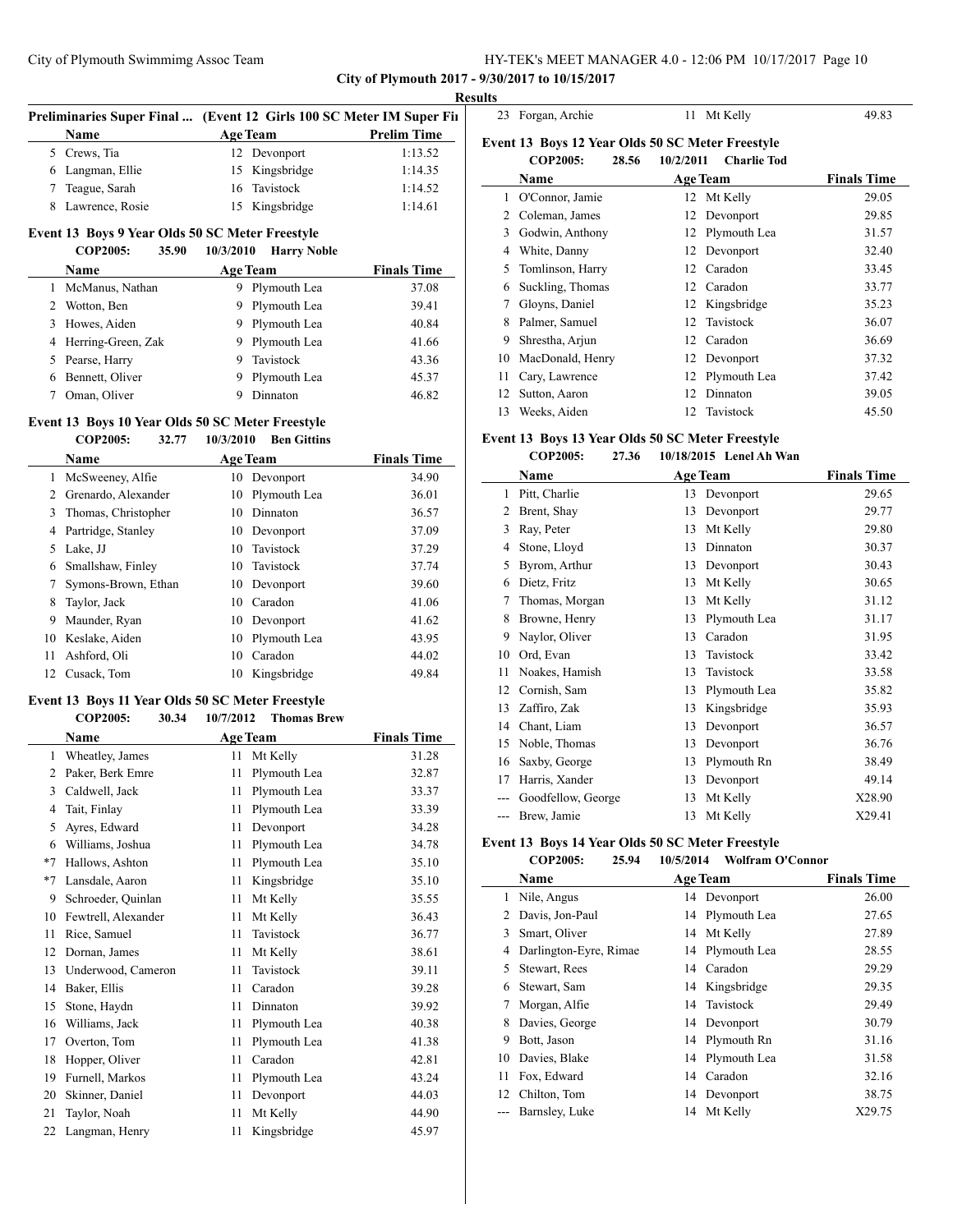**City of Plymouth 2017 - 9/30/2017 to 10/15/2017**

 $\overline{\phantom{a}}$ 

l,

# **Results** Preliminaries Super Final ... (Event 12 Girls 100 SC Meter IM Super Fin **Name Age Team Prelim Time** Crews, Tia 12 Devonport 1:13.52 Langman, Ellie 15 Kingsbridge 1:14.35 Teague, Sarah 16 Tavistock 1:14.52 Lawrence, Rosie 15 Kingsbridge 1:14.61

# **Event 13 Boys 9 Year Olds 50 SC Meter Freestyle**

|    | <b>COP2005:</b>      | 35.90 | 10/3/2010       | <b>Harry Noble</b> |                    |
|----|----------------------|-------|-----------------|--------------------|--------------------|
|    | <b>Name</b>          |       | <b>Age Team</b> |                    | <b>Finals Time</b> |
|    | McManus, Nathan      |       | 9.              | Plymouth Lea       | 37.08              |
|    | 2 Wotton, Ben        |       |                 | 9 Plymouth Lea     | 39.41              |
|    | 3 Howes, Aiden       |       |                 | 9 Plymouth Lea     | 40.84              |
|    | 4 Herring-Green, Zak |       |                 | 9 Plymouth Lea     | 41.66              |
| 5. | Pearse, Harry        |       | 9               | Tavistock          | 43.36              |
| 6  | Bennett, Oliver      |       |                 | Plymouth Lea       | 45.37              |

7 Oman, Oliver 9 Dinnaton 46.82

# **Event 13 Boys 10 Year Olds 50 SC Meter Freestyle**

|    | <b>COP2005:</b>     | 32.77 | 10/3/2010 | <b>Ben Gittins</b> |                    |
|----|---------------------|-------|-----------|--------------------|--------------------|
|    | Name                |       |           | <b>Age Team</b>    | <b>Finals Time</b> |
| 1  | McSweeney, Alfie    |       | 10        | Devonport          | 34.90              |
|    | Grenardo, Alexander |       | 10        | Plymouth Lea       | 36.01              |
| 3  | Thomas, Christopher |       | 10        | Dinnaton           | 36.57              |
| 4  | Partridge, Stanley  |       | 10        | Devonport          | 37.09              |
| 5  | Lake, JJ            |       | 10        | Tavistock          | 37.29              |
| 6  | Smallshaw, Finley   |       | 10.       | Tavistock          | 37.74              |
|    | Symons-Brown, Ethan |       | 10        | Devonport          | 39.60              |
| 8  | Taylor, Jack        |       | 10        | Caradon            | 41.06              |
| 9  | Maunder, Ryan       |       | 10        | Devonport          | 41.62              |
| 10 | Keslake, Aiden      |       | 10        | Plymouth Lea       | 43.95              |
| 11 | Ashford, Oli        |       | 10        | Caradon            | 44.02              |
| 12 | Cusack, Tom         |       | 10        | Kingsbridge        | 49.84              |
|    |                     |       |           |                    |                    |

# **Event 13 Boys 11 Year Olds 50 SC Meter Freestyle**<br>COP2005: 30.34 10/7/2012 Thomas Br

|      | COP2005:<br>30.34   | 10/7/2012 | <b>Thomas Brew</b> |                    |
|------|---------------------|-----------|--------------------|--------------------|
|      | <b>Name</b>         |           | <b>Age Team</b>    | <b>Finals Time</b> |
| 1    | Wheatley, James     | 11        | Mt Kelly           | 31.28              |
| 2    | Paker, Berk Emre    | 11        | Plymouth Lea       | 32.87              |
| 3    | Caldwell, Jack      | 11        | Plymouth Lea       | 33.37              |
| 4    | Tait, Finlay        | 11        | Plymouth Lea       | 33.39              |
| 5    | Ayres, Edward       | 11        | Devonport          | 34.28              |
| 6    | Williams, Joshua    | 11        | Plymouth Lea       | 34.78              |
| $*7$ | Hallows, Ashton     | 11        | Plymouth Lea       | 35.10              |
| $*7$ | Lansdale, Aaron     | 11        | Kingsbridge        | 35.10              |
| 9    | Schroeder, Quinlan  | 11        | Mt Kelly           | 35.55              |
| 10   | Fewtrell, Alexander | 11        | Mt Kelly           | 36.43              |
| 11   | Rice, Samuel        | 11        | Tavistock          | 36.77              |
| 12   | Dornan, James       | 11        | Mt Kelly           | 38.61              |
| 13   | Underwood, Cameron  | 11        | Tavistock          | 39.11              |
| 14   | Baker, Ellis        | 11        | Caradon            | 39.28              |
| 15   | Stone, Haydn        | 11        | Dinnaton           | 39.92              |
| 16   | Williams, Jack      | 11        | Plymouth Lea       | 40.38              |
| 17   | Overton, Tom        | 11        | Plymouth Lea       | 41.38              |
| 18   | Hopper, Oliver      | 11        | Caradon            | 42.81              |
| 19   | Furnell, Markos     | 11        | Plymouth Lea       | 43.24              |
| 20   | Skinner, Daniel     | 11        | Devonport          | 44.03              |
| 21   | Taylor, Noah        | 11        | Mt Kelly           | 44.90              |
| 22   | Langman, Henry      | 11        | Kingsbridge        | 45.97              |
|      |                     |           |                    |                    |

| 23 | Forgan, Archie                                                               | Mt Kelly<br>11                  | 49.83              |
|----|------------------------------------------------------------------------------|---------------------------------|--------------------|
|    | Event 13 Boys 12 Year Olds 50 SC Meter Freestyle<br><b>COP2005:</b><br>28.56 | 10/2/2011<br><b>Charlie Tod</b> |                    |
|    | Name                                                                         | <b>Age Team</b>                 | <b>Finals Time</b> |
| 1  | O'Connor, Jamie                                                              | Mt Kelly<br>12                  | 29.05              |
| 2  | Coleman, James                                                               | Devonport<br>12                 | 29.85              |
| 3  | Godwin, Anthony                                                              | Plymouth Lea<br>12              | 31.57              |
| 4  | White, Danny                                                                 | Devonport<br>12                 | 32.40              |
| 5  | Tomlinson, Harry                                                             | Caradon<br>12                   | 33.45              |
| 6  | Suckling, Thomas                                                             | Caradon<br>12                   | 33.77              |
| 7  | Gloyns, Daniel                                                               | Kingsbridge<br>12               | 35.23              |
| 8  | Palmer, Samuel                                                               | Tavistock<br>12                 | 36.07              |
| 9  | Shrestha, Arjun                                                              | Caradon<br>12                   | 36.69              |
| 10 | MacDonald, Henry                                                             | Devonport<br>12                 | 37.32              |
| 11 | Cary, Lawrence                                                               | Plymouth Lea<br>12              | 37.42              |
| 12 | Sutton, Aaron                                                                | Dinnaton<br>12                  | 39.05              |
| 13 | Weeks, Aiden                                                                 | Tavistock<br>12                 | 45.50              |

#### **Event 13 Boys 13 Year Olds 50 SC Meter Freestyle COP2005: 27.36 10/18/2015 Lenel Ah Wan**

|     | COL 4000.<br>41.JU |                 | $10/10/2013$ Echeral Wall |                    |
|-----|--------------------|-----------------|---------------------------|--------------------|
|     | Name               | <b>Age Team</b> |                           | <b>Finals Time</b> |
| 1   | Pitt, Charlie      | 13              | Devonport                 | 29.65              |
| 2   | Brent, Shay        | 13              | Devonport                 | 29.77              |
| 3   | Ray, Peter         | 13              | Mt Kelly                  | 29.80              |
| 4   | Stone, Lloyd       | 13              | Dinnaton                  | 30.37              |
| 5   | Byrom, Arthur      | 13              | Devonport                 | 30.43              |
| 6   | Dietz, Fritz       | 13              | Mt Kelly                  | 30.65              |
| 7   | Thomas, Morgan     | 13              | Mt Kelly                  | 31.12              |
| 8   | Browne, Henry      | 13              | Plymouth Lea              | 31.17              |
| 9   | Naylor, Oliver     | 13              | Caradon                   | 31.95              |
| 10  | Ord, Evan          | 13              | Tavistock                 | 33.42              |
| 11  | Noakes, Hamish     | 13              | Tavistock                 | 33.58              |
| 12  | Cornish, Sam       | 13              | Plymouth Lea              | 35.82              |
| 13  | Zaffiro, Zak       | 13              | Kingsbridge               | 35.93              |
| 14  | Chant, Liam        | 13              | Devonport                 | 36.57              |
| 15  | Noble, Thomas      | 13              | Devonport                 | 36.76              |
| 16  | Saxby, George      | 13              | Plymouth Rn               | 38.49              |
| 17  | Harris, Xander     | 13              | Devonport                 | 49.14              |
|     | Goodfellow, George | 13              | Mt Kelly                  | X28.90             |
| --- | Brew, Jamie        | 13              | Mt Kelly                  | X29.41             |

# **Event 13 Boys 14 Year Olds 50 SC Meter Freestyle**

| <b>COP2005:</b><br>25.94 | 10/5/2014 | Wolfram O'Connor |
|--------------------------|-----------|------------------|
|--------------------------|-----------|------------------|

| Name                   |    |          | <b>Finals Time</b>                                                                                                                                                                                             |
|------------------------|----|----------|----------------------------------------------------------------------------------------------------------------------------------------------------------------------------------------------------------------|
| Nile, Angus            | 14 |          | 26.00                                                                                                                                                                                                          |
| Davis, Jon-Paul        |    |          | 27.65                                                                                                                                                                                                          |
| Smart, Oliver          |    |          | 27.89                                                                                                                                                                                                          |
| Darlington-Eyre, Rimae | 14 |          | 28.55                                                                                                                                                                                                          |
| Stewart, Rees          |    |          | 29.29                                                                                                                                                                                                          |
| Stewart, Sam           |    |          | 29.35                                                                                                                                                                                                          |
| Morgan, Alfie          |    |          | 29.49                                                                                                                                                                                                          |
| Davies, George         |    |          | 30.79                                                                                                                                                                                                          |
| Bott, Jason            |    |          | 31.16                                                                                                                                                                                                          |
| Davies, Blake          |    |          | 31.58                                                                                                                                                                                                          |
| Fox. Edward            | 14 |          | 32.16                                                                                                                                                                                                          |
| Chilton, Tom           |    |          | 38.75                                                                                                                                                                                                          |
| Barnsley, Luke         | 14 | Mt Kelly | X29.75                                                                                                                                                                                                         |
|                        |    |          | <b>Age Team</b><br>Devonport<br>14 Plymouth Lea<br>14 Mt Kelly<br>Plymouth Lea<br>14 Caradon<br>14 Kingsbridge<br>14 Tavistock<br>14 Devonport<br>14 Plymouth Rn<br>14 Plymouth Lea<br>Caradon<br>14 Devonport |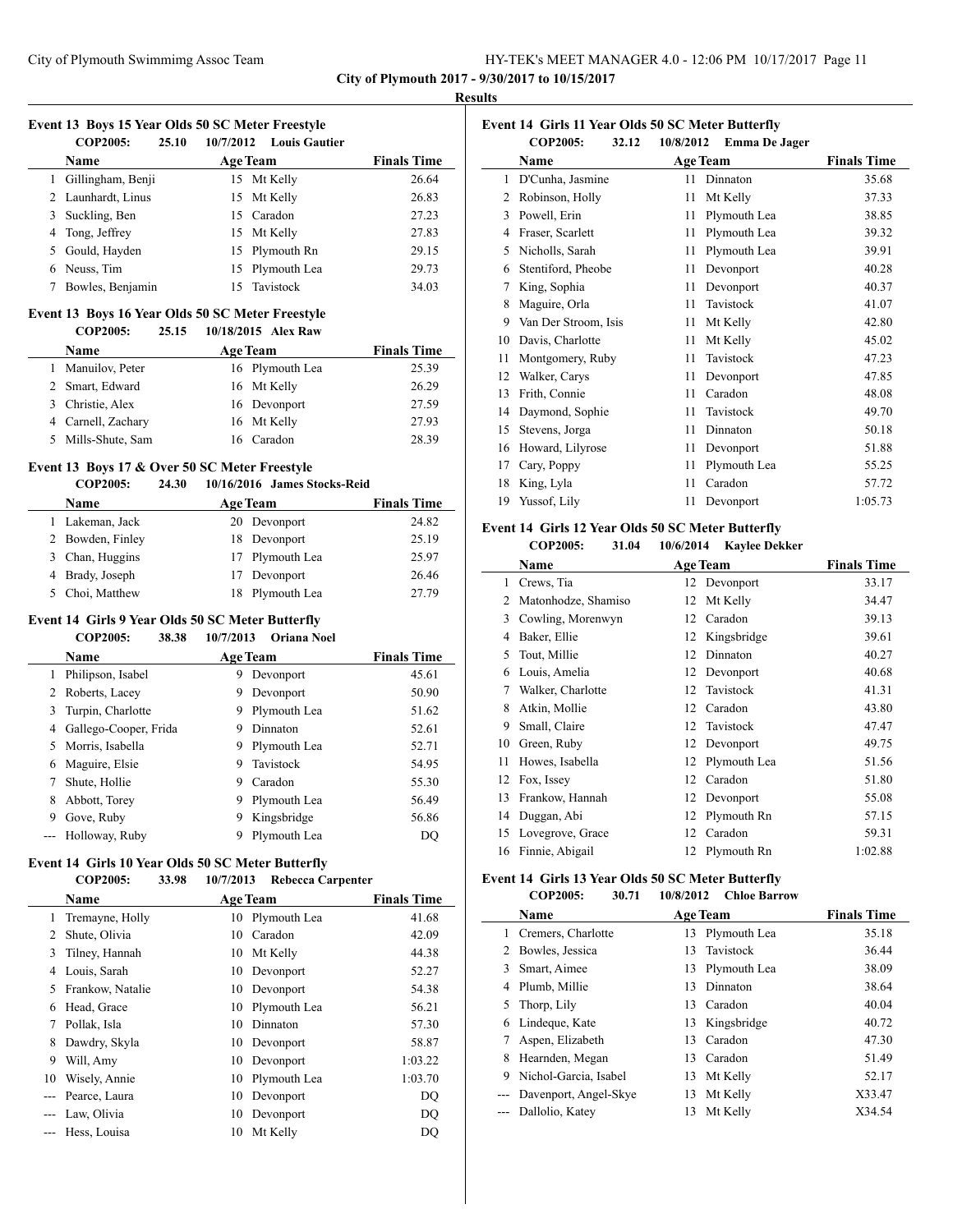**City of Plymouth 2017 - 9/30/2017 to 10/15/2017**

#### **Results**

# **Event 13 Boys 15 Year Olds 50 SC Meter Freestyle**

|   | <b>COP2005:</b>    | 25.10 | 10/7/2012 Louis Gautier |                    |
|---|--------------------|-------|-------------------------|--------------------|
|   | <b>Name</b>        |       | <b>Age Team</b>         | <b>Finals Time</b> |
| 1 | Gillingham, Benji  |       | 15 Mt Kelly             | 26.64              |
|   | 2 Launhardt, Linus |       | 15 Mt Kelly             | 26.83              |
| 3 | Suckling, Ben      |       | 15 Caradon              | 27.23              |
|   | 4 Tong, Jeffrey    |       | 15 Mt Kelly             | 27.83              |
|   | 5 Gould, Hayden    |       | 15 Plymouth Rn          | 29.15              |
| 6 | Neuss, Tim         |       | 15 Plymouth Lea         | 29.73              |
|   | Bowles, Benjamin   |       | 15 Tavistock            | 34.03              |

# **Event 13 Boys 16 Year Olds 50 SC Meter Freestyle**

| <b>COP2005:</b>    | 25.15 | 10/18/2015 Alex Raw |                    |
|--------------------|-------|---------------------|--------------------|
| <b>Name</b>        |       | <b>Age Team</b>     | <b>Finals Time</b> |
| Manuilov, Peter    |       | 16 Plymouth Lea     | 25.39              |
| 2 Smart, Edward    |       | 16 Mt Kelly         | 26.29              |
| Christie, Alex     |       | 16 Devonport        | 27.59              |
| 4 Carnell, Zachary |       | 16 Mt Kelly         | 27.93              |
| Mills-Shute, Sam   |       | 16 Caradon          | 28.39              |

## **Event 13 Boys 17 & Over 50 SC Meter Freestyle**

#### **COP2005: 24.30 10/16/2016 James Stocks-Reid**

| Name             | <b>Age Team</b> | <b>Finals Time</b> |
|------------------|-----------------|--------------------|
| 1 Lakeman, Jack  | 20 Devonport    | 24.82              |
| 2 Bowden, Finley | 18 Devonport    | 25.19              |
| 3 Chan, Huggins  | 17 Plymouth Lea | 25.97              |
| 4 Brady, Joseph  | 17 Devonport    | 26.46              |
| 5 Choi, Matthew  | 18 Plymouth Lea | 27.79              |

#### **Event 14 Girls 9 Year Olds 50 SC Meter Butterfly**

# **COP2005: 38.38 10/7/2013 Oriana Noel Name Age Team Finals Time**  Philipson, Isabel 9 Devonport 45.61 2 Roberts, Lacey 9 Devonport 50.90 3 Turpin, Charlotte 9 Plymouth Lea 51.62 4 Gallego-Cooper, Frida 9 Dinnaton 52.61 Morris, Isabella 9 Plymouth Lea 52.71 Maguire, Elsie 9 Tavistock 54.95 7 Shute, Hollie 9 Caradon 55.30 8 Abbott, Torey 9 Plymouth Lea 56.49

## **Event 14 Girls 10 Year Olds 50 SC Meter Butterfly**

### **COP2005: 33.98 10/7/2013 Rebecca Carpenter**

9 Gove, Ruby 9 Kingsbridge 56.86 --- Holloway, Ruby 9 Plymouth Lea DQ

|    | <b>Name</b>      |    | <b>Age Team</b> | <b>Finals Time</b> |
|----|------------------|----|-----------------|--------------------|
| 1  | Tremayne, Holly  | 10 | Plymouth Lea    | 41.68              |
| 2  | Shute, Olivia    | 10 | Caradon         | 42.09              |
| 3  | Tilney, Hannah   | 10 | Mt Kelly        | 44.38              |
| 4  | Louis, Sarah     | 10 | Devonport       | 52.27              |
| 5  | Frankow, Natalie | 10 | Devonport       | 54.38              |
| 6  | Head, Grace      | 10 | Plymouth Lea    | 56.21              |
| 7  | Pollak, Isla     | 10 | Dinnaton        | 57.30              |
| 8  | Dawdry, Skyla    | 10 | Devonport       | 58.87              |
| 9  | Will, Amy        | 10 | Devonport       | 1:03.22            |
| 10 | Wisely, Annie    | 10 | Plymouth Lea    | 1:03.70            |
|    | Pearce, Laura    | 10 | Devonport       | DQ                 |
|    | Law, Olivia      | 10 | Devonport       | DO                 |
|    | Hess, Louisa     | 10 | Mt Kelly        | DO                 |

| Event 14 Girls 11 Year Olds 50 SC Meter Butterfly |                          |           |                      |                    |  |
|---------------------------------------------------|--------------------------|-----------|----------------------|--------------------|--|
|                                                   | <b>COP2005:</b><br>32.12 | 10/8/2012 | <b>Emma De Jager</b> |                    |  |
|                                                   | Name                     |           | <b>Age Team</b>      | <b>Finals Time</b> |  |
| 1                                                 | D'Cunha, Jasmine         | 11        | Dinnaton             | 35.68              |  |
| $\overline{c}$                                    | Robinson, Holly          | 11        | Mt Kelly             | 37.33              |  |
| 3                                                 | Powell, Erin             | 11        | Plymouth Lea         | 38.85              |  |
| 4                                                 | Fraser, Scarlett         | 11        | Plymouth Lea         | 39.32              |  |
| 5                                                 | Nicholls, Sarah          | 11        | Plymouth Lea         | 39.91              |  |
| 6                                                 | Stentiford, Pheobe       | 11        | Devonport            | 40.28              |  |
| 7                                                 | King, Sophia             | 11        | Devonport            | 40.37              |  |
| 8                                                 | Maguire, Orla            | 11        | Tavistock            | 41.07              |  |
| 9                                                 | Van Der Stroom, Isis     | 11        | Mt Kelly             | 42.80              |  |
| 10                                                | Davis, Charlotte         | 11        | Mt Kelly             | 45.02              |  |
| 11                                                | Montgomery, Ruby         | 11        | Tavistock            | 47.23              |  |
| 12                                                | Walker, Carys            | 11        | Devonport            | 47.85              |  |
| 13                                                | Frith, Connie            | 11        | Caradon              | 48.08              |  |
| 14                                                | Daymond, Sophie          | 11        | Tavistock            | 49.70              |  |
| 15                                                | Stevens, Jorga           | 11        | Dinnaton             | 50.18              |  |
| 16                                                | Howard, Lilyrose         | 11        | Devonport            | 51.88              |  |
| 17                                                | Cary, Poppy              | 11        | Plymouth Lea         | 55.25              |  |
| 18                                                | King, Lyla               | 11        | Caradon              | 57.72              |  |
| 19                                                | Yussof, Lily             | 11        | Devonport            | 1:05.73            |  |

#### **Event 14 Girls 12 Year Olds 50 SC Meter Butterfly**

# **COP2005: 31.04 10/6/2014 Kaylee Dekker**

|    | Name                |    | <b>Age Team</b> | <b>Finals Time</b> |
|----|---------------------|----|-----------------|--------------------|
| 1  | Crews, Tia          |    | 12 Devonport    | 33.17              |
| 2  | Matonhodze, Shamiso | 12 | Mt Kelly        | 34.47              |
| 3  | Cowling, Morenwyn   | 12 | Caradon         | 39.13              |
| 4  | Baker, Ellie        | 12 | Kingsbridge     | 39.61              |
| 5  | Tout, Millie        | 12 | Dinnaton        | 40.27              |
| 6  | Louis, Amelia       | 12 | Devonport       | 40.68              |
| 7  | Walker, Charlotte   | 12 | Tavistock       | 41.31              |
| 8  | Atkin, Mollie       | 12 | Caradon         | 43.80              |
| 9  | Small, Claire       | 12 | Tavistock       | 47.47              |
| 10 | Green, Ruby         | 12 | Devonport       | 49.75              |
| 11 | Howes, Isabella     | 12 | Plymouth Lea    | 51.56              |
| 12 | Fox, Issey          | 12 | Caradon         | 51.80              |
| 13 | Frankow, Hannah     | 12 | Devonport       | 55.08              |
| 14 | Duggan, Abi         | 12 | Plymouth Rn     | 57.15              |
| 15 | Lovegrove, Grace    | 12 | Caradon         | 59.31              |
| 16 | Finnie, Abigail     | 12 | Plymouth Rn     | 1:02.88            |

#### **Event 14 Girls 13 Year Olds 50 SC Meter Butterfly**

|       | <b>COP2005:</b><br>30.71 | 10/8/2012       | <b>Chloe Barrow</b> |                    |
|-------|--------------------------|-----------------|---------------------|--------------------|
|       | Name                     | <b>Age Team</b> |                     | <b>Finals Time</b> |
|       | Cremers, Charlotte       | 13              | Plymouth Lea        | 35.18              |
|       | Bowles, Jessica          | 13              | Tavistock           | 36.44              |
| 3     | Smart, Aimee             | 13              | Plymouth Lea        | 38.09              |
|       | Plumb, Millie            | 13              | Dinnaton            | 38.64              |
| 5.    | Thorp, Lily              | 13.             | Caradon             | 40.04              |
| 6     | Lindeque, Kate           | 13              | Kingsbridge         | 40.72              |
|       | Aspen, Elizabeth         | 13              | Caradon             | 47.30              |
| 8     | Hearnden, Megan          | 13.             | Caradon             | 51.49              |
| 9     | Nichol-Garcia, Isabel    | 13              | Mt Kelly            | 52.17              |
| $---$ | Davenport, Angel-Skye    | 13              | Mt Kelly            | X33.47             |
|       | --- Dallolio, Katey      | 13              | Mt Kelly            | X34.54             |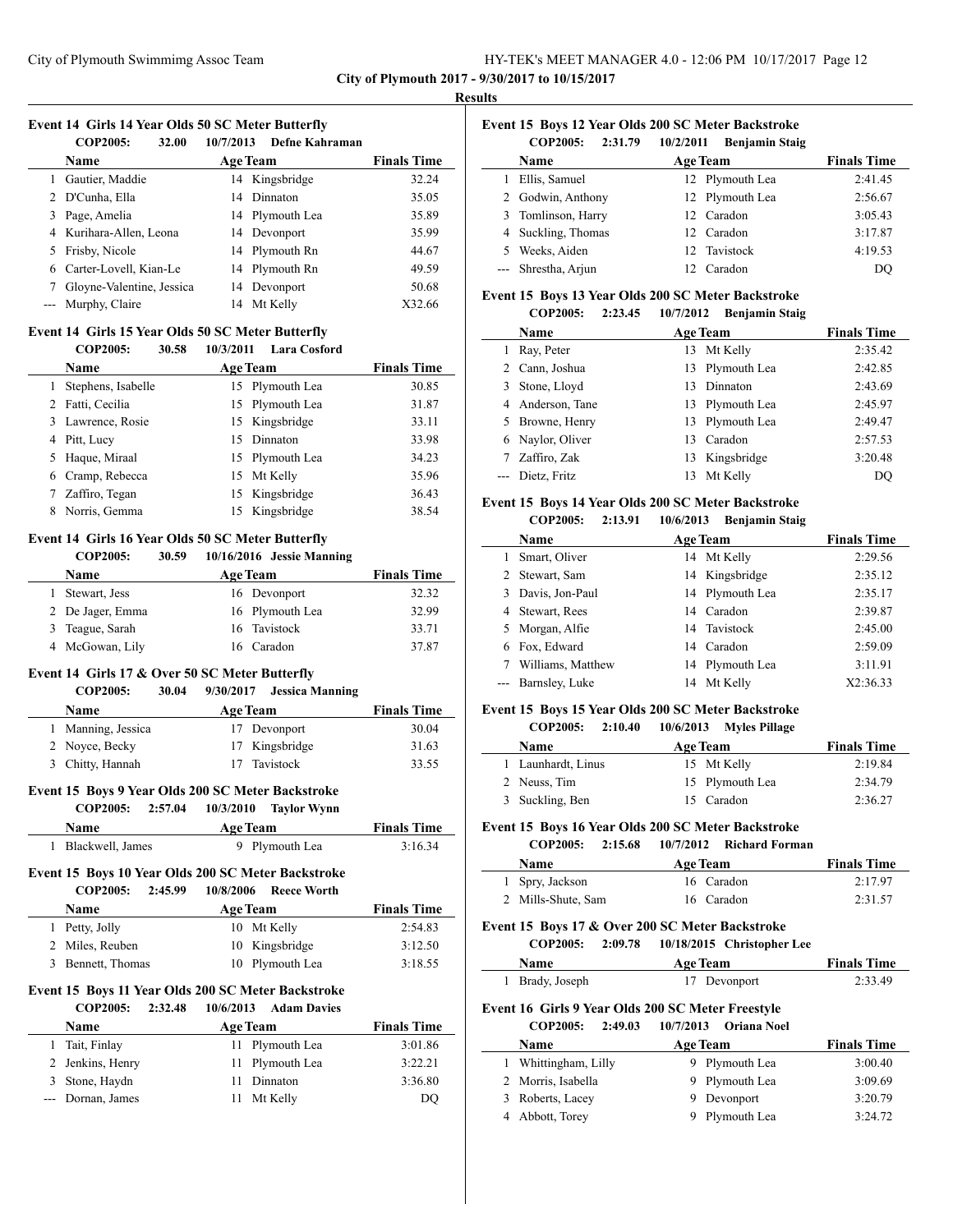**City of Plymouth 2017 - 9/30/2017 to 10/15/2017**

#### **Results**

 $\overline{\phantom{a}}$ 

 $\overline{\phantom{a}}$ 

# **Event 14 Girls 14 Year Olds 50 SC Meter Butterfly**

|   | <b>COP2005:</b><br>32.00  | 10/7/2013<br><b>Defne Kahraman</b> |                    |
|---|---------------------------|------------------------------------|--------------------|
|   | <b>Name</b>               | <b>Age Team</b>                    | <b>Finals Time</b> |
|   | Gautier, Maddie           | 14 Kingsbridge                     | 32.24              |
|   | 2 D'Cunha, Ella           | 14 Dinnaton                        | 35.05              |
| 3 | Page, Amelia              | 14 Plymouth Lea                    | 35.89              |
|   | 4 Kurihara-Allen, Leona   | 14 Devonport                       | 35.99              |
|   | 5 Frisby, Nicole          | 14 Plymouth Rn                     | 44.67              |
|   | 6 Carter-Lovell, Kian-Le  | 14 Plymouth Rn                     | 49.59              |
|   | Gloyne-Valentine, Jessica | 14 Devonport                       | 50.68              |
|   | --- Murphy, Claire        | Mt Kelly<br>14                     | X32.66             |

#### **Event 14 Girls 15 Year Olds 50 SC Meter Butterfly**

#### **COP2005: 30.58 10/3/2011 Lara Cosford**

| Name               | <b>Age Team</b> | <b>Finals Time</b> |
|--------------------|-----------------|--------------------|
| Stephens, Isabelle | 15 Plymouth Lea | 30.85              |
| 2 Fatti, Cecilia   | 15 Plymouth Lea | 31.87              |
| 3 Lawrence, Rosie  | 15 Kingsbridge  | 33.11              |
| 4 Pitt, Lucy       | 15 Dinnaton     | 33.98              |
| 5 Haque, Miraal    | 15 Plymouth Lea | 34.23              |
| 6 Cramp, Rebecca   | 15 Mt Kelly     | 35.96              |
| Zaffiro, Tegan     | 15 Kingsbridge  | 36.43              |
| Norris, Gemma      | 15 Kingsbridge  | 38.54              |

# **Event 14 Girls 16 Year Olds 50 SC Meter Butterfly**

# **COP2005: 30.59 10/16/2016 Jessie Manning**

| <b>Name</b>      | <b>Age Team</b> | <b>Finals Time</b> |
|------------------|-----------------|--------------------|
| Stewart, Jess    | 16 Devonport    | 32.32              |
| 2 De Jager, Emma | 16 Plymouth Lea | 32.99              |
| 3 Teague, Sarah  | 16 Tavistock    | 33.71              |
| 4 McGowan, Lily  | 16 Caradon      | 37.87              |

# **Event 14 Girls 17 & Over 50 SC Meter Butterfly**

# **COP2005: 30.04 9/30/2017 Jessica Manning Name Age Team Finals Time** 1 Manning, Jessica 17 Devonport 30.04 2 Noyce, Becky 17 Kingsbridge 31.63

3 Chitty, Hannah 17 Tavistock 33.55

# **Event 15 Boys 9 Year Olds 200 SC Meter Backstroke**

#### **COP2005: 2:57.04 10/3/2010 Taylor Wynn**

| <b>Name</b>        | <b>Age Team</b> | <b>Finals Time</b> |
|--------------------|-----------------|--------------------|
| 1 Blackwell, James | 9 Plymouth Lea  | 3:16.34            |

#### **Event 15 Boys 10 Year Olds 200 SC Meter Backstroke COP2005: 2:45.99 10/8/2006 Reece Worth**

| COLZUU5:<br>- 43.77 | TV/0/2000 Reece Worth |                    |
|---------------------|-----------------------|--------------------|
| <b>Name</b>         | <b>Age Team</b>       | <b>Finals Time</b> |
| 1 Petty, Jolly      | 10 Mt Kelly           | 2:54.83            |
| 2 Miles, Reuben     | 10 Kingsbridge        | 3:12.50            |
| 3 Bennett, Thomas   | 10 Plymouth Lea       | 3:18.55            |
|                     |                       |                    |

#### **Event 15 Boys 11 Year Olds 200 SC Meter Backstroke COP2005: 2:32.48 10/6/2013 Adam Davies**

| ~~~ <u>~</u> ~~~<br>------ | 1 <i>0000001</i><br>$\cdots$ |                    |
|----------------------------|------------------------------|--------------------|
| Name                       | <b>Age Team</b>              | <b>Finals Time</b> |
| 1 Tait, Finlay             | 11 Plymouth Lea              | 3:01.86            |
| 2 Jenkins, Henry           | 11 Plymouth Lea              | 3:22.21            |
| 3 Stone, Haydn             | 11 Dinnaton                  | 3:36.80            |
| --- Dornan, James          | Mt Kelly                     | DO                 |
|                            |                              |                    |

|         |                |           | Event 15 Boys 12 Year Olds 200 SC Meter Backstroke |
|---------|----------------|-----------|----------------------------------------------------|
| CODJOS. | <b>2.21 70</b> | 10/2/2011 | Dontomin Chain                                     |

| COLZVU5:<br>2:31.79 | 10/ <i>2</i> /2011<br>- репјашни знај |                    |
|---------------------|---------------------------------------|--------------------|
| <b>Name</b>         | <b>Age Team</b>                       | <b>Finals Time</b> |
| 1 Ellis, Samuel     | 12 Plymouth Lea                       | 2:41.45            |
| 2 Godwin, Anthony   | 12 Plymouth Lea                       | 2:56.67            |
| 3 Tomlinson, Harry  | 12 Caradon                            | 3:05.43            |
| 4 Suckling, Thomas  | 12 Caradon                            | 3:17.87            |
| 5 Weeks, Aiden      | 12 Tavistock                          | 4:19.53            |
| --- Shrestha, Arjun | 12 Caradon                            | DO                 |

#### **Event 15 Boys 13 Year Olds 200 SC Meter Backstroke**

**COP2005: 2:23.45 10/7/2012 Benjamin Staig**

| <b>Name</b>      |     | <b>Age Team</b> | <b>Finals Time</b> |
|------------------|-----|-----------------|--------------------|
| Ray, Peter       |     | 13 Mt Kelly     | 2:35.42            |
| 2 Cann, Joshua   | 13. | Plymouth Lea    | 2:42.85            |
| 3 Stone, Lloyd   | 13. | Dinnaton        | 2:43.69            |
| 4 Anderson, Tane | 13  | Plymouth Lea    | 2:45.97            |
| 5 Browne, Henry  | 13  | Plymouth Lea    | 2:49.47            |
| 6 Naylor, Oliver | 13. | Caradon         | 2:57.53            |
| Zaffiro, Zak     | 13  | Kingsbridge     | 3:20.48            |
| --- Dietz, Fritz | 13  | Mt Kelly        | DO                 |

#### **Event 15 Boys 14 Year Olds 200 SC Meter Backstroke**

| <b>COP2005:</b><br>10/6/2013<br>2:13.91 | <b>Benjamin Staig</b> |
|-----------------------------------------|-----------------------|
|-----------------------------------------|-----------------------|

| <b>Name</b>        | <b>Age Team</b> | <b>Finals Time</b> |
|--------------------|-----------------|--------------------|
| Smart, Oliver      | 14 Mt Kelly     | 2:29.56            |
| 2 Stewart, Sam     | 14 Kingsbridge  | 2:35.12            |
| 3 Davis, Jon-Paul  | 14 Plymouth Lea | 2:35.17            |
| 4 Stewart, Rees    | 14 Caradon      | 2:39.87            |
| 5 Morgan, Alfie    | 14 Tavistock    | 2:45.00            |
| 6 Fox, Edward      | 14 Caradon      | 2:59.09            |
| Williams, Matthew  | 14 Plymouth Lea | 3:11.91            |
| --- Barnsley, Luke | 14 Mt Kelly     | X2:36.33           |
|                    |                 |                    |

### **Event 15 Boys 15 Year Olds 200 SC Meter Backstroke**

#### **COP2005: 2:10.40 10/6/2013 Myles Pillage**

| <b>Name</b>        | <b>Age Team</b> | <b>Finals Time</b> |
|--------------------|-----------------|--------------------|
| 1 Launhardt, Linus | 15 Mt Kelly     | 2:19.84            |
| 2 Neuss, Tim       | 15 Plymouth Lea | 2:34.79            |
| 3 Suckling, Ben    | 15 Caradon      | 2:36.27            |

#### **Event 15 Boys 16 Year Olds 200 SC Meter Backstroke**

| <b>COP2005:</b>    | 2:15.68 |                 | 10/7/2012 Richard Forman |                    |
|--------------------|---------|-----------------|--------------------------|--------------------|
| <b>Name</b>        |         | <b>Age Team</b> |                          | <b>Finals Time</b> |
| 1 Spry, Jackson    |         |                 | 16 Caradon               | 2:17.97            |
| 2 Mills-Shute, Sam |         |                 | 16 Caradon               | 2:31.57            |

#### **Event 15 Boys 17 & Over 200 SC Meter Backstroke COP2005: 2:09.78 10/18/2015 Christopher Lee**

|   | COP2005:                                          | 2:09.78 |                 | 10/18/2015 Christopher Lee |                    |
|---|---------------------------------------------------|---------|-----------------|----------------------------|--------------------|
|   | Name                                              |         | <b>Age Team</b> |                            | <b>Finals Time</b> |
|   | Brady, Joseph                                     |         | 17              | Devonport                  | 2:33.49            |
|   | Event 16 Girls 9 Year Olds 200 SC Meter Freestyle |         |                 |                            |                    |
|   | <b>COP2005:</b>                                   | 2:49.03 | 10/7/2013       | <b>Oriana Noel</b>         |                    |
|   | <b>Name</b>                                       |         | <b>Age Team</b> |                            | <b>Finals Time</b> |
|   | Whittingham, Lilly                                |         | 9               | Plymouth Lea               | 3:00.40            |
|   | 2 Morris, Isabella                                |         | 9               | Plymouth Lea               | 3:09.69            |
| 3 | Roberts, Lacey                                    |         | 9               | Devonport                  | 3:20.79            |
|   | Abbott, Torey                                     |         |                 | Plymouth Lea               | 3:24.72            |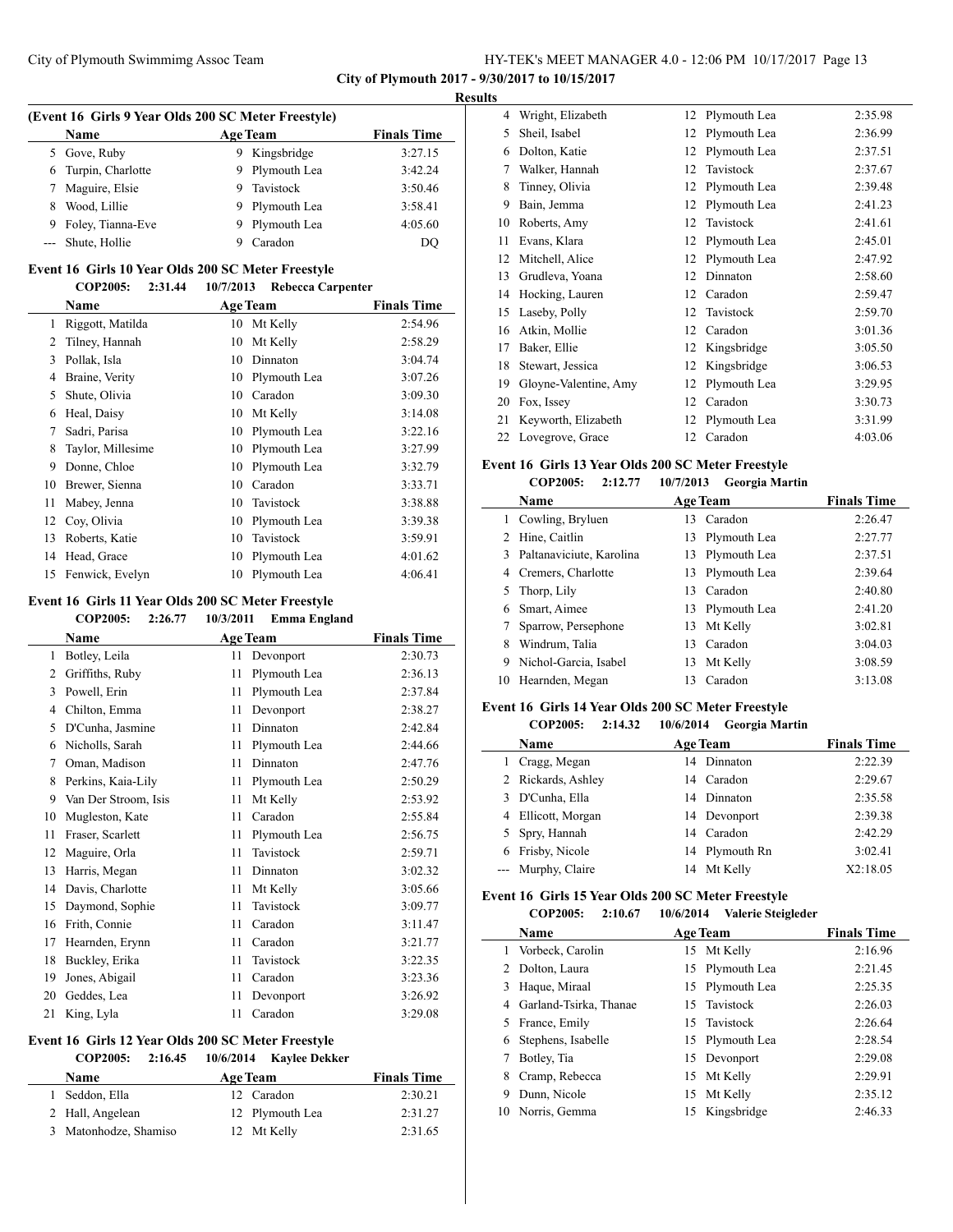**City of Plymouth 2017 - 9/30/2017 to 10/15/2017**

#### **Results**

 $\overline{\phantom{a}}$ 

|   | (Event 16 Girls 9 Year Olds 200 SC Meter Freestyle) |    |                 |                    |  |
|---|-----------------------------------------------------|----|-----------------|--------------------|--|
|   | <b>Name</b>                                         |    | <b>Age Team</b> | <b>Finals Time</b> |  |
|   | 5 Gove, Ruby                                        |    | Kingsbridge     | 3:27.15            |  |
|   | 6 Turpin, Charlotte                                 |    | 9 Plymouth Lea  | 3:42.24            |  |
| 7 | Maguire, Elsie                                      |    | Tavistock       | 3:50.46            |  |
| 8 | Wood, Lillie                                        | 9. | Plymouth Lea    | 3:58.41            |  |
| 9 | Foley, Tianna-Eve                                   | 9. | Plymouth Lea    | 4:05.60            |  |
|   | --- Shute, Hollie                                   |    | Caradon         | DO                 |  |

### **Event 16 Girls 10 Year Olds 200 SC Meter Freestyle COP2005: 2:31.44 10/7/2013 Rebecca Carpenter**

|    | Name              |    | <b>Age Team</b> | <b>Finals Time</b> |
|----|-------------------|----|-----------------|--------------------|
| 1  | Riggott, Matilda  | 10 | Mt Kelly        | 2:54.96            |
| 2  | Tilney, Hannah    | 10 | Mt Kelly        | 2:58.29            |
| 3  | Pollak, Isla      | 10 | Dinnaton        | 3:04.74            |
| 4  | Braine, Verity    | 10 | Plymouth Lea    | 3:07.26            |
| 5  | Shute, Olivia     | 10 | Caradon         | 3:09.30            |
| 6  | Heal, Daisy       | 10 | Mt Kelly        | 3:14.08            |
| 7  | Sadri, Parisa     | 10 | Plymouth Lea    | 3:22.16            |
| 8  | Taylor, Millesime | 10 | Plymouth Lea    | 3:27.99            |
| 9  | Donne, Chloe      | 10 | Plymouth Lea    | 3:32.79            |
| 10 | Brewer, Sienna    | 10 | Caradon         | 3:33.71            |
| 11 | Mabey, Jenna      | 10 | Tavistock       | 3:38.88            |
| 12 | Coy, Olivia       | 10 | Plymouth Lea    | 3:39.38            |
| 13 | Roberts, Katie    | 10 | Tavistock       | 3:59.91            |
| 14 | Head, Grace       | 10 | Plymouth Lea    | 4:01.62            |
| 15 | Fenwick, Evelyn   | 10 | Plymouth Lea    | 4:06.41            |

# **Event 16 Girls 11 Year Olds 200 SC Meter Freestyle**

|    | <b>COP2005:</b><br>2:26.77 | 10/3/2011          | <b>Emma England</b> |
|----|----------------------------|--------------------|---------------------|
|    | Name                       | <b>Age Team</b>    | <b>Finals Time</b>  |
| 1  | Botley, Leila              | 11<br>Devonport    | 2:30.73             |
| 2  | Griffiths, Ruby            | Plymouth Lea<br>11 | 2:36.13             |
| 3  | Powell, Erin               | 11<br>Plymouth Lea | 2:37.84             |
| 4  | Chilton, Emma              | 11<br>Devonport    | 2:38.27             |
| 5  | D'Cunha, Jasmine           | 11<br>Dinnaton     | 2:42.84             |
| 6  | Nicholls, Sarah            | 11<br>Plymouth Lea | 2:44.66             |
| 7  | Oman, Madison              | 11<br>Dinnaton     | 2:47.76             |
| 8  | Perkins, Kaia-Lily         | 11<br>Plymouth Lea | 2:50.29             |
| 9  | Van Der Stroom, Isis       | Mt Kelly<br>11     | 2:53.92             |
| 10 | Mugleston, Kate            | Caradon<br>11      | 2:55.84             |
| 11 | Fraser, Scarlett           | Plymouth Lea<br>11 | 2:56.75             |
| 12 | Maguire, Orla              | Tavistock<br>11    | 2:59.71             |
| 13 | Harris, Megan              | 11<br>Dinnaton     | 3:02.32             |
| 14 | Davis, Charlotte           | 11<br>Mt Kelly     | 3:05.66             |
| 15 | Daymond, Sophie            | Tavistock<br>11    | 3:09.77             |
| 16 | Frith, Connie              | Caradon<br>11      | 3:11.47             |
| 17 | Hearnden, Erynn            | 11<br>Caradon      | 3:21.77             |
| 18 | Buckley, Erika             | 11<br>Tavistock    | 3:22.35             |
| 19 | Jones, Abigail             | Caradon<br>11      | 3:23.36             |
| 20 | Geddes, Lea                | 11<br>Devonport    | 3:26.92             |
| 21 | King, Lyla                 | 11<br>Caradon      | 3:29.08             |

## **Event 16 Girls 12 Year Olds 200 SC Meter Freestyle**

| <b>COP2005:</b><br>2:16.45 | 10/6/2014 Kaylee Dekker |                    |
|----------------------------|-------------------------|--------------------|
| <b>Name</b>                | <b>Age Team</b>         | <b>Finals Time</b> |
| Seddon, Ella               | 12 Caradon              | 2:30.21            |
| 2 Hall, Angelean           | 12 Plymouth Lea         | 2:31.27            |
| Matonhodze, Shamiso        | 12 Mt Kelly             | 2:31.65            |

| 4  | Wright, Elizabeth     | 12 | Plymouth Lea | 2:35.98 |
|----|-----------------------|----|--------------|---------|
| 5  | Sheil, Isabel         | 12 | Plymouth Lea | 2:36.99 |
| 6  | Dolton, Katie         | 12 | Plymouth Lea | 2:37.51 |
| 7  | Walker, Hannah        | 12 | Tavistock    | 2:37.67 |
| 8  | Tinney, Olivia        | 12 | Plymouth Lea | 2:39.48 |
| 9  | Bain, Jemma           | 12 | Plymouth Lea | 2:41.23 |
| 10 | Roberts, Amy          | 12 | Tavistock    | 2:41.61 |
| 11 | Evans, Klara          | 12 | Plymouth Lea | 2:45.01 |
| 12 | Mitchell, Alice       | 12 | Plymouth Lea | 2:47.92 |
| 13 | Grudleva, Yoana       | 12 | Dinnaton     | 2:58.60 |
| 14 | Hocking, Lauren       | 12 | Caradon      | 2:59.47 |
| 15 | Laseby, Polly         | 12 | Tavistock    | 2:59.70 |
| 16 | Atkin, Mollie         | 12 | Caradon      | 3:01.36 |
| 17 | Baker, Ellie          | 12 | Kingsbridge  | 3:05.50 |
| 18 | Stewart, Jessica      | 12 | Kingsbridge  | 3:06.53 |
| 19 | Gloyne-Valentine, Amy | 12 | Plymouth Lea | 3:29.95 |
| 20 | Fox, Issey            | 12 | Caradon      | 3:30.73 |
| 21 | Keyworth, Elizabeth   | 12 | Plymouth Lea | 3:31.99 |
| 22 | Lovegrove, Grace      | 12 | Caradon      | 4:03.06 |
|    |                       |    |              |         |

#### **Event 16 Girls 13 Year Olds 200 SC Meter Freestyle COP2005: 2:12.77 10/7/2013 Georgia Martin**

|    | COLZUU5:<br>2:12.11      | 10/7/2013 Georgia Martin |                    |
|----|--------------------------|--------------------------|--------------------|
|    | <b>Name</b>              | <b>Age Team</b>          | <b>Finals Time</b> |
| 1  | Cowling, Bryluen         | 13 Caradon               | 2:26.47            |
| 2  | Hine, Caitlin            | 13 Plymouth Lea          | 2:27.77            |
| 3  | Paltanaviciute, Karolina | 13 Plymouth Lea          | 2:37.51            |
| 4  | Cremers, Charlotte       | 13 Plymouth Lea          | 2:39.64            |
| 5  | Thorp, Lily              | Caradon<br>13            | 2:40.80            |
| 6  | Smart, Aimee             | 13 Plymouth Lea          | 2:41.20            |
|    | Sparrow, Persephone      | Mt Kelly<br>13           | 3:02.81            |
| 8  | Windrum, Talia           | Caradon<br>13            | 3:04.03            |
| 9  | Nichol-Garcia, Isabel    | Mt Kelly<br>13           | 3:08.59            |
| 10 | Hearnden, Megan          | Caradon<br>13            | 3:13.08            |
|    |                          |                          |                    |

#### **Event 16 Girls 14 Year Olds 200 SC Meter Freestyle**

# **COP2005: 2:14.32 10/6/2014 Georgia Martin**

| Name               | <b>Age Team</b> | <b>Finals Time</b> |
|--------------------|-----------------|--------------------|
| 1 Cragg, Megan     | 14 Dinnaton     | 2:22.39            |
| 2 Rickards, Ashley | 14 Caradon      | 2:29.67            |
| 3 D'Cunha, Ella    | 14 Dinnaton     | 2:35.58            |
| 4 Ellicott, Morgan | 14 Devonport    | 2:39.38            |
| 5 Spry, Hannah     | 14 Caradon      | 2:42.29            |
| 6 Frisby, Nicole   | 14 Plymouth Rn  | 3:02.41            |
| --- Murphy, Claire | 14 Mt Kelly     | X2:18.05           |
|                    |                 |                    |

# **Event 16 Girls 15 Year Olds 200 SC Meter Freestyle**

| <b>COP2005:</b> | 2:10.67 | 10/6/2014 | Valerie Steigleder |
|-----------------|---------|-----------|--------------------|
|                 |         |           |                    |

|     | <b>Name</b>            |    | <b>Age Team</b> | <b>Finals Time</b> |
|-----|------------------------|----|-----------------|--------------------|
|     | Vorbeck, Carolin       |    | 15 Mt Kelly     | 2:16.96            |
|     | Dolton, Laura          |    | 15 Plymouth Lea | 2:21.45            |
|     | Haque, Miraal          |    | 15 Plymouth Lea | 2:25.35            |
| 4   | Garland-Tsirka, Thanae |    | 15 Tavistock    | 2:26.03            |
|     | 5 France, Emily        |    | 15 Tavistock    | 2:26.64            |
|     | Stephens, Isabelle     |    | 15 Plymouth Lea | 2:28.54            |
|     | Botley, Tia            |    | 15 Devonport    | 2:29.08            |
| 8   | Cramp, Rebecca         |    | 15 Mt Kelly     | 2:29.91            |
| 9   | Dunn, Nicole           | 15 | Mt Kelly        | 2:35.12            |
| 10. | Norris, Gemma          |    | 15 Kingsbridge  | 2:46.33            |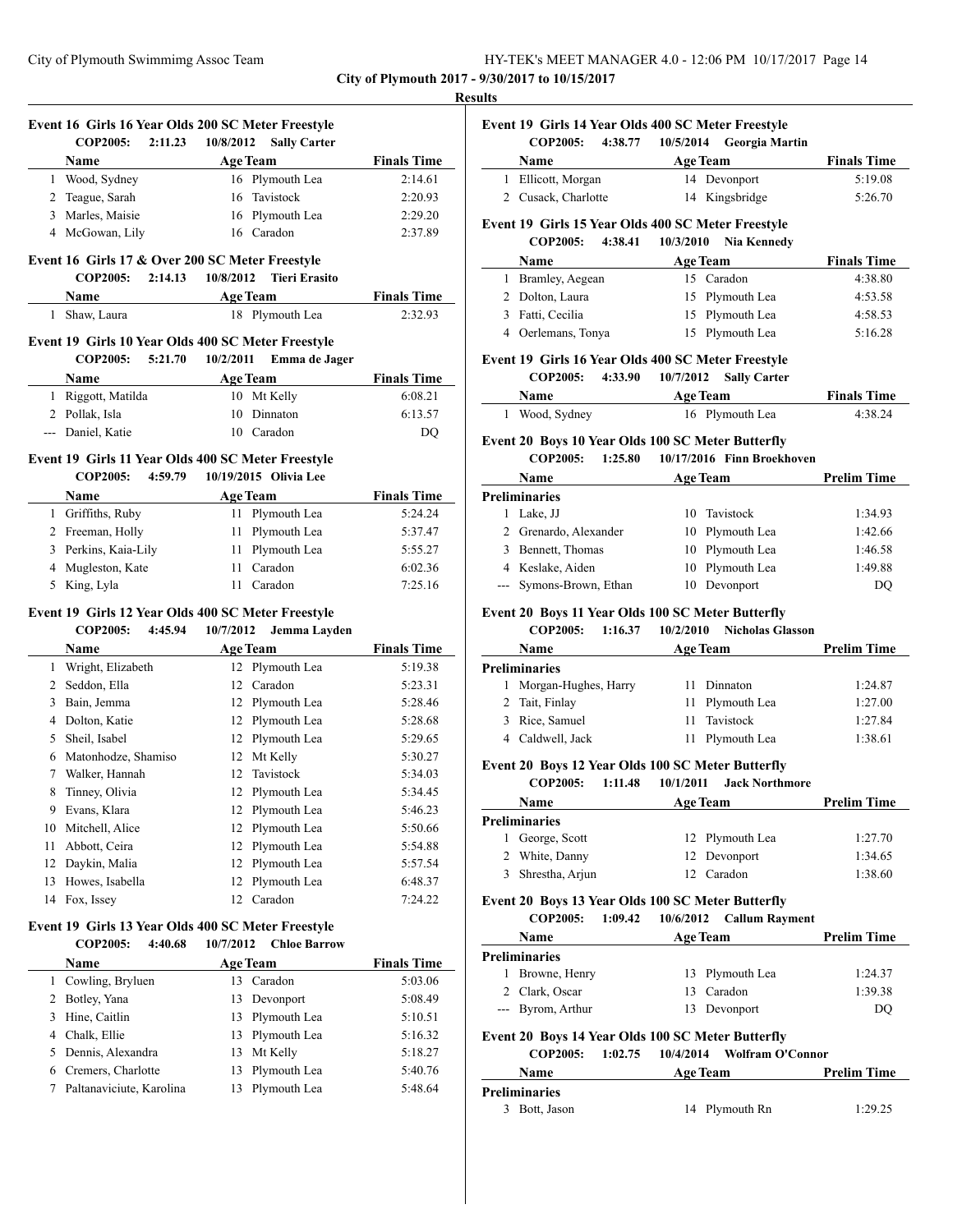| HY-TEK's MEET MANAGER 4.0 - 12:06 PM 10/17/2017 Page 14 |  |
|---------------------------------------------------------|--|
|---------------------------------------------------------|--|

#### **Results**

J,

|        |                          | Event 16 Girls 16 Year Olds 200 SC Meter Freestyle |                    |
|--------|--------------------------|----------------------------------------------------|--------------------|
|        | <b>COP2005:</b>          | 2:11.23<br>10/8/2012<br><b>Sally Carter</b>        |                    |
|        | Name                     | <b>Age Team</b>                                    | <b>Finals Time</b> |
|        | 1 Wood, Sydney           | 16 Plymouth Lea                                    | 2:14.61            |
|        | 2 Teague, Sarah          | Tavistock<br>16                                    | 2:20.93            |
|        | 3 Marles, Maisie         | 16 Plymouth Lea                                    | 2:29.20            |
|        | 4 McGowan, Lily          | 16 Caradon                                         | 2:37.89            |
|        |                          | Event 16 Girls 17 & Over 200 SC Meter Freestyle    |                    |
|        | <b>COP2005:</b>          | 2:14.13<br>10/8/2012<br><b>Tieri Erasito</b>       |                    |
|        | Name                     | <b>Age Team</b>                                    | <b>Finals Time</b> |
|        | 1 Shaw, Laura            | 18 Plymouth Lea                                    | 2:32.93            |
|        |                          | Event 19 Girls 10 Year Olds 400 SC Meter Freestyle |                    |
|        | <b>COP2005:</b>          | 5:21.70<br>10/2/2011<br>Emma de Jager              |                    |
|        | Name                     | <b>Age Team</b>                                    | <b>Finals Time</b> |
|        | 1 Riggott, Matilda       | 10 Mt Kelly                                        | 6:08.21            |
|        | 2 Pollak, Isla           | Dinnaton<br>10                                     | 6:13.57            |
|        | --- Daniel, Katie        | 10 Caradon                                         | DQ                 |
|        |                          | Event 19 Girls 11 Year Olds 400 SC Meter Freestyle |                    |
|        | COP2005:                 | 4:59.79<br>10/19/2015 Olivia Lee                   |                    |
|        | Name                     | <b>Age Team</b>                                    | <b>Finals Time</b> |
|        | 1 Griffiths, Ruby        | 11 -<br>Plymouth Lea                               | 5:24.24            |
|        | 2 Freeman, Holly         | Plymouth Lea<br>11 -                               | 5:37.47            |
|        | 3 Perkins, Kaia-Lily     | Plymouth Lea<br>11                                 | 5:55.27            |
|        | 4 Mugleston, Kate        | Caradon<br>11                                      | 6:02.36            |
| 5.     | King, Lyla               | 11 Caradon                                         | 7:25.16            |
|        |                          | Event 19 Girls 12 Year Olds 400 SC Meter Freestyle |                    |
|        | <b>COP2005:</b>          | 4:45.94<br>10/7/2012<br>Jemma Layden               |                    |
|        | Name                     | <b>Age Team</b>                                    | <b>Finals Time</b> |
|        | 1 Wright, Elizabeth      | Plymouth Lea<br>12                                 | 5:19.38            |
|        | 2 Seddon, Ella           | Caradon<br>12                                      | 5:23.31            |
|        | 3 Bain, Jemma            | Plymouth Lea<br>12                                 | 5:28.46            |
|        | 4 Dolton, Katie          | Plymouth Lea<br>12                                 | 5:28.68            |
|        | 5 Sheil, Isabel          | Plymouth Lea<br>12                                 | 5:29.65            |
|        | 6 Matonhodze, Shamiso    | 12 Mt Kelly                                        | 5:30.27            |
|        | 7 Walker, Hannah         | Tavistock<br>12                                    | 5:34.03            |
| 8      | Tinney, Olivia           | 12 Plymouth Lea                                    | 5:34.45            |
|        | 9 Evans, Klara           | 12 Plymouth Lea                                    | 5:46.23            |
|        | 10 Mitchell, Alice       | Plymouth Lea<br>12                                 | 5:50.66            |
| 11     | Abbott, Ceira            | Plymouth Lea<br>12                                 | 5:54.88            |
| 12     | Daykin, Malia            | Plymouth Lea<br>12                                 | 5:57.54            |
| 13     | Howes, Isabella          | Plymouth Lea<br>12                                 | 6:48.37            |
|        | 14 Fox, Issey            | Caradon<br>12                                      | 7:24.22            |
|        |                          | Event 19 Girls 13 Year Olds 400 SC Meter Freestyle |                    |
|        | <b>COP2005:</b>          | 4:40.68<br>10/7/2012<br><b>Chloe Barrow</b>        |                    |
|        | Name                     | <b>Age Team</b>                                    | <b>Finals Time</b> |
|        | 1 Cowling, Bryluen       | Caradon<br>13                                      | 5:03.06            |
|        | 2 Botley, Yana           | 13<br>Devonport                                    | 5:08.49            |
|        | 3 Hine, Caitlin          | Plymouth Lea<br>13                                 | 5:10.51            |
|        | 4 Chalk, Ellie           | Plymouth Lea<br>13                                 | 5:16.32            |
|        | 5 Dennis, Alexandra      | Mt Kelly<br>13                                     | 5:18.27            |
|        | 6 Cremers, Charlotte     | Plymouth Lea<br>13                                 | 5:40.76            |
| $\tau$ | Paltanaviciute, Karolina | Plymouth Lea<br>13                                 | 5:48.64            |

|               | COP2005:<br>4:38.77                | 10/5/2014<br><b>Georgia Martin</b>                 |                                          |
|---------------|------------------------------------|----------------------------------------------------|------------------------------------------|
|               | Name                               | <b>Age Team</b>                                    | <b>Finals Time</b>                       |
|               | 1 Ellicott, Morgan                 | 14 Devonport                                       | 5:19.08                                  |
| 2             | Cusack, Charlotte                  | 14 Kingsbridge                                     | 5:26.70                                  |
|               |                                    | Event 19 Girls 15 Year Olds 400 SC Meter Freestyle |                                          |
|               | COP2005:<br>4:38.41                | 10/3/2010<br>Nia Kennedy                           |                                          |
|               | Name                               | <b>Age Team</b>                                    | <b>Finals Time</b>                       |
| 1             | Bramley, Aegean                    | 15 Caradon                                         | 4:38.80                                  |
| 2             | Dolton, Laura                      | Plymouth Lea<br>15                                 | 4:53.58                                  |
| $\mathcal{F}$ | Fatti, Cecilia                     | Plymouth Lea<br>15                                 | 4:58.53                                  |
|               | 4 Oerlemans, Tonya                 | Plymouth Lea<br>15                                 | 5:16.28                                  |
|               |                                    | Event 19 Girls 16 Year Olds 400 SC Meter Freestyle |                                          |
|               | <b>COP2005:</b><br>4:33.90<br>Name | 10/7/2012<br><b>Sally Carter</b>                   |                                          |
| $\mathbf{1}$  | Wood, Sydney                       | <b>Age Team</b><br>16 Plymouth Lea                 | <b>Finals Time</b><br>4:38.24            |
|               |                                    | Event 20 Boys 10 Year Olds 100 SC Meter Butterfly  |                                          |
|               | <b>COP2005:</b><br>1:25.80         | 10/17/2016 Finn Broekhoven                         |                                          |
|               | Name                               | <b>Age Team</b>                                    | <b>Prelim Time</b>                       |
|               | <b>Preliminaries</b>               |                                                    |                                          |
| 1             | Lake, JJ                           | Tavistock<br>10                                    |                                          |
| $\mathbf{2}$  | Grenardo, Alexander                | Plymouth Lea<br>10                                 |                                          |
|               | 3 Bennett, Thomas                  | Plymouth Lea<br>10                                 |                                          |
|               | 4 Keslake, Aiden                   | Plymouth Lea<br>10                                 | 1:34.93<br>1:42.66<br>1:46.58<br>1:49.88 |

# **COP2005: 1:16.37 10/2/2010 Nicholas Glasson**

| COLZUUJ.              | 1.10J/ |                 | <b>TULLED INCHORE SHASSUE</b> |                    |
|-----------------------|--------|-----------------|-------------------------------|--------------------|
| <b>Name</b>           |        | <b>Age Team</b> |                               | <b>Prelim Time</b> |
| Preliminaries         |        |                 |                               |                    |
| 1. Monoca Hughes Home |        |                 | $D_{i}$                       | 1.34 $97$          |

| 1 Morgan-Hughes, Harry | 11 Dinnaton     | 1:24.87 |
|------------------------|-----------------|---------|
| 2 Tait, Finlay         | 11 Plymouth Lea | 1:27.00 |
| 3 Rice, Samuel         | 11 Tavistock    | 1:27.84 |
| 4 Caldwell, Jack       | 11 Plymouth Lea | 1:38.61 |
|                        |                 |         |

# **Event 20 Boys 12 Year Olds 100 SC Meter Butterfly**

**COP2005: 1:11.48 10/1/2011 Jack Northmore**

| <b>Name</b>       | <b>Age Team</b> | <b>Prelim Time</b> |
|-------------------|-----------------|--------------------|
| Preliminaries     |                 |                    |
| 1 George, Scott   | 12 Plymouth Lea | 1:27.70            |
| 2 White, Danny    | 12 Devonport    | 1:34.65            |
| 3 Shrestha, Arjun | 12 Caradon      | 1:38.60            |
|                   |                 |                    |

# **Event 20 Boys 13 Year Olds 100 SC Meter Butterfly**

|    | COP2005:                                          | 1:09.42 | 10/6/2012       | <b>Callum Rayment</b> |                    |
|----|---------------------------------------------------|---------|-----------------|-----------------------|--------------------|
|    | <b>Name</b>                                       |         | <b>Age Team</b> |                       | <b>Prelim Time</b> |
|    | <b>Preliminaries</b>                              |         |                 |                       |                    |
|    | Browne, Henry                                     |         |                 | 13 Plymouth Lea       | 1:24.37            |
|    | 2 Clark, Oscar                                    |         |                 | 13 Caradon            | 1:39.38            |
|    | --- Byrom, Arthur                                 |         | 13              | Devonport             | DO                 |
|    | Event 20 Boys 14 Year Olds 100 SC Meter Butterfly |         |                 |                       |                    |
|    | COP2005:                                          | 1:02.75 | 10/4/2014       | Wolfram O'Connor      |                    |
|    | <b>Name</b>                                       |         | <b>Age Team</b> |                       | <b>Prelim Time</b> |
|    | <b>Preliminaries</b>                              |         |                 |                       |                    |
| 3. | Bott, Jason                                       |         | 14              | Plymouth Rn           | 1:29.25            |
|    |                                                   |         |                 |                       |                    |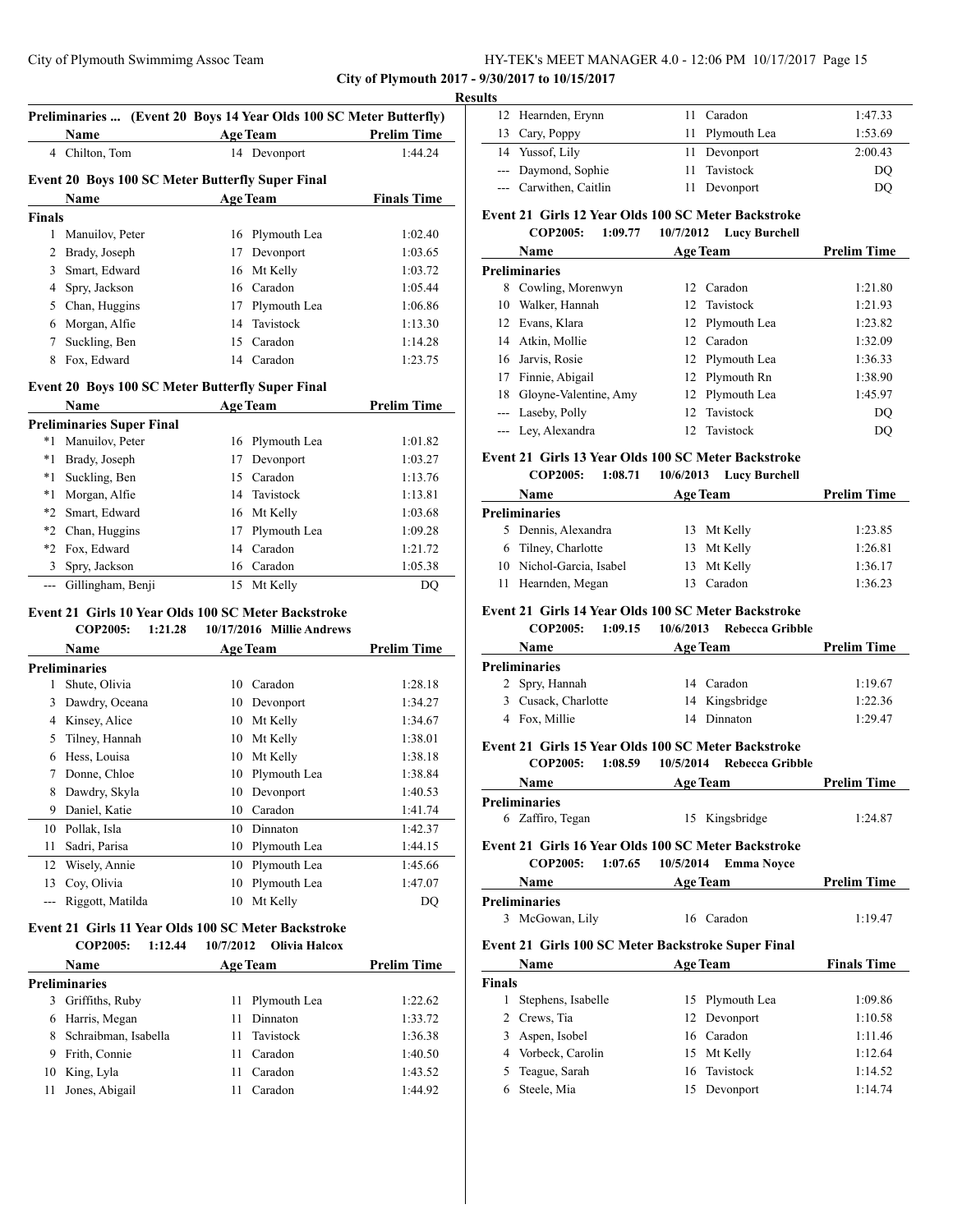**City of Plymouth 2017 - 9/30/2017 to 10/15/2017**

| 4 Chilton, Tom<br>Manuilov, Peter<br>Brady, Joseph<br>Smart, Edward<br>Spry, Jackson<br>Chan, Huggins | 16<br>17<br>16 | <b>Age Team</b><br>14 Devonport<br><b>Event 20 Boys 100 SC Meter Butterfly Super Final</b><br><b>Age Team</b><br>Plymouth Lea<br>Devonport | <b>Prelim Time</b><br>1:44.24<br><b>Finals Time</b><br>1:02.40                                             |
|-------------------------------------------------------------------------------------------------------|----------------|--------------------------------------------------------------------------------------------------------------------------------------------|------------------------------------------------------------------------------------------------------------|
|                                                                                                       |                |                                                                                                                                            |                                                                                                            |
|                                                                                                       |                |                                                                                                                                            |                                                                                                            |
|                                                                                                       |                |                                                                                                                                            |                                                                                                            |
|                                                                                                       |                |                                                                                                                                            |                                                                                                            |
|                                                                                                       |                |                                                                                                                                            |                                                                                                            |
|                                                                                                       |                |                                                                                                                                            |                                                                                                            |
|                                                                                                       |                |                                                                                                                                            | 1:03.65                                                                                                    |
|                                                                                                       |                | Mt Kelly                                                                                                                                   | 1:03.72                                                                                                    |
|                                                                                                       |                | 16 Caradon                                                                                                                                 | 1:05.44                                                                                                    |
|                                                                                                       | 17             | Plymouth Lea                                                                                                                               | 1:06.86                                                                                                    |
| Morgan, Alfie                                                                                         | 14             | Tavistock                                                                                                                                  | 1:13.30                                                                                                    |
| Suckling, Ben                                                                                         | 15             | Caradon                                                                                                                                    | 1:14.28                                                                                                    |
| Fox. Edward                                                                                           |                | 14 Caradon                                                                                                                                 | 1:23.75                                                                                                    |
|                                                                                                       |                | Event 20 Boys 100 SC Meter Butterfly Super Final                                                                                           |                                                                                                            |
|                                                                                                       |                | <b>Age Team</b>                                                                                                                            | <b>Prelim Time</b>                                                                                         |
| <b>Preliminaries Super Final</b>                                                                      |                |                                                                                                                                            |                                                                                                            |
| Manuilov, Peter                                                                                       | 16             | Plymouth Lea                                                                                                                               | 1:01.82                                                                                                    |
| Brady, Joseph                                                                                         | 17             | Devonport                                                                                                                                  | 1:03.27                                                                                                    |
| Suckling, Ben                                                                                         | 15             | Caradon                                                                                                                                    | 1:13.76                                                                                                    |
| Morgan, Alfie                                                                                         | 14             | Tavistock                                                                                                                                  | 1:13.81                                                                                                    |
| Smart, Edward                                                                                         | 16             | Mt Kelly                                                                                                                                   | 1:03.68                                                                                                    |
| Chan, Huggins                                                                                         | 17             | Plymouth Lea                                                                                                                               | 1:09.28                                                                                                    |
| Fox, Edward                                                                                           |                | Caradon                                                                                                                                    | 1:21.72                                                                                                    |
| Spry, Jackson                                                                                         |                |                                                                                                                                            | 1:05.38                                                                                                    |
| Gillingham, Benji                                                                                     |                | Mt Kelly                                                                                                                                   | DQ                                                                                                         |
|                                                                                                       | COP2005:       | 1:21.28                                                                                                                                    | 14<br>16 Caradon<br>15<br>Event 21 Girls 10 Year Olds 100 SC Meter Backstroke<br>10/17/2016 Millie Andrews |

**Name Age Team Prelim Time Preliminaries** Shute, Olivia 10 Caradon 1:28.18 Dawdry, Oceana 10 Devonport 1:34.27 Kinsey, Alice 10 Mt Kelly 1:34.67 Tilney, Hannah 10 Mt Kelly 1:38.01 Hess, Louisa 10 Mt Kelly 1:38.18 Donne, Chloe 10 Plymouth Lea 1:38.84 8 Dawdry, Skyla 10 Devonport 1:40.53 Daniel, Katie 10 Caradon 1:41.74 Pollak, Isla 10 Dinnaton 1:42.37 Sadri, Parisa 10 Plymouth Lea 1:44.15 Wisely, Annie 10 Plymouth Lea 1:45.66 Coy, Olivia 10 Plymouth Lea 1:47.07 --- Riggott, Matilda 10 Mt Kelly DQ

#### **Event 21 Girls 11 Year Olds 100 SC Meter Backstroke COP2005: 1:12.44 10/7/2012 Olivia Halcox**

|   | <b>Name</b>            | <b>Age Team</b> |                 | <b>Prelim Time</b> |  |
|---|------------------------|-----------------|-----------------|--------------------|--|
|   | Preliminaries          |                 |                 |                    |  |
| 3 | Griffiths, Ruby        |                 | 11 Plymouth Lea | 1:22.62            |  |
| 6 | Harris, Megan          | 11              | Dinnaton        | 1:33.72            |  |
|   | 8 Schraibman, Isabella |                 | 11 Tavistock    | 1:36.38            |  |
| 9 | Frith, Connie          | 11              | Caradon         | 1:40.50            |  |
|   | 10 King, Lyla          | 11              | Caradon         | 1:43.52            |  |
|   | Jones, Abigail         |                 | Caradon         | 1:44.92            |  |
|   |                        |                 |                 |                    |  |

| Results |                        |     |                 |         |
|---------|------------------------|-----|-----------------|---------|
|         | 12 Hearnden, Erynn     |     | 11 Caradon      | 1:47.33 |
|         | 13 Cary, Poppy         |     | 11 Plymouth Lea | 1:53.69 |
|         | 14 Yussof, Lily        |     | 11 Devonport    | 2:00.43 |
|         | --- Daymond, Sophie    | 11. | Tavistock       | DO      |
|         | --- Carwithen, Caitlin |     | Devonport       | DO      |

# **Event 21 Girls 12 Year Olds 100 SC Meter Backstroke**

|    | 1:09.77<br><b>COP2005:</b> | 10/7/2012       | <b>Lucy Burchell</b> |                    |
|----|----------------------------|-----------------|----------------------|--------------------|
|    | Name                       | <b>Age Team</b> |                      | <b>Prelim Time</b> |
|    | Preliminaries              |                 |                      |                    |
| 8  | Cowling, Morenwyn          |                 | 12 Caradon           | 1:21.80            |
| 10 | Walker, Hannah             |                 | 12. Tavistock        | 1:21.93            |
| 12 | Evans, Klara               |                 | 12 Plymouth Lea      | 1:23.82            |
|    | 14 Atkin, Mollie           |                 | 12 Caradon           | 1:32.09            |
|    | 16 Jarvis, Rosie           |                 | 12 Plymouth Lea      | 1:36.33            |
| 17 | Finnie, Abigail            |                 | 12 Plymouth Rn       | 1:38.90            |
| 18 | Gloyne-Valentine, Amy      |                 | 12 Plymouth Lea      | 1:45.97            |
|    | --- Laseby, Polly          |                 | 12 Tavistock         | DO                 |
|    | --- Ley, Alexandra         |                 | 12 Tavistock         | DO                 |

#### **Event 21 Girls 13 Year Olds 100 SC Meter Backstroke**

**COP2005: 1:08.71 10/6/2013 Lucy Burchell**

| <b>Name</b>              | <b>Age Team</b> | <b>Prelim Time</b> |
|--------------------------|-----------------|--------------------|
| Preliminaries            |                 |                    |
| 5 Dennis, Alexandra      | 13 Mt Kelly     | 1:23.85            |
| 6 Tilney, Charlotte      | 13 Mt Kelly     | 1:26.81            |
| 10 Nichol-Garcia, Isabel | 13 Mt Kelly     | 1:36.17            |
| 11 Hearnden, Megan       | 13 Caradon      | 1:36.23            |

# **Event 21 Girls 14 Year Olds 100 SC Meter Backstroke**

**COP2005: 1:09.15 10/6/2013 Rebecca Gribble**

| <b>Name</b>         | <b>Age Team</b> |                | <b>Prelim Time</b> |  |
|---------------------|-----------------|----------------|--------------------|--|
| Preliminaries       |                 |                |                    |  |
| 2 Spry, Hannah      |                 | 14 Caradon     | 1:19.67            |  |
| 3 Cusack, Charlotte |                 | 14 Kingsbridge | 1:22.36            |  |
| 4 Fox, Millie       | 14              | Dinnaton       | 1:29.47            |  |
|                     |                 |                |                    |  |

# **Event 21 Girls 15 Year Olds 100 SC Meter Backstroke**

| <b>COP2005:</b><br>1:08.59<br>10/5/2014 Rebecca Gribble |
|---------------------------------------------------------|
|---------------------------------------------------------|

| <b>Name</b><br><b>Age Team</b> |                | <b>Prelim Time</b> |
|--------------------------------|----------------|--------------------|
| Preliminaries                  |                |                    |
| 6 Zaffiro, Tegan               | 15 Kingsbridge | 1:24.87            |

#### **Event 21 Girls 16 Year Olds 100 SC Meter Backstroke COP2005: 1:07.65 10/5/2014 Emma Noyce**

| ~~~~~~~<br>.                                       | $19/18/21 = 1$  |                    |
|----------------------------------------------------|-----------------|--------------------|
| Name                                               | <b>Age Team</b> | <b>Prelim Time</b> |
| <b>Preliminaries</b>                               |                 |                    |
| 3 McGowan, Lily                                    | 16 Caradon      | 1:19.47            |
| Event 21 Girls 100 SC Meter Backstroke Super Final |                 |                    |

# **Name Age Team Finals Time Finals** 1 Stephens, Isabelle 15 Plymouth Lea 1:09.86 2 Crews, Tia 12 Devonport 1:10.58 3 Aspen, Isobel 16 Caradon 1:11.46 4 Vorbeck, Carolin 15 Mt Kelly 1:12.64 5 Teague, Sarah 16 Tavistock 1:14.52 6 Steele, Mia 15 Devonport 1:14.74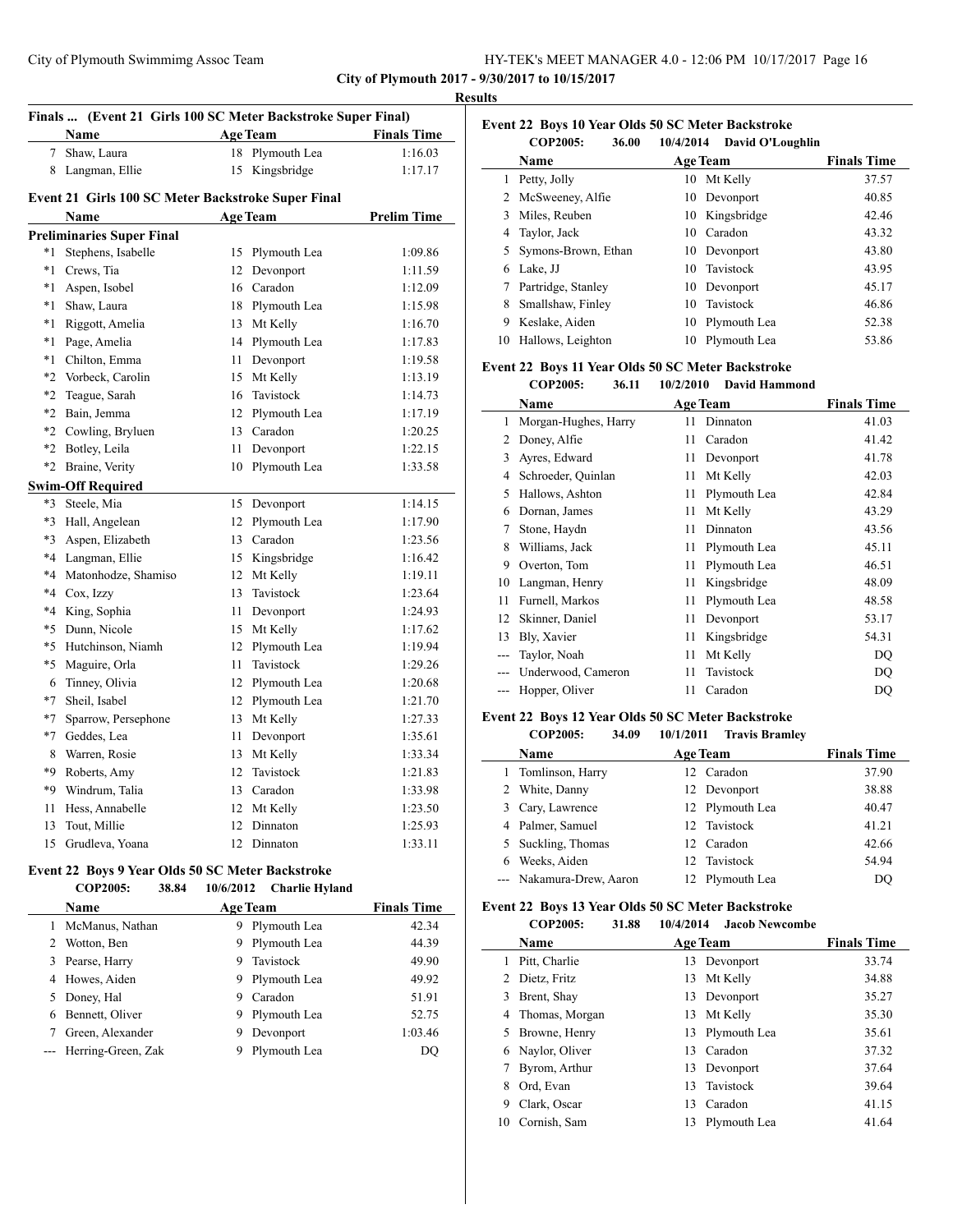| HY-TEK's MEET MANAGER 4.0 - 12:06 PM 10/17/2017 Page 16 |  |  |  |
|---------------------------------------------------------|--|--|--|
|---------------------------------------------------------|--|--|--|

l,

|         |                                                              |                 |                    | <b>Results</b> |
|---------|--------------------------------------------------------------|-----------------|--------------------|----------------|
|         | Finals  (Event 21 Girls 100 SC Meter Backstroke Super Final) |                 |                    | Eve            |
|         | Name                                                         | <b>Age Team</b> | <b>Finals Time</b> |                |
|         | 7 Shaw, Laura                                                | 18 Plymouth Lea | 1:16.03            |                |
|         | 8 Langman, Ellie                                             | 15 Kingsbridge  | 1:17.17            |                |
|         | Event 21 Girls 100 SC Meter Backstroke Super Final           |                 |                    |                |
|         | Name                                                         | <b>Age Team</b> | <b>Prelim Time</b> |                |
|         | <b>Preliminaries Super Final</b>                             |                 |                    |                |
| $*1$    | Stephens, Isabelle                                           | 15 Plymouth Lea | 1:09.86            |                |
| $*1$    | Crews, Tia                                                   | 12 Devonport    | 1:11.59            |                |
| $*1$    | Aspen, Isobel                                                | 16 Caradon      | 1:12.09            |                |
| *1      | Shaw, Laura                                                  | 18 Plymouth Lea | 1:15.98            |                |
| *1      | Riggott, Amelia                                              | 13 Mt Kelly     | 1:16.70            |                |
| $*_{1}$ | Page, Amelia                                                 | 14 Plymouth Lea | 1:17.83            | 1              |
| $*_{1}$ | Chilton, Emma                                                | 11 Devonport    | 1:19.58            | Eve            |
|         | *2 Vorbeck, Carolin                                          | 15 Mt Kelly     | 1:13.19            |                |
| $*2$    | Teague, Sarah                                                | 16 Tavistock    | 1:14.73            |                |
| $*2$    | Bain, Jemma                                                  | 12 Plymouth Lea | 1:17.19            |                |
|         | *2 Cowling, Bryluen                                          | 13 Caradon      | 1:20.25            |                |
|         | *2 Botley, Leila                                             | 11 Devonport    | 1:22.15            |                |
|         | *2 Braine, Verity                                            | 10 Plymouth Lea | 1:33.58            |                |
|         | <b>Swim-Off Required</b>                                     |                 |                    |                |
|         | *3 Steele, Mia                                               | 15 Devonport    | 1:14.15            |                |
|         | *3 Hall, Angelean                                            | 12 Plymouth Lea | 1:17.90            |                |
| $*3$    | Aspen, Elizabeth                                             | 13 Caradon      | 1:23.56            |                |
| $*4$    | Langman, Ellie                                               | 15 Kingsbridge  | 1:16.42            |                |
|         | *4 Matonhodze, Shamiso                                       | 12 Mt Kelly     | 1:19.11            | 1              |
|         | *4 Cox, Izzy                                                 | 13 Tavistock    | 1:23.64            |                |
|         | *4 King, Sophia                                              | 11 Devonport    | 1:24.93            | 1              |
| $*5$    | Dunn, Nicole                                                 | 15 Mt Kelly     | 1:17.62            | 1              |
|         | *5 Hutchinson, Niamh                                         | 12 Plymouth Lea | 1:19.94            |                |
| $*5$    | Maguire, Orla                                                | 11 Tavistock    | 1:29.26            |                |
|         | 6 Tinney, Olivia                                             | 12 Plymouth Lea | 1:20.68            |                |
| $*7$    | Sheil, Isabel                                                | 12 Plymouth Lea | 1:21.70            |                |
| $*7$    | Sparrow, Persephone                                          | 13 Mt Kelly     | 1:27.33            | Eve            |
|         | *7 Geddes, Lea                                               | 11 Devonport    | 1:35.61            |                |
|         | 8 Warren, Rosie                                              | 13 Mt Kelly     | 1:33.34            |                |
|         | *9 Roberts, Amy                                              | 12 Tavistock    | 1:21.83            |                |
|         | *9 Windrum, Talia                                            | 13 Caradon      | 1:33.98            |                |
| 11      | Hess, Annabelle                                              | 12 Mt Kelly     | 1:23.50            |                |
| 13      | Tout, Millie                                                 | 12 Dinnaton     | 1:25.93            |                |
|         | 15 Grudleva, Yoana                                           | 12 Dinnaton     | 1:33.11            |                |
|         |                                                              |                 |                    |                |

# **Event 22 Boys 9 Year Olds 50 SC Meter Backstroke**

L,

|  | COP2005: | 38.84 | 10/6/2012 | Charlie Hyland |
|--|----------|-------|-----------|----------------|
|--|----------|-------|-----------|----------------|

|    | <b>Name</b>            | <b>Age Team</b>   | <b>Finals Time</b> |
|----|------------------------|-------------------|--------------------|
|    | McManus, Nathan        | Plymouth Lea<br>9 | 42.34              |
|    | Wotton, Ben            | Plymouth Lea<br>9 | 44.39              |
| 3. | Pearse, Harry          | Tavistock<br>9    | 49.90              |
|    | 4 Howes, Aiden         | Plymouth Lea<br>9 | 49.92              |
| 5. | Doney, Hal             | Caradon<br>9      | 51.91              |
|    | Bennett, Oliver        | Plymouth Lea<br>9 | 52.75              |
|    | Green, Alexander       | Devonport<br>9    | 1:03.46            |
|    | --- Herring-Green, Zak | Plymouth Lea      | DO                 |

**Event 22 Boys 10 Year Olds 50 SC Meter Backstroke COP2005: 36.00 10/4/2014 David O'Loughlin Name Age Team Finals Time**  Petty, Jolly 10 Mt Kelly 37.57 McSweeney, Alfie 10 Devonport 40.85 Miles, Reuben 10 Kingsbridge 42.46 Taylor, Jack 10 Caradon 43.32 Symons-Brown, Ethan 10 Devonport 43.80 Lake, JJ 10 Tavistock 43.95 Partridge, Stanley 10 Devonport 45.17 Smallshaw, Finley 10 Tavistock 46.86 Keslake, Aiden 10 Plymouth Lea 52.38 10 Hallows, Leighton 10 Plymouth Lea 53.86

#### **Event 22 Boys 11 Year Olds 50 SC Meter Backstroke**

|    | Cvent 22 Boys 11 Year Olds 50 SC Meter Backstroke |           |                      |                    |
|----|---------------------------------------------------|-----------|----------------------|--------------------|
|    | <b>COP2005:</b><br>36.11                          | 10/2/2010 | <b>David Hammond</b> |                    |
|    | Name                                              |           | <b>Age Team</b>      | <b>Finals Time</b> |
| 1  | Morgan-Hughes, Harry                              | 11        | Dinnaton             | 41.03              |
| 2  | Doney, Alfie                                      | 11        | Caradon              | 41.42              |
| 3  | Ayres, Edward                                     | 11        | Devonport            | 41.78              |
| 4  | Schroeder, Quinlan                                | 11        | Mt Kelly             | 42.03              |
| 5  | Hallows, Ashton                                   | 11        | Plymouth Lea         | 42.84              |
| 6  | Dornan, James                                     | 11        | Mt Kelly             | 43.29              |
| 7  | Stone, Haydn                                      | 11        | Dinnaton             | 43.56              |
| 8  | Williams, Jack                                    | 11        | Plymouth Lea         | 45.11              |
| 9  | Overton, Tom                                      | 11        | Plymouth Lea         | 46.51              |
| 10 | Langman, Henry                                    | 11        | Kingsbridge          | 48.09              |
| 11 | Furnell, Markos                                   | 11        | Plymouth Lea         | 48.58              |
| 12 | Skinner, Daniel                                   | 11        | Devonport            | 53.17              |
| 13 | Bly, Xavier                                       | 11        | Kingsbridge          | 54.31              |
|    | Taylor, Noah                                      | 11        | Mt Kelly             | DQ                 |
|    | Underwood, Cameron                                | 11        | Tavistock            | DQ                 |

#### **Event 22 Boys 12 Year Olds 50 SC Meter Backstroke COP2005: 34.09 10/1/2011 Travis Bramley**

|   | COLZUU5:<br>94.VY        | $10/1/2011$ $172V1S$ Drainley |                    |
|---|--------------------------|-------------------------------|--------------------|
|   | <b>Name</b>              | <b>Age Team</b>               | <b>Finals Time</b> |
|   | 1 Tomlinson, Harry       | 12 Caradon                    | 37.90              |
|   | White, Danny             | 12 Devonport                  | 38.88              |
|   | 3 Cary, Lawrence         | 12 Plymouth Lea               | 40.47              |
|   | 4 Palmer, Samuel         | 12 Tavistock                  | 41.21              |
|   | 5 Suckling, Thomas       | 12 Caradon                    | 42.66              |
| 6 | Weeks. Aiden             | 12 Tavistock                  | 54.94              |
|   | --- Nakamura-Drew, Aaron | 12 Plymouth Lea               | DO                 |

--- Hopper, Oliver 11 Caradon DQ

#### **Event 22 Boys 13 Year Olds 50 SC Meter Backstroke**

| COP2005: | 31.88 | 10/4/2014 | <b>Jacob Newcombe</b> |
|----------|-------|-----------|-----------------------|

|    | COL 2005.        | J1.00 | 11/17/2017 | лами эсмминис   |                    |
|----|------------------|-------|------------|-----------------|--------------------|
|    | Name             |       |            | <b>Age Team</b> | <b>Finals Time</b> |
|    | Pitt, Charlie    |       | 13         | Devonport       | 33.74              |
| 2  | Dietz, Fritz     |       | 13         | Mt Kelly        | 34.88              |
| 3  | Brent, Shay      |       |            | 13 Devonport    | 35.27              |
|    | 4 Thomas, Morgan |       |            | 13 Mt Kelly     | 35.30              |
|    | 5 Browne, Henry  |       |            | 13 Plymouth Lea | 35.61              |
|    | 6 Naylor, Oliver |       | 13         | Caradon         | 37.32              |
|    | Byrom, Arthur    |       |            | 13 Devonport    | 37.64              |
| 8  | Ord, Evan        |       | 13         | Tavistock       | 39.64              |
| 9  | Clark, Oscar     |       | 13         | Caradon         | 41.15              |
| 10 | Cornish, Sam     |       | 13         | Plymouth Lea    | 41.64              |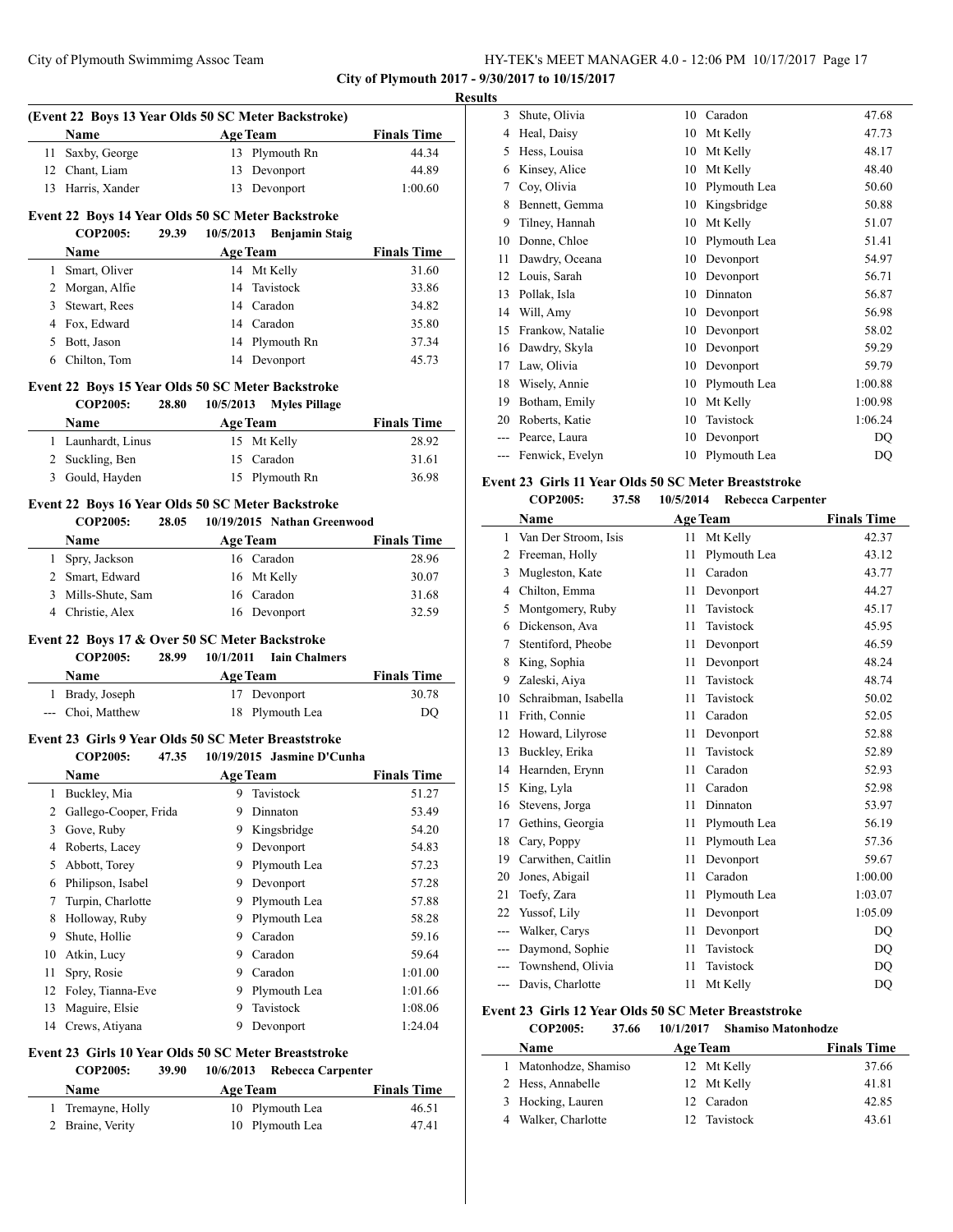**City of Plymouth 2017 - 9/30/2017 to 10/15/2017**

# **Results**

|    |                                                                        |       |           | (Event 22 Boys 13 Year Olds 50 SC Meter Backstroke) |                    |
|----|------------------------------------------------------------------------|-------|-----------|-----------------------------------------------------|--------------------|
|    | Name                                                                   |       |           | <b>Age Team</b>                                     | <b>Finals Time</b> |
| 11 | Saxby, George                                                          |       |           | 13 Plymouth Rn                                      | 44.34              |
|    | 12 Chant, Liam                                                         |       |           | 13 Devonport                                        | 44.89              |
|    | 13 Harris, Xander                                                      |       |           | 13 Devonport                                        | 1:00.60            |
|    | Event 22 Boys 14 Year Olds 50 SC Meter Backstroke                      |       |           |                                                     |                    |
|    | <b>COP2005:</b>                                                        | 29.39 | 10/5/2013 | <b>Benjamin Staig</b>                               |                    |
|    | Name                                                                   |       |           | <b>Age Team</b>                                     | <b>Finals Time</b> |
|    | 1 Smart, Oliver                                                        |       |           | 14 Mt Kelly                                         | 31.60              |
|    | 2 Morgan, Alfie                                                        |       | 14        | Tavistock                                           | 33.86              |
|    | 3 Stewart, Rees                                                        |       |           | 14 Caradon                                          | 34.82              |
|    | 4 Fox. Edward                                                          |       |           | 14 Caradon                                          | 35.80              |
|    | 5 Bott, Jason                                                          |       |           | 14 Plymouth Rn                                      | 37.34              |
|    | 6 Chilton, Tom                                                         |       |           | 14 Devonport                                        | 45.73              |
|    | Event 22 Boys 15 Year Olds 50 SC Meter Backstroke                      |       |           |                                                     |                    |
|    | <b>COP2005:</b>                                                        | 28.80 | 10/5/2013 | <b>Myles Pillage</b>                                |                    |
|    | Name                                                                   |       |           | <b>Age Team</b>                                     | <b>Finals Time</b> |
|    | 1 Launhardt, Linus                                                     |       |           | 15 Mt Kelly                                         | 28.92              |
|    | 2 Suckling, Ben                                                        |       |           | 15 Caradon                                          | 31.61              |
|    | 3 Gould, Hayden                                                        |       |           | 15 Plymouth Rn                                      | 36.98              |
|    |                                                                        |       |           |                                                     |                    |
|    | Event 22 Boys 16 Year Olds 50 SC Meter Backstroke<br><b>COP2005:</b>   | 28.05 |           | 10/19/2015 Nathan Greenwood                         |                    |
|    | Name                                                                   |       |           | <b>Age Team</b>                                     | <b>Finals Time</b> |
|    |                                                                        |       |           | 16 Caradon                                          | 28.96              |
|    | 1 Spry, Jackson                                                        |       |           |                                                     |                    |
|    | 2 Smart, Edward                                                        |       |           | 16 Mt Kelly                                         | 30.07              |
|    |                                                                        |       |           |                                                     |                    |
|    | 3 Mills-Shute, Sam                                                     |       |           | 16 Caradon                                          | 31.68              |
|    | 4 Christie, Alex                                                       |       |           | 16 Devonport                                        | 32.59              |
|    | Event 22 Boys 17 & Over 50 SC Meter Backstroke                         |       |           |                                                     |                    |
|    | <b>COP2005:</b>                                                        | 28.99 | 10/1/2011 | <b>Iain Chalmers</b>                                |                    |
|    | Name                                                                   |       |           | <b>Age Team</b>                                     | <b>Finals Time</b> |
|    | 1 Brady, Joseph                                                        |       |           | 17 Devonport                                        | 30.78              |
|    | --- Choi, Matthew                                                      |       |           | 18 Plymouth Lea                                     | DQ                 |
|    |                                                                        |       |           |                                                     |                    |
|    | Event 23 Girls 9 Year Olds 50 SC Meter Breaststroke<br><b>COP2005:</b> | 47.35 |           | 10/19/2015 Jasmine D'Cunha                          |                    |
|    | <b>Name</b>                                                            |       |           |                                                     | <b>Finals Time</b> |
|    |                                                                        |       |           | <b>Age Team</b><br>9 Tavistock                      |                    |
|    | 1 Buckley, Mia                                                         |       |           |                                                     | 51.27              |
| 2  | Gallego-Cooper, Frida                                                  |       | 9         | Dinnaton                                            | 53.49              |
| 3  | Gove, Ruby                                                             |       | 9         | Kingsbridge                                         | 54.20              |
| 4  | Roberts, Lacey                                                         |       | 9.        | Devonport                                           | 54.83              |
| 5  | Abbott, Torey                                                          |       | 9.        | Plymouth Lea                                        | 57.23              |
|    | 6 Philipson, Isabel                                                    |       | 9.        | Devonport                                           | 57.28              |
| 7  | Turpin, Charlotte                                                      |       | 9.        | Plymouth Lea                                        | 57.88              |
| 8  | Holloway, Ruby                                                         |       | 9         | Plymouth Lea                                        | 58.28              |
| 9  | Shute, Hollie                                                          |       |           | 9 Caradon                                           | 59.16              |
|    | 10 Atkin, Lucy                                                         |       |           | 9 Caradon                                           | 59.64              |
| 11 | Spry, Rosie                                                            |       |           | 9 Caradon                                           | 1:01.00            |
| 12 | Foley, Tianna-Eve                                                      |       |           | 9 Plymouth Lea                                      | 1:01.66            |
| 13 | Maguire, Elsie                                                         |       | 9         | Tavistock                                           | 1:08.06            |
| 14 | Crews, Atiyana                                                         |       | 9         | Devonport                                           | 1:24.04            |

# **COP2005: 39.90 10/6/2013 Rebecca Carpenter**

| <b>Name</b>       | <b>Age Team</b> | <b>Finals Time</b> |
|-------------------|-----------------|--------------------|
| 1 Tremayne, Holly | 10 Plymouth Lea | 46.51              |
| 2 Braine, Verity  | 10 Plymouth Lea | 47.41              |

| 3  | Shute, Olivia    | 10 | Caradon      | 47.68   |
|----|------------------|----|--------------|---------|
| 4  | Heal, Daisy      | 10 | Mt Kelly     | 47.73   |
| 5  | Hess, Louisa     | 10 | Mt Kelly     | 48.17   |
| 6  | Kinsey, Alice    | 10 | Mt Kelly     | 48.40   |
| 7  | Coy, Olivia      | 10 | Plymouth Lea | 50.60   |
| 8  | Bennett, Gemma   | 10 | Kingsbridge  | 50.88   |
| 9  | Tilney, Hannah   | 10 | Mt Kelly     | 51.07   |
| 10 | Donne, Chloe     | 10 | Plymouth Lea | 51.41   |
| 11 | Dawdry, Oceana   | 10 | Devonport    | 54.97   |
| 12 | Louis, Sarah     | 10 | Devonport    | 56.71   |
| 13 | Pollak, Isla     | 10 | Dinnaton     | 56.87   |
| 14 | Will, Amy        | 10 | Devonport    | 56.98   |
| 15 | Frankow, Natalie | 10 | Devonport    | 58.02   |
| 16 | Dawdry, Skyla    | 10 | Devonport    | 59.29   |
| 17 | Law, Olivia      | 10 | Devonport    | 59.79   |
| 18 | Wisely, Annie    | 10 | Plymouth Lea | 1:00.88 |
| 19 | Botham, Emily    | 10 | Mt Kelly     | 1:00.98 |
| 20 | Roberts, Katie   | 10 | Tavistock    | 1:06.24 |
|    | Pearce, Laura    | 10 | Devonport    | DQ      |
|    | Fenwick, Evelyn  | 10 | Plymouth Lea | DQ      |
|    |                  |    |              |         |

## **Event 23 Girls 11 Year Olds 50 SC Meter Breaststroke**

|       | <b>COP2005:</b><br>37.58 | 10/5/2014<br><b>Rebecca Carpenter</b> |                    |
|-------|--------------------------|---------------------------------------|--------------------|
|       | Name                     | <b>Age Team</b>                       | <b>Finals Time</b> |
| 1     | Van Der Stroom, Isis     | 11<br>Mt Kelly                        | 42.37              |
| 2     | Freeman, Holly           | Plymouth Lea<br>11                    | 43.12              |
| 3     | Mugleston, Kate          | 11<br>Caradon                         | 43.77              |
| 4     | Chilton, Emma            | 11<br>Devonport                       | 44.27              |
| 5     | Montgomery, Ruby         | Tavistock<br>11                       | 45.17              |
| 6     | Dickenson, Ava           | Tavistock<br>11                       | 45.95              |
| 7     | Stentiford, Pheobe       | 11<br>Devonport                       | 46.59              |
| 8     | King, Sophia             | Devonport<br>11                       | 48.24              |
| 9     | Zaleski, Aiya            | Tavistock<br>11                       | 48.74              |
| 10    | Schraibman, Isabella     | Tavistock<br>11                       | 50.02              |
| 11    | Frith, Connie            | Caradon<br>11                         | 52.05              |
| 12    | Howard, Lilyrose         | 11<br>Devonport                       | 52.88              |
| 13    | Buckley, Erika           | Tavistock<br>11                       | 52.89              |
| 14    | Hearnden, Erynn          | Caradon<br>11                         | 52.93              |
| 15    | King, Lyla               | Caradon<br>11                         | 52.98              |
| 16    | Stevens, Jorga           | 11<br>Dinnaton                        | 53.97              |
| 17    | Gethins, Georgia         | 11<br>Plymouth Lea                    | 56.19              |
| 18    | Cary, Poppy              | Plymouth Lea<br>11                    | 57.36              |
| 19    | Carwithen, Caitlin       | 11<br>Devonport                       | 59.67              |
| 20    | Jones, Abigail           | Caradon<br>11                         | 1:00.00            |
| 21    | Toefy, Zara              | 11<br>Plymouth Lea                    | 1:03.07            |
| 22    | Yussof, Lily             | 11<br>Devonport                       | 1:05.09            |
| $---$ | Walker, Carys            | 11<br>Devonport                       | DO                 |
| ---   | Daymond, Sophie          | Tavistock<br>11                       | DQ                 |
|       | Townshend, Olivia        | Tavistock<br>11                       | DQ                 |
| ---   | Davis, Charlotte         | Mt Kelly<br>11                        | DO                 |

# **Event 23 Girls 12 Year Olds 50 SC Meter Breaststroke**

| <b>COP2005:</b><br>10/1/2017<br><b>Shamiso Matonhodze</b><br>37.66 |  |
|--------------------------------------------------------------------|--|
|--------------------------------------------------------------------|--|

| <b>Name</b>           | <b>Age Team</b> | <b>Finals Time</b> |
|-----------------------|-----------------|--------------------|
| 1 Matonhodze, Shamiso | 12 Mt Kelly     | 37.66              |
| 2 Hess, Annabelle     | 12 Mt Kelly     | 41.81              |
| 3 Hocking, Lauren     | 12 Caradon      | 42.85              |
| Walker, Charlotte     | 12 Tavistock    | 43.61              |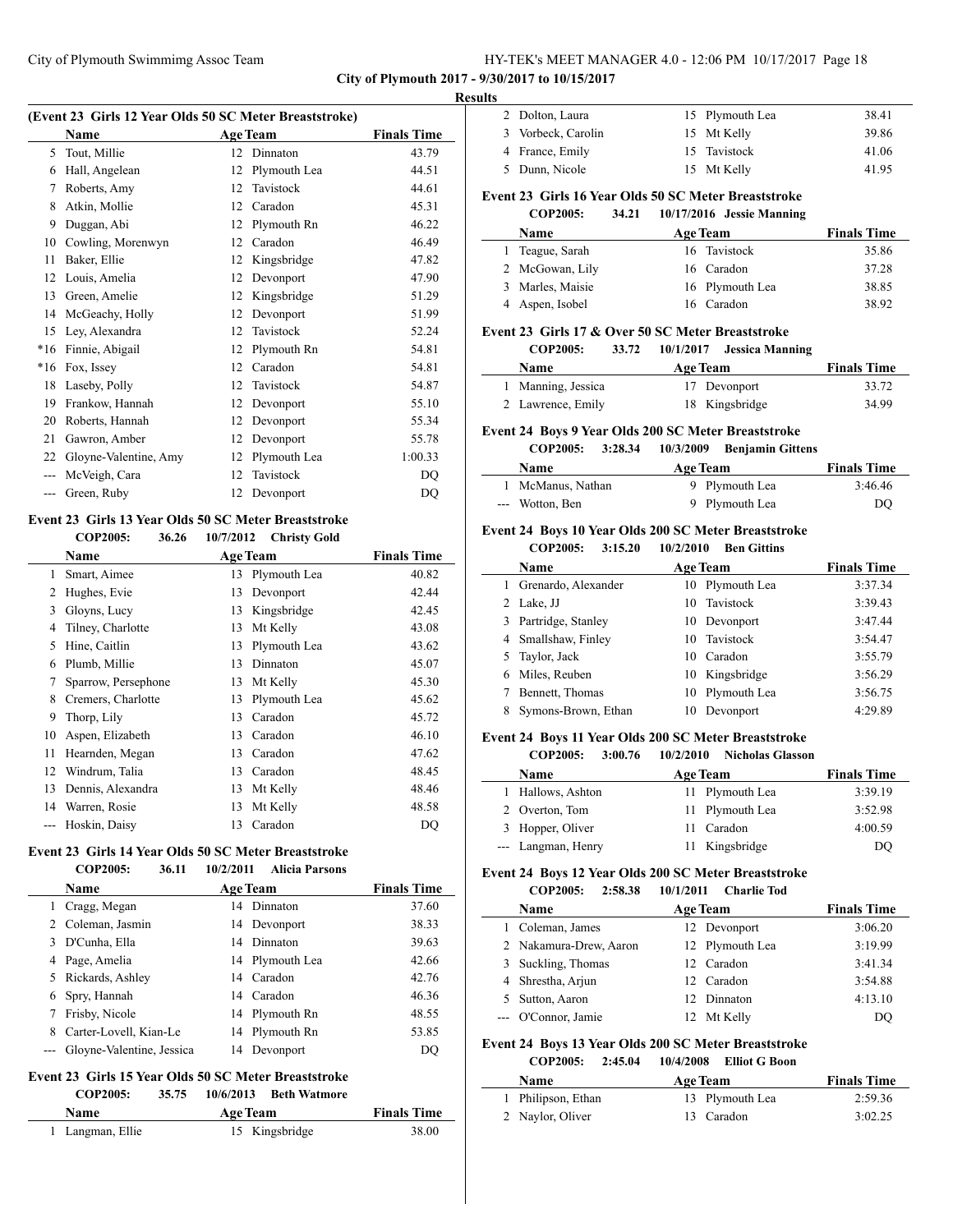**City of Plymouth 2017 - 9/30/2017 to 10/15/2017**

#### **Results**

 $\sim$ 

| (Event 23 Girls 12 Year Olds 50 SC Meter Breaststroke) |                       |    |                 |                    |  |
|--------------------------------------------------------|-----------------------|----|-----------------|--------------------|--|
|                                                        | <b>Name</b>           |    | <b>Age Team</b> | <b>Finals Time</b> |  |
| 5                                                      | Tout, Millie          | 12 | Dinnaton        | 43.79              |  |
| 6                                                      | Hall, Angelean        | 12 | Plymouth Lea    | 44.51              |  |
| 7                                                      | Roberts, Amy          | 12 | Tavistock       | 44.61              |  |
| 8                                                      | Atkin, Mollie         | 12 | Caradon         | 45.31              |  |
| 9                                                      | Duggan, Abi           | 12 | Plymouth Rn     | 46.22              |  |
| 10                                                     | Cowling, Morenwyn     | 12 | Caradon         | 46.49              |  |
| 11                                                     | Baker, Ellie          | 12 | Kingsbridge     | 47.82              |  |
| 12                                                     | Louis, Amelia         | 12 | Devonport       | 47.90              |  |
| 13                                                     | Green, Amelie         | 12 | Kingsbridge     | 51.29              |  |
| 14                                                     | McGeachy, Holly       | 12 | Devonport       | 51.99              |  |
| 15                                                     | Ley, Alexandra        | 12 | Tavistock       | 52.24              |  |
| $*16$                                                  | Finnie, Abigail       | 12 | Plymouth Rn     | 54.81              |  |
| $*16$                                                  | Fox, Issey            | 12 | Caradon         | 54.81              |  |
| 18                                                     | Laseby, Polly         | 12 | Tavistock       | 54.87              |  |
| 19                                                     | Frankow, Hannah       | 12 | Devonport       | 55.10              |  |
| 20                                                     | Roberts, Hannah       | 12 | Devonport       | 55.34              |  |
| 21                                                     | Gawron, Amber         | 12 | Devonport       | 55.78              |  |
| 22                                                     | Gloyne-Valentine, Amy | 12 | Plymouth Lea    | 1:00.33            |  |
| $---$                                                  | McVeigh, Cara         | 12 | Tavistock       | DQ                 |  |
| ---                                                    | Green, Ruby           | 12 | Devonport       | DQ                 |  |
|                                                        |                       |    |                 |                    |  |

#### **Event 23 Girls 13 Year Olds 50 SC Meter Breaststroke COP2005: 36.26 10/7/2012 Christy Gold**

|    | COL 2005.<br>J∪.∠∪  | $10/112012$ CHING OUR |                    |
|----|---------------------|-----------------------|--------------------|
|    | Name                | <b>Age Team</b>       | <b>Finals Time</b> |
| 1  | Smart, Aimee        | Plymouth Lea<br>13    | 40.82              |
| 2  | Hughes, Evie        | 13<br>Devonport       | 42.44              |
| 3  | Gloyns, Lucy        | Kingsbridge<br>13     | 42.45              |
| 4  | Tilney, Charlotte   | Mt Kelly<br>13        | 43.08              |
| 5  | Hine, Caitlin       | Plymouth Lea<br>13    | 43.62              |
| 6  | Plumb, Millie       | Dinnaton<br>13        | 45.07              |
| 7  | Sparrow, Persephone | Mt Kelly<br>13        | 45.30              |
| 8  | Cremers, Charlotte  | Plymouth Lea<br>13    | 45.62              |
| 9  | Thorp, Lily         | Caradon<br>13         | 45.72              |
| 10 | Aspen, Elizabeth    | Caradon<br>13         | 46.10              |
| 11 | Hearnden, Megan     | Caradon<br>13         | 47.62              |
| 12 | Windrum, Talia      | Caradon<br>13         | 48.45              |
| 13 | Dennis, Alexandra   | Mt Kelly<br>13        | 48.46              |
| 14 | Warren, Rosie       | Mt Kelly<br>13        | 48.58              |
|    | Hoskin, Daisy       | Caradon<br>13         | DQ                 |

#### **Event 23 Girls 14 Year Olds 50 SC Meter Breaststroke COP2005: 36.11 10/2/2011 Alicia Parsons**

|    | <b>Name</b>                   | <b>Age Team</b> | <b>Finals Time</b> |
|----|-------------------------------|-----------------|--------------------|
|    | Cragg, Megan                  | 14 Dinnaton     | 37.60              |
|    | Coleman, Jasmin               | 14 Devonport    | 38.33              |
| 3  | D'Cunha, Ella                 | 14 Dinnaton     | 39.63              |
| 4  | Page, Amelia                  | 14 Plymouth Lea | 42.66              |
| 5. | Rickards, Ashley              | 14 Caradon      | 42.76              |
| 6  | Spry, Hannah                  | 14 Caradon      | 46.36              |
| 7  | Frisby, Nicole                | 14 Plymouth Rn  | 48.55              |
| 8  | Carter-Lovell, Kian-Le        | 14 Plymouth Rn  | 53.85              |
|    | --- Gloyne-Valentine, Jessica | 14 Devonport    | DO                 |

# **Event 23 Girls 15 Year Olds 50 SC Meter Breaststroke**

**COP2005: 35.75 10/6/2013 Beth Watmore**

| Name             | <b>Age Team</b> | <b>Finals Time</b> |
|------------------|-----------------|--------------------|
| 1 Langman, Ellie | 15 Kingsbridge  | 38.00              |

| 2 Dolton, Laura    | 15 Plymouth Lea | 38.41 |
|--------------------|-----------------|-------|
| 3 Vorbeck, Carolin | 15 Mt Kelly     | 39.86 |
| 4 France, Emily    | 15 Tavistock    | 41.06 |
| 5 Dunn, Nicole     | 15 Mt Kelly     | 41.95 |
|                    |                 |       |

# **Event 23 Girls 16 Year Olds 50 SC Meter Breaststroke**

# **COP2005: 34.21 10/17/2016 Jessie Manning Name Age Team Finals Time**  Teague, Sarah 16 Tavistock 35.86 McGowan, Lily 16 Caradon 37.28 Marles, Maisie 16 Plymouth Lea 38.85

# Aspen, Isobel 16 Caradon 38.92 **Event 23 Girls 17 & Over 50 SC Meter Breaststroke**

# **COP2005: 33.72 10/1/2017 Jessica Manning**

| -------            | .               |                    |
|--------------------|-----------------|--------------------|
| <b>Name</b>        | <b>Age Team</b> | <b>Finals Time</b> |
| 1 Manning, Jessica | 17 Devonport    | 33.72              |
| 2 Lawrence, Emily  | 18 Kingsbridge  | 34.99              |

# **Event 24 Boys 9 Year Olds 200 SC Meter Breaststroke**

#### **COP2005: 3:28.34 10/3/2009 Benjamin Gittens**

| <b>Age Team</b><br><b>Name</b> |                | <b>Finals Time</b> |
|--------------------------------|----------------|--------------------|
| McManus, Nathan                | 9 Plymouth Lea | 3:46.46            |
| --- Wotton, Ben                | 9 Plymouth Lea | DO                 |

# **Event 24 Boys 10 Year Olds 200 SC Meter Breaststroke**

**COP2005: 3:15.20 10/2/2010 Ben Gittins**

|   | Name                | <b>Age Team</b> |                 | <b>Finals Time</b> |
|---|---------------------|-----------------|-----------------|--------------------|
|   | Grenardo, Alexander |                 | 10 Plymouth Lea | 3:37.34            |
|   | 2 Lake, JJ          | 10              | Tavistock       | 3:39.43            |
| 3 | Partridge, Stanley  |                 | 10 Devonport    | 3:47.44            |
|   | 4 Smallshaw, Finley |                 | 10 Tavistock    | 3:54.47            |
|   | Taylor, Jack        | 10              | Caradon         | 3:55.79            |
| 6 | Miles, Reuben       |                 | 10 Kingsbridge  | 3:56.29            |
|   | Bennett, Thomas     | 10              | Plymouth Lea    | 3:56.75            |
|   | Symons-Brown, Ethan |                 | Devonport       | 4:29.89            |

#### **Event 24 Boys 11 Year Olds 200 SC Meter Breaststroke**

# **COP2005: 3:00.76 10/2/2010 Nicholas Glasson**

| <b>Name</b>        | <b>Age Team</b> | <b>Finals Time</b> |
|--------------------|-----------------|--------------------|
| 1 Hallows, Ashton  | 11 Plymouth Lea | 3:39.19            |
| 2 Overton, Tom     | 11 Plymouth Lea | 3:52.98            |
| 3 Hopper, Oliver   | 11 Caradon      | 4:00.59            |
| --- Langman, Henry | Kingsbridge     | DO                 |

#### **Event 24 Boys 12 Year Olds 200 SC Meter Breaststroke COP2005: 2:58.38 10/1/2011 Charlie Tod**

| Name                   | <b>Age Team</b> | <b>Finals Time</b> |
|------------------------|-----------------|--------------------|
| Coleman, James         | 12 Devonport    | 3:06.20            |
| 2 Nakamura-Drew, Aaron | 12 Plymouth Lea | 3:19.99            |
| 3 Suckling, Thomas     | 12 Caradon      | 3:41.34            |
| 4 Shrestha, Arjun      | 12 Caradon      | 3:54.88            |
| Sutton, Aaron          | 12 Dinnaton     | 4:13.10            |
| --- O'Connor, Jamie    | Mt Kelly        | DO                 |

# **Event 24 Boys 13 Year Olds 200 SC Meter Breaststroke**

**COP2005: 2:45.04 10/4/2008 Elliot G Boon**

| <b>Name</b>        | <b>Age Team</b> | <b>Finals Time</b> |  |
|--------------------|-----------------|--------------------|--|
| 1 Philipson, Ethan | 13 Plymouth Lea | 2:59.36            |  |
| 2 Naylor, Oliver   | 13 Caradon      | 3:02.25            |  |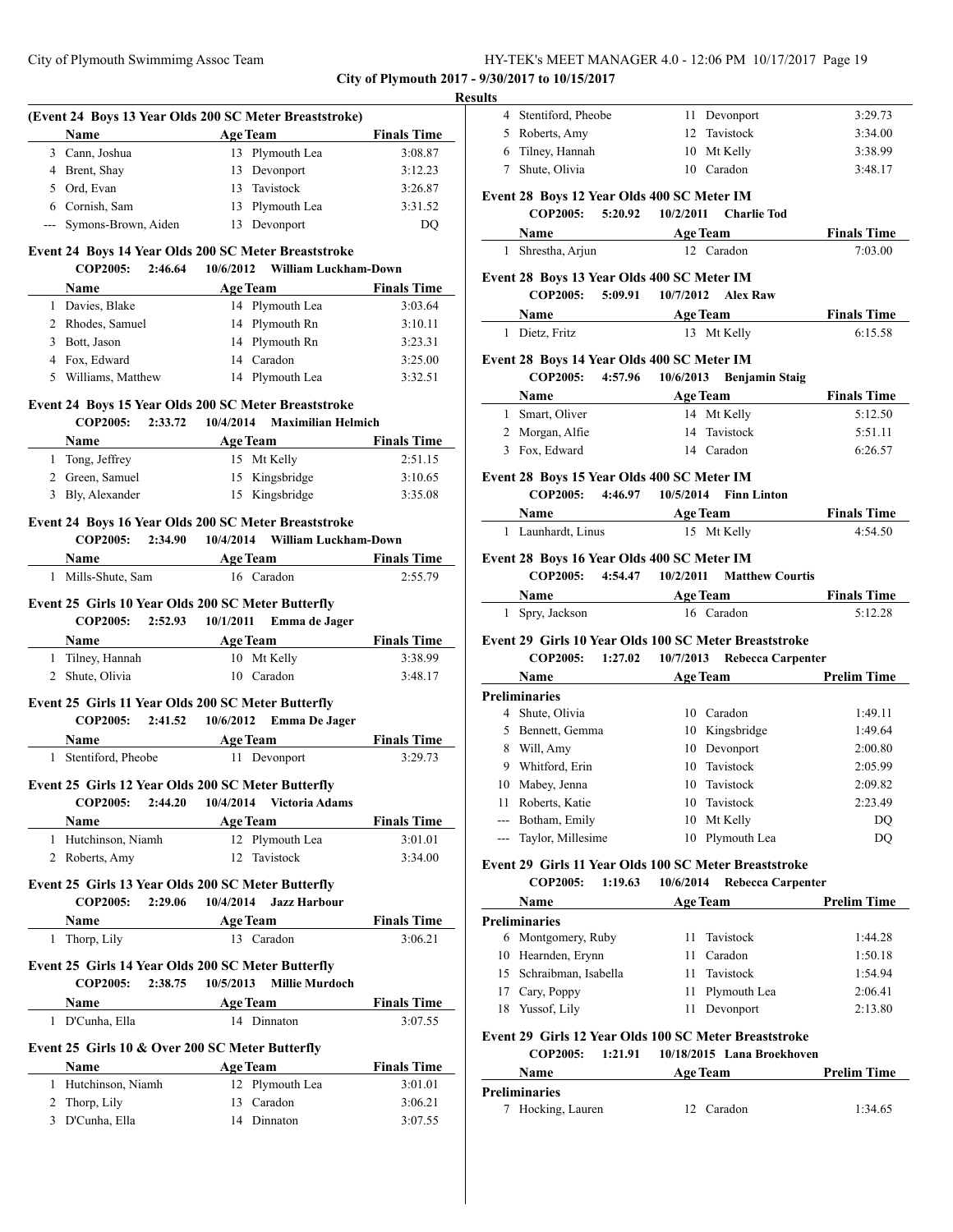**City of Plymouth 2017 - 9/30/2017 to 10/15/2017**

# **Result**

|   |                                                    |                                   |                 | (Event 24 Boys 13 Year Olds 200 SC Meter Breaststroke)                       |                    |
|---|----------------------------------------------------|-----------------------------------|-----------------|------------------------------------------------------------------------------|--------------------|
|   | Name                                               |                                   | <b>Age Team</b> |                                                                              | <b>Finals Time</b> |
|   | 3 Cann, Joshua                                     |                                   |                 | 13 Plymouth Lea                                                              | 3:08.87            |
|   | 4 Brent, Shay                                      |                                   |                 | 13 Devonport                                                                 | 3:12.23            |
|   | 5 Ord, Evan                                        |                                   |                 | 13 Tavistock                                                                 | 3:26.87            |
|   | 6 Cornish, Sam                                     |                                   |                 | 13 Plymouth Lea                                                              | 3:31.52            |
|   | --- Symons-Brown, Aiden                            |                                   |                 | 13 Devonport                                                                 | DQ                 |
|   |                                                    |                                   |                 |                                                                              |                    |
|   | <b>COP2005:</b>                                    |                                   |                 | Event 24 Boys 14 Year Olds 200 SC Meter Breaststroke<br>William Luckham-Down |                    |
|   |                                                    | 2:46.64                           | 10/6/2012       |                                                                              |                    |
|   |                                                    |                                   |                 | Name Age Team                                                                | <b>Finals Time</b> |
|   | 1 Davies, Blake                                    |                                   |                 | 14 Plymouth Lea                                                              | 3:03.64            |
|   | 2 Rhodes, Samuel                                   |                                   |                 | 14 Plymouth Rn                                                               | 3:10.11            |
|   | 3 Bott, Jason                                      |                                   |                 | 14 Plymouth Rn                                                               | 3:23.31            |
|   | 4 Fox, Edward                                      |                                   |                 | 14 Caradon                                                                   | 3:25.00            |
|   | 5 Williams, Matthew                                |                                   |                 | 14 Plymouth Lea                                                              | 3:32.51            |
|   |                                                    |                                   |                 | Event 24 Boys 15 Year Olds 200 SC Meter Breaststroke                         |                    |
|   | <b>COP2005:</b>                                    | 2:33.72                           |                 | 10/4/2014 Maximilian Helmich                                                 |                    |
|   | Name                                               |                                   |                 | Age Team                                                                     | <b>Finals Time</b> |
|   | 1 Tong, Jeffrey                                    |                                   |                 | 15 Mt Kelly                                                                  | 2:51.15            |
|   | 2 Green, Samuel                                    |                                   |                 | 15 Kingsbridge                                                               | 3:10.65            |
|   | 3 Bly, Alexander                                   |                                   |                 | 15 Kingsbridge                                                               | 3:35.08            |
|   |                                                    |                                   |                 | Event 24 Boys 16 Year Olds 200 SC Meter Breaststroke                         |                    |
|   | COP2005:                                           | 2:34.90                           | 10/4/2014       | William Luckham-Down                                                         |                    |
|   |                                                    |                                   |                 | Name Age Team                                                                | <b>Finals Time</b> |
|   | 1 Mills-Shute, Sam                                 |                                   |                 | 16 Caradon                                                                   | 2:55.79            |
|   |                                                    |                                   |                 |                                                                              |                    |
|   | Event 25 Girls 10 Year Olds 200 SC Meter Butterfly |                                   |                 |                                                                              |                    |
|   | <b>COP2005:</b>                                    | 2:52.93                           | 10/1/2011       | Emma de Jager                                                                |                    |
|   | <b>Name</b>                                        |                                   | <b>Age Team</b> |                                                                              | <b>Finals Time</b> |
|   | 1 Tilney, Hannah                                   |                                   |                 | 10 Mt Kelly                                                                  | 3:38.99            |
|   | 2 Shute, Olivia                                    |                                   |                 | 10 Caradon                                                                   | 3:48.17            |
|   | Event 25 Girls 11 Year Olds 200 SC Meter Butterfly |                                   |                 |                                                                              |                    |
|   | <b>COP2005:</b>                                    | 2:41.52                           | 10/6/2012       | <b>Emma De Jager</b>                                                         |                    |
|   | Name                                               | $\sim 10^{11}$ and $\sim 10^{11}$ | <b>Age Team</b> |                                                                              | <b>Finals Time</b> |
|   | 1 Stentiford, Pheobe                               |                                   |                 | 11 Devonport                                                                 | 3:29.73            |
|   |                                                    |                                   |                 |                                                                              |                    |
|   | Event 25 Girls 12 Year Olds 200 SC Meter Butterfly |                                   |                 |                                                                              |                    |
|   | <b>COP2005:</b>                                    | 2:44.20                           | 10/4/2014       | <b>Victoria Adams</b>                                                        |                    |
|   | <b>Name</b>                                        |                                   | <b>Age Team</b> |                                                                              | <b>Finals Time</b> |
|   | 1 Hutchinson, Niamh                                |                                   |                 | 12 Plymouth Lea                                                              | 3:01.01            |
|   | 2 Roberts, Amy                                     |                                   | 12              | Tavistock                                                                    | 3:34.00            |
|   | Event 25 Girls 13 Year Olds 200 SC Meter Butterfly |                                   |                 |                                                                              |                    |
|   | <b>COP2005:</b>                                    | 2:29.06                           | 10/4/2014       | <b>Jazz Harbour</b>                                                          |                    |
|   | Name                                               |                                   | <b>Age Team</b> |                                                                              | <b>Finals Time</b> |
| 1 | Thorp, Lily                                        |                                   |                 | 13 Caradon                                                                   | 3:06.21            |
|   | Event 25 Girls 14 Year Olds 200 SC Meter Butterfly |                                   |                 |                                                                              |                    |
|   | <b>COP2005:</b>                                    | 2:38.75                           | 10/5/2013       | <b>Millie Murdoch</b>                                                        |                    |
|   | Name                                               |                                   | <b>Age Team</b> |                                                                              | <b>Finals Time</b> |
|   | 1 D'Cunha, Ella                                    |                                   |                 | 14 Dinnaton                                                                  | 3:07.55            |
|   |                                                    |                                   |                 |                                                                              |                    |
|   | Event 25 Girls 10 & Over 200 SC Meter Butterfly    |                                   |                 |                                                                              |                    |
|   | Name                                               |                                   | <b>Age Team</b> |                                                                              | <b>Finals Time</b> |
|   | 1 Hutchinson, Niamh                                |                                   |                 | 12 Plymouth Lea                                                              | 3:01.01            |
|   | 2 Thorp, Lily                                      |                                   |                 | 13 Caradon                                                                   | 3:06.21            |
|   | 3 D'Cunha, Ella                                    |                                   |                 |                                                                              | 3:07.55            |

| 4 Stentiford, Pheobe                          | 11 Devonport                                                                                                                                               | 3:29.73                                                                                                                                                                                                                                                                                                                                                                                                                                                                                                                                                                                                                                                                                                                                                                             |
|-----------------------------------------------|------------------------------------------------------------------------------------------------------------------------------------------------------------|-------------------------------------------------------------------------------------------------------------------------------------------------------------------------------------------------------------------------------------------------------------------------------------------------------------------------------------------------------------------------------------------------------------------------------------------------------------------------------------------------------------------------------------------------------------------------------------------------------------------------------------------------------------------------------------------------------------------------------------------------------------------------------------|
| 5 Roberts, Amy                                | 12 Tavistock                                                                                                                                               | 3:34.00                                                                                                                                                                                                                                                                                                                                                                                                                                                                                                                                                                                                                                                                                                                                                                             |
| 6 Tilney, Hannah                              | 10 Mt Kelly                                                                                                                                                | 3:38.99                                                                                                                                                                                                                                                                                                                                                                                                                                                                                                                                                                                                                                                                                                                                                                             |
| 7 Shute, Olivia                               | 10 Caradon                                                                                                                                                 | 3:48.17                                                                                                                                                                                                                                                                                                                                                                                                                                                                                                                                                                                                                                                                                                                                                                             |
|                                               |                                                                                                                                                            |                                                                                                                                                                                                                                                                                                                                                                                                                                                                                                                                                                                                                                                                                                                                                                                     |
|                                               | 10/2/2011<br>Charlie Tod                                                                                                                                   |                                                                                                                                                                                                                                                                                                                                                                                                                                                                                                                                                                                                                                                                                                                                                                                     |
| Name                                          | Age Team                                                                                                                                                   | <b>Finals Time</b>                                                                                                                                                                                                                                                                                                                                                                                                                                                                                                                                                                                                                                                                                                                                                                  |
| 1 Shrestha, Arjun                             | 12 Caradon                                                                                                                                                 | 7:03.00                                                                                                                                                                                                                                                                                                                                                                                                                                                                                                                                                                                                                                                                                                                                                                             |
|                                               |                                                                                                                                                            |                                                                                                                                                                                                                                                                                                                                                                                                                                                                                                                                                                                                                                                                                                                                                                                     |
| <b>COP2005:</b>                               | 10/7/2012<br><b>Alex Raw</b>                                                                                                                               |                                                                                                                                                                                                                                                                                                                                                                                                                                                                                                                                                                                                                                                                                                                                                                                     |
| Name                                          | <b>Age Team</b>                                                                                                                                            | <b>Finals Time</b>                                                                                                                                                                                                                                                                                                                                                                                                                                                                                                                                                                                                                                                                                                                                                                  |
| 1 Dietz, Fritz                                | 13 Mt Kelly                                                                                                                                                | 6:15.58                                                                                                                                                                                                                                                                                                                                                                                                                                                                                                                                                                                                                                                                                                                                                                             |
|                                               |                                                                                                                                                            |                                                                                                                                                                                                                                                                                                                                                                                                                                                                                                                                                                                                                                                                                                                                                                                     |
|                                               |                                                                                                                                                            |                                                                                                                                                                                                                                                                                                                                                                                                                                                                                                                                                                                                                                                                                                                                                                                     |
| Name                                          |                                                                                                                                                            | <b>Finals Time</b>                                                                                                                                                                                                                                                                                                                                                                                                                                                                                                                                                                                                                                                                                                                                                                  |
| 1 Smart, Oliver                               | 14 Mt Kelly                                                                                                                                                | 5:12.50                                                                                                                                                                                                                                                                                                                                                                                                                                                                                                                                                                                                                                                                                                                                                                             |
| 2 Morgan, Alfie                               | Tavistock<br>14                                                                                                                                            | 5:51.11                                                                                                                                                                                                                                                                                                                                                                                                                                                                                                                                                                                                                                                                                                                                                                             |
| 3 Fox, Edward                                 | 14 Caradon                                                                                                                                                 | 6:26.57                                                                                                                                                                                                                                                                                                                                                                                                                                                                                                                                                                                                                                                                                                                                                                             |
|                                               |                                                                                                                                                            |                                                                                                                                                                                                                                                                                                                                                                                                                                                                                                                                                                                                                                                                                                                                                                                     |
|                                               | 10/5/2014<br><b>Finn Linton</b>                                                                                                                            |                                                                                                                                                                                                                                                                                                                                                                                                                                                                                                                                                                                                                                                                                                                                                                                     |
|                                               |                                                                                                                                                            | <b>Finals Time</b>                                                                                                                                                                                                                                                                                                                                                                                                                                                                                                                                                                                                                                                                                                                                                                  |
| 1 Launhardt, Linus                            | 15 Mt Kelly                                                                                                                                                | 4:54.50                                                                                                                                                                                                                                                                                                                                                                                                                                                                                                                                                                                                                                                                                                                                                                             |
| <b>COP2005:</b>                               | 10/2/2011 Matthew Courtis                                                                                                                                  |                                                                                                                                                                                                                                                                                                                                                                                                                                                                                                                                                                                                                                                                                                                                                                                     |
|                                               |                                                                                                                                                            | <b>Finals Time</b><br>5:12.28                                                                                                                                                                                                                                                                                                                                                                                                                                                                                                                                                                                                                                                                                                                                                       |
| <b>COP2005:</b><br><b>Name</b>                | 10/7/2013<br><b>Rebecca Carpenter</b><br><b>Age Team</b>                                                                                                   | <b>Prelim Time</b>                                                                                                                                                                                                                                                                                                                                                                                                                                                                                                                                                                                                                                                                                                                                                                  |
| <b>Preliminaries</b>                          |                                                                                                                                                            |                                                                                                                                                                                                                                                                                                                                                                                                                                                                                                                                                                                                                                                                                                                                                                                     |
| 4 Shute, Olivia                               | 10 Caradon                                                                                                                                                 | 1:49.11                                                                                                                                                                                                                                                                                                                                                                                                                                                                                                                                                                                                                                                                                                                                                                             |
| 5 Bennett, Gemma                              | 10 Kingsbridge                                                                                                                                             | 1:49.64                                                                                                                                                                                                                                                                                                                                                                                                                                                                                                                                                                                                                                                                                                                                                                             |
| 8 Will, Amy                                   |                                                                                                                                                            | 2:00.80                                                                                                                                                                                                                                                                                                                                                                                                                                                                                                                                                                                                                                                                                                                                                                             |
|                                               |                                                                                                                                                            | 2:05.99                                                                                                                                                                                                                                                                                                                                                                                                                                                                                                                                                                                                                                                                                                                                                                             |
|                                               |                                                                                                                                                            | 2:09.82                                                                                                                                                                                                                                                                                                                                                                                                                                                                                                                                                                                                                                                                                                                                                                             |
|                                               |                                                                                                                                                            | 2:23.49<br>DQ                                                                                                                                                                                                                                                                                                                                                                                                                                                                                                                                                                                                                                                                                                                                                                       |
|                                               |                                                                                                                                                            | DQ                                                                                                                                                                                                                                                                                                                                                                                                                                                                                                                                                                                                                                                                                                                                                                                  |
|                                               |                                                                                                                                                            |                                                                                                                                                                                                                                                                                                                                                                                                                                                                                                                                                                                                                                                                                                                                                                                     |
|                                               |                                                                                                                                                            |                                                                                                                                                                                                                                                                                                                                                                                                                                                                                                                                                                                                                                                                                                                                                                                     |
|                                               |                                                                                                                                                            |                                                                                                                                                                                                                                                                                                                                                                                                                                                                                                                                                                                                                                                                                                                                                                                     |
| <b>Preliminaries</b>                          |                                                                                                                                                            | <b>Prelim Time</b>                                                                                                                                                                                                                                                                                                                                                                                                                                                                                                                                                                                                                                                                                                                                                                  |
|                                               |                                                                                                                                                            |                                                                                                                                                                                                                                                                                                                                                                                                                                                                                                                                                                                                                                                                                                                                                                                     |
|                                               |                                                                                                                                                            |                                                                                                                                                                                                                                                                                                                                                                                                                                                                                                                                                                                                                                                                                                                                                                                     |
| 6 Montgomery, Ruby                            | Tavistock<br>11<br>11<br>Caradon                                                                                                                           | 1:44.28<br>1:50.18                                                                                                                                                                                                                                                                                                                                                                                                                                                                                                                                                                                                                                                                                                                                                                  |
| 10 Hearnden, Erynn<br>15 Schraibman, Isabella | 11<br>Tavistock                                                                                                                                            | 1:54.94                                                                                                                                                                                                                                                                                                                                                                                                                                                                                                                                                                                                                                                                                                                                                                             |
| 17 Cary, Poppy                                | Plymouth Lea<br>11                                                                                                                                         | 2:06.41                                                                                                                                                                                                                                                                                                                                                                                                                                                                                                                                                                                                                                                                                                                                                                             |
| 18 Yussof, Lily                               | Devonport<br>11                                                                                                                                            | 2:13.80                                                                                                                                                                                                                                                                                                                                                                                                                                                                                                                                                                                                                                                                                                                                                                             |
|                                               |                                                                                                                                                            |                                                                                                                                                                                                                                                                                                                                                                                                                                                                                                                                                                                                                                                                                                                                                                                     |
| <b>COP2005:</b><br>1:21.91                    | Event 29 Girls 12 Year Olds 100 SC Meter Breaststroke<br>10/18/2015 Lana Broekhoven                                                                        |                                                                                                                                                                                                                                                                                                                                                                                                                                                                                                                                                                                                                                                                                                                                                                                     |
| Name                                          | <b>Age Team</b>                                                                                                                                            | <b>Prelim Time</b>                                                                                                                                                                                                                                                                                                                                                                                                                                                                                                                                                                                                                                                                                                                                                                  |
|                                               | Name<br>Name<br>1 Spry, Jackson<br>9 Whitford, Erin<br>10 Mabey, Jenna<br>Roberts, Katie<br>--- Botham, Emily<br>--- Taylor, Millesime<br>COP2005:<br>Name | Event 28 Boys 12 Year Olds 400 SC Meter IM<br>COP2005: 5:20.92<br>the control of the control of the control of<br>Event 28 Boys 13 Year Olds 400 SC Meter IM<br>5:09.91<br>Event 28 Boys 14 Year Olds 400 SC Meter IM<br>COP2005: 4:57.96<br>10/6/2013<br><b>Benjamin Staig</b><br><b>Age Team</b><br>Event 28 Boys 15 Year Olds 400 SC Meter IM<br>COP2005: 4:46.97<br><b>Age Team</b><br>Event 28 Boys 16 Year Olds 400 SC Meter IM<br>4:54.47<br><b>Age Team</b><br>16 Caradon<br>Event 29 Girls 10 Year Olds 100 SC Meter Breaststroke<br>1:27.02<br>10 Devonport<br>10 Tavistock<br>10 Tavistock<br>10 Tavistock<br>10 Mt Kelly<br>Plymouth Lea<br>10<br>Event 29 Girls 11 Year Olds 100 SC Meter Breaststroke<br>1:19.63<br>10/6/2014<br><b>Rebecca Carpenter</b><br>Age Team |

| reliminaries      |             |         |
|-------------------|-------------|---------|
| 7 Hocking, Lauren | 12. Caradon | 1:34.65 |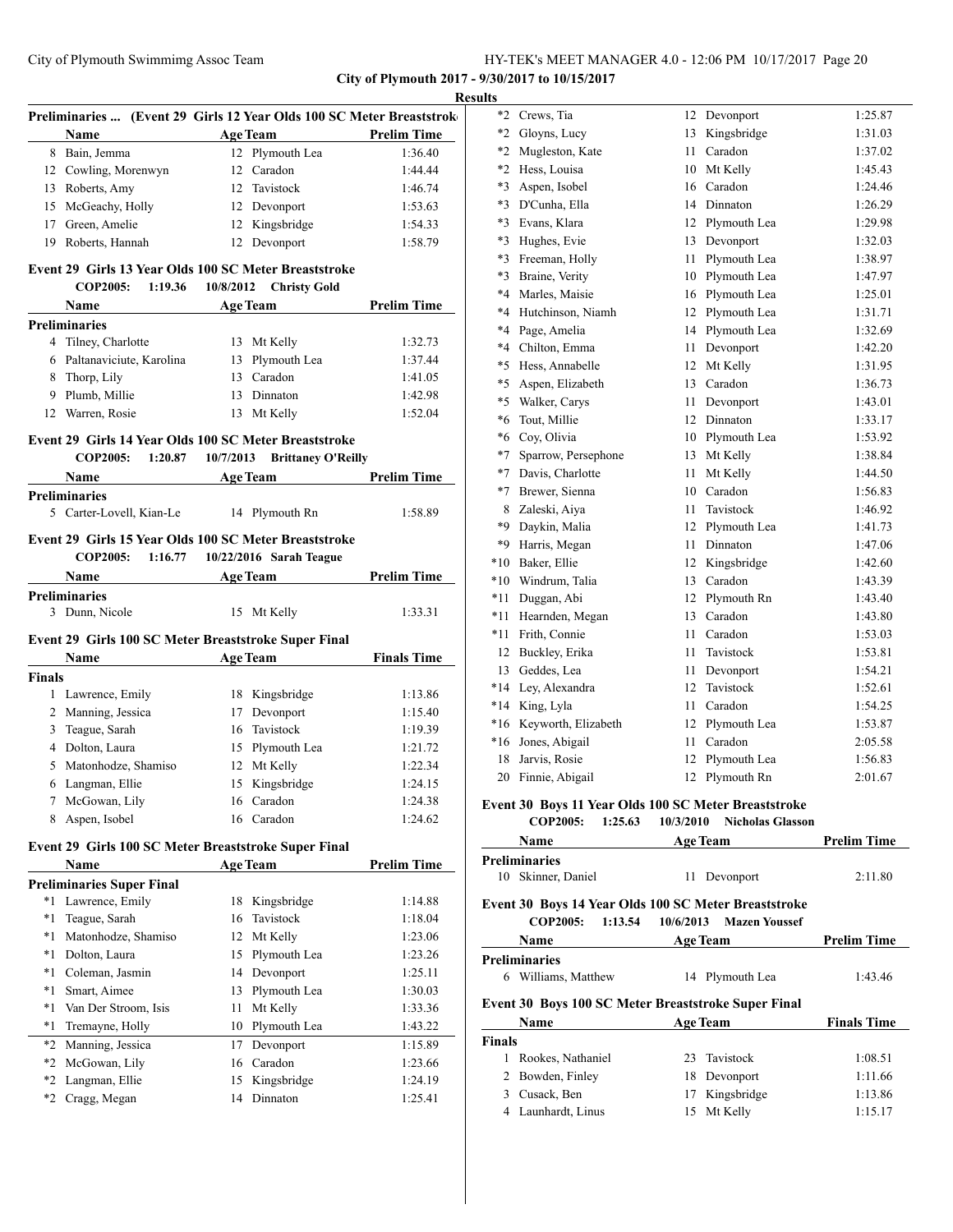|               | Preliminaries  (Event 29 Girls 12 Year Olds 100 SC Meter Breaststrok                                                                                                                                                          |    |                               |                    |
|---------------|-------------------------------------------------------------------------------------------------------------------------------------------------------------------------------------------------------------------------------|----|-------------------------------|--------------------|
|               | Name                                                                                                                                                                                                                          |    | <b>Age Team</b>               | <b>Prelim Time</b> |
|               | 8 Bain, Jemma                                                                                                                                                                                                                 |    | 12 Plymouth Lea               | 1:36.40            |
|               | 12 Cowling, Morenwyn                                                                                                                                                                                                          |    | 12 Caradon                    | 1:44.44            |
|               | 13 Roberts, Amy                                                                                                                                                                                                               |    | 12 Tavistock                  | 1:46.74            |
|               | 15 McGeachy, Holly                                                                                                                                                                                                            |    | 12 Devonport                  | 1:53.63            |
|               | 17 Green, Amelie                                                                                                                                                                                                              |    | 12 Kingsbridge                | 1:54.33            |
|               | 19 Roberts, Hannah                                                                                                                                                                                                            |    | 12 Devonport                  | 1:58.79            |
|               | Event 29 Girls 13 Year Olds 100 SC Meter Breaststroke                                                                                                                                                                         |    |                               |                    |
|               | COP2005: 1:19.36                                                                                                                                                                                                              |    | 10/8/2012 Christy Gold        |                    |
|               | Name has been a series of the series of the series of the series of the series of the series of the series of the series of the series of the series of the series of the series of the series of the series of the series of |    | Age Team                      | <b>Prelim Time</b> |
|               | <b>Preliminaries</b>                                                                                                                                                                                                          |    |                               |                    |
|               | 4 Tilney, Charlotte                                                                                                                                                                                                           |    | 13 Mt Kelly                   | 1:32.73            |
|               | 6 Paltanaviciute, Karolina 13 Plymouth Lea                                                                                                                                                                                    |    |                               | 1:37.44            |
|               | 8 Thorp, Lily                                                                                                                                                                                                                 |    | 13 Caradon                    | 1:41.05            |
|               | 9 Plumb, Millie                                                                                                                                                                                                               |    | 13 Dinnaton                   | 1:42.98            |
|               | 12 Warren, Rosie                                                                                                                                                                                                              |    | 13 Mt Kelly                   | 1:52.04            |
|               | Event 29 Girls 14 Year Olds 100 SC Meter Breaststroke                                                                                                                                                                         |    |                               |                    |
|               | COP2005: 1:20.87 10/7/2013 Brittaney O'Reilly                                                                                                                                                                                 |    |                               |                    |
|               | <b>Name</b>                                                                                                                                                                                                                   |    | <b>Example 2018 Age Team</b>  | <b>Prelim Time</b> |
|               | <b>Preliminaries</b>                                                                                                                                                                                                          |    |                               |                    |
|               | 5 Carter-Lovell, Kian-Le 14 Plymouth Rn                                                                                                                                                                                       |    |                               | 1:58.89            |
|               | Event 29 Girls 15 Year Olds 100 SC Meter Breaststroke                                                                                                                                                                         |    |                               |                    |
|               | COP2005: 1:16.77 10/22/2016 Sarah Teague                                                                                                                                                                                      |    |                               |                    |
|               | Name                                                                                                                                                                                                                          |    | Age Team                      | <b>Prelim Time</b> |
|               | <b>Preliminaries</b>                                                                                                                                                                                                          |    |                               |                    |
|               |                                                                                                                                                                                                                               |    |                               |                    |
|               | 3 Dunn, Nicole                                                                                                                                                                                                                |    | 15 Mt Kelly                   | 1:33.31            |
|               |                                                                                                                                                                                                                               |    |                               |                    |
|               | Event 29 Girls 100 SC Meter Breaststroke Super Final                                                                                                                                                                          |    |                               |                    |
|               | <b>Name</b>                                                                                                                                                                                                                   |    | Age Team Finals Time          |                    |
|               |                                                                                                                                                                                                                               |    |                               |                    |
|               | 1 Lawrence, Emily                                                                                                                                                                                                             |    | 18 Kingsbridge                | 1:13.86            |
|               | 2 Manning, Jessica                                                                                                                                                                                                            |    | 17 Devonport                  | 1:15.40            |
|               | 3 Teague, Sarah                                                                                                                                                                                                               |    | 16 Tavistock                  | 1:19.39            |
|               | 4 Dolton, Laura                                                                                                                                                                                                               |    | 15 Plymouth Lea               | 1:21.72            |
|               | 5 Matonhodze, Shamiso                                                                                                                                                                                                         |    | 12 Mt Kelly                   | 1:22.34            |
| 6             | Langman, Ellie                                                                                                                                                                                                                |    | 15 Kingsbridge                | 1:24.15            |
| 7             | McGowan, Lily                                                                                                                                                                                                                 |    | 16 Caradon                    | 1:24.38            |
| 8             | Aspen, Isobel                                                                                                                                                                                                                 |    | 16 Caradon                    | 1:24.62            |
|               | Event 29 Girls 100 SC Meter Breaststroke Super Final                                                                                                                                                                          |    |                               |                    |
| <b>Finals</b> | Name                                                                                                                                                                                                                          |    | <b>Age Team</b>               | <b>Prelim Time</b> |
|               | <b>Preliminaries Super Final</b>                                                                                                                                                                                              |    |                               |                    |
|               | *1 Lawrence, Emily                                                                                                                                                                                                            |    | 18 Kingsbridge                | 1:14.88            |
| *1            | Teague, Sarah                                                                                                                                                                                                                 | 16 | Tavistock                     | 1:18.04            |
|               |                                                                                                                                                                                                                               | 12 |                               | 1:23.06            |
|               | *1 Matonhodze, Shamiso                                                                                                                                                                                                        |    | Mt Kelly                      |                    |
|               | *1 Dolton, Laura                                                                                                                                                                                                              | 15 | Plymouth Lea                  | 1:23.26            |
|               | *1 Coleman, Jasmin                                                                                                                                                                                                            | 14 | Devonport                     | 1:25.11            |
| *1            | Smart, Aimee                                                                                                                                                                                                                  | 13 | Plymouth Lea                  | 1:30.03            |
| *1            | Van Der Stroom, Isis                                                                                                                                                                                                          | 11 | Mt Kelly                      | 1:33.36            |
| $*_{1}$       | Tremayne, Holly                                                                                                                                                                                                               | 10 | Plymouth Lea                  | 1:43.22            |
| *2            | Manning, Jessica                                                                                                                                                                                                              | 17 | Devonport                     | 1:15.89            |
| *2            | McGowan, Lily                                                                                                                                                                                                                 |    | 16 Caradon                    | 1:23.66            |
|               | *2 Langman, Ellie<br>*2 Cragg, Megan                                                                                                                                                                                          |    | 15 Kingsbridge<br>14 Dinnaton | 1:24.19<br>1:25.41 |

| $*2$    | Crews, Tia          | 12 | Devonport    | 1:25.87 |
|---------|---------------------|----|--------------|---------|
| $*2$    | Gloyns, Lucy        | 13 | Kingsbridge  | 1:31.03 |
| $*2$    | Mugleston, Kate     | 11 | Caradon      | 1:37.02 |
| $*2$    | Hess, Louisa        | 10 | Mt Kelly     | 1:45.43 |
| $*3$    | Aspen, Isobel       | 16 | Caradon      | 1:24.46 |
| $*3$    | D'Cunha, Ella       | 14 | Dinnaton     | 1:26.29 |
| $*3$    | Evans, Klara        | 12 | Plymouth Lea | 1:29.98 |
| $*3$    | Hughes, Evie        | 13 | Devonport    | 1:32.03 |
| $*3$    | Freeman, Holly      | 11 | Plymouth Lea | 1:38.97 |
| $*3$    | Braine, Verity      | 10 | Plymouth Lea | 1:47.97 |
| $*4$    | Marles, Maisie      | 16 | Plymouth Lea | 1:25.01 |
| $*4$    | Hutchinson, Niamh   | 12 | Plymouth Lea | 1:31.71 |
| $*4$    | Page, Amelia        | 14 | Plymouth Lea | 1:32.69 |
| $*4$    | Chilton, Emma       | 11 | Devonport    | 1:42.20 |
| $*5$    | Hess, Annabelle     | 12 | Mt Kelly     | 1:31.95 |
| $*5$    | Aspen, Elizabeth    | 13 | Caradon      | 1:36.73 |
| $*5$    | Walker, Carys       | 11 | Devonport    | 1:43.01 |
| $*_{6}$ | Tout, Millie        | 12 | Dinnaton     | 1:33.17 |
| $*6$    | Coy, Olivia         | 10 | Plymouth Lea | 1:53.92 |
| $*7$    | Sparrow, Persephone | 13 | Mt Kelly     | 1:38.84 |
| $*7$    | Davis, Charlotte    | 11 | Mt Kelly     | 1:44.50 |
| $*7$    | Brewer, Sienna      | 10 | Caradon      | 1:56.83 |
| 8       | Zaleski, Aiya       | 11 | Tavistock    | 1:46.92 |
| $*9$    | Daykin, Malia       | 12 | Plymouth Lea | 1:41.73 |
| $*9$    | Harris, Megan       | 11 | Dinnaton     | 1:47.06 |
| $*10$   | Baker, Ellie        | 12 | Kingsbridge  | 1:42.60 |
| $*10$   | Windrum, Talia      | 13 | Caradon      | 1:43.39 |
| *11     | Duggan, Abi         | 12 | Plymouth Rn  | 1:43.40 |
| *11     | Hearnden, Megan     | 13 | Caradon      | 1:43.80 |
| *11     | Frith, Connie       | 11 | Caradon      | 1:53.03 |
| 12      | Buckley, Erika      | 11 | Tavistock    | 1:53.81 |
| 13      | Geddes, Lea         | 11 | Devonport    | 1:54.21 |
| $*14$   | Ley, Alexandra      | 12 | Tavistock    | 1:52.61 |
| $*14$   | King, Lyla          | 11 | Caradon      | 1:54.25 |
| *16     | Keyworth, Elizabeth | 12 | Plymouth Lea | 1:53.87 |
| $*16$   | Jones, Abigail      | 11 | Caradon      | 2:05.58 |
| 18      | Jarvis, Rosie       | 12 | Plymouth Lea | 1:56.83 |
| 20      | Finnie, Abigail     | 12 | Plymouth Rn  | 2:01.67 |
|         |                     |    |              |         |

# **Event 30 Boys 11 Year Olds 100 SC Meter Breaststroke**

**COP2005: 1:25.63 10/3/2010 Nicholas Glasson**

|               | Name                       | <b>Age Team</b>                                      | <b>Prelim Time</b> |
|---------------|----------------------------|------------------------------------------------------|--------------------|
|               | <b>Preliminaries</b>       |                                                      |                    |
| 10            | Skinner, Daniel            | 11<br>Devonport                                      | 2:11.80            |
|               |                            | Event 30 Boys 14 Year Olds 100 SC Meter Breaststroke |                    |
|               | <b>COP2005:</b><br>1:13.54 | 10/6/2013 Mazen Youssef                              |                    |
|               | <b>Name</b>                | <b>Age Team</b>                                      | <b>Prelim Time</b> |
|               | <b>Preliminaries</b>       |                                                      |                    |
| 6.            | Williams, Matthew          | 14 Plymouth Lea                                      | 1:43.46            |
|               |                            | Event 30 Boys 100 SC Meter Breaststroke Super Final  |                    |
|               | Name                       | <b>Age Team</b>                                      | <b>Finals Time</b> |
| <b>Finals</b> |                            |                                                      |                    |
|               | Rookes, Nathaniel          | Tavistock<br>23                                      | 1:08.51            |
| 2             | Bowden, Finley             | Devonport<br>18                                      | 1:11.66            |
| $\mathbf{3}$  | Cusack, Ben                | Kingsbridge<br>17                                    | 1:13.86            |
| 4             | Launhardt, Linus           | Mt Kelly<br>15                                       | 1:15.17            |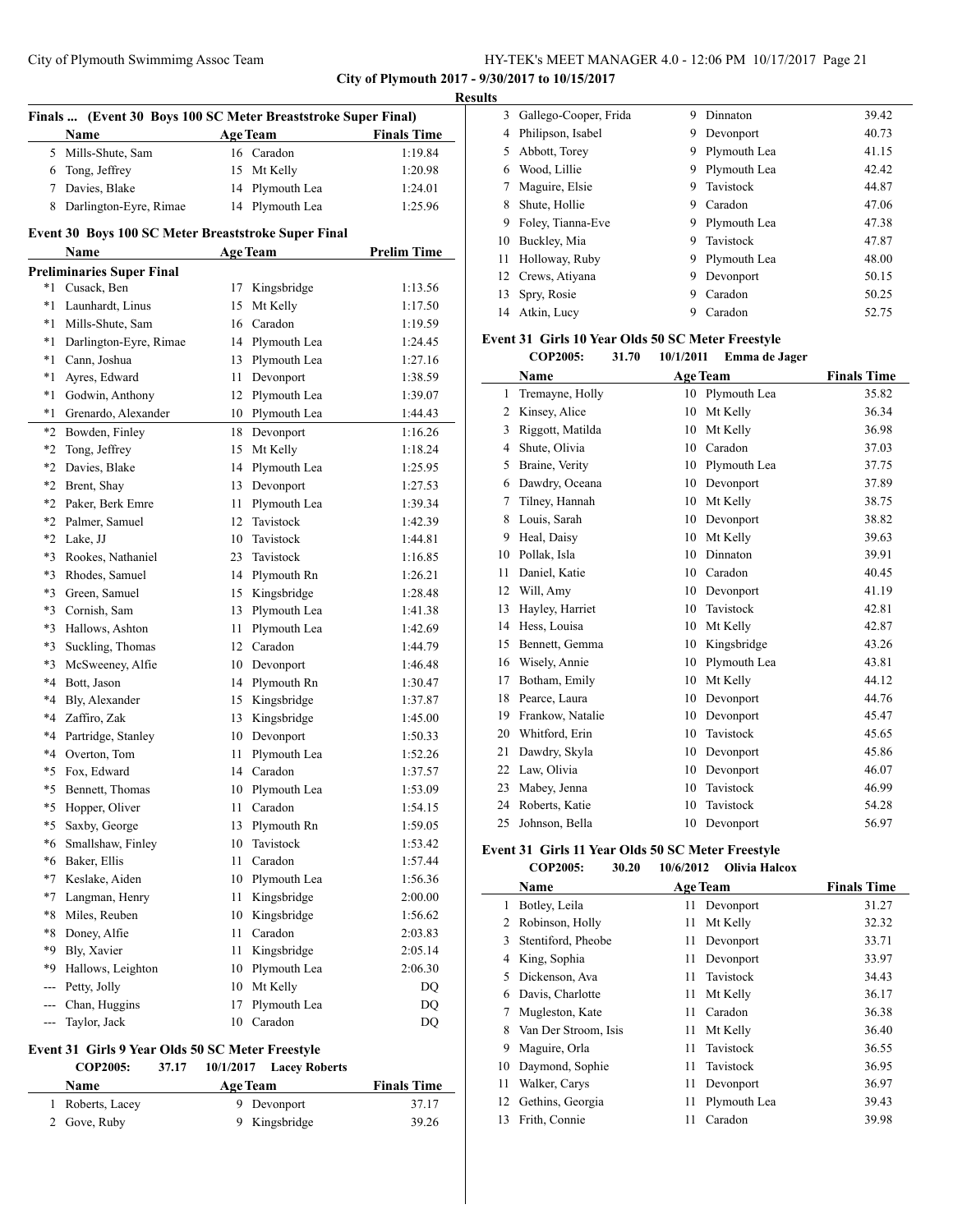# City of Plymouth Swimmimg Assoc Team

| HY-TEK's MEET MANAGER 4.0 - 12:06 PM 10/17/2017 Page 21 |  |
|---------------------------------------------------------|--|
|---------------------------------------------------------|--|

**City of Plymouth 2017 - 9/30/2017 to 10/15/2017**

|      |                                                               |      |                      |                    | <b>Results</b> |
|------|---------------------------------------------------------------|------|----------------------|--------------------|----------------|
|      | Finals  (Event 30 Boys 100 SC Meter Breaststroke Super Final) |      |                      |                    |                |
|      | Name                                                          |      | Age Team Finals Time |                    |                |
|      | 5 Mills-Shute, Sam                                            |      | 16 Caradon           | 1:19.84            |                |
|      | 6 Tong, Jeffrey                                               |      | 15 Mt Kelly          | 1:20.98            |                |
|      | 7 Davies, Blake                                               |      | 14 Plymouth Lea      | 1:24.01            |                |
|      | 8 Darlington-Eyre, Rimae                                      |      | 14 Plymouth Lea      | 1:25.96            |                |
|      | Event 30 Boys 100 SC Meter Breaststroke Super Final           |      |                      |                    |                |
|      | Name                                                          |      | <b>Age Team</b>      | <b>Prelim Time</b> |                |
|      | <b>Preliminaries Super Final</b>                              |      |                      |                    |                |
| *1   | Cusack, Ben                                                   | 17   | Kingsbridge          | 1:13.56            |                |
|      | *1 Launhardt, Linus                                           | 15   | Mt Kelly             | 1:17.50            |                |
| *1   | Mills-Shute, Sam                                              |      | 16 Caradon           | 1:19.59            |                |
| *1   | Darlington-Eyre, Rimae                                        |      | 14 Plymouth Lea      | 1:24.45            | Ev             |
| *1   | Cann, Joshua                                                  |      | 13 Plymouth Lea      | 1:27.16            |                |
| *1   | Ayres, Edward                                                 |      | 11 Devonport         | 1:38.59            |                |
| *1   | Godwin, Anthony                                               |      | 12 Plymouth Lea      | 1:39.07            |                |
| *1   | Grenardo, Alexander                                           |      | 10 Plymouth Lea      | 1:44.43            |                |
|      | *2 Bowden, Finley                                             |      | 18 Devonport         | 1:16.26            |                |
|      | *2 Tong, Jeffrey                                              |      | 15 Mt Kelly          | 1:18.24            |                |
|      | *2 Davies, Blake                                              |      | 14 Plymouth Lea      | 1:25.95            |                |
|      | *2 Brent, Shay                                                |      | 13 Devonport         | 1:27.53            |                |
|      | *2 Paker, Berk Emre                                           | 11   | Plymouth Lea         | 1:39.34            |                |
|      | *2 Palmer, Samuel                                             |      | 12 Tavistock         | 1:42.39            |                |
|      | *2 Lake, JJ                                                   |      | 10 Tavistock         | 1:44.81            |                |
|      | *3 Rookes, Nathaniel                                          |      | 23 Tavistock         | 1:16.85            |                |
|      | *3 Rhodes, Samuel                                             |      | 14 Plymouth Rn       | 1:26.21            |                |
|      | *3 Green, Samuel                                              |      | 15 Kingsbridge       | 1:28.48            |                |
|      | *3 Cornish, Sam                                               |      | 13 Plymouth Lea      | 1:41.38            |                |
| $*3$ | Hallows, Ashton                                               |      | 11 Plymouth Lea      | 1:42.69            |                |
| $*3$ | Suckling, Thomas                                              |      | 12 Caradon           | 1:44.79            |                |
| $*3$ | McSweeney, Alfie                                              |      | 10 Devonport         | 1:46.48            |                |
|      | *4 Bott, Jason                                                |      | 14 Plymouth Rn       | 1:30.47            |                |
| *4   | Bly, Alexander                                                |      | 15 Kingsbridge       | 1:37.87            |                |
| $*4$ | Zaffiro, Zak                                                  | 13   | Kingsbridge          | 1:45.00            |                |
|      | *4 Partridge, Stanley                                         |      | 10 Devonport         | 1:50.33            |                |
|      | *4 Overton, Tom                                               | 11   | Plymouth Lea         | 1:52.26            |                |
|      | *5 Fox, Edward                                                |      | 14 Caradon           | 1:37.57            |                |
|      | *5 Bennett, Thomas                                            |      | 10 Plymouth Lea      | 1:53.09            |                |
| *5.  | Hopper, Oliver                                                | 11   | Caradon              | 1:54.15            |                |
| *5   | Saxby, George                                                 | 13   | Plymouth Rn          | 1:59.05            |                |
| $*6$ | Smallshaw, Finley                                             | 10   | Tavistock            | 1:53.42            |                |
| *6   | Baker, Ellis                                                  | 11 - | Caradon              | 1:57.44            | Ev             |
| $*7$ | Keslake, Aiden                                                |      |                      | 1:56.36            |                |
|      |                                                               |      | 10 Plymouth Lea      |                    |                |
| *7   | Langman, Henry                                                | 11   | Kingsbridge          | 2:00.00            |                |
| *8   | Miles, Reuben                                                 | 10   | Kingsbridge          | 1:56.62            |                |
| *8   | Doney, Alfie                                                  | 11   | Caradon              | 2:03.83            |                |
| *9   | Bly, Xavier                                                   | 11   | Kingsbridge          | 2:05.14            |                |
| *9   | Hallows, Leighton                                             | 10   | Plymouth Lea         | 2:06.30            |                |
| ---  | Petty, Jolly                                                  | 10   | Mt Kelly             | <b>DQ</b>          |                |
| ---  | Chan, Huggins                                                 | 17   | Plymouth Lea         | DQ                 |                |
| ---  | Taylor, Jack                                                  |      | 10 Caradon           | DQ                 |                |

# **Event 31 Girls 9 Year Olds 50 SC Meter Freestyle**

**COP2005: 37.17 10/1/2017 Lacey Roberts**

| <b>Name</b>      | <b>Age Team</b> | <b>Finals Time</b> |
|------------------|-----------------|--------------------|
| 1 Roberts, Lacey | 9 Devonport     | 37.17              |
| 2 Gove, Ruby     | 9 Kingsbridge   | 39.26              |

|    | 3 Gallego-Cooper, Frida | 9 | Dinnaton     | 39.42 |
|----|-------------------------|---|--------------|-------|
| 4  | Philipson, Isabel       | 9 | Devonport    | 40.73 |
| 5. | Abbott, Torey           | 9 | Plymouth Lea | 41.15 |
| 6  | Wood, Lillie            | 9 | Plymouth Lea | 42.42 |
|    | Maguire, Elsie          | 9 | Tavistock    | 44.87 |
| 8  | Shute, Hollie           | 9 | Caradon      | 47.06 |
| 9  | Foley, Tianna-Eve       | 9 | Plymouth Lea | 47.38 |
| 10 | Buckley, Mia            | 9 | Tavistock    | 47.87 |
| 11 | Holloway, Ruby          | 9 | Plymouth Lea | 48.00 |
| 12 | Crews, Atiyana          | 9 | Devonport    | 50.15 |
| 13 | Spry, Rosie             | 9 | Caradon      | 50.25 |
| 14 | Atkin, Lucy             | 9 | Caradon      | 52.75 |
|    |                         |   |              |       |

# **Event 31 Girls 10 Year Olds 50 SC Meter Freestyle**

|    | COP2005:         | 31.70 | 10/1/2011 | Emma de Jager   |                    |
|----|------------------|-------|-----------|-----------------|--------------------|
|    | Name             |       |           | Age Team        | <b>Finals Time</b> |
| 1  | Tremayne, Holly  |       | 10        | Plymouth Lea    | 35.82              |
| 2  | Kinsey, Alice    |       | 10        | Mt Kelly        | 36.34              |
| 3  | Riggott, Matilda |       | 10        | Mt Kelly        | 36.98              |
| 4  | Shute, Olivia    |       | 10        | Caradon         | 37.03              |
| 5  | Braine, Verity   |       | 10        | Plymouth Lea    | 37.75              |
| 6  | Dawdry, Oceana   |       | 10        | Devonport       | 37.89              |
| 7  | Tilney, Hannah   |       | 10        | Mt Kelly        | 38.75              |
| 8  | Louis, Sarah     |       | 10        | Devonport       | 38.82              |
| 9  | Heal, Daisy      |       | 10        | Mt Kelly        | 39.63              |
| 10 | Pollak, Isla     |       | 10        | <b>Dinnaton</b> | 39.91              |
| 11 | Daniel, Katie    |       | 10        | Caradon         | 40.45              |
| 12 | Will, Amy        |       | 10        | Devonport       | 41.19              |
| 13 | Hayley, Harriet  |       | 10        | Tavistock       | 42.81              |
| 14 | Hess, Louisa     |       | 10        | Mt Kelly        | 42.87              |
| 15 | Bennett, Gemma   |       | 10        | Kingsbridge     | 43.26              |
| 16 | Wisely, Annie    |       | 10        | Plymouth Lea    | 43.81              |
| 17 | Botham, Emily    |       | 10        | Mt Kelly        | 44.12              |
| 18 | Pearce, Laura    |       | 10        | Devonport       | 44.76              |
| 19 | Frankow, Natalie |       | 10        | Devonport       | 45.47              |
| 20 | Whitford, Erin   |       | 10        | Tavistock       | 45.65              |
| 21 | Dawdry, Skyla    |       | 10        | Devonport       | 45.86              |
| 22 | Law, Olivia      |       | 10        | Devonport       | 46.07              |
| 23 | Mabey, Jenna     |       | 10        | Tavistock       | 46.99              |
| 24 | Roberts, Katie   |       | 10        | Tavistock       | 54.28              |
| 25 | Johnson, Bella   |       | 10        | Devonport       | 56.97              |

# **Event 31 Girls 11 Year Olds 50 SC Meter Freestyle COP2005: 30.20 10/6/2012 Olivia Halcox**

|    | Name                 |    | <b>Age Team</b> | <b>Finals Time</b> |
|----|----------------------|----|-----------------|--------------------|
| 1  | Botley, Leila        | 11 | Devonport       | 31.27              |
| 2  | Robinson, Holly      | 11 | Mt Kelly        | 32.32              |
| 3  | Stentiford, Pheobe   | 11 | Devonport       | 33.71              |
| 4  | King, Sophia         | 11 | Devonport       | 33.97              |
| 5  | Dickenson, Ava       | 11 | Tavistock       | 34.43              |
| 6  | Davis, Charlotte     | 11 | Mt Kelly        | 36.17              |
|    | Mugleston, Kate      | 11 | Caradon         | 36.38              |
| 8  | Van Der Stroom, Isis | 11 | Mt Kelly        | 36.40              |
| 9  | Maguire, Orla        | 11 | Tavistock       | 36.55              |
| 10 | Daymond, Sophie      | 11 | Tavistock       | 36.95              |
| 11 | Walker, Carys        | 11 | Devonport       | 36.97              |
| 12 | Gethins, Georgia     | 11 | Plymouth Lea    | 39.43              |
| 13 | Frith, Connie        | 11 | Caradon         | 39.98              |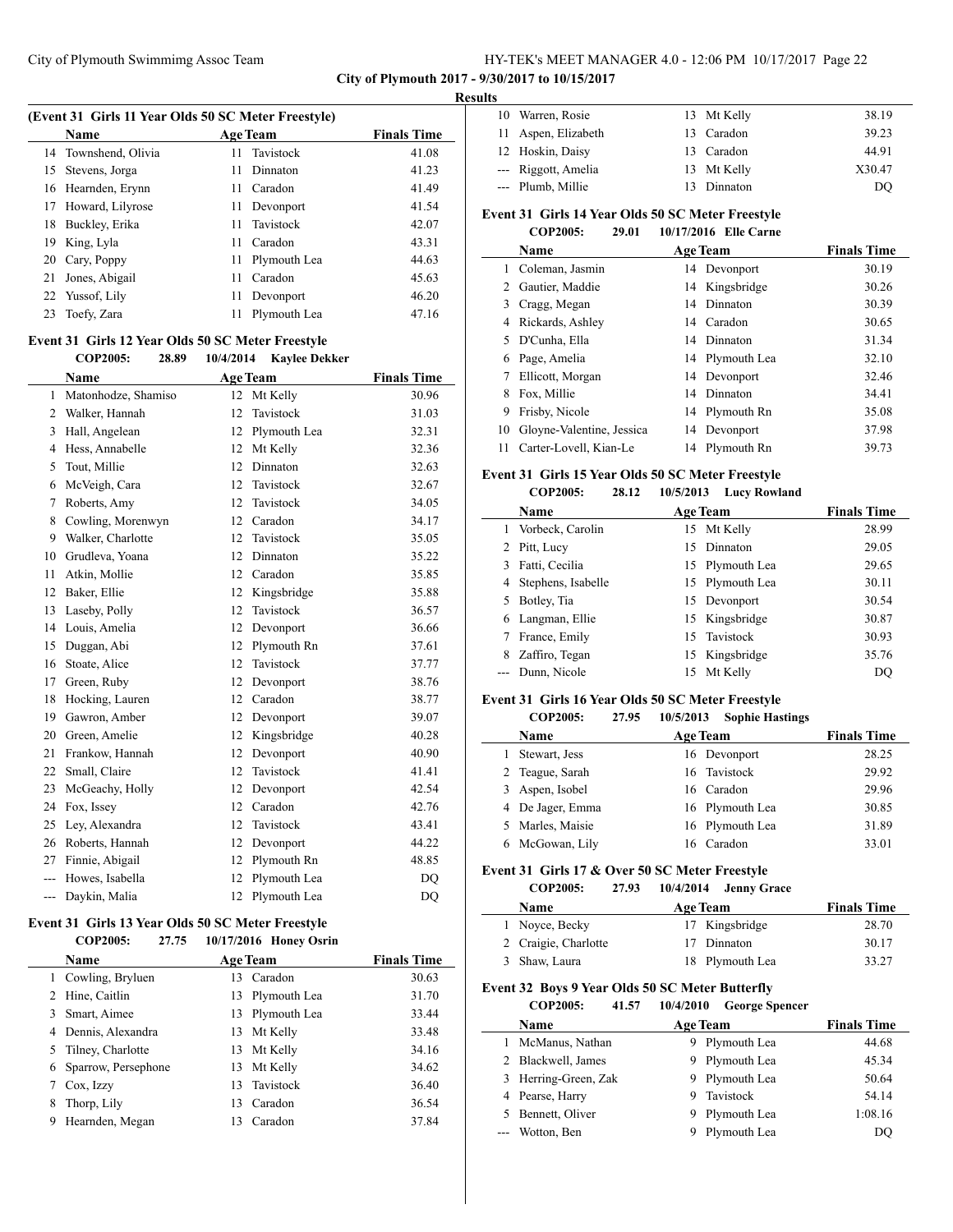**City of Plymouth 2017 - 9/30/2017 to 10/15/2017**

#### **Results**

| (Event 31 Girls 11 Year Olds 50 SC Meter Freestyle) |                      |     |                 |                    |  |
|-----------------------------------------------------|----------------------|-----|-----------------|--------------------|--|
|                                                     | Name                 |     | <b>Age Team</b> | <b>Finals Time</b> |  |
|                                                     | 14 Townshend, Olivia |     | 11 Tavistock    | 41.08              |  |
|                                                     | 15 Stevens, Jorga    | 11. | Dinnaton        | 41.23              |  |
|                                                     | 16 Hearnden, Erynn   | 11  | Caradon         | 41.49              |  |
|                                                     | 17 Howard, Lilyrose  | 11  | Devonport       | 41.54              |  |
| 18                                                  | Buckley, Erika       |     | 11 Tavistock    | 42.07              |  |
| 19                                                  | King, Lyla           | 11  | Caradon         | 43.31              |  |
|                                                     | 20 Cary, Poppy       |     | 11 Plymouth Lea | 44.63              |  |
| 21                                                  | Jones, Abigail       | 11  | Caradon         | 45.63              |  |
|                                                     | 22 Yussof, Lily      | 11  | Devonport       | 46.20              |  |
| 23                                                  | Toefy, Zara          | 11  | Plymouth Lea    | 47.16              |  |

#### **Event 31 Girls 12 Year Olds 50 SC Meter Freestyle**

|     | <b>COP2005:</b><br>28.89 | 10/4/2014<br><b>Kaylee Dekker</b> |                    |
|-----|--------------------------|-----------------------------------|--------------------|
|     | Name                     | <b>Age Team</b>                   | <b>Finals Time</b> |
| 1   | Matonhodze, Shamiso      | 12 Mt Kelly                       | 30.96              |
| 2   | Walker, Hannah           | Tavistock<br>12                   | 31.03              |
| 3   | Hall, Angelean           | Plymouth Lea<br>12                | 32.31              |
| 4   | Hess, Annabelle          | 12<br>Mt Kelly                    | 32.36              |
| 5   | Tout, Millie             | Dinnaton<br>12                    | 32.63              |
| 6   | McVeigh, Cara            | Tavistock<br>12                   | 32.67              |
| 7   | Roberts, Amy             | Tavistock<br>12                   | 34.05              |
| 8   | Cowling, Morenwyn        | 12<br>Caradon                     | 34.17              |
| 9   | Walker, Charlotte        | Tavistock<br>12                   | 35.05              |
| 10  | Grudleva, Yoana          | 12<br>Dinnaton                    | 35.22              |
| 11  | Atkin, Mollie            | 12<br>Caradon                     | 35.85              |
| 12  | Baker, Ellie             | Kingsbridge<br>12                 | 35.88              |
| 13  | Laseby, Polly            | Tavistock<br>12                   | 36.57              |
| 14  | Louis, Amelia            | 12<br>Devonport                   | 36.66              |
| 15  | Duggan, Abi              | 12<br>Plymouth Rn                 | 37.61              |
| 16  | Stoate, Alice            | 12<br>Tavistock                   | 37.77              |
| 17  | Green, Ruby              | 12<br>Devonport                   | 38.76              |
| 18  | Hocking, Lauren          | Caradon<br>12                     | 38.77              |
| 19  | Gawron, Amber            | 12<br>Devonport                   | 39.07              |
| 20  | Green, Amelie            | 12<br>Kingsbridge                 | 40.28              |
| 21  | Frankow, Hannah          | 12<br>Devonport                   | 40.90              |
| 22  | Small, Claire            | Tavistock<br>12                   | 41.41              |
| 23  | McGeachy, Holly          | 12<br>Devonport                   | 42.54              |
| 24  | Fox, Issey               | Caradon<br>12                     | 42.76              |
| 25  | Ley, Alexandra           | 12<br>Tavistock                   | 43.41              |
| 26  | Roberts, Hannah          | 12<br>Devonport                   | 44.22              |
| 27  | Finnie, Abigail          | Plymouth Rn<br>12                 | 48.85              |
| --- | Howes, Isabella          | 12<br>Plymouth Lea                | DQ                 |
| --- | Daykin, Malia            | 12<br>Plymouth Lea                | DQ                 |

#### **Event 31 Girls 13 Year Olds 50 SC Meter Freestyle COP2005: 27.75 10/17/2016 Honey Osrin**

| COLZUUS: | $21.75$ 10/1/2010 HOREY OSFIII |
|----------|--------------------------------|
| Name     | A oe Team                      |

|   | Name                  |     | <b>Age Team</b> | <b>Finals Time</b> |
|---|-----------------------|-----|-----------------|--------------------|
|   | Cowling, Bryluen      |     | 13 Caradon      | 30.63              |
|   | Hine, Caitlin         | 13  | Plymouth Lea    | 31.70              |
|   | Smart, Aimee          |     | 13 Plymouth Lea | 33.44              |
|   | 4 Dennis, Alexandra   | 13  | Mt Kelly        | 33.48              |
|   | 5 Tilney, Charlotte   |     | 13 Mt Kelly     | 34.16              |
|   | 6 Sparrow, Persephone | 13  | Mt Kelly        | 34.62              |
|   | Cox, Izzy             |     | 13 Tavistock    | 36.40              |
|   | Thorp, Lily           | 13. | Caradon         | 36.54              |
| 9 | Hearnden, Megan       | 13  | Caradon         | 37.84              |

| 10 Warren, Rosie    | 13 Mt Kelly | 38.19  |
|---------------------|-------------|--------|
| 11 Aspen, Elizabeth | 13 Caradon  | 39.23  |
| 12 Hoskin, Daisy    | 13 Caradon  | 44.91  |
| --- Riggott, Amelia | 13 Mt Kelly | X30.47 |
| --- Plumb, Millie   | 13 Dinnaton | DO     |

# **Event 31 Girls 14 Year Olds 50 SC Meter Freestyle**

|    | <b>COP2005:</b><br>29.01  | 10/17/2016 Elle Carne |                    |
|----|---------------------------|-----------------------|--------------------|
|    | Name                      | <b>Age Team</b>       | <b>Finals Time</b> |
|    | Coleman, Jasmin           | 14 Devonport          | 30.19              |
| 2  | Gautier, Maddie           | 14 Kingsbridge        | 30.26              |
| 3  | Cragg, Megan              | 14 Dinnaton           | 30.39              |
| 4  | Rickards, Ashley          | 14 Caradon            | 30.65              |
| 5  | D'Cunha, Ella             | 14 Dinnaton           | 31.34              |
| 6  | Page, Amelia              | 14 Plymouth Lea       | 32.10              |
| 7  | Ellicott, Morgan          | 14 Devonport          | 32.46              |
| 8  | Fox, Millie               | 14 Dinnaton           | 34.41              |
| 9  | Frisby, Nicole            | 14 Plymouth Rn        | 35.08              |
| 10 | Gloyne-Valentine, Jessica | 14 Devonport          | 37.98              |
| 11 | Carter-Lovell, Kian-Le    | Plymouth Rn<br>14     | 39.73              |

# **Event 31 Girls 15 Year Olds 50 SC Meter Freestyle**<br> **COP2005:** 28.12 10/5/2013 Lucy Rowls

|   | <b>COP2005:</b>    | 28.12<br>10/5/2013 | <b>Lucy Rowland</b> |                    |
|---|--------------------|--------------------|---------------------|--------------------|
|   | Name               |                    | <b>Age Team</b>     | <b>Finals Time</b> |
|   | Vorbeck, Carolin   |                    | 15 Mt Kelly         | 28.99              |
|   | 2 Pitt, Lucy       | 15                 | Dinnaton            | 29.05              |
| 3 | Fatti, Cecilia     |                    | 15 Plymouth Lea     | 29.65              |
| 4 | Stephens, Isabelle |                    | 15 Plymouth Lea     | 30.11              |
|   | 5 Botley, Tia      |                    | 15 Devonport        | 30.54              |
| 6 | Langman, Ellie     |                    | 15 Kingsbridge      | 30.87              |
|   | France, Emily      |                    | 15 Tavistock        | 30.93              |
| 8 | Zaffiro, Tegan     |                    | 15 Kingsbridge      | 35.76              |
|   | Dunn, Nicole       | 15                 | Mt Kelly            | DQ                 |

#### **Event 31 Girls 16 Year Olds 50 SC Meter Freestyle**

| <b>COP2005:</b>  | 27.95 | 10/5/2013       | <b>Sophie Hastings</b> |                    |
|------------------|-------|-----------------|------------------------|--------------------|
| <b>Name</b>      |       | <b>Age Team</b> |                        | <b>Finals Time</b> |
| Stewart, Jess    |       |                 | 16 Devonport           | 28.25              |
| 2 Teague, Sarah  |       |                 | 16 Tavistock           | 29.92              |
| 3 Aspen, Isobel  |       |                 | 16 Caradon             | 29.96              |
| 4 De Jager, Emma |       |                 | 16 Plymouth Lea        | 30.85              |
| 5 Marles, Maisie |       |                 | 16 Plymouth Lea        | 31.89              |
| McGowan, Lily    |       |                 | 16 Caradon             | 33.01              |
|                  |       |                 |                        |                    |

# **Event 31 Girls 17 & Over 50 SC Meter Freestyle**

 $\overline{\phantom{a}}$ 

 $\frac{1}{2}$ 

### **COP2005: 27.93 10/4/2014 Jenny Grace**

| <b>Name</b>          | <b>Age Team</b> | <b>Finals Time</b> |
|----------------------|-----------------|--------------------|
| 1 Noyce, Becky       | 17 Kingsbridge  | 28.70              |
| 2 Craigie, Charlotte | 17 Dinnaton     | 30.17              |
| 3 Shaw, Laura        | 18 Plymouth Lea | 33.27              |

# **Event 32 Boys 9 Year Olds 50 SC Meter Butterfly**

|    | <b>COP2005:</b><br>41.57 | 10/4/2010<br><b>George Spencer</b> |                    |
|----|--------------------------|------------------------------------|--------------------|
|    | Name                     | <b>Age Team</b>                    | <b>Finals Time</b> |
|    | McManus, Nathan          | 9 Plymouth Lea                     | 44.68              |
|    | 2 Blackwell, James       | 9 Plymouth Lea                     | 45.34              |
|    | 3 Herring-Green, Zak     | Plymouth Lea<br>9.                 | 50.64              |
|    | 4 Pearse, Harry          | Tavistock<br>9                     | 54.14              |
| 5. | Bennett, Oliver          | Plymouth Lea<br>9.                 | 1:08.16            |
|    | --- Wotton, Ben          | Plymouth Lea<br>9                  | DO                 |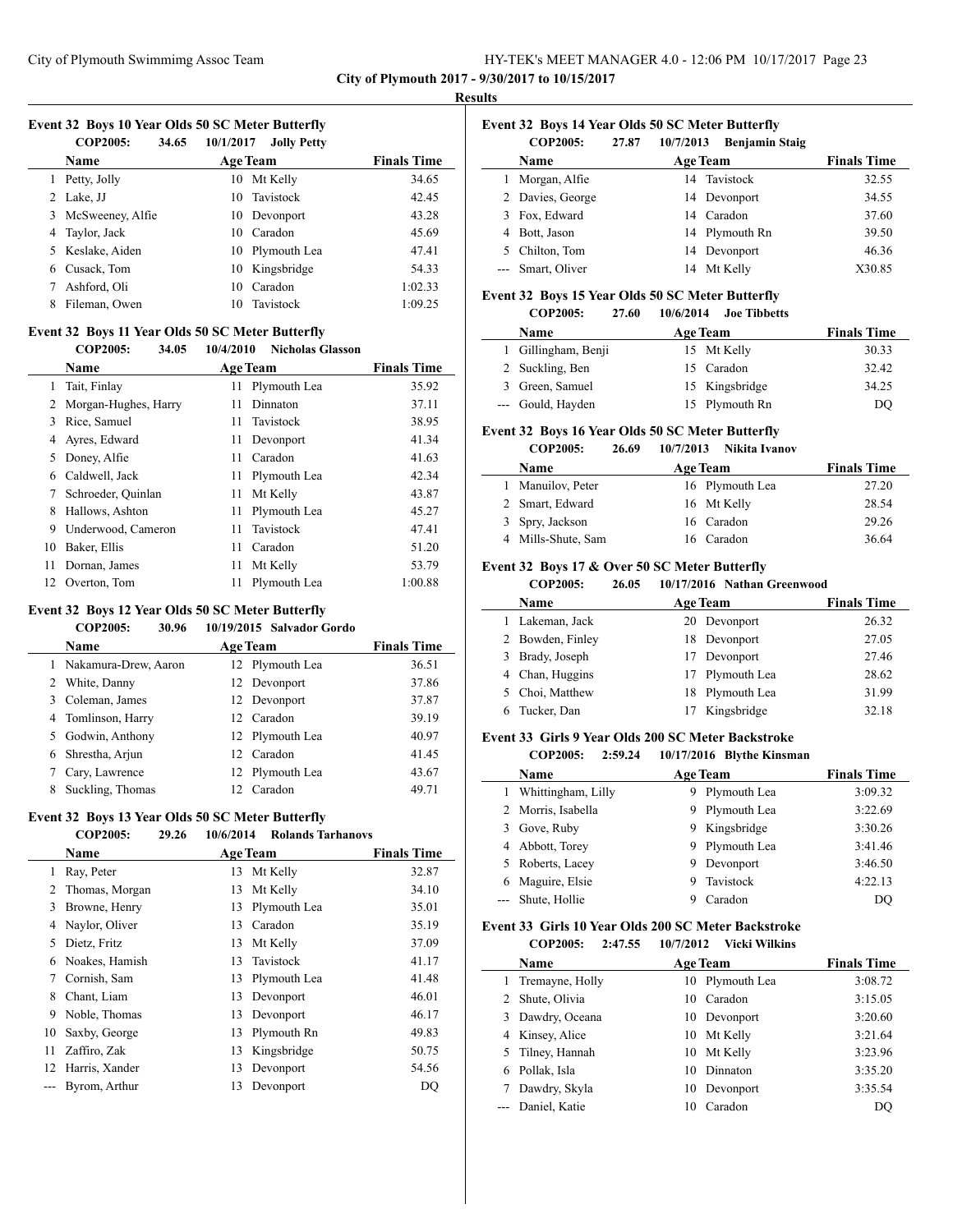**City of Plymouth 2017 - 9/30/2017 to 10/15/2017**

#### **Results**

L.

 $\overline{a}$ 

# **Event 32 Boys 10 Year Olds 50 SC Meter Butterfly**

|    | <b>COP2005:</b><br>34.65 | 10/1/2017<br><b>Jolly Petty</b> |                    |
|----|--------------------------|---------------------------------|--------------------|
|    | Name                     | <b>Age Team</b>                 | <b>Finals Time</b> |
| 1  | Petty, Jolly             | Mt Kelly<br>10                  | 34.65              |
|    | 2 Lake, JJ               | Tavistock<br>10                 | 42.45              |
| 3  | McSweeney, Alfie         | Devonport<br>10                 | 43.28              |
|    | 4 Taylor, Jack           | Caradon<br>10                   | 45.69              |
| 5. | Keslake, Aiden           | Plymouth Lea<br>10              | 47.41              |
| 6  | Cusack, Tom              | 10 Kingsbridge                  | 54.33              |
|    | Ashford, Oli             | Caradon<br>10                   | 1:02.33            |
| 8  | Fileman, Owen            | Tavistock<br>10                 | 1:09.25            |
|    |                          |                                 |                    |

#### **Event 32 Boys 11 Year Olds 50 SC Meter Butterfly**

#### **COP2005: 34.05 10/4/2010 Nicholas Glasson**

|     | <b>Name</b>          |     | <b>Age Team</b> | <b>Finals Time</b> |
|-----|----------------------|-----|-----------------|--------------------|
| 1   | Tait, Finlay         | 11  | Plymouth Lea    | 35.92              |
| 2   | Morgan-Hughes, Harry | 11  | Dinnaton        | 37.11              |
| 3   | Rice, Samuel         | 11. | Tavistock       | 38.95              |
| 4   | Ayres, Edward        | 11  | Devonport       | 41.34              |
| 5   | Doney, Alfie         | 11  | Caradon         | 41.63              |
| 6   | Caldwell, Jack       | 11  | Plymouth Lea    | 42.34              |
| 7   | Schroeder, Quinlan   | 11  | Mt Kelly        | 43.87              |
| 8   | Hallows, Ashton      | 11  | Plymouth Lea    | 45.27              |
| 9   | Underwood, Cameron   | 11  | Tavistock       | 47.41              |
| 10  | Baker, Ellis         | 11  | Caradon         | 51.20              |
| 11  | Dornan, James        | 11  | Mt Kelly        | 53.79              |
| 12. | Overton, Tom         | 11  | Plymouth Lea    | 1:00.88            |

#### **Event 32 Boys 12 Year Olds 50 SC Meter Butterfly**

#### **COP2005: 30.96 10/19/2015 Salvador Gordo**

|   | <b>Name</b>            | <b>Age Team</b> | <b>Finals Time</b> |
|---|------------------------|-----------------|--------------------|
|   | 1 Nakamura-Drew, Aaron | 12 Plymouth Lea | 36.51              |
|   | 2 White, Danny         | 12 Devonport    | 37.86              |
|   | 3 Coleman, James       | 12 Devonport    | 37.87              |
|   | 4 Tomlinson, Harry     | 12 Caradon      | 39.19              |
|   | 5 Godwin, Anthony      | 12 Plymouth Lea | 40.97              |
|   | 6 Shrestha, Arjun      | 12 Caradon      | 41.45              |
| 7 | Cary, Lawrence         | 12 Plymouth Lea | 43.67              |
| 8 | Suckling, Thomas       | 12 Caradon      | 49.71              |

#### **Event 32 Boys 13 Year Olds 50 SC Meter Butterfly**

### **COP2005: 29.26 10/6/2014 Rolands Tarhanovs**

|    | <b>Name</b>    |    | <b>Age Team</b> | <b>Finals Time</b> |
|----|----------------|----|-----------------|--------------------|
| 1  | Ray, Peter     | 13 | Mt Kelly        | 32.87              |
|    | Thomas, Morgan | 13 | Mt Kelly        | 34.10              |
| 3  | Browne, Henry  | 13 | Plymouth Lea    | 35.01              |
| 4  | Naylor, Oliver | 13 | Caradon         | 35.19              |
| 5. | Dietz, Fritz   | 13 | Mt Kelly        | 37.09              |
| 6  | Noakes, Hamish | 13 | Tavistock       | 41.17              |
|    | Cornish, Sam   | 13 | Plymouth Lea    | 41.48              |
| 8  | Chant, Liam    | 13 | Devonport       | 46.01              |
| 9  | Noble, Thomas  | 13 | Devonport       | 46.17              |
| 10 | Saxby, George  | 13 | Plymouth Rn     | 49.83              |
| 11 | Zaffiro, Zak   | 13 | Kingsbridge     | 50.75              |
| 12 | Harris, Xander | 13 | Devonport       | 54.56              |
|    | Byrom, Arthur  | 13 | Devonport       | DQ                 |
|    |                |    |                 |                    |

# **Event 32 Boys 14 Year Olds 50 SC Meter Butterfly**

| <b>COP2005:</b>   | 27.87 | 10/7/2013 | <b>Benjamin Staig</b> |                    |
|-------------------|-------|-----------|-----------------------|--------------------|
| Name              |       |           | <b>Age Team</b>       | <b>Finals Time</b> |
| Morgan, Alfie     |       |           | 14 Tavistock          | 32.55              |
| 2 Davies, George  |       |           | 14 Devonport          | 34.55              |
| 3 Fox, Edward     |       |           | 14 Caradon            | 37.60              |
| Bott, Jason       |       |           | 14 Plymouth Rn        | 39.50              |
| Chilton, Tom      |       |           | 14 Devonport          | 46.36              |
| --- Smart, Oliver |       |           | 14 Mt Kelly           | X30.85             |

#### **Event 32 Boys 15 Year Olds 50 SC Meter Butterfly**

#### **COP2005: 27.60 10/6/2014 Joe Tibbetts**

| <b>Name</b>         | Age Team |                | <b>Finals Time</b> |
|---------------------|----------|----------------|--------------------|
| 1 Gillingham, Benji |          | 15 Mt Kelly    | 30.33              |
| 2 Suckling, Ben     |          | 15 Caradon     | 32.42              |
| 3 Green, Samuel     |          | 15 Kingsbridge | 34.25              |
| --- Gould, Hayden   |          | 15 Plymouth Rn | DO                 |

# **Event 32 Boys 16 Year Olds 50 SC Meter Butterfly**

#### **COP2005: 26.69 10/7/2013 Nikita Ivanov**

| <b>Name</b>        | <b>Age Team</b> | <b>Finals Time</b> |
|--------------------|-----------------|--------------------|
| 1 Manuilov, Peter  | 16 Plymouth Lea | 27.20              |
| 2 Smart, Edward    | 16 Mt Kelly     | 28.54              |
| 3 Spry, Jackson    | 16 Caradon      | 29.26              |
| 4 Mills-Shute, Sam | 16 Caradon      | 36.64              |

# **Event 32 Boys 17 & Over 50 SC Meter Butterfly**

#### **COP2005: 26.05 10/17/2016 Nathan Greenwood**

|   | Name             | <b>Age Team</b> | <b>Finals Time</b> |
|---|------------------|-----------------|--------------------|
|   | 1 Lakeman, Jack  | 20 Devonport    | 26.32              |
|   | 2 Bowden, Finley | 18 Devonport    | 27.05              |
| 3 | Brady, Joseph    | 17 Devonport    | 27.46              |
| 4 | Chan, Huggins    | 17 Plymouth Lea | 28.62              |
|   | Choi, Matthew    | 18 Plymouth Lea | 31.99              |
|   | Tucker, Dan      | Kingsbridge     | 32.18              |

# **Event 33 Girls 9 Year Olds 200 SC Meter Backstroke**

#### **COP2005: 2:59.24 10/17/2016 Blythe Kinsman**

|   | Name               |    | <b>Age Team</b> | <b>Finals Time</b> |
|---|--------------------|----|-----------------|--------------------|
|   | Whittingham, Lilly | 9. | Plymouth Lea    | 3:09.32            |
|   | 2 Morris, Isabella |    | 9 Plymouth Lea  | 3:22.69            |
| 3 | Gove, Ruby         |    | 9 Kingsbridge   | 3:30.26            |
|   | 4 Abbott, Torey    |    | 9 Plymouth Lea  | 3:41.46            |
|   | 5 Roberts, Lacey   | 9. | Devonport       | 3:46.50            |
| 6 | Maguire, Elsie     |    | Tavistock       | 4:22.13            |
|   | --- Shute, Hollie  |    | Caradon         | DO                 |

#### **Event 33 Girls 10 Year Olds 200 SC Meter Backstroke COP2005: 2:47.55 10/7/2012 Vicki Wilkins**

| <b>Name</b>       | <b>Age Team</b> |                 | <b>Finals Time</b> |
|-------------------|-----------------|-----------------|--------------------|
| 1 Tremayne, Holly |                 | 10 Plymouth Lea | 3:08.72            |
| Shute, Olivia     | 10              | Caradon         | 3:15.05            |
| Dawdry, Oceana    | 10              | Devonport       | 3:20.60            |
| 4 Kinsey, Alice   | 10              | Mt Kelly        | 3:21.64            |
| Tilney, Hannah    | 10              | Mt Kelly        | 3:23.96            |
| Pollak, Isla      | 10              | Dinnaton        | 3:35.20            |
| Dawdry, Skyla     | 10              | Devonport       | 3:35.54            |
| --- Daniel, Katie | 10              | Caradon         | DO                 |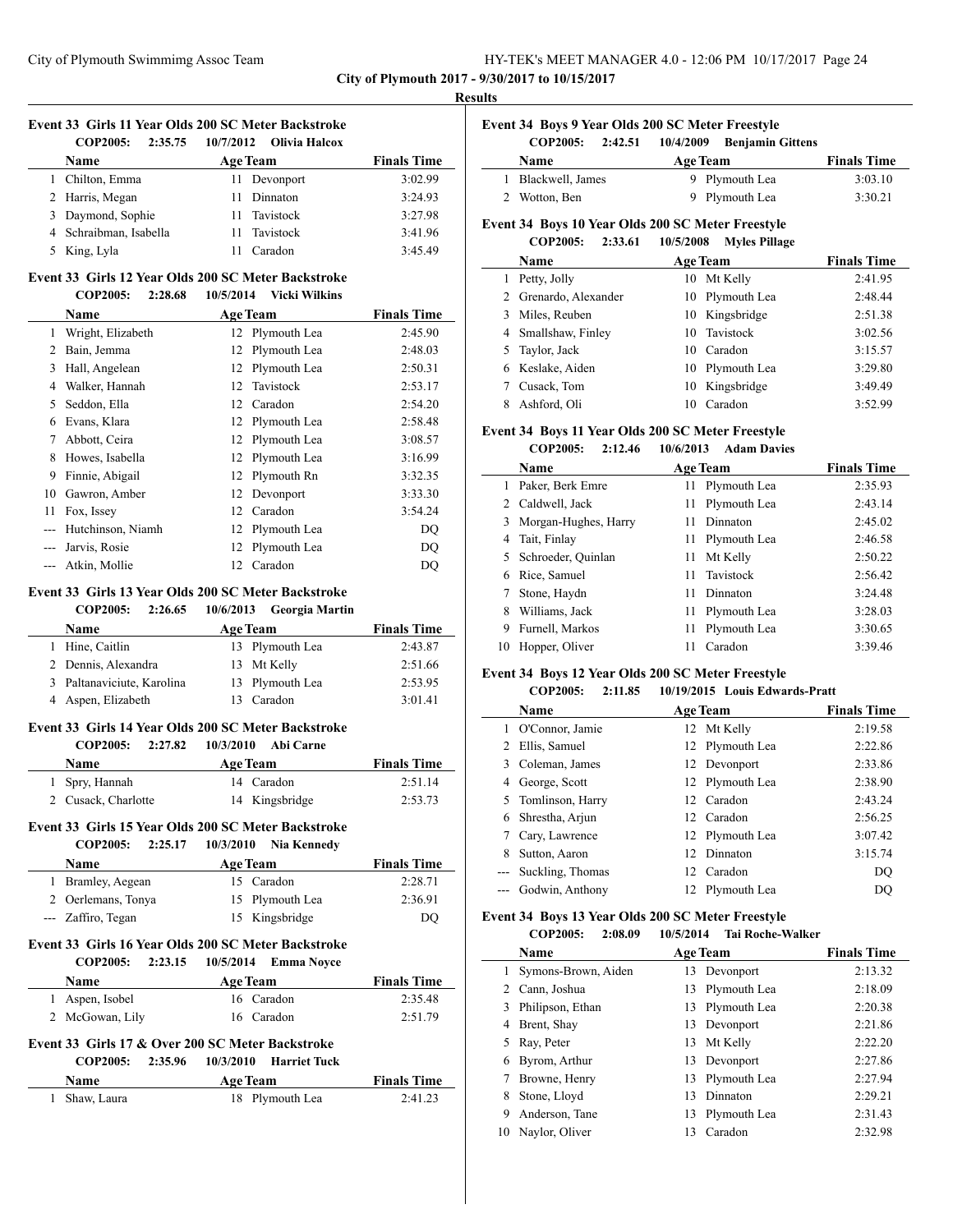| HY-TEK's MEET MANAGER 4.0 - 12:06 PM 10/17/2017 Page 24 |  |
|---------------------------------------------------------|--|
|---------------------------------------------------------|--|

 $\sim$ 

 $\overline{a}$ 

#### **Results**

| Event 33 Girls 11 Year Olds 200 SC Meter Backstroke |          |                             |
|-----------------------------------------------------|----------|-----------------------------|
| $\text{COP}2005: 2:35.75$                           |          | - 10/7/2012 - Olivia Halcox |
| Name                                                | Age Team |                             |

| <b>Name</b>            | <b>Age Team</b> | <b>Finals Time</b> |
|------------------------|-----------------|--------------------|
| Chilton, Emma          | 11 Devonport    | 3:02.99            |
| 2 Harris, Megan        | 11 Dinnaton     | 3:24.93            |
| 3 Daymond, Sophie      | 11 Tavistock    | 3:27.98            |
| 4 Schraibman, Isabella | 11 Tavistock    | 3:41.96            |
| King, Lyla             | Caradon         | 3:45.49            |

#### **Event 33 Girls 12 Year Olds 200 SC Meter Backstroke**

|    | <b>COP2005:</b><br>2:28.68 | <b>Vicki Wilkins</b><br>10/5/2014 |                    |
|----|----------------------------|-----------------------------------|--------------------|
|    | Name                       | <b>Age Team</b>                   | <b>Finals Time</b> |
| 1  | Wright, Elizabeth          | Plymouth Lea<br>12                | 2:45.90            |
| 2  | Bain, Jemma                | Plymouth Lea<br>12                | 2:48.03            |
| 3  | Hall, Angelean             | Plymouth Lea<br>12                | 2:50.31            |
| 4  | Walker, Hannah             | Tavistock<br>12                   | 2:53.17            |
| 5  | Seddon, Ella               | Caradon<br>12                     | 2:54.20            |
| 6  | Evans, Klara               | Plymouth Lea<br>12                | 2:58.48            |
| 7  | Abbott, Ceira              | Plymouth Lea<br>12                | 3:08.57            |
| 8  | Howes, Isabella            | Plymouth Lea<br>12                | 3:16.99            |
| 9  | Finnie, Abigail            | Plymouth Rn<br>12                 | 3:32.35            |
| 10 | Gawron, Amber              | Devonport<br>12                   | 3:33.30            |
| 11 | Fox, Issey                 | Caradon<br>12                     | 3:54.24            |
|    | Hutchinson, Niamh          | Plymouth Lea<br>12                | DQ                 |
|    | Jarvis, Rosie              | Plymouth Lea<br>12                | <b>DQ</b>          |
|    | Atkin, Mollie              | Caradon<br>12                     | DQ                 |

# **Event 33 Girls 13 Year Olds 200 SC Meter Backstroke**

|              | <b>COP2005:</b>            | 2:26.65 | 10/6/2013 Georgia Martin |                    |
|--------------|----------------------------|---------|--------------------------|--------------------|
|              | <b>Name</b>                |         | <b>Age Team</b>          | <b>Finals Time</b> |
| $\mathbf{1}$ | Hine, Caitlin              |         | 13 Plymouth Lea          | 2:43.87            |
|              | 2 Dennis, Alexandra        |         | 13 Mt Kelly              | 2:51.66            |
|              | 3 Paltanaviciute, Karolina |         | 13 Plymouth Lea          | 2:53.95            |
|              | 4 Aspen, Elizabeth         | 13.     | Caradon                  | 3:01.41            |

# **Event 33 Girls 14 Year Olds 200 SC Meter Backstroke**

| COP2005:            | 2:27.82 | 10/3/2010       | Abi Carne      |                    |
|---------------------|---------|-----------------|----------------|--------------------|
| <b>Name</b>         |         | <b>Age Team</b> |                | <b>Finals Time</b> |
| 1 Spry, Hannah      |         |                 | 14 Caradon     | 2:51.14            |
| 2 Cusack, Charlotte |         |                 | 14 Kingsbridge | 2:53.73            |

# **Event 33 Girls 15 Year Olds 200 SC Meter Backstroke**

| <b>COP2005:</b>    | 2:25.17 | 10/3/2010       | Nia Kennedv     |                    |
|--------------------|---------|-----------------|-----------------|--------------------|
| Name               |         | <b>Age Team</b> |                 | <b>Finals Time</b> |
| 1 Bramley, Aegean  |         |                 | 15 Caradon      | 2:28.71            |
| 2 Oerlemans, Tonya |         |                 | 15 Plymouth Lea | 2:36.91            |
| --- Zaffiro, Tegan |         |                 | 15 Kingsbridge  | DO                 |

#### **Event 33 Girls 16 Year Olds 200 SC Meter Backstroke COP2005: 2:23.15 10/5/2014 Emma Noyce**

| COLZUUS.        | 2.23.13 |                 |                                                                           |
|-----------------|---------|-----------------|---------------------------------------------------------------------------|
| <b>Name</b>     |         |                 | <b>Finals Time</b>                                                        |
| 1 Aspen, Isobel |         |                 | 2:35.48                                                                   |
|                 |         |                 | 2:51.79                                                                   |
|                 |         | 2 McGowan, Lily | $10/3/2014$ Ellinia inovec<br><b>Age Team</b><br>16 Caradon<br>16 Caradon |

# **Event 33 Girls 17 & Over 200 SC Meter Backstroke**

|               |                 | COP2005: 2:35.96 10/3/2010 Harriet Tuck |                    |
|---------------|-----------------|-----------------------------------------|--------------------|
| <b>Name</b>   | <b>Age Team</b> |                                         | <b>Finals Time</b> |
| 1 Shaw, Laura |                 | 18 Plymouth Lea                         | 2:41.23            |

| Event 34 Boys 9 Year Olds 200 SC Meter Freestyle |                    |                   |                         |                    |  |
|--------------------------------------------------|--------------------|-------------------|-------------------------|--------------------|--|
|                                                  | <b>COP2005:</b>    | 2:42.51 10/4/2009 | <b>Benjamin Gittens</b> |                    |  |
|                                                  | <b>Name</b>        | <b>Age Team</b>   |                         | <b>Finals Time</b> |  |
|                                                  | 1 Blackwell, James |                   | 9 Plymouth Lea          | 3:03.10            |  |
| $2^{\circ}$                                      | Wotton, Ben        |                   | 9 Plymouth Lea          | 3:30.21            |  |

#### **Event 34 Boys 10 Year Olds 200 SC Meter Freestyle COP2005: 2:33.61 10/5/2008 Myles Pillage**

|    | COP2005:<br>2:33.01   | 10/5/2008<br>- Mvies Pillage |                    |
|----|-----------------------|------------------------------|--------------------|
|    | Name                  | <b>Age Team</b>              | <b>Finals Time</b> |
|    | Petty, Jolly          | Mt Kelly<br>10               | 2:41.95            |
|    | 2 Grenardo, Alexander | Plymouth Lea<br>10           | 2:48.44            |
| 3  | Miles, Reuben         | 10 Kingsbridge               | 2:51.38            |
|    | 4 Smallshaw, Finley   | 10 Tavistock                 | 3:02.56            |
| 5. | Taylor, Jack          | 10 Caradon                   | 3:15.57            |
|    | 6 Keslake, Aiden      | 10 Plymouth Lea              | 3:29.80            |
|    | Cusack, Tom           | 10 Kingsbridge               | 3:49.49            |
|    | Ashford, Oli          | Caradon<br>10                | 3:52.99            |

# **Event 34 Boys 11 Year Olds 200 SC Meter Freestyle**

### **COP2005: 2:12.46 10/6/2013 Adam Davies**

|    | Name                 |    | <b>Age Team</b> | <b>Finals Time</b> |
|----|----------------------|----|-----------------|--------------------|
|    | Paker, Berk Emre     |    | 11 Plymouth Lea | 2:35.93            |
|    | 2 Caldwell, Jack     | 11 | Plymouth Lea    | 2:43.14            |
| 3  | Morgan-Hughes, Harry | 11 | Dinnaton        | 2:45.02            |
| 4  | Tait, Finlay         | 11 | Plymouth Lea    | 2:46.58            |
| 5. | Schroeder, Quinlan   | 11 | Mt Kelly        | 2:50.22            |
| 6  | Rice, Samuel         |    | 11 Tavistock    | 2:56.42            |
|    | Stone, Haydn         | 11 | Dinnaton        | 3:24.48            |
| 8  | Williams, Jack       |    | 11 Plymouth Lea | 3:28.03            |
| 9  | Furnell, Markos      | 11 | Plymouth Lea    | 3:30.65            |
| 10 | Hopper, Oliver       |    | Caradon         | 3:39.46            |

## **Event 34 Boys 12 Year Olds 200 SC Meter Freestyle**

|                                                                                                                                                                                                                                                                                                                                                                                                                                                                            | COP2005:<br>2:11.85 | 10/19/2015 Louis Edwards-Pratt |                    |
|----------------------------------------------------------------------------------------------------------------------------------------------------------------------------------------------------------------------------------------------------------------------------------------------------------------------------------------------------------------------------------------------------------------------------------------------------------------------------|---------------------|--------------------------------|--------------------|
|                                                                                                                                                                                                                                                                                                                                                                                                                                                                            | Name                | <b>Age Team</b>                | <b>Finals Time</b> |
|                                                                                                                                                                                                                                                                                                                                                                                                                                                                            | O'Connor, Jamie     | 12 Mt Kelly                    | 2:19.58            |
| 2                                                                                                                                                                                                                                                                                                                                                                                                                                                                          | Ellis, Samuel       | 12 Plymouth Lea                | 2:22.86            |
| 3                                                                                                                                                                                                                                                                                                                                                                                                                                                                          | Coleman, James      | 12 Devonport                   | 2:33.86            |
| 4                                                                                                                                                                                                                                                                                                                                                                                                                                                                          | George, Scott       | 12 Plymouth Lea                | 2:38.90            |
| 5.                                                                                                                                                                                                                                                                                                                                                                                                                                                                         | Tomlinson, Harry    | 12 Caradon                     | 2:43.24            |
| 6                                                                                                                                                                                                                                                                                                                                                                                                                                                                          | Shrestha, Arjun     | 12 Caradon                     | 2:56.25            |
| 7                                                                                                                                                                                                                                                                                                                                                                                                                                                                          | Cary, Lawrence      | 12 Plymouth Lea                | 3:07.42            |
| 8                                                                                                                                                                                                                                                                                                                                                                                                                                                                          | Sutton, Aaron       | 12 Dinnaton                    | 3:15.74            |
| $\frac{1}{2} \left( \frac{1}{2} \right) \left( \frac{1}{2} \right) \left( \frac{1}{2} \right) \left( \frac{1}{2} \right) \left( \frac{1}{2} \right) \left( \frac{1}{2} \right) \left( \frac{1}{2} \right) \left( \frac{1}{2} \right) \left( \frac{1}{2} \right) \left( \frac{1}{2} \right) \left( \frac{1}{2} \right) \left( \frac{1}{2} \right) \left( \frac{1}{2} \right) \left( \frac{1}{2} \right) \left( \frac{1}{2} \right) \left( \frac{1}{2} \right) \left( \frac$ | Suckling, Thomas    | 12 Caradon                     | DQ                 |
|                                                                                                                                                                                                                                                                                                                                                                                                                                                                            | Godwin, Anthony     | 12 Plymouth Lea                | DO                 |
|                                                                                                                                                                                                                                                                                                                                                                                                                                                                            |                     |                                |                    |

#### **Event 34 Boys 13 Year Olds 200 SC Meter Freestyle**

**COP2005: 2:08.09 10/5/2014 Tai Roche-Walker**

|    | Name                |    | <b>Age Team</b> | <b>Finals Time</b> |
|----|---------------------|----|-----------------|--------------------|
|    | Symons-Brown, Aiden |    | 13 Devonport    | 2:13.32            |
|    | Cann, Joshua        | 13 | Plymouth Lea    | 2:18.09            |
| 3  | Philipson, Ethan    |    | 13 Plymouth Lea | 2:20.38            |
| 4  | Brent, Shay         |    | 13 Devonport    | 2:21.86            |
|    | Ray, Peter          |    | 13 Mt Kelly     | 2:22.20            |
| 6  | Byrom, Arthur       |    | 13 Devonport    | 2:27.86            |
|    | Browne, Henry       | 13 | Plymouth Lea    | 2:27.94            |
| 8  | Stone, Lloyd        | 13 | Dinnaton        | 2:29.21            |
| 9  | Anderson, Tane      | 13 | Plymouth Lea    | 2:31.43            |
| 10 | Naylor, Oliver      | 13 | Caradon         | 2:32.98            |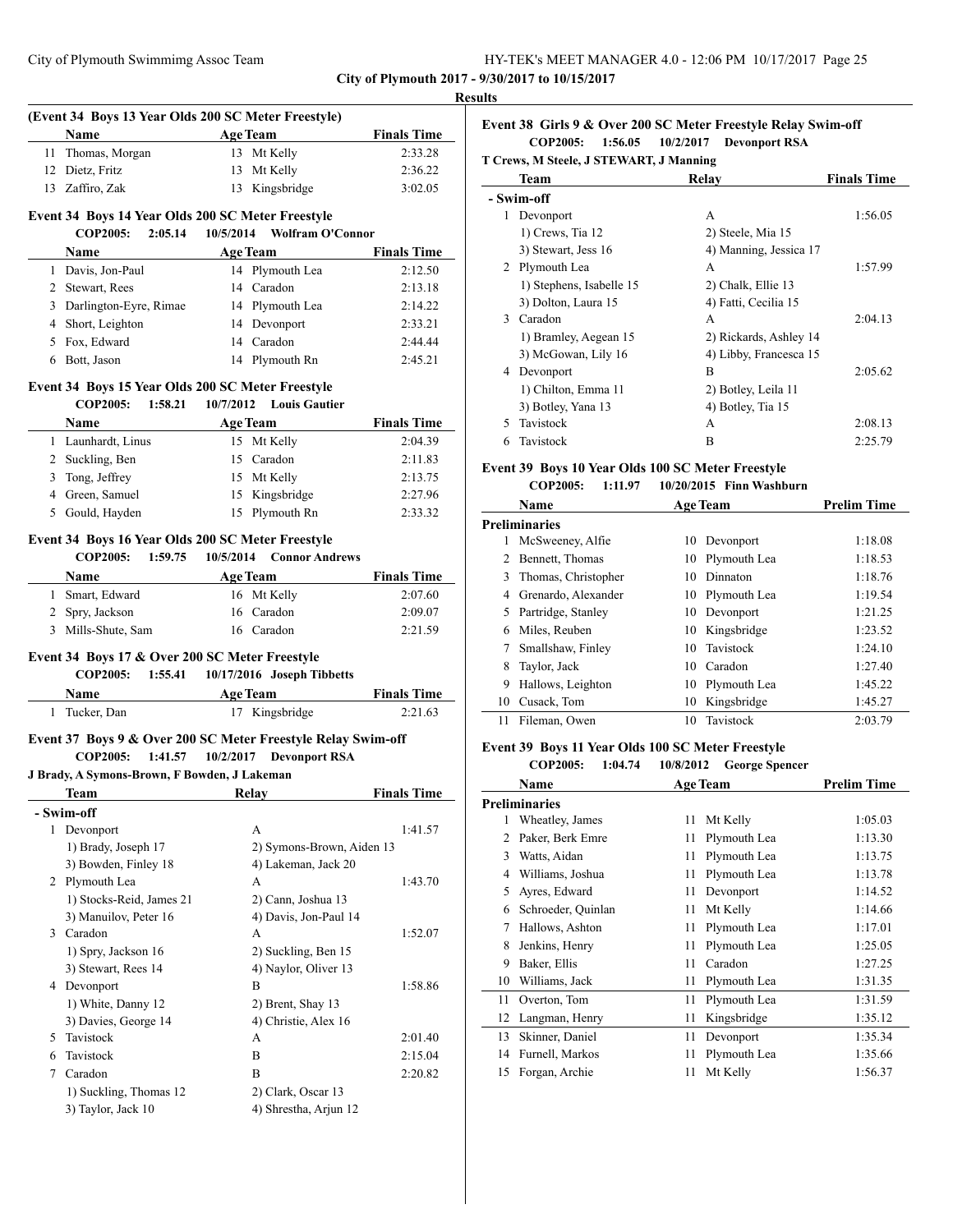|              | (Event 34 Boys 13 Year Olds 200 SC Meter Freestyle)                             |                                                                                         |                    |
|--------------|---------------------------------------------------------------------------------|-----------------------------------------------------------------------------------------|--------------------|
|              | Name                                                                            | <b>Age Team</b>                                                                         | <b>Finals Time</b> |
|              | 11 Thomas, Morgan<br>12 Dietz, Fritz                                            | 13 Mt Kelly<br>13 Mt Kelly                                                              | 2:33.28<br>2:36.22 |
|              | 13 Zaffiro, Zak                                                                 | 13 Kingsbridge                                                                          | 3:02.05            |
|              |                                                                                 |                                                                                         |                    |
|              | Event 34 Boys 14 Year Olds 200 SC Meter Freestyle<br><b>COP2005:</b><br>2:05.14 | 10/5/2014 Wolfram O'Connor                                                              |                    |
|              |                                                                                 | <b>Age Team</b>                                                                         |                    |
|              | Name                                                                            |                                                                                         | <b>Finals Time</b> |
|              | 1 Davis, Jon-Paul<br>2 Stewart, Rees                                            | 14 Plymouth Lea<br>14 Caradon                                                           | 2:12.50<br>2:13.18 |
|              | 3 Darlington-Eyre, Rimae                                                        | 14 Plymouth Lea                                                                         | 2:14.22            |
|              | 4 Short, Leighton                                                               | 14 Devonport                                                                            | 2:33.21            |
|              | 5 Fox, Edward                                                                   | 14 Caradon                                                                              | 2:44.44            |
|              | 6 Bott, Jason                                                                   | 14 Plymouth Rn                                                                          | 2:45.21            |
|              | Event 34 Boys 15 Year Olds 200 SC Meter Freestyle                               |                                                                                         |                    |
|              | COP2005: 1:58.21                                                                | 10/7/2012 Louis Gautier                                                                 |                    |
|              | Name<br><b>Age Team</b>                                                         |                                                                                         | <b>Finals Time</b> |
|              | 1 Launhardt, Linus                                                              | 15 Mt Kelly                                                                             | 2:04.39            |
|              | 2 Suckling, Ben                                                                 | 15 Caradon                                                                              | 2:11.83            |
|              | 3 Tong, Jeffrey                                                                 | 15 Mt Kelly                                                                             | 2:13.75            |
|              | 4 Green, Samuel                                                                 | 15 Kingsbridge                                                                          | 2:27.96            |
|              | 5 Gould, Hayden                                                                 | 15 Plymouth Rn                                                                          | 2:33.32            |
|              | <b>COP2005:</b><br>1:59.75<br>Name                                              | 10/5/2014<br><b>Connor Andrews</b><br><b>Age Team</b>                                   | <b>Finals Time</b> |
|              | 1 Smart, Edward                                                                 | 16 Mt Kelly                                                                             | 2:07.60            |
|              | 2 Spry, Jackson                                                                 | 16 Caradon                                                                              | 2:09.07            |
|              | 3 Mills-Shute, Sam                                                              | 16 Caradon                                                                              | 2:21.59            |
|              | Event 34 Boys 17 & Over 200 SC Meter Freestyle<br><b>COP2005:</b><br>1:55.41    | 10/17/2016 Joseph Tibbetts                                                              |                    |
|              | <b>Name</b><br>Age Team                                                         |                                                                                         | <b>Finals Time</b> |
|              | 1 Tucker, Dan                                                                   | 17 Kingsbridge                                                                          | 2:21.63            |
|              | <b>COP2005:</b><br>1:41.57<br>J Brady, A Symons-Brown, F Bowden, J Lakeman      | Event 37 Boys 9 & Over 200 SC Meter Freestyle Relay Swim-off<br>10/2/2017 Devonport RSA |                    |
|              | Team                                                                            | <b>Relay</b>                                                                            | <u>Finals Time</u> |
|              | - Swim-off                                                                      |                                                                                         |                    |
| $\mathbf{1}$ | Devonport                                                                       | А                                                                                       | 1:41.57            |
|              | 1) Brady, Joseph 17                                                             | 2) Symons-Brown, Aiden 13                                                               |                    |
|              | 3) Bowden, Finley 18                                                            | 4) Lakeman, Jack 20                                                                     |                    |
|              | 2 Plymouth Lea                                                                  | А                                                                                       | 1:43.70            |
|              | 1) Stocks-Reid, James 21                                                        | 2) Cann, Joshua 13                                                                      |                    |
|              | 3) Manuilov, Peter 16                                                           | 4) Davis, Jon-Paul 14                                                                   |                    |
|              | 3 Caradon                                                                       | А                                                                                       | 1:52.07            |
|              | 1) Spry, Jackson 16                                                             | 2) Suckling, Ben 15                                                                     |                    |
|              | 3) Stewart, Rees 14                                                             |                                                                                         |                    |
|              |                                                                                 | 4) Naylor, Oliver 13                                                                    |                    |
|              | 4 Devonport                                                                     | B                                                                                       | 1:58.86            |
|              | 1) White, Danny 12                                                              | 2) Brent, Shay 13                                                                       |                    |
|              | 3) Davies, George 14                                                            | 4) Christie, Alex 16                                                                    |                    |
|              | 5 Tavistock                                                                     | A                                                                                       | 2:01.40            |
| 6            | Tavistock                                                                       | B                                                                                       | 2:15.04            |
| 7            | Caradon                                                                         | B                                                                                       | 2:20.82            |
|              | 1) Suckling, Thomas 12<br>3) Taylor, Jack 10                                    | 2) Clark, Oscar 13<br>4) Shrestha, Arjun 12                                             |                    |

**Event 38 Girls 9 & Over 200 SC Meter Freestyle Relay Swim-off COP2005: 1:56.05 10/2/2017 Devonport RSA**

**T Crews, M Steele, J STEWART, J Manning**

|   | <b>Team</b>              | Relay                  | <b>Finals Time</b> |
|---|--------------------------|------------------------|--------------------|
|   | - Swim-off               |                        |                    |
|   | Devonport                | А                      | 1:56.05            |
|   | 1) Crews, Tia 12         | 2) Steele, Mia 15      |                    |
|   | 3) Stewart, Jess 16      | 4) Manning, Jessica 17 |                    |
| 2 | Plymouth Lea             | A                      | 1:57.99            |
|   | 1) Stephens, Isabelle 15 | 2) Chalk, Ellie 13     |                    |
|   | 3) Dolton, Laura 15      | 4) Fatti, Cecilia 15   |                    |
| 3 | Caradon                  | A                      | 2:04.13            |
|   | 1) Bramley, Aegean 15    | 2) Rickards, Ashley 14 |                    |
|   | 3) McGowan, Lily 16      | 4) Libby, Francesca 15 |                    |
| 4 | Devonport                | B                      | 2:05.62            |
|   | 1) Chilton, Emma 11      | 2) Botley, Leila 11    |                    |
|   | 3) Botley, Yana 13       | 4) Botley, Tia 15      |                    |
| 5 | Tavistock                | A                      | 2:08.13            |
| 6 | Tavistock                | В                      | 2:25.79            |

#### **Event 39 Boys 10 Year Olds 100 SC Meter Freestyle**

|    | <b>COP2005:</b><br>1:11.97 | $10/20/2015$ Finn Washburn |                    |
|----|----------------------------|----------------------------|--------------------|
|    | Name                       | <b>Age Team</b>            | <b>Prelim Time</b> |
|    | <b>Preliminaries</b>       |                            |                    |
| 1  | McSweeney, Alfie           | Devonport<br>10            | 1:18.08            |
| 2  | Bennett, Thomas            | Plymouth Lea<br>10         | 1:18.53            |
| 3  | Thomas, Christopher        | Dinnaton<br>10             | 1:18.76            |
| 4  | Grenardo, Alexander        | 10 Plymouth Lea            | 1:19.54            |
|    | Partridge, Stanley         | Devonport<br>10            | 1:21.25            |
| 6  | Miles, Reuben              | Kingsbridge<br>10          | 1:23.52            |
| 7  | Smallshaw, Finley          | Tavistock<br>10            | 1:24.10            |
| 8  | Taylor, Jack               | Caradon<br>10              | 1:27.40            |
| 9  | Hallows, Leighton          | Plymouth Lea<br>10         | 1:45.22            |
| 10 | Cusack, Tom                | Kingsbridge<br>10          | 1:45.27            |
| 11 | Fileman, Owen              | Tavistock<br>10            | 2:03.79            |

# **Event 39 Boys 11 Year Olds 100 SC Meter Freestyle**

#### **COP2005: 1:04.74 10/8/2012 George Spencer**

| Name                 |    |              | <b>Prelim Time</b> |
|----------------------|----|--------------|--------------------|
| <b>Preliminaries</b> |    |              |                    |
| Wheatley, James      | 11 | Mt Kelly     | 1:05.03            |
| Paker, Berk Emre     | 11 | Plymouth Lea | 1:13.30            |
| Watts, Aidan         | 11 | Plymouth Lea | 1:13.75            |
| Williams, Joshua     | 11 | Plymouth Lea | 1:13.78            |
| Ayres, Edward        | 11 | Devonport    | 1:14.52            |
| Schroeder, Quinlan   | 11 | Mt Kelly     | 1:14.66            |
| Hallows, Ashton      | 11 | Plymouth Lea | 1:17.01            |
| Jenkins, Henry       | 11 | Plymouth Lea | 1:25.05            |
| Baker, Ellis         | 11 | Caradon      | 1:27.25            |
| Williams, Jack       | 11 | Plymouth Lea | 1:31.35            |
| Overton, Tom         | 11 | Plymouth Lea | 1:31.59            |
| Langman, Henry       | 11 | Kingsbridge  | 1:35.12            |
| Skinner, Daniel      | 11 | Devonport    | 1:35.34            |
| Furnell, Markos      | 11 | Plymouth Lea | 1:35.66            |
| Forgan, Archie       | 11 | Mt Kelly     | 1:56.37            |
|                      |    |              | <b>Age Team</b>    |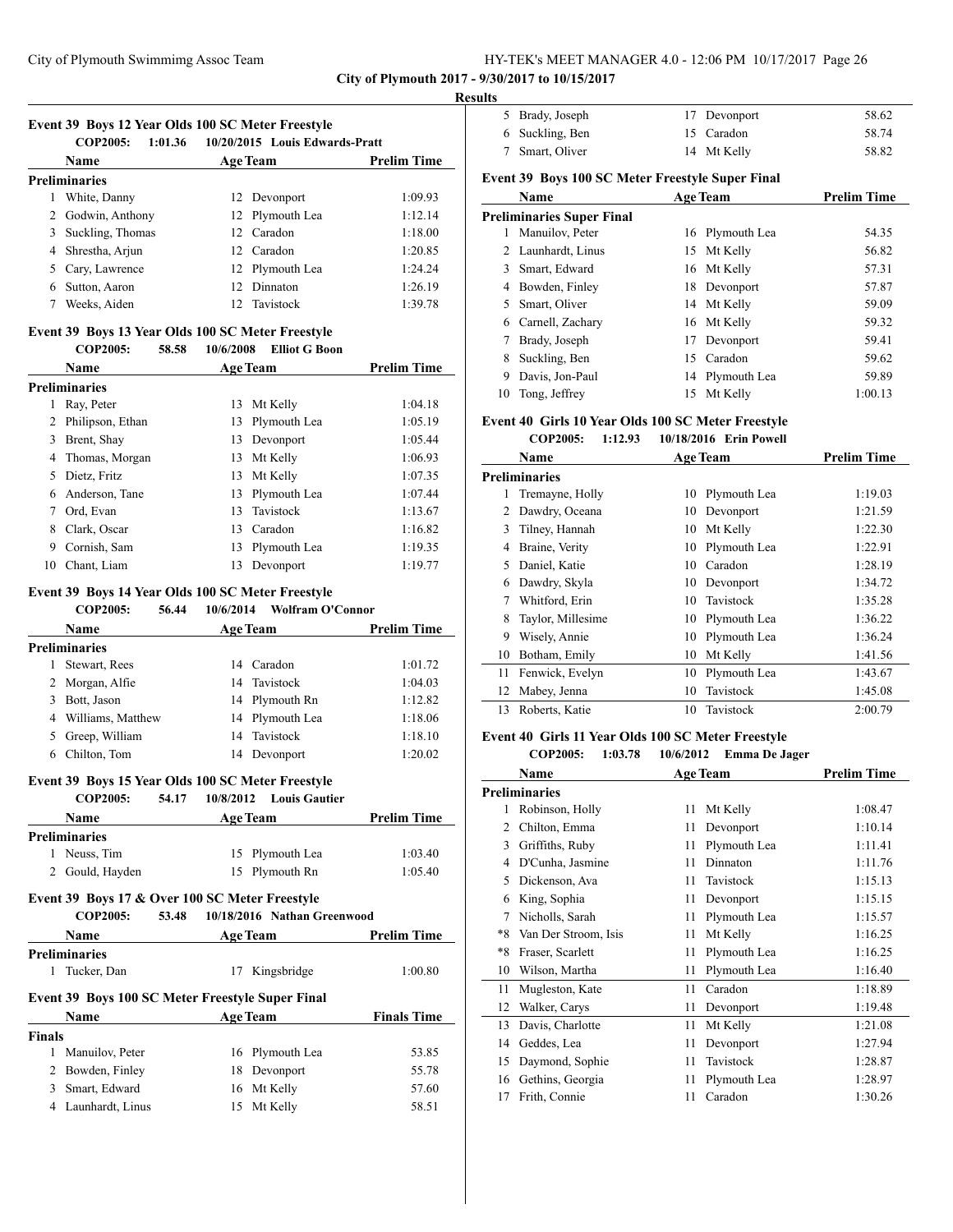**City of Plymouth 2017 - 9/30/2017 to 10/15/2017**

j,

#### **Results**

| Event 39 Boys 12 Year Olds 100 SC Meter Freestyle |  |                 |                                        |                    |  |  |
|---------------------------------------------------|--|-----------------|----------------------------------------|--------------------|--|--|
| COP2005:                                          |  |                 | 1:01.36 10/20/2015 Louis Edwards-Pratt |                    |  |  |
| <b>Name</b>                                       |  | <b>Age Team</b> |                                        | <b>Prelim Time</b> |  |  |
| <b>Preliminaries</b>                              |  |                 |                                        |                    |  |  |
| 1 White, Danny                                    |  |                 | 12 Devonport                           | 1:09.93            |  |  |
| 2 Godwin, Anthony                                 |  |                 | 12 Plymouth Lea                        | 1:12.14            |  |  |

|  |                    | $1 - 11110$ $1110$ |         |
|--|--------------------|--------------------|---------|
|  | 3 Suckling, Thomas | 12 Caradon         | 1:18.00 |
|  | 4 Shrestha, Arjun  | 12 Caradon         | 1:20.85 |
|  | 5 Cary, Lawrence   | 12 Plymouth Lea    | 1:24.24 |
|  | 6 Sutton, Aaron    | 12 Dinnaton        | 1:26.19 |
|  | Weeks, Aiden       | 12 Tavistock       | 1:39.78 |
|  |                    |                    |         |

### **Event 39 Boys 13 Year Olds 100 SC Meter Freestyle**

**COP2005: 58.58 10/6/2008 Elliot G Boon**

|                      | <b>Name</b>        | <b>Age Team</b> |              | <b>Prelim Time</b> |
|----------------------|--------------------|-----------------|--------------|--------------------|
| <b>Preliminaries</b> |                    |                 |              |                    |
| 1                    | Ray, Peter         | 13              | Mt Kelly     | 1:04.18            |
|                      | 2 Philipson, Ethan | 13              | Plymouth Lea | 1:05.19            |
| 3                    | Brent, Shay        | 13              | Devonport    | 1:05.44            |
|                      | 4 Thomas, Morgan   | 13              | Mt Kelly     | 1:06.93            |
| 5.                   | Dietz. Fritz       | 13              | Mt Kelly     | 1:07.35            |
| 6                    | Anderson. Tane     | 13              | Plymouth Lea | 1:07.44            |
|                      | Ord, Evan          | 13              | Tavistock    | 1:13.67            |
| 8                    | Clark, Oscar       | 13              | Caradon      | 1:16.82            |
| 9                    | Cornish, Sam       | 13              | Plymouth Lea | 1:19.35            |
| 10                   | Chant, Liam        | 13              | Devonport    | 1:19.77            |

# **Event 39 Boys 14 Year Olds 100 SC Meter Freestyle**

**COP2005: 56.44 10/6/2014 Wolfram O'Connor**

|   | <b>Name</b>         | <b>Age Team</b> |                 | <b>Prelim Time</b> |
|---|---------------------|-----------------|-----------------|--------------------|
|   | Preliminaries       |                 |                 |                    |
|   | Stewart, Rees       |                 | 14 Caradon      | 1:01.72            |
| 2 | Morgan, Alfie       |                 | 14 Tavistock    | 1:04.03            |
| 3 | Bott, Jason         |                 | 14 Plymouth Rn  | 1:12.82            |
|   | 4 Williams, Matthew |                 | 14 Plymouth Lea | 1:18.06            |
|   | Greep, William      |                 | 14 Tavistock    | 1:18.10            |
|   | Chilton, Tom        | 14              | Devonport       | 1:20.02            |

#### **Event 39 Boys 15 Year Olds 100 SC Meter Freestyle**

| <b>COP2005:</b>      | 54.17 |                 | 10/8/2012 Louis Gautier |                    |
|----------------------|-------|-----------------|-------------------------|--------------------|
| <b>Name</b>          |       | <b>Age Team</b> |                         | <b>Prelim Time</b> |
| <b>Preliminaries</b> |       |                 |                         |                    |
| Neuss, Tim           |       |                 | 15 Plymouth Lea         | 1:03.40            |
| 2 Gould, Hayden      |       |                 | 15 Plymouth Rn          | 1:05.40            |

#### **Event 39 Boys 17 & Over 100 SC Meter Freestyle COP2005: 53.48 10/18/2016 Nathan Greenwood**

| COL 2005.     |                                                  |    | $10/10/2010$ - Malilan Velective of $0$ |                    |
|---------------|--------------------------------------------------|----|-----------------------------------------|--------------------|
|               | Name                                             |    | <b>Age Team</b>                         | <b>Prelim Time</b> |
|               | <b>Preliminaries</b>                             |    |                                         |                    |
| 1             | Tucker, Dan                                      | 17 | Kingsbridge                             | 1:00.80            |
|               | Event 39 Boys 100 SC Meter Freestyle Super Final |    |                                         |                    |
|               | <b>Name</b>                                      |    | <b>Age Team</b>                         | <b>Finals Time</b> |
| <b>Finals</b> |                                                  |    |                                         |                    |
|               | Manuilov, Peter                                  |    | 16 Plymouth Lea                         | 53.85              |
|               | Bowden, Finley                                   | 18 | Devonport                               | 55.78              |
| 3             | Smart, Edward                                    |    | 16 Mt Kelly                             | 57.60              |
| 4             | Launhardt, Linus                                 | 15 | Mt Kelly                                | 58.51              |
|               |                                                  |    |                                         |                    |

| 5 Brady, Joseph | 17 Devonport | 58.62 |
|-----------------|--------------|-------|
| 6 Suckling, Ben | 15 Caradon   | 58.74 |
| 7 Smart, Oliver | 14 Mt Kelly  | 58.82 |

# **Event 39 Boys 100 SC Meter Freestyle Super Final**

|    | Name                      |    | <b>Age Team</b> | <b>Prelim Time</b> |
|----|---------------------------|----|-----------------|--------------------|
|    | Preliminaries Super Final |    |                 |                    |
|    | Manuilov, Peter           | 16 | Plymouth Lea    | 54.35              |
|    | 2 Launhardt, Linus        | 15 | Mt Kelly        | 56.82              |
| 3  | Smart, Edward             |    | 16 Mt Kelly     | 57.31              |
| 4  | Bowden, Finley            | 18 | Devonport       | 57.87              |
| 5. | Smart, Oliver             |    | 14 Mt Kelly     | 59.09              |
| 6  | Carnell, Zachary          |    | 16 Mt Kelly     | 59.32              |
|    | Brady, Joseph             | 17 | Devonport       | 59.41              |
| 8  | Suckling, Ben             | 15 | Caradon         | 59.62              |
| 9  | Davis, Jon-Paul           |    | 14 Plymouth Lea | 59.89              |
| 10 | Tong, Jeffrey             | 15 | Mt Kelly        | 1:00.13            |

# **Event 40 Girls 10 Year Olds 100 SC Meter Freestyle**

|    | <b>COP2005:</b><br>1:12.93 | 10/18/2016 Erin Powell |                    |
|----|----------------------------|------------------------|--------------------|
|    | Name                       | <b>Age Team</b>        | <b>Prelim Time</b> |
|    | <b>Preliminaries</b>       |                        |                    |
|    | Tremayne, Holly            | Plymouth Lea<br>10     | 1:19.03            |
| 2  | Dawdry, Oceana             | Devonport<br>10        | 1:21.59            |
| 3  | Tilney, Hannah             | Mt Kelly<br>10         | 1:22.30            |
| 4  | Braine, Verity             | Plymouth Lea<br>10     | 1:22.91            |
| 5  | Daniel, Katie              | Caradon<br>10          | 1:28.19            |
| 6  | Dawdry, Skyla              | Devonport<br>10        | 1:34.72            |
| 7  | Whitford, Erin             | Tavistock<br>10        | 1:35.28            |
| 8  | Taylor, Millesime          | Plymouth Lea<br>10     | 1:36.22            |
| 9  | Wisely, Annie              | Plymouth Lea<br>10     | 1:36.24            |
| 10 | Botham, Emily              | Mt Kelly<br>10         | 1:41.56            |
| 11 | Fenwick, Evelyn            | Plymouth Lea<br>10     | 1:43.67            |
| 12 | Mabey, Jenna               | Tavistock<br>10        | 1:45.08            |
| 13 | Roberts, Katie             | Tavistock<br>10        | 2:00.79            |

# **Event 40 Girls 11 Year Olds 100 SC Meter Freestyle**

#### **COP2005: 1:03.78 10/6/2012 Emma De Jager**

|                | Name                 |    | <b>Age Team</b> | <b>Prelim Time</b> |
|----------------|----------------------|----|-----------------|--------------------|
|                | Preliminaries        |    |                 |                    |
| 1              | Robinson, Holly      | 11 | Mt Kelly        | 1:08.47            |
| $\overline{c}$ | Chilton, Emma        | 11 | Devonport       | 1:10.14            |
| 3              | Griffiths, Ruby      | 11 | Plymouth Lea    | 1:11.41            |
| 4              | D'Cunha, Jasmine     | 11 | Dinnaton        | 1:11.76            |
| 5              | Dickenson, Ava       | 11 | Tavistock       | 1:15.13            |
| 6              | King, Sophia         | 11 | Devonport       | 1:15.15            |
| 7              | Nicholls, Sarah      | 11 | Plymouth Lea    | 1:15.57            |
| $*8$           | Van Der Stroom, Isis | 11 | Mt Kelly        | 1:16.25            |
| $*8$           | Fraser, Scarlett     | 11 | Plymouth Lea    | 1:16.25            |
| 10             | Wilson, Martha       | 11 | Plymouth Lea    | 1:16.40            |
| 11             | Mugleston, Kate      | 11 | Caradon         | 1:18.89            |
| 12             | Walker, Carys        | 11 | Devonport       | 1:19.48            |
| 13             | Davis, Charlotte     | 11 | Mt Kelly        | 1:21.08            |
| 14             | Geddes, Lea          | 11 | Devonport       | 1:27.94            |
| 15             | Daymond, Sophie      | 11 | Tavistock       | 1:28.87            |
| 16             | Gethins, Georgia     | 11 | Plymouth Lea    | 1:28.97            |
| 17             | Frith, Connie        | 11 | Caradon         | 1:30.26            |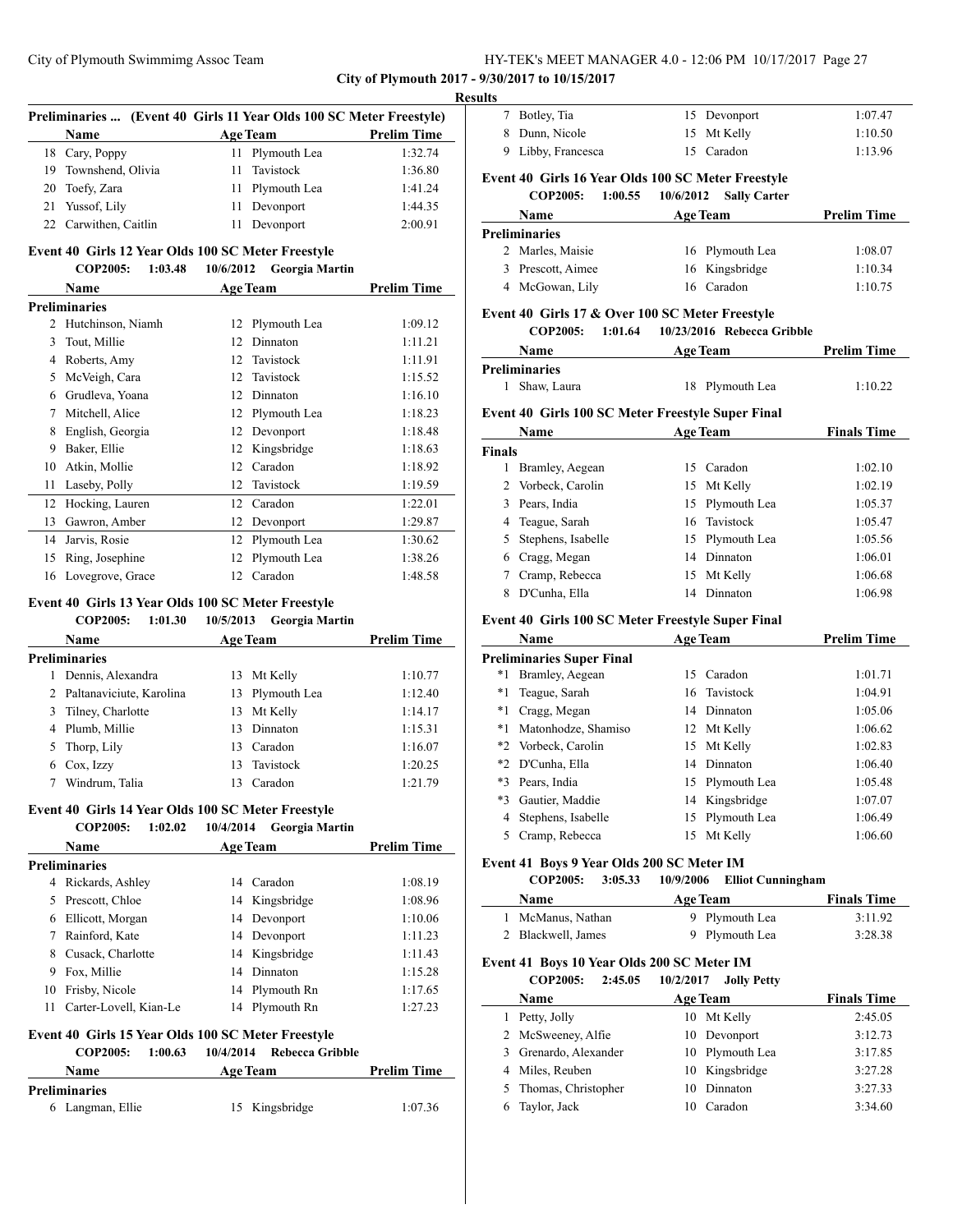**City of Plymouth 2017 - 9/30/2017 to 10/15/2017**

#### **Results**

| Preliminaries  (Event 40 Girls 11 Year Olds 100 SC Meter Freestyle) |                       |  |                 |                    |  |  |
|---------------------------------------------------------------------|-----------------------|--|-----------------|--------------------|--|--|
|                                                                     | <b>Name</b>           |  | <b>Age Team</b> | <b>Prelim Time</b> |  |  |
|                                                                     | 18 Cary, Poppy        |  | 11 Plymouth Lea | 1:32.74            |  |  |
|                                                                     | 19 Townshend, Olivia  |  | 11 Tavistock    | 1:36.80            |  |  |
|                                                                     | 20 Toefy, Zara        |  | 11 Plymouth Lea | 1:41.24            |  |  |
|                                                                     | 21 Yussof, Lily       |  | 11 Devonport    | 1:44.35            |  |  |
|                                                                     | 22 Carwithen, Caitlin |  | Devonport       | 2:00.91            |  |  |

#### **Event 40 Girls 12 Year Olds 100 SC Meter Freestyle**

**COP2005: 1:03.48 10/6/2012 Georgia Martin**

|    | Name                 |    | <b>Age Team</b> | <b>Prelim Time</b> |
|----|----------------------|----|-----------------|--------------------|
|    | <b>Preliminaries</b> |    |                 |                    |
| 2  | Hutchinson, Niamh    | 12 | Plymouth Lea    | 1:09.12            |
| 3  | Tout, Millie         | 12 | Dinnaton        | 1:11.21            |
| 4  | Roberts, Amy         | 12 | Tavistock       | 1:11.91            |
| 5  | McVeigh, Cara        | 12 | Tavistock       | 1:15.52            |
| 6  | Grudleva, Yoana      | 12 | Dinnaton        | 1:16.10            |
| 7  | Mitchell, Alice      | 12 | Plymouth Lea    | 1:18.23            |
| 8  | English, Georgia     | 12 | Devonport       | 1:18.48            |
| 9  | Baker, Ellie         | 12 | Kingsbridge     | 1:18.63            |
| 10 | Atkin, Mollie        | 12 | Caradon         | 1:18.92            |
| 11 | Laseby, Polly        | 12 | Tavistock       | 1:19.59            |
| 12 | Hocking, Lauren      | 12 | Caradon         | 1:22.01            |
| 13 | Gawron, Amber        | 12 | Devonport       | 1:29.87            |
| 14 | Jarvis, Rosie        | 12 | Plymouth Lea    | 1:30.62            |
| 15 | Ring, Josephine      | 12 | Plymouth Lea    | 1:38.26            |
| 16 | Lovegrove, Grace     | 12 | Caradon         | 1:48.58            |

# **Event 40 Girls 13 Year Olds 100 SC Meter Freestyle**

**COP2005: 1:01.30 10/5/2013 Georgia Martin Name Age Team Prelim Time Preliminaries** 1 Dennis, Alexandra 13 Mt Kelly 1:10.77 2 Paltanaviciute, Karolina 13 Plymouth Lea 1:12.40 3 Tilney, Charlotte 13 Mt Kelly 1:14.17 4 Plumb, Millie 13 Dinnaton 1:15.31 5 Thorp, Lily 13 Caradon 1:16.07 6 Cox, Izzy 13 Tavistock 1:20.25 7 Windrum, Talia 13 Caradon 1:21.79

#### **Event 40 Girls 14 Year Olds 100 SC Meter Freestyle**

**COP2005: 1:02.02 10/4/2014 Georgia Martin**

|    | <b>Name</b>            |    | <b>Age Team</b> | <b>Prelim Time</b> |
|----|------------------------|----|-----------------|--------------------|
|    | <b>Preliminaries</b>   |    |                 |                    |
| 4  | Rickards, Ashley       | 14 | Caradon         | 1:08.19            |
|    | 5 Prescott, Chloe      |    | 14 Kingsbridge  | 1:08.96            |
| 6  | Ellicott, Morgan       |    | 14 Devonport    | 1:10.06            |
|    | Rainford, Kate         |    | 14 Devonport    | 1:11.23            |
| 8  | Cusack, Charlotte      |    | 14 Kingsbridge  | 1:11.43            |
| 9  | Fox, Millie            | 14 | Dinnaton        | 1:15.28            |
| 10 | Frisby, Nicole         | 14 | Plymouth Rn     | 1:17.65            |
|    | Carter-Lovell, Kian-Le | 14 | Plymouth Rn     | 1:27.23            |
|    |                        |    |                 |                    |

#### **Event 40 Girls 15 Year Olds 100 SC Meter Freestyle COP2005: 1:00.63 10/4/2014 Rebecca Gribble**

| Name                 | <b>Age Team</b> | <b>Prelim Time</b> |
|----------------------|-----------------|--------------------|
| <b>Preliminaries</b> |                 |                    |
| 6 Langman, Ellie     | 15 Kingsbridge  | 1:07.36            |

| 8 | Dunn, Nicole               | 15 Mt Kelly                                        | 1:10.50            |
|---|----------------------------|----------------------------------------------------|--------------------|
| 9 | Libby, Francesca           | 15 Caradon                                         | 1:13.96            |
|   |                            | Event 40 Girls 16 Year Olds 100 SC Meter Freestyle |                    |
|   | 1:00.55<br><b>COP2005:</b> | 10/6/2012<br><b>Sally Carter</b>                   |                    |
|   | <b>Name</b>                | <b>Age Team</b>                                    | <b>Prelim Time</b> |
|   | <b>Preliminaries</b>       |                                                    |                    |
|   | 2 Marles, Maisie           | 16 Plymouth Lea                                    | 1:08.07            |
| 3 | Prescott, Aimee            | 16 Kingsbridge                                     | 1:10.34            |
| 4 | McGowan, Lily              | 16 Caradon                                         | 1:10.75            |
|   |                            |                                                    |                    |

7 Botley, Tia 15 Devonport 1:07.47

#### **Event 40 Girls 17 & Over 100 SC Meter Freestyle COP2005: 1:01.64 10/23/2016 Rebecca Gribble**

| <b>Name</b><br><b>Age Team</b> |                 | <b>Prelim Time</b> |
|--------------------------------|-----------------|--------------------|
| Preliminaries                  |                 |                    |
| 1 Shaw, Laura                  | 18 Plymouth Lea | 1:10.22            |

#### **Event 40 Girls 100 SC Meter Freestyle Super Final**

|               | Name                 | <b>Age Team</b> |                 | <b>Finals Time</b> |
|---------------|----------------------|-----------------|-----------------|--------------------|
| <b>Finals</b> |                      |                 |                 |                    |
|               | Bramley, Aegean      | 15.             | Caradon         | 1:02.10            |
|               | 2 Vorbeck, Carolin   | 15              | Mt Kelly        | 1:02.19            |
|               | 3 Pears, India       |                 | 15 Plymouth Lea | 1:05.37            |
| 4             | Teague, Sarah        |                 | 16 Tavistock    | 1:05.47            |
|               | 5 Stephens, Isabelle |                 | 15 Plymouth Lea | 1:05.56            |
|               | 6 Cragg, Megan       | 14              | Dinnaton        | 1:06.01            |
|               | Cramp, Rebecca       | 15              | Mt Kelly        | 1:06.68            |
| 8             | D'Cunha, Ella        | 14              | Dinnaton        | 1:06.98            |

# **Event 40 Girls 100 SC Meter Freestyle Super Final**

|       | <b>Name</b>               |    | <b>Age Team</b> | <b>Prelim Time</b> |
|-------|---------------------------|----|-----------------|--------------------|
|       | Preliminaries Super Final |    |                 |                    |
| *1    | Bramley, Aegean           | 15 | Caradon         | 1:01.71            |
| *1    | Teague, Sarah             |    | 16 Tavistock    | 1:04.91            |
| $^*1$ | Cragg, Megan              | 14 | Dinnaton        | 1:05.06            |
| *1    | Matonhodze, Shamiso       |    | 12 Mt Kelly     | 1:06.62            |
|       | *2 Vorbeck, Carolin       |    | 15 Mt Kelly     | 1:02.83            |
|       | *2 D'Cunha, Ella          |    | 14 Dinnaton     | 1:06.40            |
| $*3$  | Pears, India              |    | 15 Plymouth Lea | 1:05.48            |
| *3    | Gautier, Maddie           |    | 14 Kingsbridge  | 1:07.07            |
| 4     | Stephens, Isabelle        |    | 15 Plymouth Lea | 1:06.49            |
| 5     | Cramp, Rebecca            | 15 | Mt Kelly        | 1:06.60            |
|       |                           |    |                 |                    |

### **Event 41 Boys 9 Year Olds 200 SC Meter IM**

**COP2005: 3:05.33 10/9/2006 Elliot Cunningham**

| <b>Name</b>        | <b>Age Team</b> | <b>Finals Time</b> |
|--------------------|-----------------|--------------------|
| 1 McManus, Nathan  | 9 Plymouth Lea  | 3:11.92            |
| 2 Blackwell, James | 9 Plymouth Lea  | 3:28.38            |

#### **Event 41 Boys 10 Year Olds 200 SC Meter IM**

|   | <b>COP2005:</b><br>2:45.05 | 10/2/2017<br><b>Jolly Petty</b> |                    |
|---|----------------------------|---------------------------------|--------------------|
|   | <b>Name</b>                | <b>Age Team</b>                 | <b>Finals Time</b> |
|   | Petty, Jolly               | Mt Kelly<br>10                  | 2:45.05            |
|   | 2 McSweeney, Alfie         | Devonport<br>10                 | 3:12.73            |
| 3 | Grenardo, Alexander        | 10 Plymouth Lea                 | 3:17.85            |
| 4 | Miles, Reuben              | 10 Kingsbridge                  | 3:27.28            |
|   | 5 Thomas, Christopher      | Dinnaton<br>10                  | 3:27.33            |
|   | Taylor, Jack               | Caradon<br>10                   | 3:34.60            |
|   |                            |                                 |                    |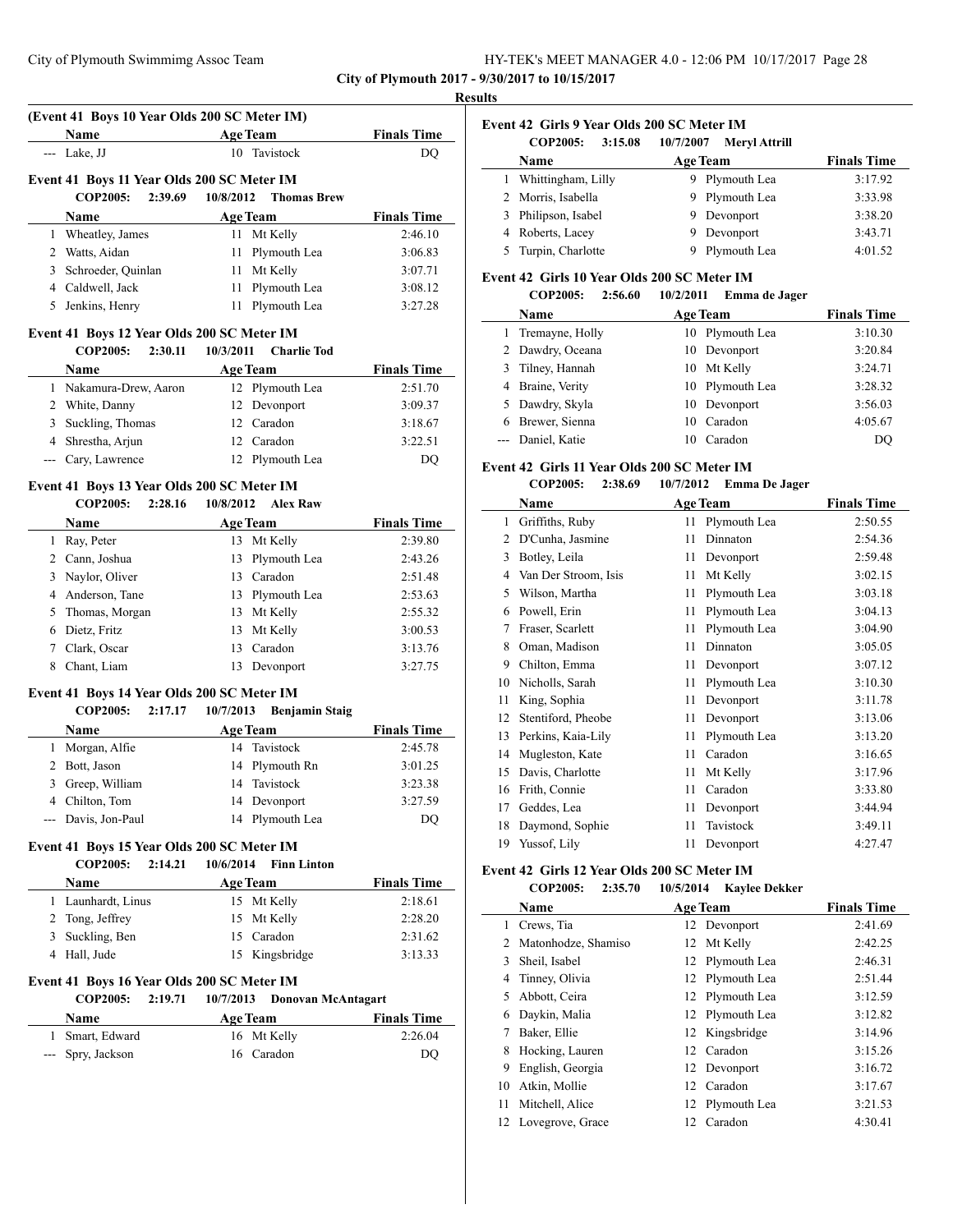| HY-TEK's MEET MANAGER 4.0 - 12:06 PM 10/17/2017 Page 28 |  |  |
|---------------------------------------------------------|--|--|
|---------------------------------------------------------|--|--|

| --- Lake, JJ<br>Event 41 Boys 14 Year Olds 200 SC Meter IM<br>Event 41 Boys 15 Year Olds 200 SC Meter IM | Name<br>Event 41 Boys 11 Year Olds 200 SC Meter IM<br><b>COP2005:</b><br>Name<br>1 Wheatley, James<br>2 Watts, Aidan<br>3 Schroeder, Quinlan<br>4 Caldwell, Jack<br>5 Jenkins, Henry<br>Event 41 Boys 12 Year Olds 200 SC Meter IM<br><b>COP2005:</b><br>Name<br>1 Nakamura-Drew, Aaron<br>2 White, Danny<br>3 Suckling, Thomas<br>4 Shrestha, Arjun<br>--- Cary, Lawrence<br>Event 41 Boys 13 Year Olds 200 SC Meter IM<br><b>COP2005:</b><br>Name<br>1 Ray, Peter<br>2 Cann, Joshua<br>3 Naylor, Oliver<br>4 Anderson, Tane<br>5 Thomas, Morgan<br>6 Dietz, Fritz<br>7 Clark, Oscar | 2:39.69<br>2:30.11<br>2:28.16 | 10/8/2012<br>10/3/2011<br>10/8/2012 | <b>Age Team</b><br>10 Tavistock<br><b>Thomas Brew</b><br><b>Age Team</b><br>11 Mt Kelly<br>11 Plymouth Lea<br>11 Mt Kelly<br>11 Plymouth Lea<br>11 Plymouth Lea<br><b>Charlie Tod</b><br><b>Age Team</b><br>12 Plymouth Lea<br>12 Devonport<br>12 Caradon<br>12 Caradon<br>12 Plymouth Lea<br><b>Alex Raw</b><br><b>Age Team</b><br>13 Mt Kelly<br>13 Plymouth Lea<br>13 Caradon<br>13 Plymouth Lea<br>13 Mt Kelly<br>13 Mt Kelly<br>13 Caradon | <b>Finals Time</b><br>DQ<br><b>Finals Time</b><br>2:46.10<br>3:06.83<br>3:07.71<br>3:08.12<br>3:27.28<br><b>Finals Time</b><br>2:51.70<br>3:09.37<br>3:18.67<br>3:22.51<br>DQ<br><b>Finals Time</b><br>2:39.80<br>2:43.26<br>2:51.48<br>2:53.63<br>2:55.32<br>3:00.53<br>3:13.76 |
|----------------------------------------------------------------------------------------------------------|---------------------------------------------------------------------------------------------------------------------------------------------------------------------------------------------------------------------------------------------------------------------------------------------------------------------------------------------------------------------------------------------------------------------------------------------------------------------------------------------------------------------------------------------------------------------------------------|-------------------------------|-------------------------------------|-------------------------------------------------------------------------------------------------------------------------------------------------------------------------------------------------------------------------------------------------------------------------------------------------------------------------------------------------------------------------------------------------------------------------------------------------|----------------------------------------------------------------------------------------------------------------------------------------------------------------------------------------------------------------------------------------------------------------------------------|
|                                                                                                          |                                                                                                                                                                                                                                                                                                                                                                                                                                                                                                                                                                                       |                               |                                     |                                                                                                                                                                                                                                                                                                                                                                                                                                                 |                                                                                                                                                                                                                                                                                  |
|                                                                                                          |                                                                                                                                                                                                                                                                                                                                                                                                                                                                                                                                                                                       |                               |                                     |                                                                                                                                                                                                                                                                                                                                                                                                                                                 |                                                                                                                                                                                                                                                                                  |
|                                                                                                          |                                                                                                                                                                                                                                                                                                                                                                                                                                                                                                                                                                                       |                               |                                     |                                                                                                                                                                                                                                                                                                                                                                                                                                                 |                                                                                                                                                                                                                                                                                  |
|                                                                                                          |                                                                                                                                                                                                                                                                                                                                                                                                                                                                                                                                                                                       |                               |                                     |                                                                                                                                                                                                                                                                                                                                                                                                                                                 |                                                                                                                                                                                                                                                                                  |
|                                                                                                          |                                                                                                                                                                                                                                                                                                                                                                                                                                                                                                                                                                                       |                               |                                     |                                                                                                                                                                                                                                                                                                                                                                                                                                                 |                                                                                                                                                                                                                                                                                  |
|                                                                                                          |                                                                                                                                                                                                                                                                                                                                                                                                                                                                                                                                                                                       |                               |                                     |                                                                                                                                                                                                                                                                                                                                                                                                                                                 |                                                                                                                                                                                                                                                                                  |
|                                                                                                          |                                                                                                                                                                                                                                                                                                                                                                                                                                                                                                                                                                                       |                               |                                     |                                                                                                                                                                                                                                                                                                                                                                                                                                                 |                                                                                                                                                                                                                                                                                  |
|                                                                                                          |                                                                                                                                                                                                                                                                                                                                                                                                                                                                                                                                                                                       |                               |                                     |                                                                                                                                                                                                                                                                                                                                                                                                                                                 |                                                                                                                                                                                                                                                                                  |
|                                                                                                          |                                                                                                                                                                                                                                                                                                                                                                                                                                                                                                                                                                                       |                               |                                     |                                                                                                                                                                                                                                                                                                                                                                                                                                                 |                                                                                                                                                                                                                                                                                  |
|                                                                                                          |                                                                                                                                                                                                                                                                                                                                                                                                                                                                                                                                                                                       |                               |                                     |                                                                                                                                                                                                                                                                                                                                                                                                                                                 |                                                                                                                                                                                                                                                                                  |
|                                                                                                          |                                                                                                                                                                                                                                                                                                                                                                                                                                                                                                                                                                                       |                               |                                     |                                                                                                                                                                                                                                                                                                                                                                                                                                                 |                                                                                                                                                                                                                                                                                  |
|                                                                                                          |                                                                                                                                                                                                                                                                                                                                                                                                                                                                                                                                                                                       |                               |                                     |                                                                                                                                                                                                                                                                                                                                                                                                                                                 |                                                                                                                                                                                                                                                                                  |
|                                                                                                          |                                                                                                                                                                                                                                                                                                                                                                                                                                                                                                                                                                                       |                               |                                     |                                                                                                                                                                                                                                                                                                                                                                                                                                                 |                                                                                                                                                                                                                                                                                  |
|                                                                                                          |                                                                                                                                                                                                                                                                                                                                                                                                                                                                                                                                                                                       |                               |                                     |                                                                                                                                                                                                                                                                                                                                                                                                                                                 |                                                                                                                                                                                                                                                                                  |
|                                                                                                          |                                                                                                                                                                                                                                                                                                                                                                                                                                                                                                                                                                                       |                               |                                     |                                                                                                                                                                                                                                                                                                                                                                                                                                                 |                                                                                                                                                                                                                                                                                  |
|                                                                                                          |                                                                                                                                                                                                                                                                                                                                                                                                                                                                                                                                                                                       |                               |                                     |                                                                                                                                                                                                                                                                                                                                                                                                                                                 |                                                                                                                                                                                                                                                                                  |
|                                                                                                          |                                                                                                                                                                                                                                                                                                                                                                                                                                                                                                                                                                                       |                               |                                     |                                                                                                                                                                                                                                                                                                                                                                                                                                                 |                                                                                                                                                                                                                                                                                  |
|                                                                                                          |                                                                                                                                                                                                                                                                                                                                                                                                                                                                                                                                                                                       |                               |                                     |                                                                                                                                                                                                                                                                                                                                                                                                                                                 |                                                                                                                                                                                                                                                                                  |
|                                                                                                          |                                                                                                                                                                                                                                                                                                                                                                                                                                                                                                                                                                                       |                               |                                     |                                                                                                                                                                                                                                                                                                                                                                                                                                                 |                                                                                                                                                                                                                                                                                  |
|                                                                                                          |                                                                                                                                                                                                                                                                                                                                                                                                                                                                                                                                                                                       |                               |                                     |                                                                                                                                                                                                                                                                                                                                                                                                                                                 |                                                                                                                                                                                                                                                                                  |
|                                                                                                          |                                                                                                                                                                                                                                                                                                                                                                                                                                                                                                                                                                                       |                               |                                     |                                                                                                                                                                                                                                                                                                                                                                                                                                                 |                                                                                                                                                                                                                                                                                  |
|                                                                                                          |                                                                                                                                                                                                                                                                                                                                                                                                                                                                                                                                                                                       |                               |                                     |                                                                                                                                                                                                                                                                                                                                                                                                                                                 |                                                                                                                                                                                                                                                                                  |
|                                                                                                          |                                                                                                                                                                                                                                                                                                                                                                                                                                                                                                                                                                                       |                               |                                     |                                                                                                                                                                                                                                                                                                                                                                                                                                                 |                                                                                                                                                                                                                                                                                  |
|                                                                                                          |                                                                                                                                                                                                                                                                                                                                                                                                                                                                                                                                                                                       |                               |                                     |                                                                                                                                                                                                                                                                                                                                                                                                                                                 |                                                                                                                                                                                                                                                                                  |
|                                                                                                          |                                                                                                                                                                                                                                                                                                                                                                                                                                                                                                                                                                                       |                               |                                     |                                                                                                                                                                                                                                                                                                                                                                                                                                                 |                                                                                                                                                                                                                                                                                  |
|                                                                                                          |                                                                                                                                                                                                                                                                                                                                                                                                                                                                                                                                                                                       |                               |                                     |                                                                                                                                                                                                                                                                                                                                                                                                                                                 |                                                                                                                                                                                                                                                                                  |
|                                                                                                          |                                                                                                                                                                                                                                                                                                                                                                                                                                                                                                                                                                                       |                               |                                     |                                                                                                                                                                                                                                                                                                                                                                                                                                                 |                                                                                                                                                                                                                                                                                  |
|                                                                                                          |                                                                                                                                                                                                                                                                                                                                                                                                                                                                                                                                                                                       |                               |                                     |                                                                                                                                                                                                                                                                                                                                                                                                                                                 |                                                                                                                                                                                                                                                                                  |
|                                                                                                          | 8 Chant, Liam                                                                                                                                                                                                                                                                                                                                                                                                                                                                                                                                                                         |                               |                                     | 13 Devonport                                                                                                                                                                                                                                                                                                                                                                                                                                    | 3:27.75                                                                                                                                                                                                                                                                          |
|                                                                                                          |                                                                                                                                                                                                                                                                                                                                                                                                                                                                                                                                                                                       |                               |                                     |                                                                                                                                                                                                                                                                                                                                                                                                                                                 |                                                                                                                                                                                                                                                                                  |
|                                                                                                          | <b>COP2005:</b>                                                                                                                                                                                                                                                                                                                                                                                                                                                                                                                                                                       | 2:17.17                       | 10/7/2013                           | <b>Benjamin Staig</b>                                                                                                                                                                                                                                                                                                                                                                                                                           |                                                                                                                                                                                                                                                                                  |
|                                                                                                          | Name                                                                                                                                                                                                                                                                                                                                                                                                                                                                                                                                                                                  |                               |                                     | <b>Age Team</b>                                                                                                                                                                                                                                                                                                                                                                                                                                 | <b>Finals Time</b>                                                                                                                                                                                                                                                               |
|                                                                                                          | 1 Morgan, Alfie                                                                                                                                                                                                                                                                                                                                                                                                                                                                                                                                                                       |                               |                                     | 14 Tavistock                                                                                                                                                                                                                                                                                                                                                                                                                                    | 2:45.78                                                                                                                                                                                                                                                                          |
|                                                                                                          | 2 Bott, Jason                                                                                                                                                                                                                                                                                                                                                                                                                                                                                                                                                                         |                               |                                     | 14 Plymouth Rn                                                                                                                                                                                                                                                                                                                                                                                                                                  | 3:01.25                                                                                                                                                                                                                                                                          |
|                                                                                                          | 3 Greep, William                                                                                                                                                                                                                                                                                                                                                                                                                                                                                                                                                                      |                               |                                     | 14 Tavistock                                                                                                                                                                                                                                                                                                                                                                                                                                    | 3:23.38                                                                                                                                                                                                                                                                          |
|                                                                                                          | 4 Chilton, Tom                                                                                                                                                                                                                                                                                                                                                                                                                                                                                                                                                                        |                               |                                     | 14 Devonport                                                                                                                                                                                                                                                                                                                                                                                                                                    | 3:27.59                                                                                                                                                                                                                                                                          |
|                                                                                                          | --- Davis, Jon-Paul                                                                                                                                                                                                                                                                                                                                                                                                                                                                                                                                                                   |                               |                                     | 14 Plymouth Lea                                                                                                                                                                                                                                                                                                                                                                                                                                 | DQ                                                                                                                                                                                                                                                                               |
|                                                                                                          |                                                                                                                                                                                                                                                                                                                                                                                                                                                                                                                                                                                       |                               |                                     |                                                                                                                                                                                                                                                                                                                                                                                                                                                 |                                                                                                                                                                                                                                                                                  |
|                                                                                                          | <b>COP2005:</b>                                                                                                                                                                                                                                                                                                                                                                                                                                                                                                                                                                       | 2:14.21                       | 10/6/2014                           | <b>Finn Linton</b>                                                                                                                                                                                                                                                                                                                                                                                                                              |                                                                                                                                                                                                                                                                                  |
|                                                                                                          | Name                                                                                                                                                                                                                                                                                                                                                                                                                                                                                                                                                                                  |                               |                                     | <b>Age Team</b>                                                                                                                                                                                                                                                                                                                                                                                                                                 | <b>Finals Time</b>                                                                                                                                                                                                                                                               |
|                                                                                                          | 1 Launhardt, Linus                                                                                                                                                                                                                                                                                                                                                                                                                                                                                                                                                                    |                               |                                     | 15 Mt Kelly                                                                                                                                                                                                                                                                                                                                                                                                                                     | 2:18.61                                                                                                                                                                                                                                                                          |
|                                                                                                          | 2 Tong, Jeffrey                                                                                                                                                                                                                                                                                                                                                                                                                                                                                                                                                                       |                               |                                     | 15 Mt Kelly                                                                                                                                                                                                                                                                                                                                                                                                                                     | 2:28.20                                                                                                                                                                                                                                                                          |
|                                                                                                          | 3 Suckling, Ben                                                                                                                                                                                                                                                                                                                                                                                                                                                                                                                                                                       |                               |                                     | 15 Caradon                                                                                                                                                                                                                                                                                                                                                                                                                                      | 2:31.62                                                                                                                                                                                                                                                                          |
|                                                                                                          | 4 Hall, Jude                                                                                                                                                                                                                                                                                                                                                                                                                                                                                                                                                                          |                               |                                     | 15 Kingsbridge                                                                                                                                                                                                                                                                                                                                                                                                                                  | 3:13.33                                                                                                                                                                                                                                                                          |
|                                                                                                          |                                                                                                                                                                                                                                                                                                                                                                                                                                                                                                                                                                                       |                               |                                     |                                                                                                                                                                                                                                                                                                                                                                                                                                                 |                                                                                                                                                                                                                                                                                  |
|                                                                                                          | Event 41 Boys 16 Year Olds 200 SC Meter IM                                                                                                                                                                                                                                                                                                                                                                                                                                                                                                                                            |                               |                                     |                                                                                                                                                                                                                                                                                                                                                                                                                                                 |                                                                                                                                                                                                                                                                                  |
|                                                                                                          | <b>COP2005:</b>                                                                                                                                                                                                                                                                                                                                                                                                                                                                                                                                                                       | 2:19.71                       | 10/7/2013                           | <b>Donovan McAntagart</b>                                                                                                                                                                                                                                                                                                                                                                                                                       |                                                                                                                                                                                                                                                                                  |
|                                                                                                          |                                                                                                                                                                                                                                                                                                                                                                                                                                                                                                                                                                                       |                               |                                     | <b>Age Team</b>                                                                                                                                                                                                                                                                                                                                                                                                                                 | <b>Finals Time</b>                                                                                                                                                                                                                                                               |
|                                                                                                          | Name                                                                                                                                                                                                                                                                                                                                                                                                                                                                                                                                                                                  |                               |                                     | 16 Mt Kelly                                                                                                                                                                                                                                                                                                                                                                                                                                     | 2:26.04                                                                                                                                                                                                                                                                          |
| $\frac{1}{2}$                                                                                            | 1 Smart, Edward                                                                                                                                                                                                                                                                                                                                                                                                                                                                                                                                                                       |                               |                                     | 16 Caradon                                                                                                                                                                                                                                                                                                                                                                                                                                      | DQ                                                                                                                                                                                                                                                                               |
|                                                                                                          | Spry, Jackson                                                                                                                                                                                                                                                                                                                                                                                                                                                                                                                                                                         |                               |                                     |                                                                                                                                                                                                                                                                                                                                                                                                                                                 |                                                                                                                                                                                                                                                                                  |
|                                                                                                          |                                                                                                                                                                                                                                                                                                                                                                                                                                                                                                                                                                                       |                               |                                     |                                                                                                                                                                                                                                                                                                                                                                                                                                                 |                                                                                                                                                                                                                                                                                  |

#### **Event 42 Girls 9 Year Olds 200 SC Meter IM COP2005: 3:15.08 10/7/2007 Meryl Attrill**

|    | <b>Name</b>         | <b>Age Team</b> | <b>Finals Time</b> |
|----|---------------------|-----------------|--------------------|
| 1. | Whittingham, Lilly  | 9 Plymouth Lea  | 3:17.92            |
|    | 2 Morris, Isabella  | 9 Plymouth Lea  | 3:33.98            |
|    | 3 Philipson, Isabel | 9 Devonport     | 3:38.20            |
|    | 4 Roberts, Lacey    | 9 Devonport     | 3:43.71            |
|    | 5 Turpin, Charlotte | 9 Plymouth Lea  | 4:01.52            |
|    |                     |                 |                    |

### **Event 42 Girls 10 Year Olds 200 SC Meter IM**

#### **COP2005: 2:56.60 10/2/2011 Emma de Jager**

| <b>Name</b>       |    | <b>Age Team</b> | <b>Finals Time</b> |
|-------------------|----|-----------------|--------------------|
| 1 Tremayne, Holly |    | 10 Plymouth Lea | 3:10.30            |
| 2 Dawdry, Oceana  |    | 10 Devonport    | 3:20.84            |
| 3 Tilney, Hannah  | 10 | Mt Kelly        | 3:24.71            |
| 4 Braine, Verity  |    | 10 Plymouth Lea | 3:28.32            |
| 5 Dawdry, Skyla   |    | 10 Devonport    | 3:56.03            |
| 6 Brewer, Sienna  | 10 | Caradon         | 4:05.67            |
| --- Daniel, Katie |    | Caradon         | DO                 |

# **Event 42 Girls 11 Year Olds 200 SC Meter IM**

|    | <b>COP2005:</b><br>2:38.69 | 10/7/2012<br><b>Emma De Jager</b> |                    |
|----|----------------------------|-----------------------------------|--------------------|
|    | Name                       | <b>Age Team</b>                   | <b>Finals Time</b> |
| 1  | Griffiths, Ruby            | 11<br>Plymouth Lea                | 2:50.55            |
| 2  | D'Cunha, Jasmine           | Dinnaton<br>11                    | 2:54.36            |
| 3  | Botley, Leila              | 11<br>Devonport                   | 2:59.48            |
| 4  | Van Der Stroom, Isis       | Mt Kelly<br>11                    | 3:02.15            |
| 5  | Wilson, Martha             | Plymouth Lea<br>11                | 3:03.18            |
| 6  | Powell, Erin               | Plymouth Lea<br>11                | 3:04.13            |
| 7  | Fraser, Scarlett           | 11<br>Plymouth Lea                | 3:04.90            |
| 8  | Oman, Madison              | Dinnaton<br>11                    | 3:05.05            |
| 9  | Chilton, Emma              | 11<br>Devonport                   | 3:07.12            |
| 10 | Nicholls, Sarah            | Plymouth Lea<br>11                | 3:10.30            |
| 11 | King, Sophia               | 11<br>Devonport                   | 3:11.78            |
| 12 | Stentiford, Pheobe         | Devonport<br>11                   | 3:13.06            |
| 13 | Perkins, Kaia-Lily         | Plymouth Lea<br>11                | 3:13.20            |
| 14 | Mugleston, Kate            | Caradon<br>11                     | 3:16.65            |
| 15 | Davis, Charlotte           | Mt Kelly<br>11                    | 3:17.96            |
| 16 | Frith, Connie              | Caradon<br>11                     | 3:33.80            |
| 17 | Geddes, Lea                | 11<br>Devonport                   | 3:44.94            |
| 18 | Daymond, Sophie            | Tavistock<br>11                   | 3:49.11            |
| 19 | Yussof, Lily               | 11<br>Devonport                   | 4:27.47            |

# **Event 42 Girls 12 Year Olds 200 SC Meter IM**

# **COP2005: 2:35.70 10/5/2014 Kaylee Dekker Name Age Team Finals Time**

|    | таніс                 |    | тес теаш        | т шаю типе |
|----|-----------------------|----|-----------------|------------|
|    | Crews, Tia            |    | 12 Devonport    | 2:41.69    |
|    | 2 Matonhodze, Shamiso |    | 12 Mt Kelly     | 2:42.25    |
| 3  | Sheil, Isabel         |    | 12 Plymouth Lea | 2:46.31    |
| 4  | Tinney, Olivia        |    | 12 Plymouth Lea | 2:51.44    |
|    | Abbott, Ceira         |    | 12 Plymouth Lea | 3:12.59    |
| 6  | Daykin, Malia         |    | 12 Plymouth Lea | 3:12.82    |
|    | Baker, Ellie          |    | 12 Kingsbridge  | 3:14.96    |
| 8  | Hocking, Lauren       |    | 12 Caradon      | 3:15.26    |
| 9  | English, Georgia      |    | 12 Devonport    | 3:16.72    |
| 10 | Atkin, Mollie         |    | 12 Caradon      | 3:17.67    |
| 11 | Mitchell, Alice       |    | 12 Plymouth Lea | 3:21.53    |
|    | 12 Lovegrove, Grace   | 12 | Caradon         | 4:30.41    |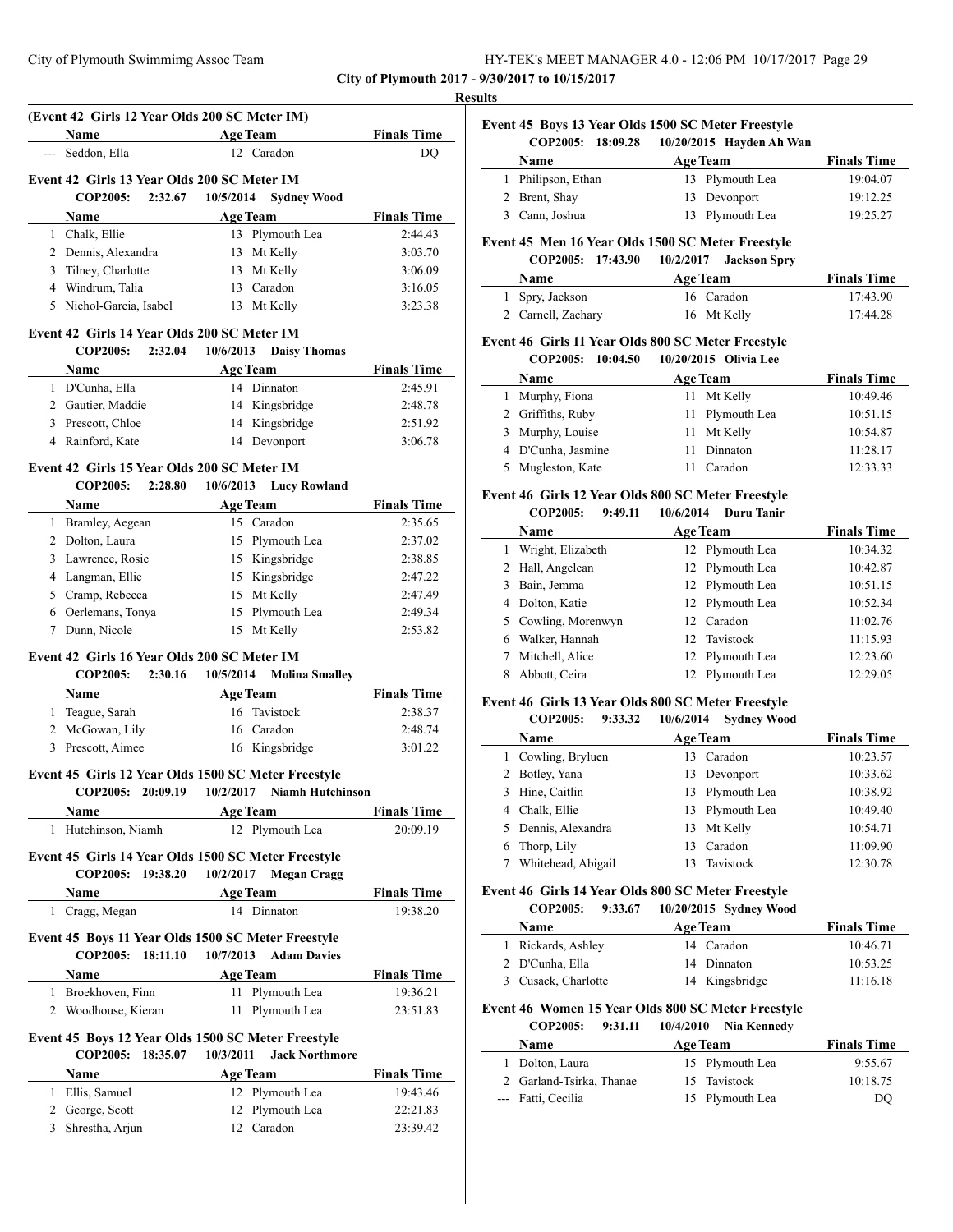| HY-TEK's MEET MANAGER 4.0 - 12:06 PM 10/17/2017 Page 29 |  |
|---------------------------------------------------------|--|
|---------------------------------------------------------|--|

# **Results (Event 42 Girls 12 Year Olds 200 SC Meter IM) Name Age Team Finals Time** --- Seddon, Ella 12 Caradon DQ **Event 42 Girls 13 Year Olds 200 SC Meter IM COP2005: 2:32.67 10/5/2014 Sydney Wood Name Age Team Finals Time** 1 Chalk, Ellie 13 Plymouth Lea 2:44.43 2 Dennis, Alexandra 13 Mt Kelly 3:03.70 3 Tilney, Charlotte 13 Mt Kelly 3:06.09 4 Windrum, Talia 13 Caradon 3:16.05 5 Nichol-Garcia, Isabel 13 Mt Kelly 3:23.38 **Event 42 Girls 14 Year Olds 200 SC Meter IM COP2005: 2:32.04 10/6/2013 Daisy Thomas Name Age Team Finals Time** 1 D'Cunha, Ella 14 Dinnaton 2:45.91 2 Gautier, Maddie 14 Kingsbridge 2:48.78 3 Prescott, Chloe 14 Kingsbridge 2:51.92 4 Rainford, Kate 14 Devonport 3:06.78 **Event 42 Girls 15 Year Olds 200 SC Meter IM COP2005: 2:28.80 10/6/2013 Lucy Rowland Name Age Team Finals Time** 1 Bramley, Aegean 15 Caradon 2:35.65 2 Dolton, Laura 15 Plymouth Lea 2:37.02 3 Lawrence, Rosie 15 Kingsbridge 2:38.85 4 Langman, Ellie 15 Kingsbridge 2:47.22 5 Cramp, Rebecca 15 Mt Kelly 2:47.49 6 Oerlemans, Tonya 15 Plymouth Lea 2:49.34 7 Dunn, Nicole 15 Mt Kelly 2:53.82 **Event 42 Girls 16 Year Olds 200 SC Meter IM COP2005: 2:30.16 10/5/2014 Molina Smalley Name Age Team Finals Time** 1 Teague, Sarah 16 Tavistock 2:38.37 2 McGowan, Lily 16 Caradon 2:48.74 3 Prescott, Aimee 16 Kingsbridge 3:01.22 **Event 45 Girls 12 Year Olds 1500 SC Meter Freestyle COP2005: 20:09.19 10/2/2017 Niamh Hutchinson Name Age Team Finals Time** 1 Hutchinson, Niamh 12 Plymouth Lea 20:09.19 **Event 45 Girls 14 Year Olds 1500 SC Meter Freestyle COP2005: 19:38.20 10/2/2017 Megan Cragg Name Age Team Finals Time** 1 Cragg, Megan 14 Dinnaton 19:38.20 **Event 45 Boys 11 Year Olds 1500 SC Meter Freestyle COP2005: 18:11.10 10/7/2013 Adam Davies Name Age Team Finals Time** 1 Broekhoven, Finn 11 Plymouth Lea 19:36.21 2 Woodhouse, Kieran 11 Plymouth Lea 23:51.83 **Event 45 Boys 12 Year Olds 1500 SC Meter Freestyle COP2005: 18:35.07 10/3/2011 Jack Northmore Name Age Team Finals Time** 1 Ellis, Samuel 12 Plymouth Lea 19:43.46 2 George, Scott 12 Plymouth Lea 22:21.83

3 Shrestha, Arjun 12 Caradon 23:39.42

**Event 45 Boys 13 Year Olds 1500 SC Meter Freestyle COP2005: 18:09.28 10/20/2015 Hayden Ah Wan Name Age Team Finals Time** 

|   |                             | 1.1.2.1                                            |                    |
|---|-----------------------------|----------------------------------------------------|--------------------|
| 1 | Philipson, Ethan            | 13 Plymouth Lea                                    | 19:04.07           |
| 2 | Brent, Shay                 | 13 Devonport                                       | 19:12.25           |
| 3 | Cann, Joshua                | Plymouth Lea<br>13                                 | 19:25.27           |
|   |                             | Event 45 Men 16 Year Olds 1500 SC Meter Freestyle  |                    |
|   | <b>COP2005:</b><br>17:43.90 | $10/2/2017$ Jackson Spry                           |                    |
|   | Name                        | <b>Age Team</b>                                    | <b>Finals Time</b> |
| 1 | Spry, Jackson               | 16 Caradon                                         | 17:43.90           |
| 2 | Carnell, Zachary            | 16 Mt Kelly                                        | 17:44.28           |
|   |                             | Event 46 Girls 11 Year Olds 800 SC Meter Freestyle |                    |
|   | COP2005: 10:04.50           | 10/20/2015 Olivia Lee                              |                    |
|   | Name                        | <b>Age Team</b>                                    | <b>Finals Time</b> |
| 1 | Murphy, Fiona               | 11 Mt Kelly                                        | 10:49.46           |
| 2 | Griffiths, Ruby             | Plymouth Lea<br>11                                 | 10:51.15           |
| 3 | Murphy, Louise              | Mt Kelly<br>11                                     | 10:54.87           |
| 4 | D'Cunha, Jasmine            | Dinnaton<br>11.                                    | 11:28.17           |

# **Event 46 Girls 12 Year Olds 800 SC Meter Freestyle**

# **COP2005: 9:49.11 10/6/2014 Duru Tanir**

|   | Name                |    | <b>Age Team</b> | <b>Finals Time</b> |
|---|---------------------|----|-----------------|--------------------|
|   | Wright, Elizabeth   |    | 12 Plymouth Lea | 10:34.32           |
|   | 2 Hall, Angelean    |    | 12 Plymouth Lea | 10:42.87           |
| 3 | Bain, Jemma         |    | 12 Plymouth Lea | 10:51.15           |
| 4 | Dolton, Katie       |    | 12 Plymouth Lea | 10:52.34           |
|   | 5 Cowling, Morenwyn |    | 12 Caradon      | 11:02.76           |
| 6 | Walker, Hannah      |    | 12 Tavistock    | 11:15.93           |
|   | Mitchell, Alice     |    | 12 Plymouth Lea | 12:23.60           |
| 8 | Abbott. Ceira       | 12 | Plymouth Lea    | 12:29.05           |

5 Mugleston, Kate 11 Caradon 12:33.33

# **Event 46 Girls 13 Year Olds 800 SC Meter Freestyle**

|   | <b>COP2005:</b><br>9:33.32 | 10/6/2014<br><b>Sydney Wood</b> |                    |
|---|----------------------------|---------------------------------|--------------------|
|   | <b>Name</b>                | <b>Age Team</b>                 | <b>Finals Time</b> |
|   | Cowling, Bryluen           | 13 Caradon                      | 10:23.57           |
| 2 | Botley, Yana               | 13 Devonport                    | 10:33.62           |
|   | Hine, Caitlin              | 13 Plymouth Lea                 | 10:38.92           |
| 4 | Chalk, Ellie               | 13 Plymouth Lea                 | 10:49.40           |
|   | Dennis, Alexandra          | 13 Mt Kelly                     | 10:54.71           |
| 6 | Thorp, Lily                | Caradon<br>13                   | 11:09.90           |
|   | Whitehead, Abigail         | 13 Tavistock                    | 12:30.78           |
|   |                            |                                 |                    |

## **Event 46 Girls 14 Year Olds 800 SC Meter Freestyle**

### **COP2005: 9:33.67 10/20/2015 Sydney Wood**

| <b>Name</b>         | <b>Age Team</b> | <b>Finals Time</b> |
|---------------------|-----------------|--------------------|
| 1 Rickards, Ashley  | 14 Caradon      | 10:46.71           |
| 2 D'Cunha, Ella     | 14 Dinnaton     | 10:53.25           |
| 3 Cusack, Charlotte | 14 Kingsbridge  | 11:16.18           |

## **Event 46 Women 15 Year Olds 800 SC Meter Freestyle**

# **COP2005: 9:31.11 10/4/2010 Nia Kennedy**

| <b>Name</b>              | <b>Age Team</b> | <b>Finals Time</b> |
|--------------------------|-----------------|--------------------|
| 1 Dolton, Laura          | 15 Plymouth Lea | 9:55.67            |
| 2 Garland-Tsirka, Thanae | 15 Tavistock    | 10:18.75           |
| --- Fatti, Cecilia       | 15 Plymouth Lea | DO                 |